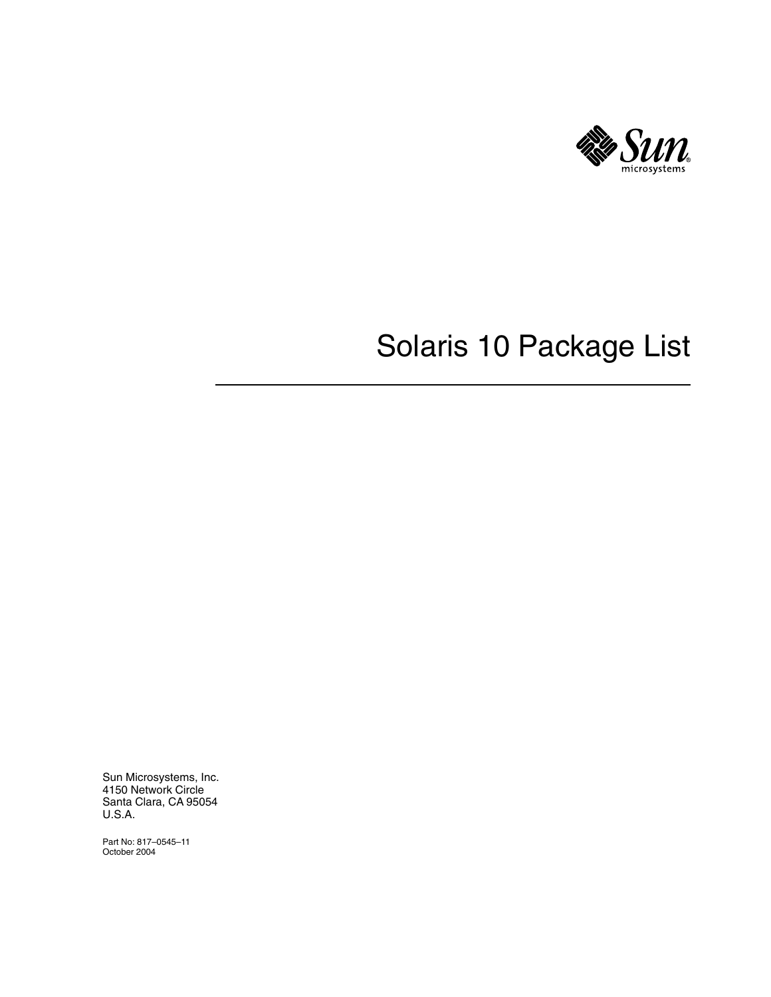

# Solaris 10 Package List

Sun Microsystems, Inc. 4150 Network Circle Santa Clara, CA 95054 U.S.A.

Part No: 817–0545–11 October 2004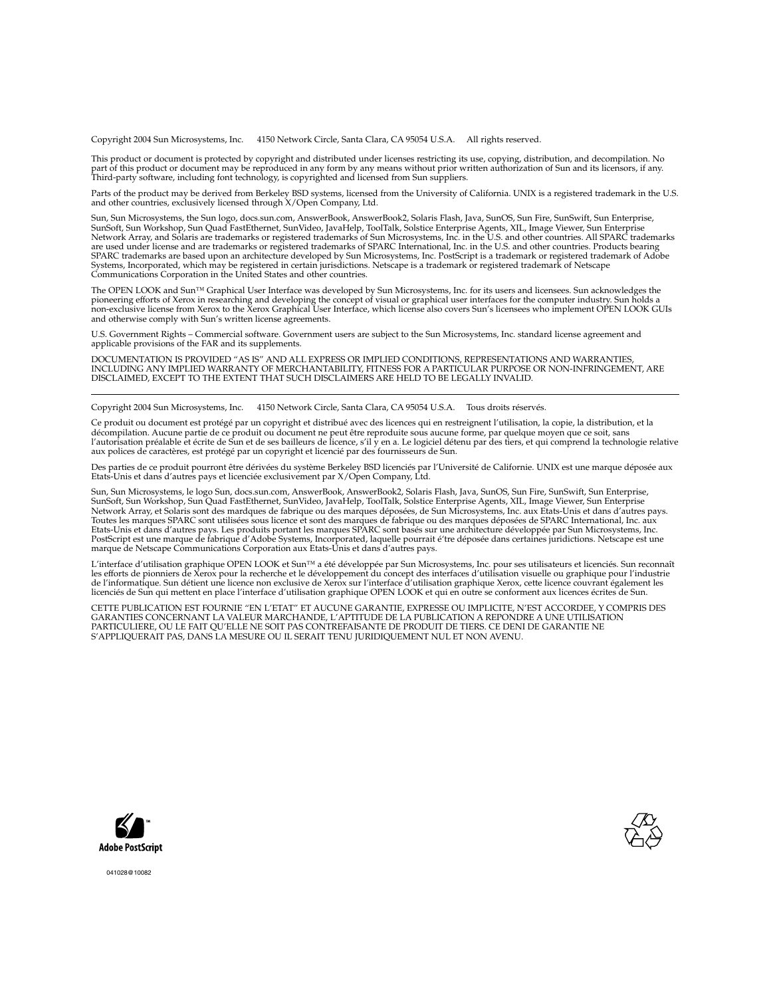Copyright 2004 Sun Microsystems, Inc. 4150 Network Circle, Santa Clara, CA 95054 U.S.A. All rights reserved.

This product or document is protected by copyright and distributed under licenses restricting its use, copying, distribution, and decompilation. No part of this product or document may be reproduced in any form by any means without prior written authorization of Sun and its licensors, if any.<br>Third-party software, including font technology, is copyrighted and licensed

Parts of the product may be derived from Berkeley BSD systems, licensed from the University of California. UNIX is a registered trademark in the U.S. and other countries, exclusively licensed through X/Open Company, Ltd.

Sun, Sun Microsystems, the Sun logo, docs.sun.com, AnswerBook, AnswerBook2, Solaris Flash, Java, SunOS, Sun Fire, SunSwift, Sun Enterprise,<br>SunSoft, Sun Workshop, Sun Quad FastEthernet, SunVideo, JavaHelp, ToolTalk, Solsti Systems, Incorporated, which may be registered in certain jurisdictions. Netscape is a trademark or registered trademark of Netscape Communications Corporation in the United States and other countries.

The OPEN LOOK and Sun™ Graphical User Interface was developed by Sun Microsystems, Inc. for its users and licensees. Sun acknowledges the pioneering efforts of Xerox in researching and developing the concept of visual or graphical user interfaces for the computer industry. Sun holds a<br>non-exclusive license from Xerox to the Xerox Graphical User Interface, wh and otherwise comply with Sun's written license agreements.

U.S. Government Rights – Commercial software. Government users are subject to the Sun Microsystems, Inc. standard license agreement and applicable provisions of the FAR and its supplements.

DOCUMENTATION IS PROVIDED "AS IS" AND ALL EXPRESS OR IMPLIED CONDITIONS, REPRESENTATIONS AND WARRANTIES, INCLUDING ANY IMPLIED WARRANTY OF MERCHANTABILITY, FITNESS FOR A PARTICULAR PURPOSE OR NON-INFRINGEMENT, ARE DISCLAIMED, EXCEPT TO THE EXTENT THAT SUCH DISCLAIMERS ARE HELD TO BE LEGALLY INVALID.

Copyright 2004 Sun Microsystems, Inc. 4150 Network Circle, Santa Clara, CA 95054 U.S.A. Tous droits réservés.

Ce produit ou document est protégé par un copyright et distribué avec des licences qui en restreignent l'utilisation, la copie, la distribution, et la décompilation. Aucune partie de ce produit ou document ne peut être reproduite sous aucune forme, par quelque moyen que ce soit, sans<br>l'autorisation préalable et écrite de Sun et de ses bailleurs de licence, s'il y en a. L aux polices de caractères, est protégé par un copyright et licencié par des fournisseurs de Sun.

Des parties de ce produit pourront être dérivées du système Berkeley BSD licenciés par l'Université de Californie. UNIX est une marque déposée aux Etats-Unis et dans d'autres pays et licenciée exclusivement par X/Open Company, Ltd.

Sun, Sun Microsystems, le logo Sun, docs.sun.com, AnswerBook, AnswerBook2, Solaris Flash, Java, SunOS, Sun Fire, SunSwift, Sun Enterprise, SunSoft, Sun Workshop, Sun Quad FastEthernet, SunVideo, JavaHelp, ToolTalk, Solstice Enterprise Agents, XIL, Image Viewer, Sun Enterprise Network Array, et Solaris sont des mardques de fabrique ou des marques déposées, de Sun Microsystems, Inc. aux Etats-Unis et dans d'autres pays.<br>Toutes les marques SPARC sont utilisées sous licence et sont des marques de f

L'interface d'utilisation graphique OPEN LOOK et Sun™ a été développée par Sun Microsystems, Inc. pour ses utilisateurs et licenciés. Sun reconnaît les efforts de pionniers de Xerox pour la recherche et le développement du concept des interfaces d'utilisation visuelle ou graphique pour l'industrie<br>de l'informatique. Sun détient une licence non exclusive de Xerox sur l

CETTE PUBLICATION EST FOURNIE "EN L'ETAT" ET AUCUNE GARANTIE, EXPRESSE OU IMPLICITE, N'EST ACCORDEE, Y COMPRIS DES GARANTIES CONCERNANT LA VALEUR MARCHANDE, L'APTITUDE DE LA PUBLICATION A REPONDRE A UNE UTILISATION PARTICULIERE, OU LE FAIT QU'ELLE NE SOIT PAS CONTREFAISANTE DE PRODUIT DE TIERS. CE DENI DE GARANTIE NE S'APPLIQUERAIT PAS, DANS LA MESURE OU IL SERAIT TENU JURIDIQUEMENT NUL ET NON AVENU.





041028@10082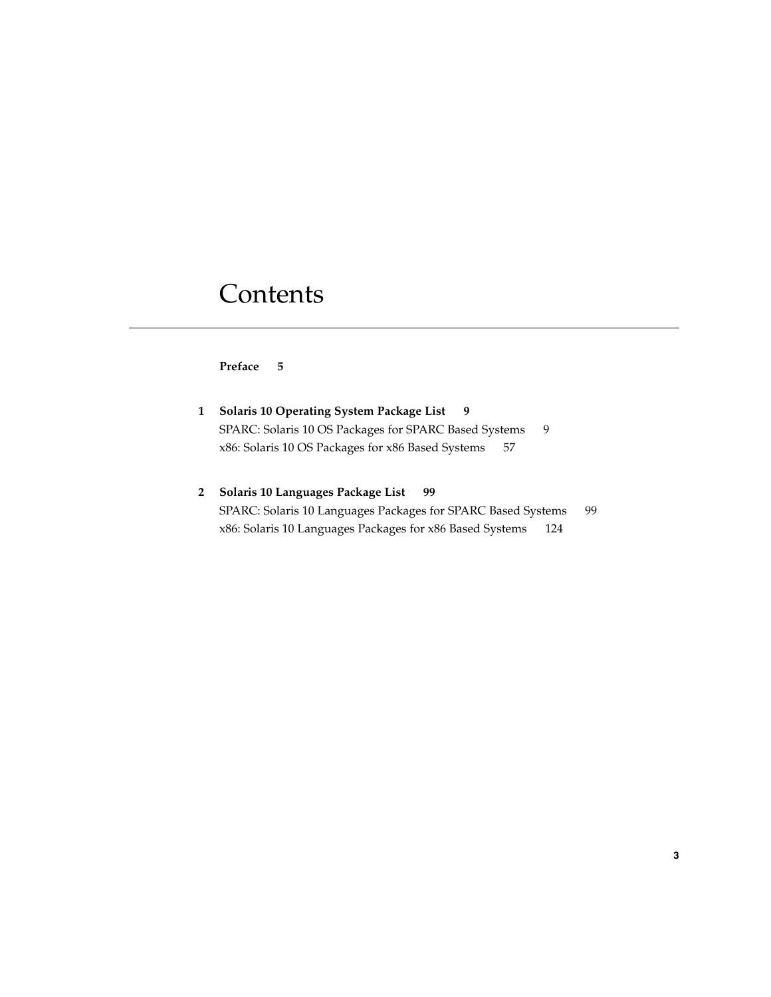# **Contents**

#### **[Preface 5](#page-4-0)**

- **[1 Solaris 10 Operating System Package List 9](#page-8-0)** [SPARC: Solaris 10 OS Packages for SPARC Based Systems 9](#page-8-0) [x86: Solaris 10 OS Packages for x86 Based Systems 57](#page-56-0)
- **[2 Solaris 10 Languages Package List 99](#page-98-0)** [SPARC: Solaris 10 Languages Packages for SPARC Based Systems 99](#page-98-0) [x86: Solaris 10 Languages Packages for x86 Based Systems 124](#page-123-0)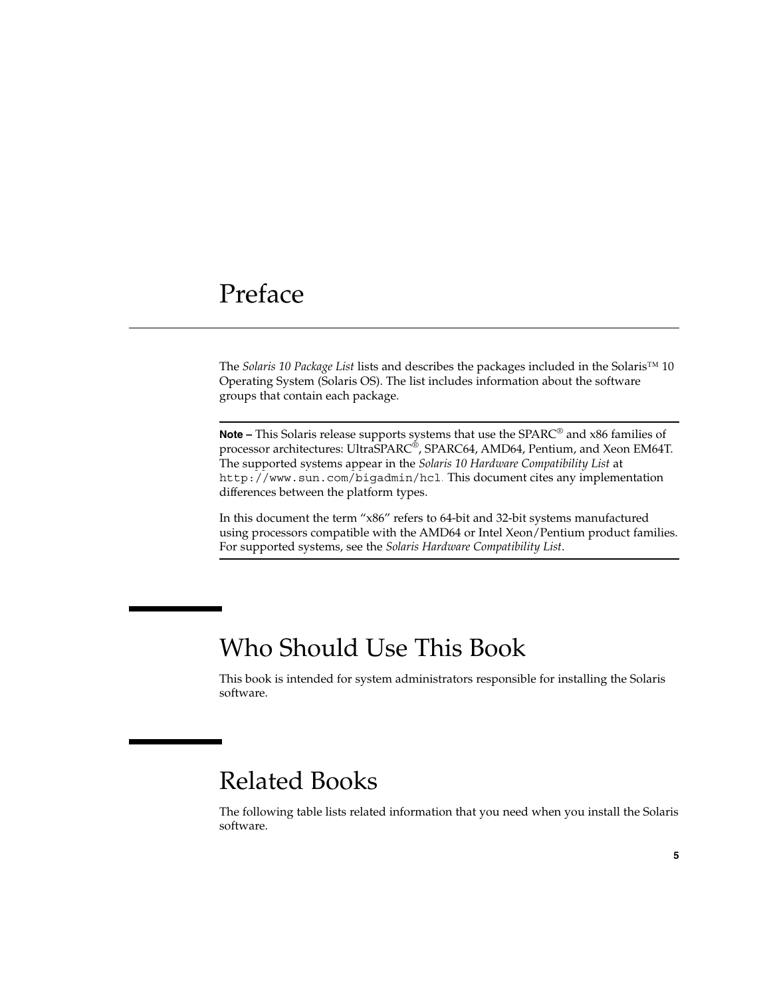## <span id="page-4-0"></span>Preface

The *Solaris 10 Package List* lists and describes the packages included in the Solaris™ 10 Operating System (Solaris OS). The list includes information about the software groups that contain each package.

**Note –** This Solaris release supports systems that use the SPARC® and x86 families of processor architectures: UltraSPARC®, SPARC64, AMD64, Pentium, and Xeon EM64T. The supported systems appear in the *Solaris 10 Hardware Compatibility List* at <http://www.sun.com/bigadmin/hcl>. This document cites any implementation differences between the platform types.

In this document the term "x86" refers to 64-bit and 32-bit systems manufactured using processors compatible with the AMD64 or Intel Xeon/Pentium product families. For supported systems, see the *Solaris Hardware Compatibility List*.

# Who Should Use This Book

This book is intended for system administrators responsible for installing the Solaris software.

# Related Books

The following table lists related information that you need when you install the Solaris software.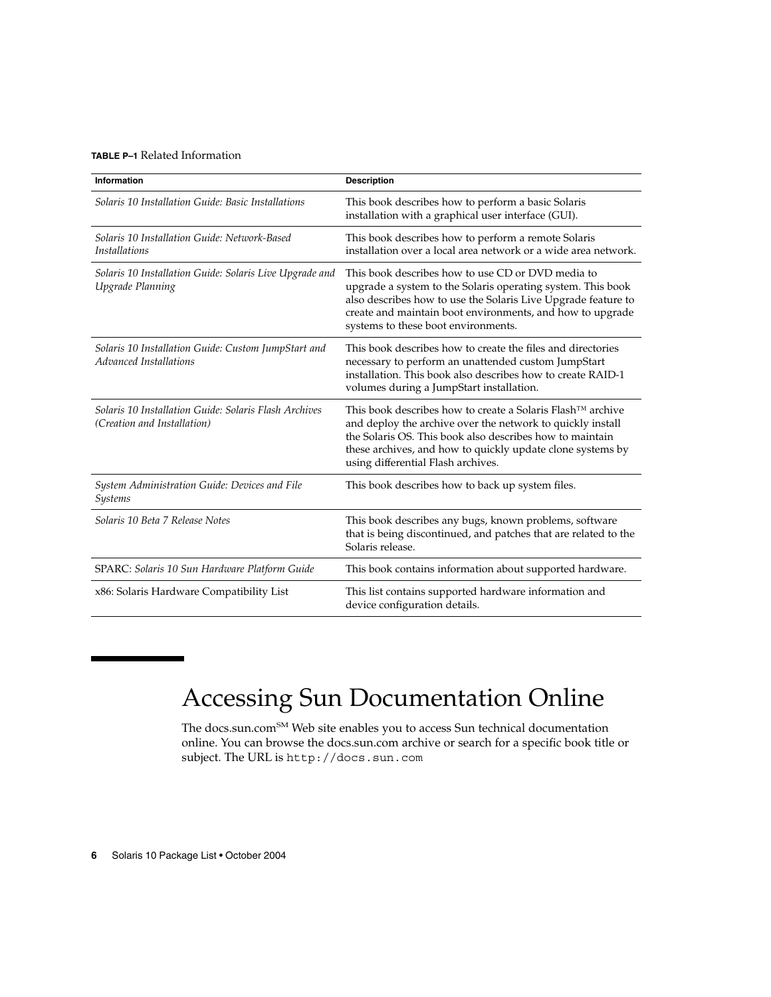#### **TABLE P–1** Related Information

| Information                                                                          | <b>Description</b>                                                                                                                                                                                                                                                                       |
|--------------------------------------------------------------------------------------|------------------------------------------------------------------------------------------------------------------------------------------------------------------------------------------------------------------------------------------------------------------------------------------|
| Solaris 10 Installation Guide: Basic Installations                                   | This book describes how to perform a basic Solaris<br>installation with a graphical user interface (GUI).                                                                                                                                                                                |
| Solaris 10 Installation Guide: Network-Based<br><i>Installations</i>                 | This book describes how to perform a remote Solaris<br>installation over a local area network or a wide area network.                                                                                                                                                                    |
| Solaris 10 Installation Guide: Solaris Live Upgrade and<br>Upgrade Planning          | This book describes how to use CD or DVD media to<br>upgrade a system to the Solaris operating system. This book<br>also describes how to use the Solaris Live Upgrade feature to<br>create and maintain boot environments, and how to upgrade<br>systems to these boot environments.    |
| Solaris 10 Installation Guide: Custom JumpStart and<br>Advanced Installations        | This book describes how to create the files and directories<br>necessary to perform an unattended custom JumpStart<br>installation. This book also describes how to create RAID-1<br>volumes during a JumpStart installation.                                                            |
| Solaris 10 Installation Guide: Solaris Flash Archives<br>(Creation and Installation) | This book describes how to create a Solaris Flash™ archive<br>and deploy the archive over the network to quickly install<br>the Solaris OS. This book also describes how to maintain<br>these archives, and how to quickly update clone systems by<br>using differential Flash archives. |
| System Administration Guide: Devices and File<br>Systems                             | This book describes how to back up system files.                                                                                                                                                                                                                                         |
| Solaris 10 Beta 7 Release Notes                                                      | This book describes any bugs, known problems, software<br>that is being discontinued, and patches that are related to the<br>Solaris release.                                                                                                                                            |
| SPARC: Solaris 10 Sun Hardware Platform Guide                                        | This book contains information about supported hardware.                                                                                                                                                                                                                                 |
| x86: Solaris Hardware Compatibility List                                             | This list contains supported hardware information and<br>device configuration details.                                                                                                                                                                                                   |

# Accessing Sun Documentation Online

The docs.sun.com<sup>SM</sup> Web site enables you to access Sun technical documentation online. You can browse the docs.sun.com archive or search for a specific book title or subject. The URL is <http://docs.sun.com>.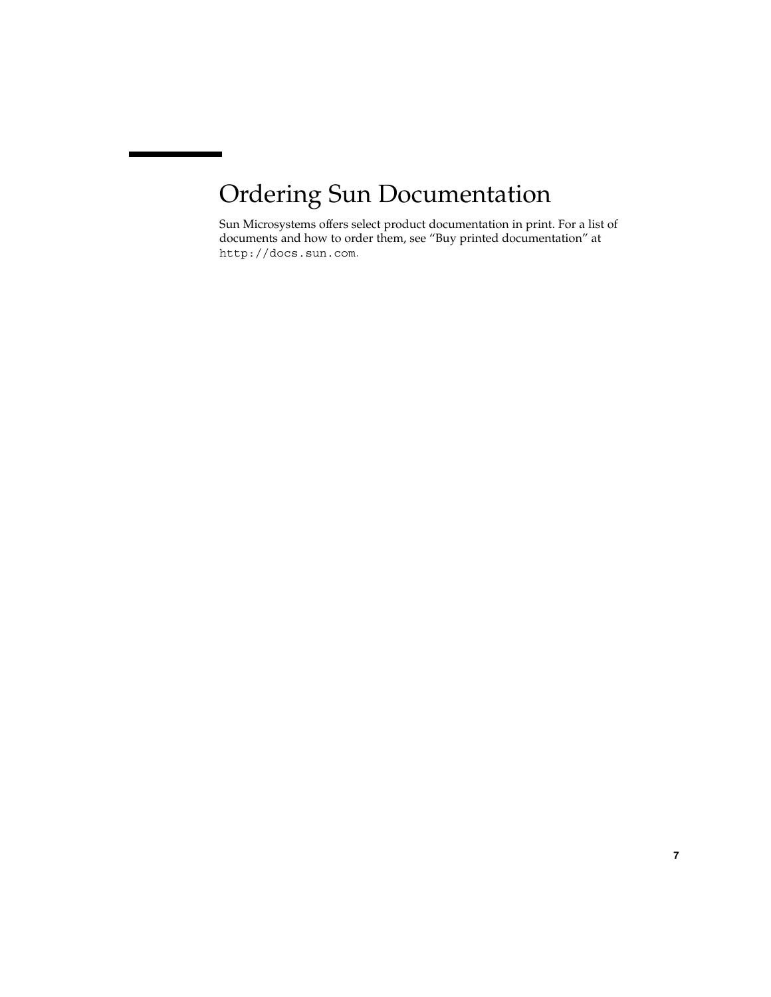# Ordering Sun Documentation

Sun Microsystems offers select product documentation in print. For a list of documents and how to order them, see "Buy printed documentation" at <http://docs.sun.com>.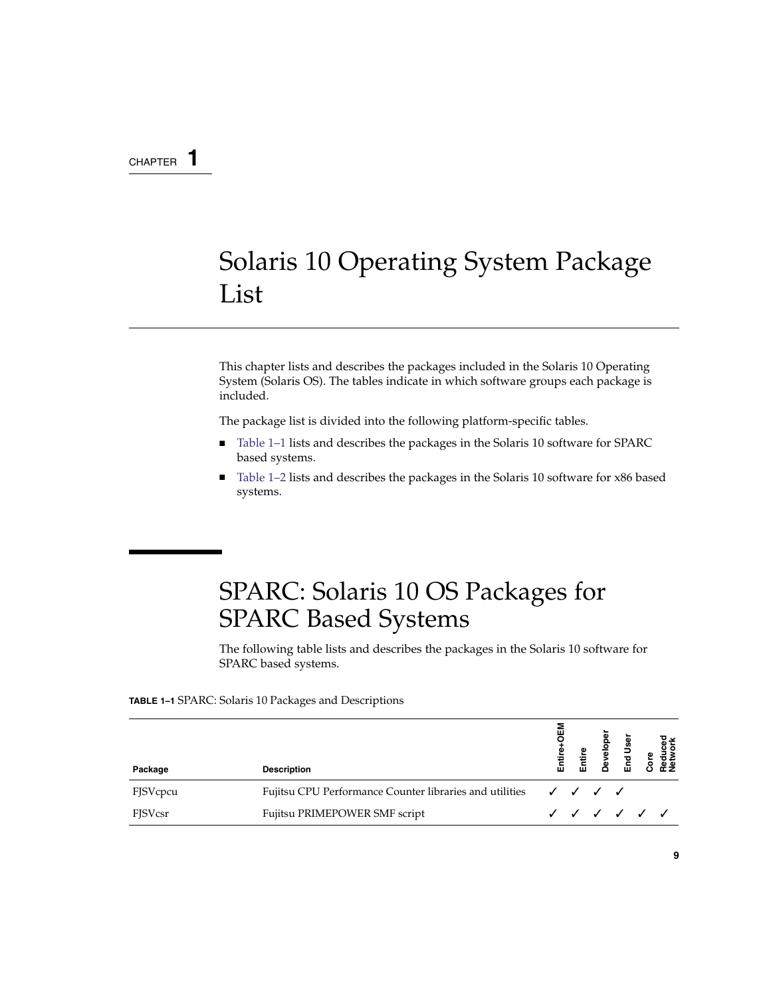## <span id="page-8-0"></span>CHAPTER **1**

# Solaris 10 Operating System Package List

This chapter lists and describes the packages included in the Solaris 10 Operating System (Solaris OS). The tables indicate in which software groups each package is included.

The package list is divided into the following platform-specific tables.

- Table 1–1 lists and describes the packages in the Solaris 10 software for SPARC based systems.
- [Table 1–2](#page-56-0) lists and describes the packages in the Solaris 10 software for x86 based systems.

# SPARC: Solaris 10 OS Packages for SPARC Based Systems

The following table lists and describes the packages in the Solaris 10 software for SPARC based systems.

**TABLE 1–1** SPARC: Solaris 10 Packages and Descriptions

|                  |                                                         | 핑<br>ntire | Entire      | Developer<br>End User<br>ு | g | Reduced<br>Network |
|------------------|---------------------------------------------------------|------------|-------------|----------------------------|---|--------------------|
| Package          | <b>Description</b>                                      | 面          |             |                            |   |                    |
| <b>FJSV</b> cpcu | Fujitsu CPU Performance Counter libraries and utilities |            | 1 1 1 1     |                            |   |                    |
| FJSVcsr          | Fujitsu PRIMEPOWER SMF script                           |            | v v v v v v |                            |   |                    |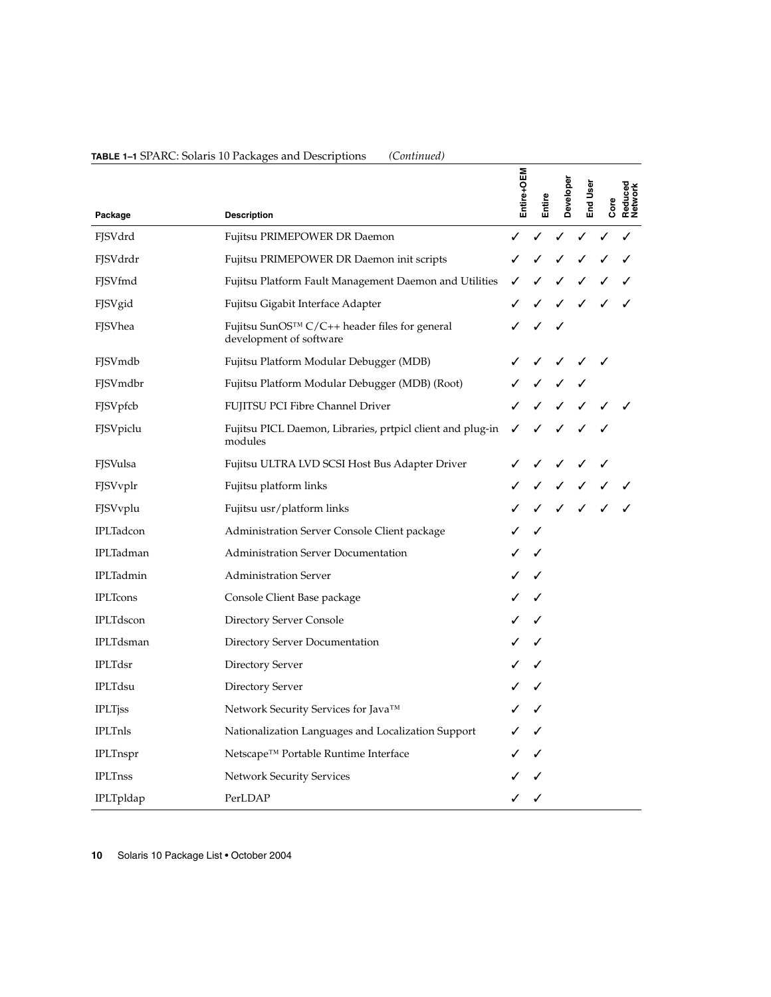| Package          | <b>Description</b>                                                                      | Entire+OEM | Entire | Developer | End User | Core | Reduced<br>Network |
|------------------|-----------------------------------------------------------------------------------------|------------|--------|-----------|----------|------|--------------------|
| FJSVdrd          | Fujitsu PRIMEPOWER DR Daemon                                                            |            |        | ✓         | ✓        |      |                    |
| FJSVdrdr         | Fujitsu PRIMEPOWER DR Daemon init scripts                                               |            |        |           |          |      |                    |
| FJSVfmd          | Fujitsu Platform Fault Management Daemon and Utilities                                  |            |        |           |          |      |                    |
| FJSVgid          | Fujitsu Gigabit Interface Adapter                                                       |            |        |           |          |      |                    |
| FJSVhea          | Fujitsu SunOS <sup>TM</sup> $C/C++$ header files for general<br>development of software |            |        |           |          |      |                    |
| FJSVmdb          | Fujitsu Platform Modular Debugger (MDB)                                                 |            |        |           |          |      |                    |
| FJSVmdbr         | Fujitsu Platform Modular Debugger (MDB) (Root)                                          |            |        |           |          |      |                    |
| FJSVpfcb         | <b>FUJITSU PCI Fibre Channel Driver</b>                                                 |            |        |           |          |      |                    |
| FJSVpiclu        | Fujitsu PICL Daemon, Libraries, prtpicl client and plug-in<br>modules                   |            |        |           |          |      |                    |
| FJSVulsa         | Fujitsu ULTRA LVD SCSI Host Bus Adapter Driver                                          |            |        |           |          |      |                    |
| FJSVvplr         | Fujitsu platform links                                                                  |            |        |           |          |      |                    |
| FJSVvplu         | Fujitsu usr/platform links                                                              |            |        |           |          |      |                    |
| <b>IPLTadcon</b> | Administration Server Console Client package                                            |            | ✓      |           |          |      |                    |
| <b>IPLTadman</b> | Administration Server Documentation                                                     |            |        |           |          |      |                    |
| <b>IPLTadmin</b> | <b>Administration Server</b>                                                            |            |        |           |          |      |                    |
| <b>IPLTcons</b>  | Console Client Base package                                                             |            | ✓      |           |          |      |                    |
| <b>IPLTdscon</b> | Directory Server Console                                                                |            |        |           |          |      |                    |
| <b>IPLTdsman</b> | Directory Server Documentation                                                          |            |        |           |          |      |                    |
| <b>IPLTdsr</b>   | Directory Server                                                                        |            | ✓      |           |          |      |                    |
| <b>IPLTdsu</b>   | Directory Server                                                                        |            |        |           |          |      |                    |
| <b>IPLTjss</b>   | Network Security Services for Java™                                                     |            |        |           |          |      |                    |
| <b>IPLTnls</b>   | Nationalization Languages and Localization Support                                      |            | ✓      |           |          |      |                    |
| <b>IPLTnspr</b>  | Netscape™ Portable Runtime Interface                                                    |            |        |           |          |      |                    |
| <b>IPLTnss</b>   | Network Security Services                                                               |            |        |           |          |      |                    |
| <b>IPLTpldap</b> | PerLDAP                                                                                 |            | ✓      |           |          |      |                    |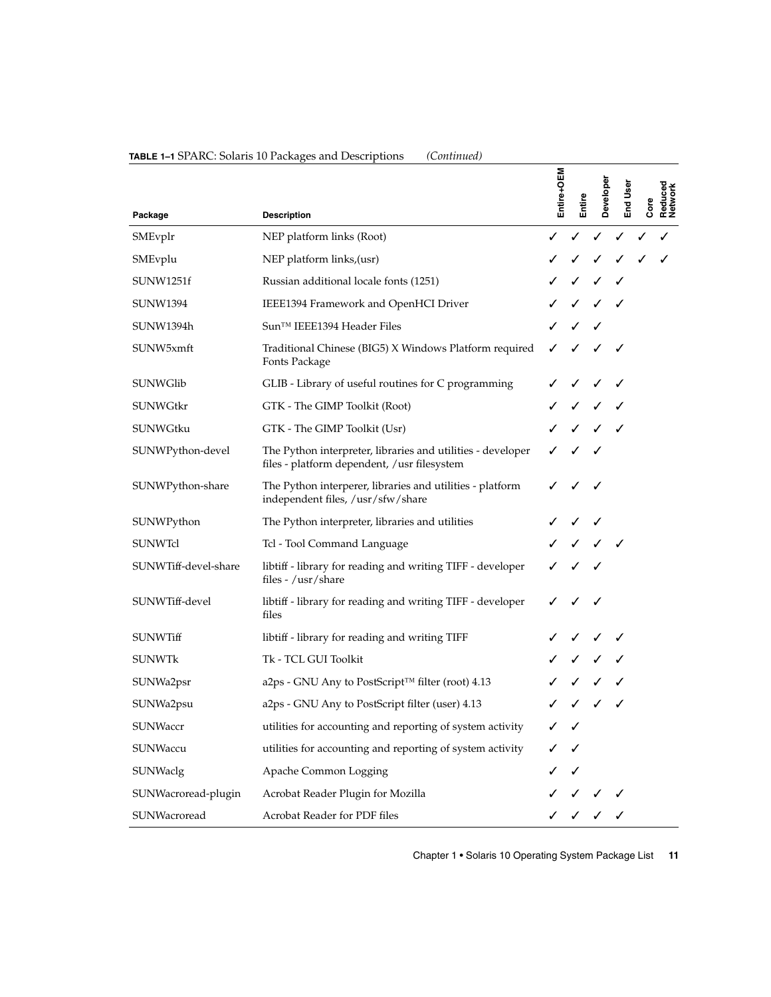| Package              | <b>Description</b>                                                                                         | Entire+OEM | Entire       | Developer                              | End User     | Core | Reduced<br>Network |
|----------------------|------------------------------------------------------------------------------------------------------------|------------|--------------|----------------------------------------|--------------|------|--------------------|
| SMEvplr              | NEP platform links (Root)                                                                                  |            |              | $\checkmark$                           | ✓            |      |                    |
| SMEvplu              | NEP platform links,(usr)                                                                                   |            |              | ✓                                      | $\checkmark$ |      |                    |
| SUNW1251f            | Russian additional locale fonts (1251)                                                                     |            |              | ✓                                      |              |      |                    |
| SUNW1394             | IEEE1394 Framework and OpenHCI Driver                                                                      |            | $\checkmark$ | $\checkmark$                           | ✓            |      |                    |
| SUNW1394h            | Sun™ IEEE1394 Header Files                                                                                 |            | $\checkmark$ | ✓                                      |              |      |                    |
| SUNW5xmft            | Traditional Chinese (BIG5) X Windows Platform required<br>Fonts Package                                    | ✓          | $\checkmark$ | $\checkmark$                           | ✓            |      |                    |
| SUNWGlib             | GLIB - Library of useful routines for C programming                                                        |            | $\checkmark$ | ✓                                      |              |      |                    |
| SUNWGtkr             | GTK - The GIMP Toolkit (Root)                                                                              |            |              |                                        |              |      |                    |
| SUNWGtku             | GTK - The GIMP Toolkit (Usr)                                                                               |            |              |                                        |              |      |                    |
| SUNWPython-devel     | The Python interpreter, libraries and utilities - developer<br>files - platform dependent, /usr filesystem |            | ✓            |                                        |              |      |                    |
| SUNWPython-share     | The Python interperer, libraries and utilities - platform<br>independent files, /usr/sfw/share             |            | $\checkmark$ | ✓                                      |              |      |                    |
| SUNWPython           | The Python interpreter, libraries and utilities                                                            |            | ✓            |                                        |              |      |                    |
| SUNWTcl              | Tcl - Tool Command Language                                                                                |            |              | $\checkmark$                           | ✓            |      |                    |
| SUNWTiff-devel-share | libtiff - library for reading and writing TIFF - developer<br>files - $/usr/share$                         |            |              |                                        |              |      |                    |
| SUNWTiff-devel       | libtiff - library for reading and writing TIFF - developer<br>files                                        | ✓          | ✓            | ✓                                      |              |      |                    |
| <b>SUNWTiff</b>      | libtiff - library for reading and writing TIFF                                                             |            |              |                                        | ✓            |      |                    |
| <b>SUNWTk</b>        | Tk - TCL GUI Toolkit                                                                                       |            |              | ✓                                      |              |      |                    |
| SUNWa2psr            | a2ps - GNU Any to PostScript™ filter (root) 4.13                                                           |            |              |                                        |              |      |                    |
| SUNWa2psu            | a2ps - GNU Any to PostScript filter (user) 4.13                                                            |            |              |                                        |              |      |                    |
| SUNWaccr             | utilities for accounting and reporting of system activity                                                  |            |              |                                        |              |      |                    |
| <b>SUNWaccu</b>      | utilities for accounting and reporting of system activity                                                  |            | ✓            |                                        |              |      |                    |
| SUNWaclg             | Apache Common Logging                                                                                      |            |              |                                        |              |      |                    |
| SUNWacroread-plugin  | Acrobat Reader Plugin for Mozilla                                                                          |            |              | $\checkmark$ $\checkmark$ $\checkmark$ |              |      |                    |
| SUNWacroread         | Acrobat Reader for PDF files                                                                               |            |              |                                        |              |      |                    |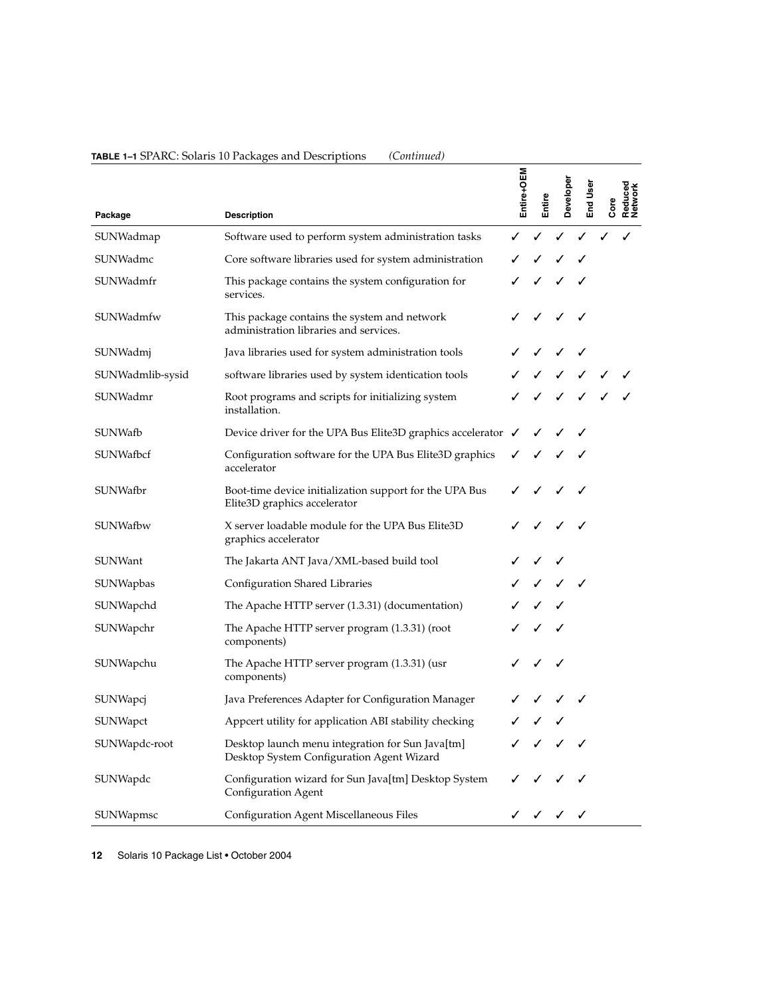| Package          | <b>Description</b>                                                                            | Entire+OEM | Entire                    | Developer                              | <b>End User</b> | Core | Reduced<br>Network |
|------------------|-----------------------------------------------------------------------------------------------|------------|---------------------------|----------------------------------------|-----------------|------|--------------------|
| SUNWadmap        | Software used to perform system administration tasks                                          |            |                           | ✓                                      | ✓               |      |                    |
| SUNWadmc         | Core software libraries used for system administration                                        |            |                           |                                        |                 |      |                    |
| SUNWadmfr        | This package contains the system configuration for<br>services.                               |            |                           | ✓                                      |                 |      |                    |
| SUNWadmfw        | This package contains the system and network<br>administration libraries and services.        |            |                           | ✓                                      | ✓               |      |                    |
| SUNWadmj         | Java libraries used for system administration tools                                           |            |                           |                                        |                 |      |                    |
| SUNWadmlib-sysid | software libraries used by system identication tools                                          |            |                           |                                        |                 |      |                    |
| SUNWadmr         | Root programs and scripts for initializing system<br>installation.                            |            |                           |                                        |                 |      |                    |
| SUNWafb          | Device driver for the UPA Bus Elite3D graphics accelerator √                                  |            | ✓                         |                                        |                 |      |                    |
| SUNWafbcf        | Configuration software for the UPA Bus Elite3D graphics<br>accelerator                        | ✓          | ✓                         |                                        |                 |      |                    |
| SUNWafbr         | Boot-time device initialization support for the UPA Bus<br>Elite3D graphics accelerator       |            | ✓                         |                                        |                 |      |                    |
| SUNWafbw         | X server loadable module for the UPA Bus Elite3D<br>graphics accelerator                      |            |                           | ✓                                      |                 |      |                    |
| SUNWant          | The Jakarta ANT Java/XML-based build tool                                                     |            |                           |                                        |                 |      |                    |
| SUNWapbas        | Configuration Shared Libraries                                                                |            |                           | ✓                                      | ✓               |      |                    |
| SUNWapchd        | The Apache HTTP server (1.3.31) (documentation)                                               |            |                           | ✓                                      |                 |      |                    |
| SUNWapchr        | The Apache HTTP server program (1.3.31) (root<br>components)                                  |            |                           |                                        |                 |      |                    |
| SUNWapchu        | The Apache HTTP server program (1.3.31) (usr<br>components)                                   |            |                           |                                        |                 |      |                    |
| SUNWapcj         | Java Preferences Adapter for Configuration Manager                                            |            | ✓                         |                                        |                 |      |                    |
| SUNWapct         | Appcert utility for application ABI stability checking                                        |            | $\checkmark$ $\checkmark$ | ✓                                      |                 |      |                    |
| SUNWapdc-root    | Desktop launch menu integration for Sun Java[tm]<br>Desktop System Configuration Agent Wizard |            |                           |                                        |                 |      |                    |
| SUNWapdc         | Configuration wizard for Sun Java[tm] Desktop System<br>Configuration Agent                   |            |                           |                                        |                 |      |                    |
| SUNWapmsc        | Configuration Agent Miscellaneous Files                                                       |            |                           | $\checkmark$ $\checkmark$ $\checkmark$ |                 |      |                    |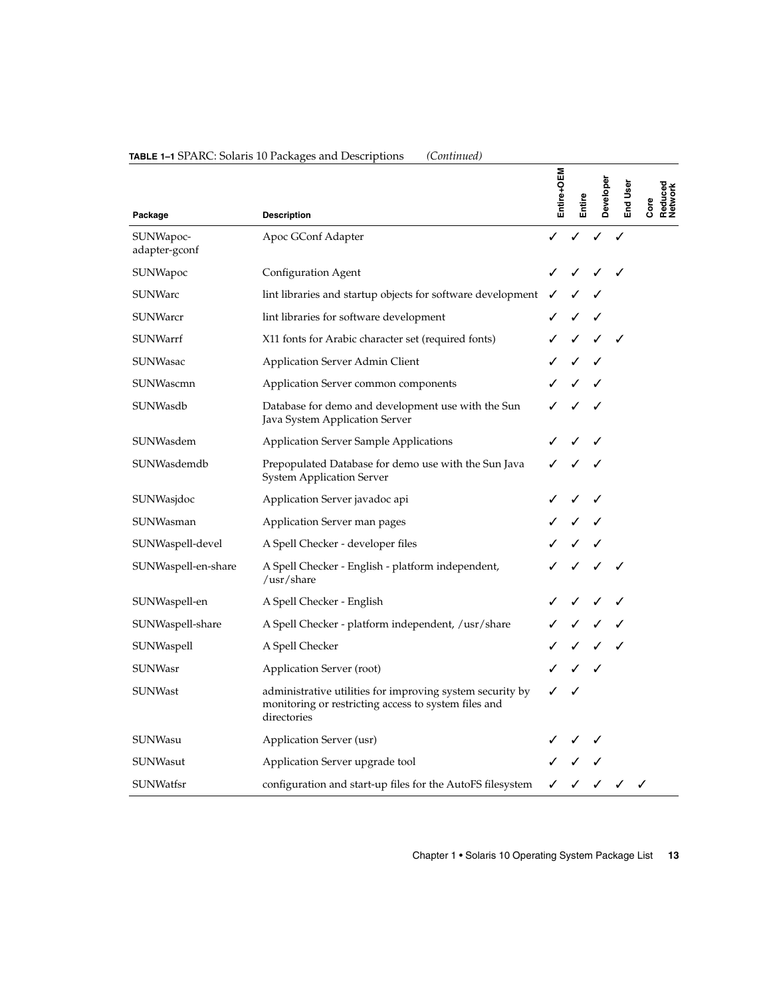| Package                    | <b>Description</b>                                                                                                               | Entire+OEM | Entire | Developer | End User | Reduced<br>Network<br>Core |
|----------------------------|----------------------------------------------------------------------------------------------------------------------------------|------------|--------|-----------|----------|----------------------------|
| SUNWapoc-<br>adapter-gconf | Apoc GConf Adapter                                                                                                               | ✓          |        |           |          |                            |
| SUNWapoc                   | Configuration Agent                                                                                                              |            |        |           |          |                            |
| <b>SUNWarc</b>             | lint libraries and startup objects for software development                                                                      |            |        |           |          |                            |
| <b>SUNWarcr</b>            | lint libraries for software development                                                                                          |            | J      |           |          |                            |
| SUNWarrf                   | X11 fonts for Arabic character set (required fonts)                                                                              |            |        |           | ✓        |                            |
| <b>SUNWasac</b>            | Application Server Admin Client                                                                                                  |            |        |           |          |                            |
| SUNWascmn                  | Application Server common components                                                                                             |            |        |           |          |                            |
| SUNWasdb                   | Database for demo and development use with the Sun<br>Java System Application Server                                             |            | ✓      |           |          |                            |
| SUNWasdem                  | Application Server Sample Applications                                                                                           |            |        |           |          |                            |
| SUNWasdemdb                | Prepopulated Database for demo use with the Sun Java<br><b>System Application Server</b>                                         |            | ✓      |           |          |                            |
| SUNWasjdoc                 | Application Server javadoc api                                                                                                   |            |        |           |          |                            |
| SUNWasman                  | Application Server man pages                                                                                                     |            |        |           |          |                            |
| SUNWaspell-devel           | A Spell Checker - developer files                                                                                                |            |        |           |          |                            |
| SUNWaspell-en-share        | A Spell Checker - English - platform independent,<br>/usr/share                                                                  |            |        |           |          |                            |
| SUNWaspell-en              | A Spell Checker - English                                                                                                        |            |        |           |          |                            |
| SUNWaspell-share           | A Spell Checker - platform independent, /usr/share                                                                               |            |        |           |          |                            |
| SUNWaspell                 | A Spell Checker                                                                                                                  |            |        |           |          |                            |
| <b>SUNWasr</b>             | Application Server (root)                                                                                                        |            |        |           |          |                            |
| <b>SUNWast</b>             | administrative utilities for improving system security by<br>monitoring or restricting access to system files and<br>directories |            | ✓      |           |          |                            |
| <b>SUNWasu</b>             | Application Server (usr)                                                                                                         |            |        |           |          |                            |
| <b>SUNWasut</b>            | Application Server upgrade tool                                                                                                  |            |        |           |          |                            |
| <b>SUNWatfsr</b>           | configuration and start-up files for the AutoFS filesystem                                                                       |            |        |           |          |                            |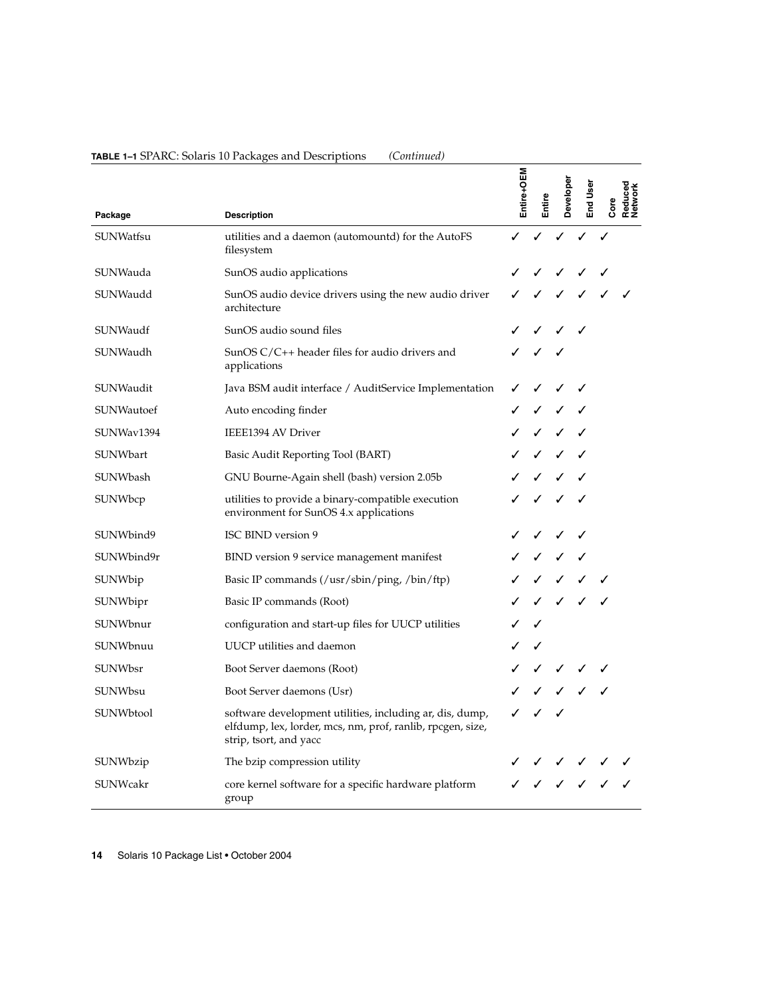| Package          | <b>Description</b>                                                                                                                               | Entire+OEM | Entire | Developer | End User     | Core | Reduced<br>Network |
|------------------|--------------------------------------------------------------------------------------------------------------------------------------------------|------------|--------|-----------|--------------|------|--------------------|
| <b>SUNWatfsu</b> | utilities and a daemon (automountd) for the AutoFS<br>filesystem                                                                                 | ✓          | ✓      | ✓         | ✓            | ✓    |                    |
| SUNWauda         | SunOS audio applications                                                                                                                         |            |        |           |              |      |                    |
| SUNWaudd         | SunOS audio device drivers using the new audio driver<br>architecture                                                                            |            |        |           |              |      |                    |
| SUNWaudf         | SunOS audio sound files                                                                                                                          |            |        |           |              |      |                    |
| SUNWaudh         | SunOS $C/C++$ header files for audio drivers and<br>applications                                                                                 |            |        |           |              |      |                    |
| SUNWaudit        | Java BSM audit interface / AuditService Implementation                                                                                           |            |        |           |              |      |                    |
| SUNWautoef       | Auto encoding finder                                                                                                                             |            |        |           |              |      |                    |
| SUNWav1394       | IEEE1394 AV Driver                                                                                                                               |            |        |           |              |      |                    |
| SUNWbart         | Basic Audit Reporting Tool (BART)                                                                                                                |            |        |           |              |      |                    |
| SUNWbash         | GNU Bourne-Again shell (bash) version 2.05b                                                                                                      |            |        |           |              |      |                    |
| SUNWbcp          | utilities to provide a binary-compatible execution<br>environment for SunOS 4.x applications                                                     |            |        | ✓         |              |      |                    |
| SUNWbind9        | ISC BIND version 9                                                                                                                               |            |        |           |              |      |                    |
| SUNWbind9r       | BIND version 9 service management manifest                                                                                                       |            |        |           |              |      |                    |
| SUNWbip          | Basic IP commands (/usr/sbin/ping, /bin/ftp)                                                                                                     |            |        | ✓         |              |      |                    |
| SUNWbipr         | Basic IP commands (Root)                                                                                                                         |            |        | ✓         |              |      |                    |
| SUNWbnur         | configuration and start-up files for UUCP utilities                                                                                              |            |        |           |              |      |                    |
| SUNWbnuu         | UUCP utilities and daemon                                                                                                                        |            | ✓      |           |              |      |                    |
| <b>SUNWbsr</b>   | Boot Server daemons (Root)                                                                                                                       |            |        | ✓         | $\checkmark$ |      |                    |
| <b>SUNWbsu</b>   | Boot Server daemons (Usr)                                                                                                                        |            |        |           |              |      |                    |
| <b>SUNWbtool</b> | software development utilities, including ar, dis, dump,<br>elfdump, lex, lorder, mcs, nm, prof, ranlib, rpcgen, size,<br>strip, tsort, and yacc |            | ✓      |           |              |      |                    |
| SUNWbzip         | The bzip compression utility                                                                                                                     |            |        |           |              |      |                    |
| SUNWcakr         | core kernel software for a specific hardware platform<br>group                                                                                   |            |        |           |              |      |                    |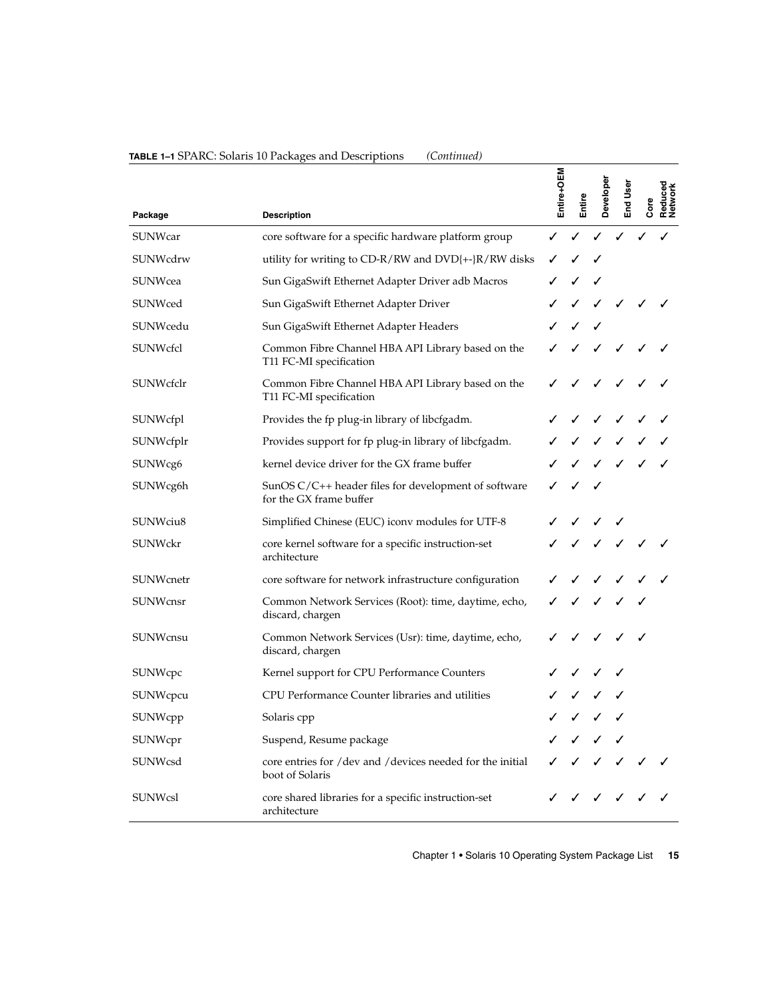|                 |                                                                                 | Entire+OEM | Entire                                              | Developer    | End User     | Core         | Reduced<br>Network |
|-----------------|---------------------------------------------------------------------------------|------------|-----------------------------------------------------|--------------|--------------|--------------|--------------------|
| Package         | <b>Description</b>                                                              |            |                                                     |              |              |              |                    |
| <b>SUNWcar</b>  | core software for a specific hardware platform group                            | ✓          | ✓                                                   | ✓            | ✓            | ✓            | ✓                  |
| SUNWcdrw        | utility for writing to CD-R/RW and DVD{+-}R/RW disks                            |            | ✓                                                   |              |              |              |                    |
| <b>SUNWcea</b>  | Sun GigaSwift Ethernet Adapter Driver adb Macros                                |            | ✓                                                   |              |              |              |                    |
| SUNWced         | Sun GigaSwift Ethernet Adapter Driver                                           |            |                                                     | $\checkmark$ | $\checkmark$ | $\checkmark$ |                    |
| SUNWcedu        | Sun GigaSwift Ethernet Adapter Headers                                          |            |                                                     |              |              |              |                    |
| SUNWcfcl        | Common Fibre Channel HBA API Library based on the<br>T11 FC-MI specification    |            |                                                     | ✓            | ✓            |              |                    |
| SUNWcfclr       | Common Fibre Channel HBA API Library based on the<br>T11 FC-MI specification    |            |                                                     |              | $\checkmark$ |              |                    |
| SUNWcfpl        | Provides the fp plug-in library of libcfgadm.                                   |            |                                                     |              |              |              |                    |
| SUNWcfplr       | Provides support for fp plug-in library of libcfgadm.                           |            |                                                     |              |              |              |                    |
| SUNWcg6         | kernel device driver for the GX frame buffer                                    |            |                                                     |              |              |              |                    |
| SUNWcg6h        | SunOS C/C++ header files for development of software<br>for the GX frame buffer |            | ✓                                                   |              |              |              |                    |
| SUNWciu8        | Simplified Chinese (EUC) iconv modules for UTF-8                                |            |                                                     |              |              |              |                    |
| SUNWckr         | core kernel software for a specific instruction-set<br>architecture             |            |                                                     |              | $\checkmark$ |              |                    |
| SUNWcnetr       | core software for network infrastructure configuration                          |            |                                                     |              |              |              |                    |
| <b>SUNWcnsr</b> | Common Network Services (Root): time, daytime, echo,<br>discard, chargen        |            |                                                     |              |              |              |                    |
| <b>SUNWcnsu</b> | Common Network Services (Usr): time, daytime, echo,<br>discard, chargen         |            |                                                     | ✓            | ✓            |              |                    |
| SUNWcpc         | Kernel support for CPU Performance Counters                                     | ✓          | $\checkmark$                                        | ✓            |              |              |                    |
| SUNWcpcu        | CPU Performance Counter libraries and utilities                                 |            |                                                     | $\checkmark$ |              |              |                    |
| SUNWcpp         | Solaris cpp                                                                     |            | $\checkmark$ $\checkmark$ $\checkmark$ $\checkmark$ |              |              |              |                    |
| SUNWcpr         | Suspend, Resume package                                                         |            | $\sqrt{2}$                                          |              |              |              |                    |
| SUNWcsd         | core entries for /dev and /devices needed for the initial<br>boot of Solaris    |            |                                                     |              |              | v v v v v v  |                    |
| <b>SUNWcsl</b>  | core shared libraries for a specific instruction-set<br>architecture            |            |                                                     |              |              | v v v v v v  |                    |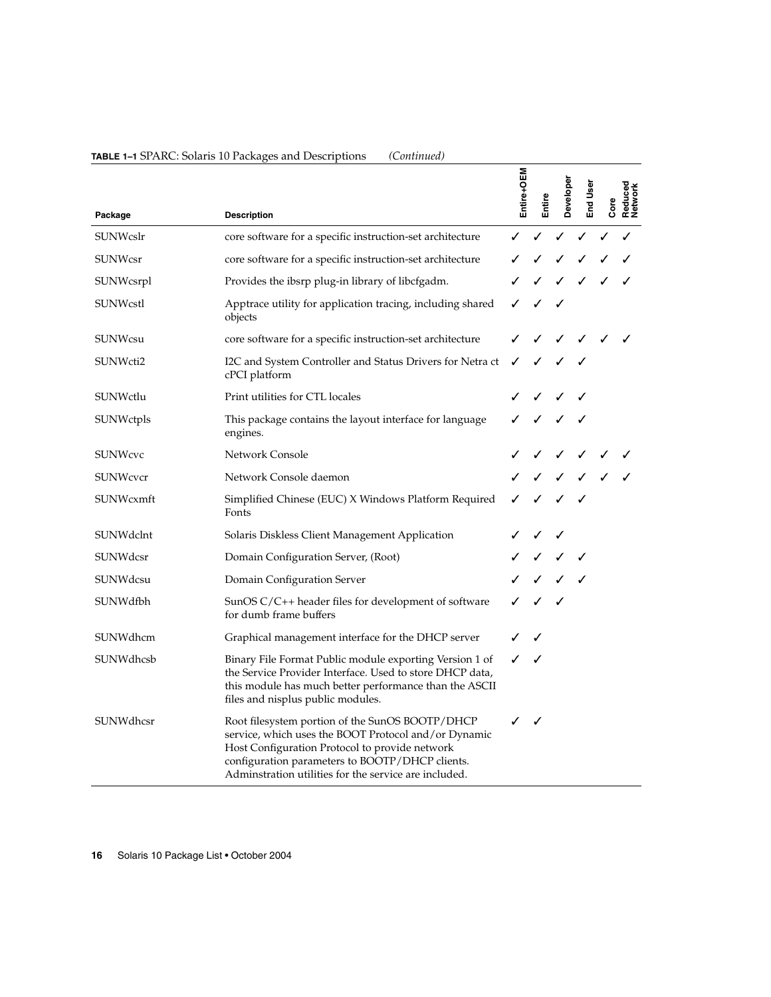| Package         | <b>EXPLC</b> $\blacksquare$ of ARC. Solaris TV I ackages and Descriptions<br>$\langle$ Communica<br><b>Description</b>                                                                                                                                                | Entire+OEM |   | Entire | Developer | End User | Core | Reduced<br>Network |
|-----------------|-----------------------------------------------------------------------------------------------------------------------------------------------------------------------------------------------------------------------------------------------------------------------|------------|---|--------|-----------|----------|------|--------------------|
| SUNWcslr        | core software for a specific instruction-set architecture                                                                                                                                                                                                             |            |   |        |           |          |      |                    |
| <b>SUNWcsr</b>  | core software for a specific instruction-set architecture                                                                                                                                                                                                             |            |   |        |           |          |      |                    |
| SUNWcsrpl       | Provides the ibsrp plug-in library of libcfgadm.                                                                                                                                                                                                                      |            |   |        |           |          |      |                    |
| <b>SUNWcstl</b> | Apptrace utility for application tracing, including shared<br>objects                                                                                                                                                                                                 |            |   |        |           |          |      |                    |
| <b>SUNWcsu</b>  | core software for a specific instruction-set architecture                                                                                                                                                                                                             |            |   |        |           |          |      |                    |
| SUNWcti2        | I2C and System Controller and Status Drivers for Netra ct<br>cPCI platform                                                                                                                                                                                            | ✓          |   |        |           |          |      |                    |
| SUNWctlu        | Print utilities for CTL locales                                                                                                                                                                                                                                       |            |   |        |           |          |      |                    |
| SUNWctpls       | This package contains the layout interface for language<br>engines.                                                                                                                                                                                                   |            |   |        |           |          |      |                    |
| <b>SUNWcvc</b>  | Network Console                                                                                                                                                                                                                                                       |            |   |        |           |          |      |                    |
| <b>SUNWcvcr</b> | Network Console daemon                                                                                                                                                                                                                                                |            |   |        |           |          |      |                    |
| SUNWcxmft       | Simplified Chinese (EUC) X Windows Platform Required<br>Fonts                                                                                                                                                                                                         |            |   |        |           |          |      |                    |
| SUNWdclnt       | Solaris Diskless Client Management Application                                                                                                                                                                                                                        |            |   |        |           |          |      |                    |
| SUNWdcsr        | Domain Configuration Server, (Root)                                                                                                                                                                                                                                   |            |   |        |           |          |      |                    |
| SUNWdcsu        | Domain Configuration Server                                                                                                                                                                                                                                           |            |   |        |           |          |      |                    |
| SUNWdfbh        | SunOS C/C++ header files for development of software<br>for dumb frame buffers                                                                                                                                                                                        |            |   |        |           |          |      |                    |
| SUNWdhcm        | Graphical management interface for the DHCP server                                                                                                                                                                                                                    |            |   |        |           |          |      |                    |
| SUNWdhcsb       | Binary File Format Public module exporting Version 1 of<br>the Service Provider Interface. Used to store DHCP data,<br>this module has much better performance than the ASCII<br>files and nisplus public modules.                                                    | ✓          | ✓ |        |           |          |      |                    |
| SUNWdhcsr       | Root filesystem portion of the SunOS BOOTP/DHCP<br>service, which uses the BOOT Protocol and/or Dynamic<br>Host Configuration Protocol to provide network<br>configuration parameters to BOOTP/DHCP clients.<br>Adminstration utilities for the service are included. |            |   |        |           |          |      |                    |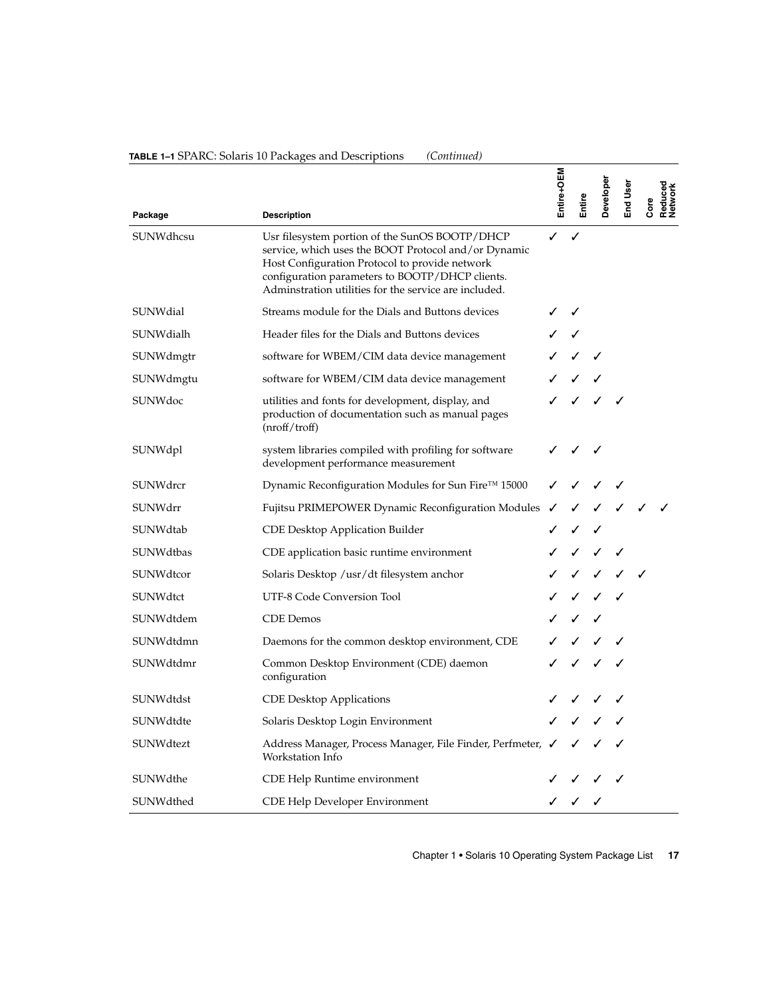| TABLE 1-1 SPARC: Solaris 10 Packages and Descriptions | (Continued) |
|-------------------------------------------------------|-------------|
|-------------------------------------------------------|-------------|

| Package         | <b>Description</b>                                                                                                                                                                                                                                                   | Entire+OEM | Entire | Developer    | End User | Core | Reduced<br>Network |
|-----------------|----------------------------------------------------------------------------------------------------------------------------------------------------------------------------------------------------------------------------------------------------------------------|------------|--------|--------------|----------|------|--------------------|
| SUNWdhcsu       | Usr filesystem portion of the SunOS BOOTP/DHCP<br>service, which uses the BOOT Protocol and/or Dynamic<br>Host Configuration Protocol to provide network<br>configuration parameters to BOOTP/DHCP clients.<br>Adminstration utilities for the service are included. | ✓          | ✓      |              |          |      |                    |
| <b>SUNWdial</b> | Streams module for the Dials and Buttons devices                                                                                                                                                                                                                     |            |        |              |          |      |                    |
| SUNWdialh       | Header files for the Dials and Buttons devices                                                                                                                                                                                                                       |            |        |              |          |      |                    |
| SUNWdmgtr       | software for WBEM/CIM data device management                                                                                                                                                                                                                         |            |        |              |          |      |                    |
| SUNWdmgtu       | software for WBEM/CIM data device management                                                                                                                                                                                                                         |            |        |              |          |      |                    |
| SUNWdoc         | utilities and fonts for development, display, and<br>production of documentation such as manual pages<br>$(n\text{roff}/\text{troff})$                                                                                                                               |            |        | $\checkmark$ | ✓        |      |                    |
| SUNWdpl         | system libraries compiled with profiling for software<br>development performance measurement                                                                                                                                                                         |            | ✓      |              |          |      |                    |
| SUNWdrcr        | Dynamic Reconfiguration Modules for Sun Fire <sup>™</sup> 15000                                                                                                                                                                                                      |            |        |              |          |      |                    |
| SUNWdrr         | Fujitsu PRIMEPOWER Dynamic Reconfiguration Modules                                                                                                                                                                                                                   |            |        |              |          |      |                    |
| SUNWdtab        | CDE Desktop Application Builder                                                                                                                                                                                                                                      |            |        |              |          |      |                    |
| SUNWdtbas       | CDE application basic runtime environment                                                                                                                                                                                                                            |            |        |              |          |      |                    |
| SUNWdtcor       | Solaris Desktop /usr/dt filesystem anchor                                                                                                                                                                                                                            |            |        |              |          |      |                    |
| SUNWdtct        | UTF-8 Code Conversion Tool                                                                                                                                                                                                                                           |            |        |              |          |      |                    |
| SUNWdtdem       | <b>CDE</b> Demos                                                                                                                                                                                                                                                     |            |        |              |          |      |                    |
| SUNWdtdmn       | Daemons for the common desktop environment, CDE                                                                                                                                                                                                                      |            |        |              |          |      |                    |
| SUNWdtdmr       | Common Desktop Environment (CDE) daemon<br>configuration                                                                                                                                                                                                             |            | ✓      |              |          |      |                    |
| SUNWdtdst       | <b>CDE Desktop Applications</b>                                                                                                                                                                                                                                      |            |        |              |          |      |                    |
| SUNWdtdte       | Solaris Desktop Login Environment                                                                                                                                                                                                                                    |            |        |              |          |      |                    |
| SUNWdtezt       | Address Manager, Process Manager, File Finder, Perfmeter,<br>Workstation Info                                                                                                                                                                                        |            |        |              |          |      |                    |
| SUNWdthe        | CDE Help Runtime environment                                                                                                                                                                                                                                         |            |        |              |          |      |                    |
| SUNWdthed       | <b>CDE Help Developer Environment</b>                                                                                                                                                                                                                                |            |        |              |          |      |                    |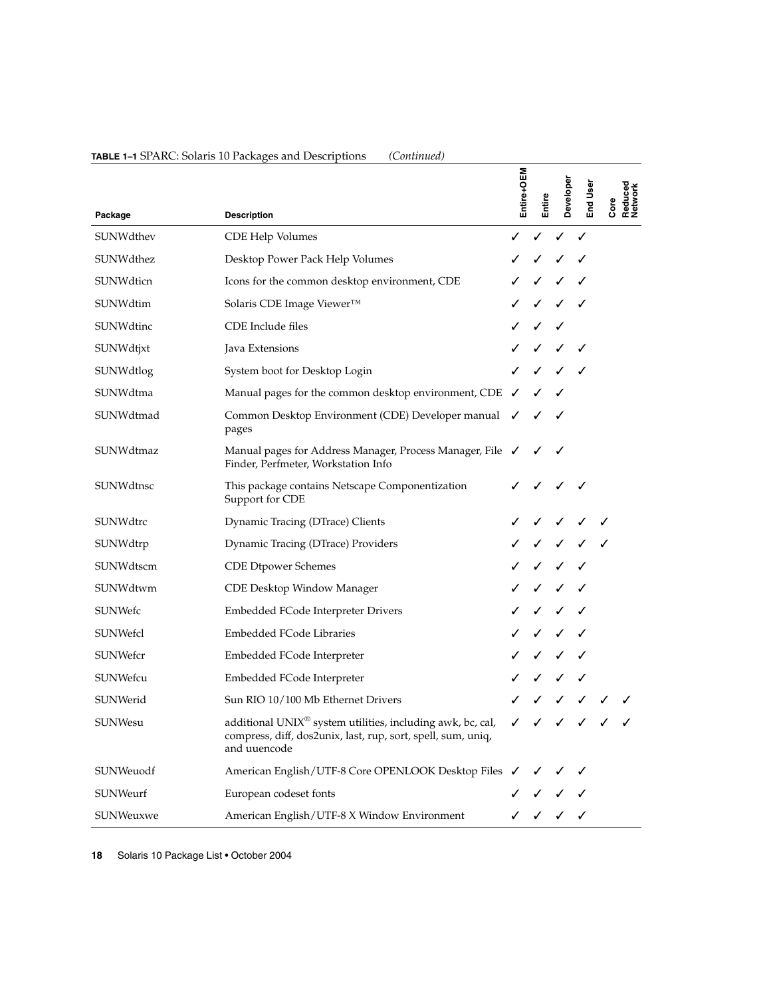| Package          | <b>Description</b>                                                                                                                                     | Entire+OEM | Entire | Developer                                           | End User  | Core      | Reduced<br>Network |
|------------------|--------------------------------------------------------------------------------------------------------------------------------------------------------|------------|--------|-----------------------------------------------------|-----------|-----------|--------------------|
| SUNWdthev        | CDE Help Volumes                                                                                                                                       |            |        | $\checkmark$                                        | ✓         |           |                    |
| SUNWdthez        | Desktop Power Pack Help Volumes                                                                                                                        |            |        |                                                     |           |           |                    |
| SUNWdticn        | Icons for the common desktop environment, CDE                                                                                                          |            |        |                                                     |           |           |                    |
| <b>SUNWdtim</b>  | Solaris CDE Image Viewer™                                                                                                                              |            |        |                                                     | ✓         |           |                    |
| <b>SUNWdtinc</b> | CDE Include files                                                                                                                                      |            |        |                                                     |           |           |                    |
| SUNWdtjxt        | Java Extensions                                                                                                                                        |            |        |                                                     | ✓         |           |                    |
| SUNWdtlog        | System boot for Desktop Login                                                                                                                          |            |        |                                                     |           |           |                    |
| SUNWdtma         | Manual pages for the common desktop environment, $CDE \nightharpoondown$                                                                               |            |        |                                                     |           |           |                    |
| SUNWdtmad        | Common Desktop Environment (CDE) Developer manual √<br>pages                                                                                           |            |        |                                                     |           |           |                    |
| SUNWdtmaz        | Manual pages for Address Manager, Process Manager, File V<br>Finder, Perfmeter, Workstation Info                                                       |            | ✓      | ✓                                                   |           |           |                    |
| SUNWdtnsc        | This package contains Netscape Componentization<br>Support for CDE                                                                                     |            |        |                                                     |           |           |                    |
| SUNWdtrc         | Dynamic Tracing (DTrace) Clients                                                                                                                       |            |        |                                                     |           |           |                    |
| SUNWdtrp         | Dynamic Tracing (DTrace) Providers                                                                                                                     |            |        |                                                     |           |           |                    |
| SUNWdtscm        | <b>CDE Dtpower Schemes</b>                                                                                                                             |            |        |                                                     |           |           |                    |
| SUNWdtwm         | CDE Desktop Window Manager                                                                                                                             |            |        |                                                     |           |           |                    |
| SUNWefc          | Embedded FCode Interpreter Drivers                                                                                                                     |            |        |                                                     |           |           |                    |
| <b>SUNWefcl</b>  | <b>Embedded FCode Libraries</b>                                                                                                                        |            |        |                                                     |           |           |                    |
| <b>SUNWefcr</b>  | Embedded FCode Interpreter                                                                                                                             |            |        |                                                     |           |           |                    |
| <b>SUNWefcu</b>  | Embedded FCode Interpreter                                                                                                                             |            |        |                                                     |           |           |                    |
| SUNWerid         | Sun RIO 10/100 Mb Ethernet Drivers                                                                                                                     |            |        |                                                     |           | V V V V V |                    |
| SUNWesu          | additional UNIX <sup>®</sup> system utilities, including awk, bc, cal,<br>compress, diff, dos2unix, last, rup, sort, spell, sum, uniq,<br>and uuencode |            |        |                                                     | v v v v v |           |                    |
| SUNWeuodf        | American English/UTF-8 Core OPENLOOK Desktop Files √                                                                                                   |            |        | ✓ ✓ ✓                                               |           |           |                    |
| SUNWeurf         | European codeset fonts                                                                                                                                 |            |        | $\checkmark$ $\checkmark$ $\checkmark$ $\checkmark$ |           |           |                    |
| SUNWeuxwe        | American English/UTF-8 X Window Environment                                                                                                            |            |        | $\sqrt{2}$                                          |           |           |                    |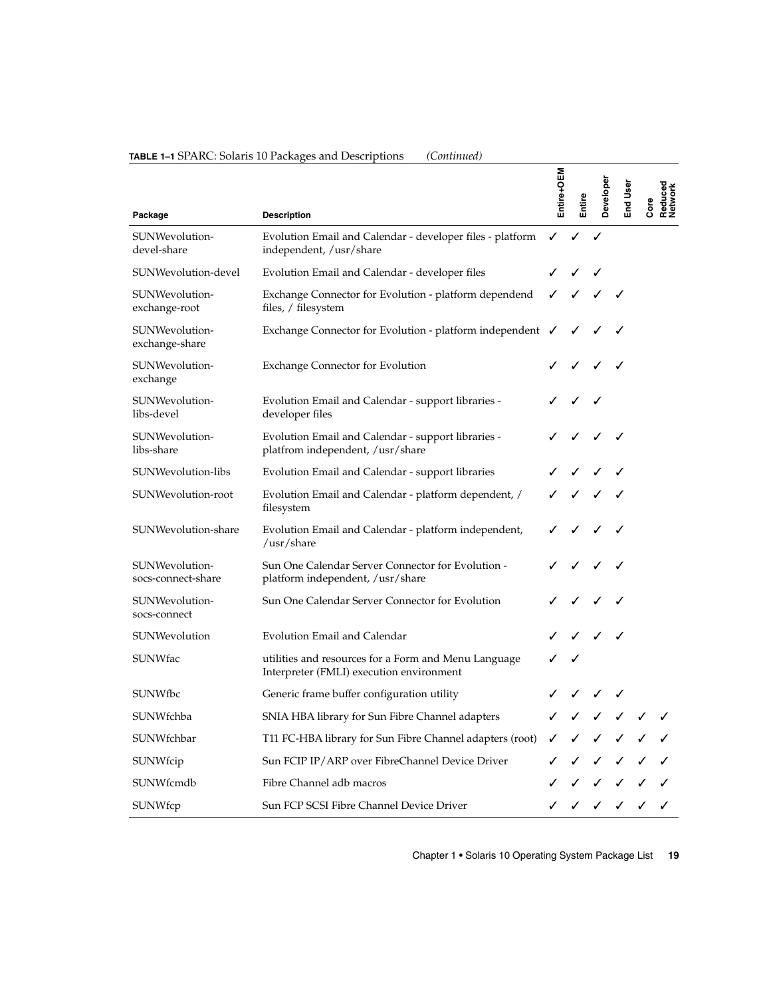| (Continued)<br>TABLE 1-1 SPARC: Solaris 10 Packages and Descriptions |  |
|----------------------------------------------------------------------|--|
|----------------------------------------------------------------------|--|

| Package                              | <b>Description</b>                                                                               | Entire+OEM | Entire       | Developer | <b>End User</b> | Core | Reduced<br>Network |
|--------------------------------------|--------------------------------------------------------------------------------------------------|------------|--------------|-----------|-----------------|------|--------------------|
| SUNWevolution-<br>devel-share        | Evolution Email and Calendar - developer files - platform<br>independent, /usr/share             | ✓          | ✓            | ✓         |                 |      |                    |
| SUNWevolution-devel                  | Evolution Email and Calendar - developer files                                                   |            |              |           |                 |      |                    |
| SUNWevolution-<br>exchange-root      | Exchange Connector for Evolution - platform dependend<br>files, / filesystem                     | ✓          | $\checkmark$ |           | ✓               |      |                    |
| SUNWevolution-<br>exchange-share     | Exchange Connector for Evolution - platform independent √                                        |            | ✓            |           |                 |      |                    |
| SUNWevolution-<br>exchange           | <b>Exchange Connector for Evolution</b>                                                          |            |              |           |                 |      |                    |
| SUNWevolution-<br>libs-devel         | Evolution Email and Calendar - support libraries -<br>developer files                            |            |              |           |                 |      |                    |
| SUNWevolution-<br>libs-share         | Evolution Email and Calendar - support libraries -<br>platfrom independent, /usr/share           |            |              |           |                 |      |                    |
| SUNWevolution-libs                   | Evolution Email and Calendar - support libraries                                                 |            |              |           |                 |      |                    |
| SUNWevolution-root                   | Evolution Email and Calendar - platform dependent, /<br>filesystem                               |            |              |           |                 |      |                    |
| SUNWevolution-share                  | Evolution Email and Calendar - platform independent,<br>$\sqrt{usr/share}$                       |            |              |           |                 |      |                    |
| SUNWevolution-<br>socs-connect-share | Sun One Calendar Server Connector for Evolution -<br>platform independent, /usr/share            |            |              |           |                 |      |                    |
| SUNWevolution-<br>socs-connect       | Sun One Calendar Server Connector for Evolution                                                  |            |              |           |                 |      |                    |
| SUNWevolution                        | Evolution Email and Calendar                                                                     |            |              | ✓         |                 |      |                    |
| <b>SUNWfac</b>                       | utilities and resources for a Form and Menu Language<br>Interpreter (FMLI) execution environment |            |              |           |                 |      |                    |
| SUNWfbc                              | Generic frame buffer configuration utility                                                       |            |              |           |                 |      |                    |
| SUNWfchba                            | SNIA HBA library for Sun Fibre Channel adapters                                                  |            |              |           |                 |      |                    |
| SUNWfchbar                           | T11 FC-HBA library for Sun Fibre Channel adapters (root)                                         | ✓          |              |           |                 |      |                    |
| SUNWfcip                             | Sun FCIP IP/ARP over FibreChannel Device Driver                                                  |            |              |           |                 |      |                    |
| SUNWfcmdb                            | Fibre Channel adb macros                                                                         |            |              |           |                 |      |                    |
| SUNWfcp                              | Sun FCP SCSI Fibre Channel Device Driver                                                         |            | ℐ            | ℐ         | ✓               |      |                    |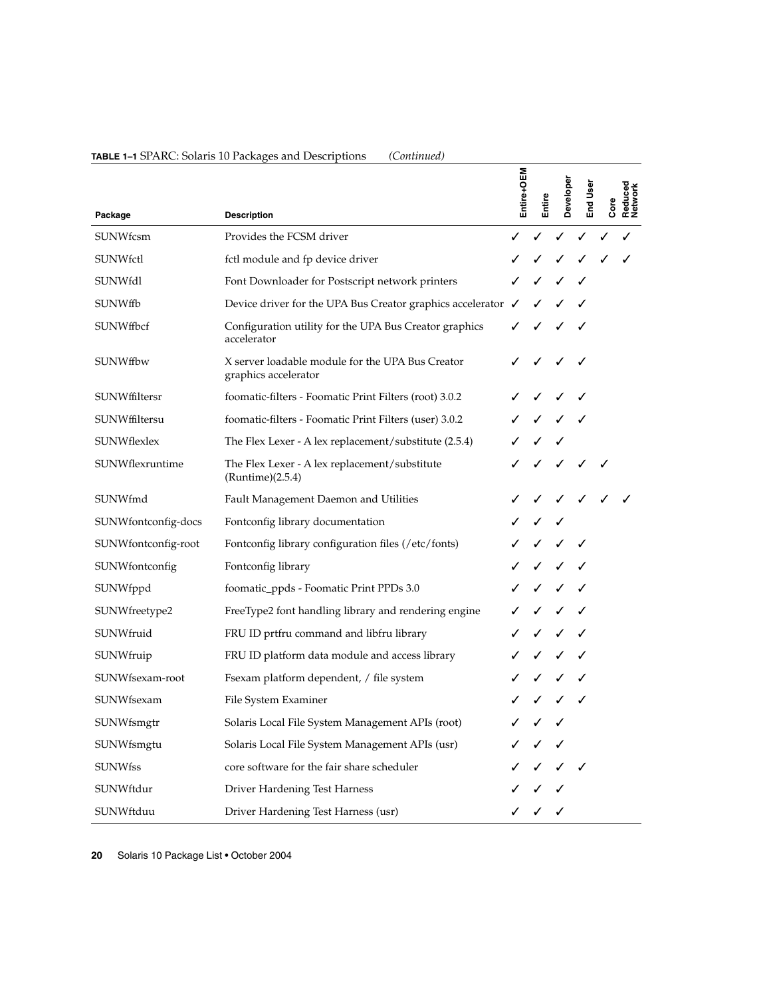| Package             | <b>Description</b>                                                       | Entire+OEM | Entire | Developer | <b>End User</b> | Core | Reduced<br>Network |
|---------------------|--------------------------------------------------------------------------|------------|--------|-----------|-----------------|------|--------------------|
| <b>SUNWfcsm</b>     | Provides the FCSM driver                                                 |            |        | ✓         |                 |      |                    |
| SUNWfctl            | fctl module and fp device driver                                         |            |        |           |                 |      |                    |
| SUNWfdl             | Font Downloader for Postscript network printers                          |            |        |           |                 |      |                    |
| <b>SUNWffb</b>      | Device driver for the UPA Bus Creator graphics accelerator               |            |        |           |                 |      |                    |
| SUNWffbcf           | Configuration utility for the UPA Bus Creator graphics<br>accelerator    |            |        |           |                 |      |                    |
| SUNWffbw            | X server loadable module for the UPA Bus Creator<br>graphics accelerator |            |        |           |                 |      |                    |
| SUNWffiltersr       | foomatic-filters - Foomatic Print Filters (root) 3.0.2                   |            |        |           |                 |      |                    |
| SUNWffiltersu       | foomatic-filters - Foomatic Print Filters (user) 3.0.2                   |            |        |           |                 |      |                    |
| SUNWflexlex         | The Flex Lexer - A lex replacement/substitute $(2.5.4)$                  |            |        |           |                 |      |                    |
| SUNWflexruntime     | The Flex Lexer - A lex replacement/substitute<br>(Runtime)(2.5.4)        |            |        |           |                 |      |                    |
| SUNWfmd             | Fault Management Daemon and Utilities                                    |            |        |           |                 |      |                    |
| SUNWfontconfig-docs | Fontconfig library documentation                                         |            |        |           |                 |      |                    |
| SUNWfontconfig-root | Fontconfig library configuration files (/etc/fonts)                      |            |        |           |                 |      |                    |
| SUNWfontconfig      | Fontconfig library                                                       |            |        |           |                 |      |                    |
| SUNWfppd            | foomatic_ppds - Foomatic Print PPDs 3.0                                  |            |        |           |                 |      |                    |
| SUNWfreetype2       | FreeType2 font handling library and rendering engine                     |            |        |           |                 |      |                    |
| SUNWfruid           | FRU ID prtfru command and libfru library                                 |            |        |           |                 |      |                    |
| SUNWfruip           | FRU ID platform data module and access library                           |            |        |           |                 |      |                    |
| SUNWfsexam-root     | Fsexam platform dependent, / file system                                 |            |        |           |                 |      |                    |
| SUNWfsexam          | File System Examiner                                                     |            |        |           |                 |      |                    |
| SUNWfsmgtr          | Solaris Local File System Management APIs (root)                         |            |        |           |                 |      |                    |
| SUNWfsmgtu          | Solaris Local File System Management APIs (usr)                          |            |        |           |                 |      |                    |
| <b>SUNWfss</b>      | core software for the fair share scheduler                               |            |        |           |                 |      |                    |
| SUNWftdur           | Driver Hardening Test Harness                                            |            |        |           |                 |      |                    |
| SUNWftduu           | Driver Hardening Test Harness (usr)                                      |            |        |           |                 |      |                    |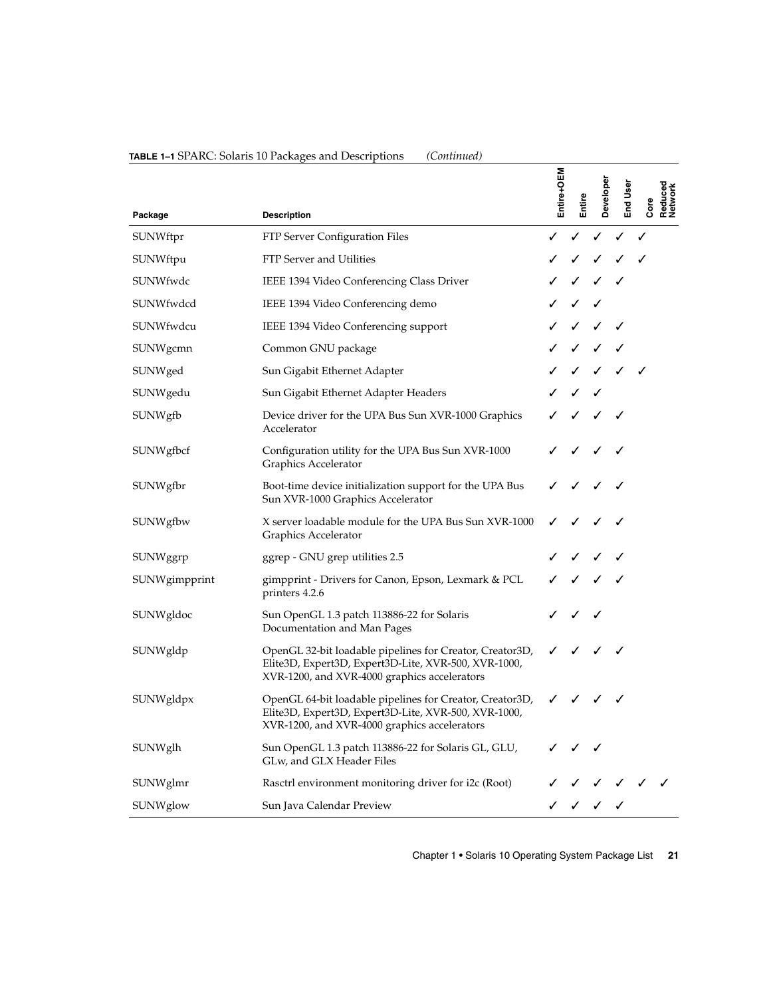| Package       | <b>Description</b>                                                                                                                                               | Entire+OEM | Entire | Developer | End User     | Core | Reduced<br>Network |
|---------------|------------------------------------------------------------------------------------------------------------------------------------------------------------------|------------|--------|-----------|--------------|------|--------------------|
| SUNWftpr      | FTP Server Configuration Files                                                                                                                                   | ✓          | ✓      | ✓         | $\checkmark$ | ✓    |                    |
| SUNWftpu      | FTP Server and Utilities                                                                                                                                         |            |        |           |              |      |                    |
| SUNWfwdc      | IEEE 1394 Video Conferencing Class Driver                                                                                                                        |            |        |           |              |      |                    |
| SUNWfwdcd     | IEEE 1394 Video Conferencing demo                                                                                                                                |            |        |           |              |      |                    |
| SUNWfwdcu     | IEEE 1394 Video Conferencing support                                                                                                                             |            |        | ✓         | ✓            |      |                    |
| SUNWgcmn      | Common GNU package                                                                                                                                               |            |        |           |              |      |                    |
| SUNWged       | Sun Gigabit Ethernet Adapter                                                                                                                                     |            |        |           |              | ✓    |                    |
| SUNWgedu      | Sun Gigabit Ethernet Adapter Headers                                                                                                                             |            |        |           |              |      |                    |
| SUNWgfb       | Device driver for the UPA Bus Sun XVR-1000 Graphics<br>Accelerator                                                                                               |            |        |           |              |      |                    |
| SUNWgfbcf     | Configuration utility for the UPA Bus Sun XVR-1000<br>Graphics Accelerator                                                                                       |            |        |           |              |      |                    |
| SUNWgfbr      | Boot-time device initialization support for the UPA Bus<br>Sun XVR-1000 Graphics Accelerator                                                                     |            |        |           |              |      |                    |
| SUNWgfbw      | X server loadable module for the UPA Bus Sun XVR-1000<br>Graphics Accelerator                                                                                    |            |        |           |              |      |                    |
| SUNWggrp      | ggrep - GNU grep utilities 2.5                                                                                                                                   |            |        |           |              |      |                    |
| SUNWgimpprint | gimpprint - Drivers for Canon, Epson, Lexmark & PCL<br>printers 4.2.6                                                                                            |            |        |           |              |      |                    |
| SUNWgldoc     | Sun OpenGL 1.3 patch 113886-22 for Solaris<br>Documentation and Man Pages                                                                                        |            |        |           |              |      |                    |
| SUNWgldp      | OpenGL 32-bit loadable pipelines for Creator, Creator3D,<br>Elite3D, Expert3D, Expert3D-Lite, XVR-500, XVR-1000,<br>XVR-1200, and XVR-4000 graphics accelerators |            |        |           |              |      |                    |
| SUNWgldpx     | OpenGL 64-bit loadable pipelines for Creator, Creator3D,<br>Elite3D, Expert3D, Expert3D-Lite, XVR-500, XVR-1000,<br>XVR-1200, and XVR-4000 graphics accelerators |            |        |           |              |      |                    |
| SUNWglh       | Sun OpenGL 1.3 patch 113886-22 for Solaris GL, GLU,<br>GLw, and GLX Header Files                                                                                 | ✓          | ✓      |           |              |      |                    |
| SUNWglmr      | Rasctrl environment monitoring driver for i2c (Root)                                                                                                             |            |        |           |              |      |                    |
| SUNWglow      | Sun Java Calendar Preview                                                                                                                                        |            | ✓      |           |              |      |                    |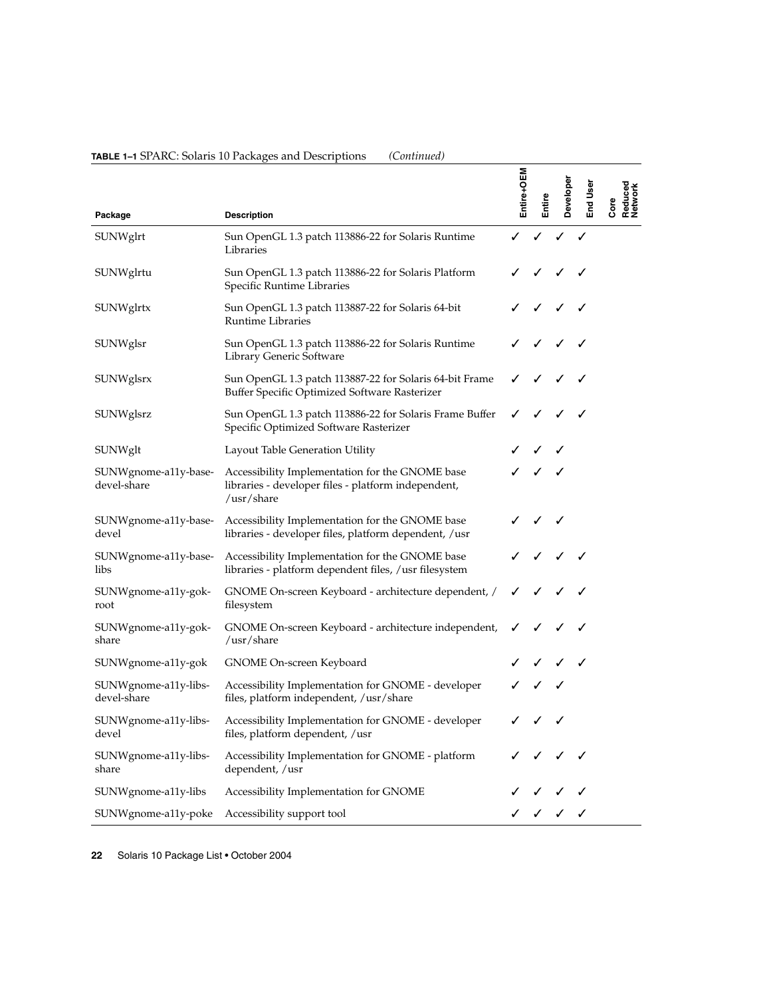| Package                             | <b>Description</b>                                                                                                   | Entire+OEM | Entire       |              | Developer<br>End User                  | Core<br>Reduced<br>Network |
|-------------------------------------|----------------------------------------------------------------------------------------------------------------------|------------|--------------|--------------|----------------------------------------|----------------------------|
| SUNWglrt                            | Sun OpenGL 1.3 patch 113886-22 for Solaris Runtime<br>Libraries                                                      | ✓          | ✓            | ✓            | ✓                                      |                            |
| SUNWglrtu                           | Sun OpenGL 1.3 patch 113886-22 for Solaris Platform<br>Specific Runtime Libraries                                    | ✓          |              | ✓            | ✓                                      |                            |
| SUNWglrtx                           | Sun OpenGL 1.3 patch 113887-22 for Solaris 64-bit<br><b>Runtime Libraries</b>                                        |            |              | ✓            | ✓                                      |                            |
| SUNWglsr                            | Sun OpenGL 1.3 patch 113886-22 for Solaris Runtime<br>Library Generic Software                                       |            | ✓            | $\checkmark$ |                                        |                            |
| SUNWglsrx                           | Sun OpenGL 1.3 patch 113887-22 for Solaris 64-bit Frame<br>Buffer Specific Optimized Software Rasterizer             |            | $\checkmark$ |              |                                        |                            |
| SUNWglsrz                           | Sun OpenGL 1.3 patch 113886-22 for Solaris Frame Buffer<br>Specific Optimized Software Rasterizer                    | ✓          | $\checkmark$ | $\checkmark$ | ✓                                      |                            |
| SUNWglt                             | Layout Table Generation Utility                                                                                      |            | ✓            | ✓            |                                        |                            |
| SUNWgnome-a11y-base-<br>devel-share | Accessibility Implementation for the GNOME base<br>libraries - developer files - platform independent,<br>/usr/share |            | $\checkmark$ | ✓            |                                        |                            |
| SUNWgnome-a11y-base-<br>devel       | Accessibility Implementation for the GNOME base<br>libraries - developer files, platform dependent, /usr             |            | $\checkmark$ |              |                                        |                            |
| SUNWgnome-a11y-base-<br>libs        | Accessibility Implementation for the GNOME base<br>libraries - platform dependent files, /usr filesystem             |            |              | $\checkmark$ | ✓                                      |                            |
| SUNWgnome-a11y-gok-<br>root         | GNOME On-screen Keyboard - architecture dependent, /<br>filesystem                                                   | ✓          | ✓            |              |                                        |                            |
| SUNWgnome-a11y-gok-<br>share        | GNOME On-screen Keyboard - architecture independent,<br>/usr/share                                                   | ✓          | $\checkmark$ |              |                                        |                            |
| SUNWgnome-a11y-gok                  | GNOME On-screen Keyboard                                                                                             |            |              | $\checkmark$ | ✓                                      |                            |
| SUNWgnome-a11y-libs-<br>devel-share | Accessibility Implementation for GNOME - developer<br>files, platform independent, /usr/share                        |            | $\checkmark$ | ✓            |                                        |                            |
| SUNWgnome-a11y-libs-<br>devel       | Accessibility Implementation for GNOME - developer<br>files, platform dependent, /usr                                | ✓          | $\checkmark$ | $\checkmark$ |                                        |                            |
| SUNWgnome-a11y-libs-<br>share       | Accessibility Implementation for GNOME - platform<br>dependent, /usr                                                 |            |              |              | $\checkmark$ $\checkmark$ $\checkmark$ |                            |
| SUNWgnome-a11y-libs                 | Accessibility Implementation for GNOME                                                                               |            |              |              |                                        |                            |
| SUNWgnome-a11y-poke                 | Accessibility support tool                                                                                           |            |              |              |                                        |                            |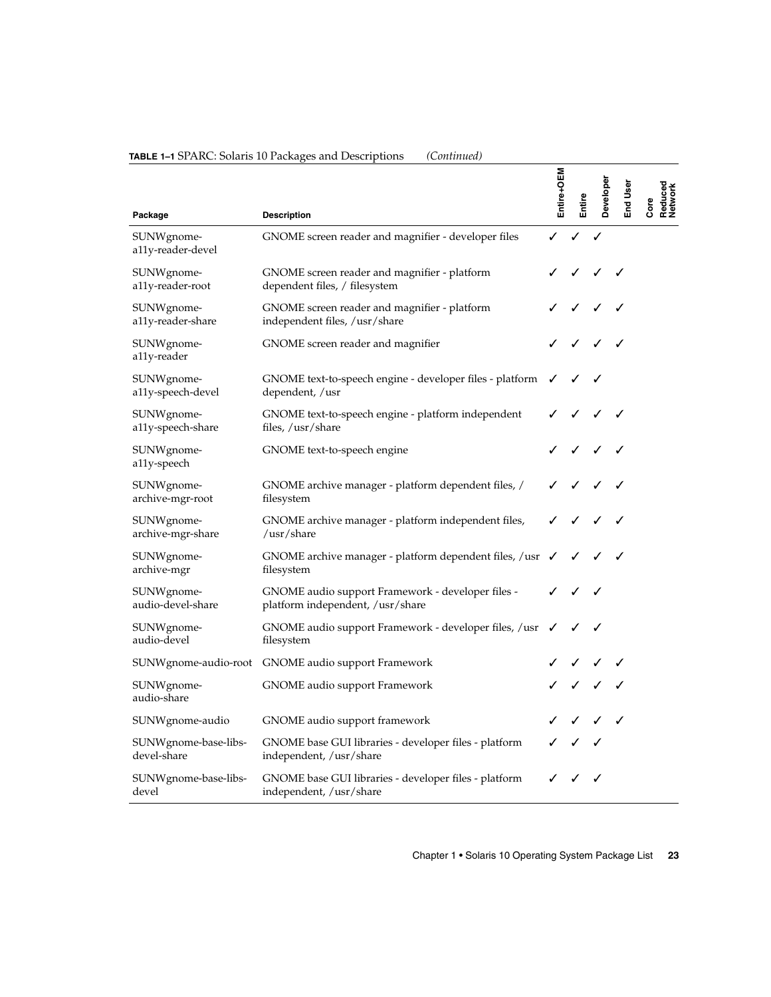|                                            | <b>INDEE</b> To DITING: COMITION TO F ACKAGES ATTA DESCRIPTIONS<br>$\sqrt{2}$         | Entire+OEM |   | Entire | Developer | End User | Core<br>Reduced<br>Network |
|--------------------------------------------|---------------------------------------------------------------------------------------|------------|---|--------|-----------|----------|----------------------------|
| Package<br>SUNWgnome-<br>a11y-reader-devel | <b>Description</b><br>GNOME screen reader and magnifier - developer files             | ✓          | ✓ |        | ✓         |          |                            |
| SUNWgnome-<br>a11y-reader-root             | GNOME screen reader and magnifier - platform<br>dependent files, / filesystem         |            |   |        |           |          |                            |
| SUNWgnome-<br>a11y-reader-share            | GNOME screen reader and magnifier - platform<br>independent files, /usr/share         |            |   |        |           |          |                            |
| SUNWgnome-<br>a11y-reader                  | GNOME screen reader and magnifier                                                     |            |   |        |           |          |                            |
| SUNWgnome-<br>a11y-speech-devel            | GNOME text-to-speech engine - developer files - platform<br>dependent, /usr           | ✓          | ✓ |        |           |          |                            |
| SUNWgnome-<br>a11y-speech-share            | GNOME text-to-speech engine - platform independent<br>files, /usr/share               |            |   |        |           |          |                            |
| SUNWgnome-<br>a11y-speech                  | GNOME text-to-speech engine                                                           |            |   |        |           |          |                            |
| SUNWgnome-<br>archive-mgr-root             | GNOME archive manager - platform dependent files, /<br>filesystem                     |            |   |        |           |          |                            |
| SUNWgnome-<br>archive-mgr-share            | GNOME archive manager - platform independent files,<br>/usr/share                     |            | ✓ |        |           |          |                            |
| SUNWgnome-<br>archive-mgr                  | GNOME archive manager - platform dependent files, /usr<br>filesystem                  | ✓          | ✓ |        |           |          |                            |
| SUNWgnome-<br>audio-devel-share            | GNOME audio support Framework - developer files -<br>platform independent, /usr/share | ✓          | ✓ |        |           |          |                            |
| SUNWgnome-<br>audio-devel                  | GNOME audio support Framework - developer files, /usr<br>filesystem                   | ✓          | ✓ |        |           |          |                            |
|                                            | SUNWgnome-audio-root GNOME audio support Framework                                    |            |   |        |           | ✓        |                            |
| SUNWgnome-<br>audio-share                  | GNOME audio support Framework                                                         |            |   |        |           |          |                            |
| SUNWgnome-audio                            | GNOME audio support framework                                                         |            |   |        |           |          |                            |
| SUNWgnome-base-libs-<br>devel-share        | GNOME base GUI libraries - developer files - platform<br>independent, /usr/share      |            |   |        |           |          |                            |
| SUNWgnome-base-libs-<br>devel              | GNOME base GUI libraries - developer files - platform<br>independent, /usr/share      | ✓          |   |        |           |          |                            |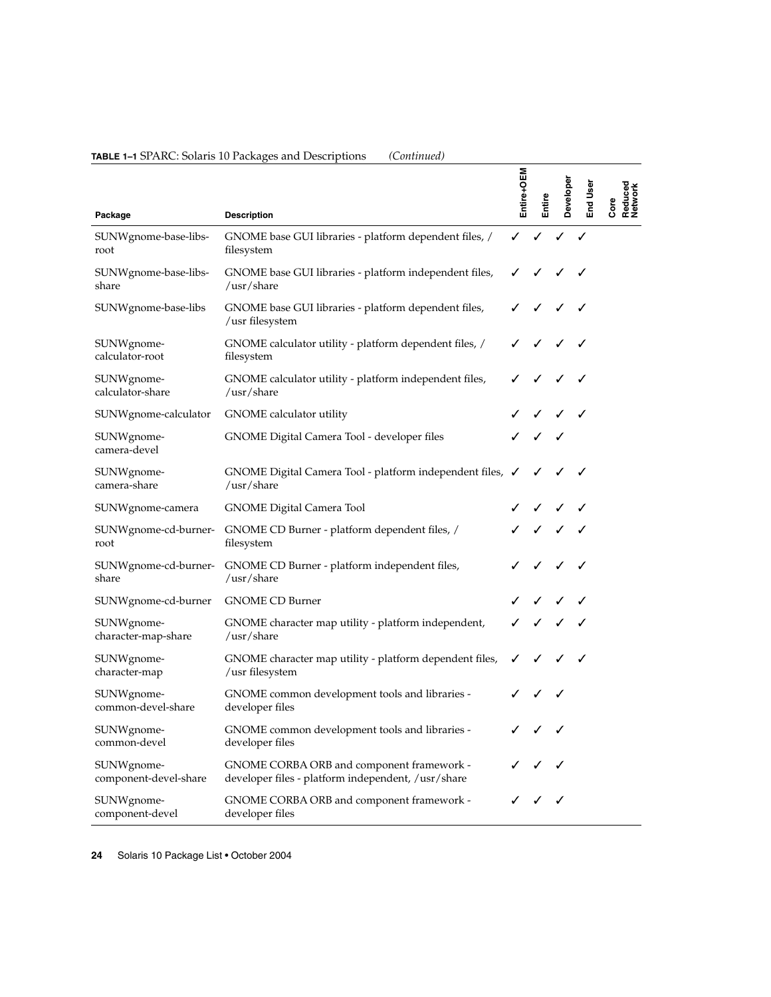| Package                             | <b>Description</b>                                                                              | Entire+OEM   | Entire       | Developer                 | End User | Reduced<br>Network<br>Core |
|-------------------------------------|-------------------------------------------------------------------------------------------------|--------------|--------------|---------------------------|----------|----------------------------|
| SUNWgnome-base-libs-<br>root        | GNOME base GUI libraries - platform dependent files, /<br>filesystem                            | ✓            | ✓            | ✓                         | ✓        |                            |
| SUNWgnome-base-libs-<br>share       | GNOME base GUI libraries - platform independent files,<br>/usr/share                            |              | ✓            | ✓                         | ✓        |                            |
| SUNWgnome-base-libs                 | GNOME base GUI libraries - platform dependent files,<br>/usr filesystem                         |              | $\checkmark$ | ✓                         | ✓        |                            |
| SUNWgnome-<br>calculator-root       | GNOME calculator utility - platform dependent files, /<br>filesystem                            |              | $\checkmark$ | ✓                         |          |                            |
| SUNWgnome-<br>calculator-share      | GNOME calculator utility - platform independent files,<br>/usr/share                            |              | $\checkmark$ | $\checkmark$              |          |                            |
| SUNWgnome-calculator                | GNOME calculator utility                                                                        |              | $\checkmark$ | $\checkmark$              | ✓        |                            |
| SUNWgnome-<br>camera-devel          | GNOME Digital Camera Tool - developer files                                                     |              | ✓            | ✓                         |          |                            |
| SUNWgnome-<br>camera-share          | GNOME Digital Camera Tool - platform independent files, √<br>/usr/share                         |              | ✓            |                           |          |                            |
| SUNWgnome-camera                    | GNOME Digital Camera Tool                                                                       |              |              |                           |          |                            |
| root                                | SUNWgnome-cd-burner- GNOME CD Burner - platform dependent files, /<br>filesystem                |              |              |                           |          |                            |
| SUNWgnome-cd-burner-<br>share       | GNOME CD Burner - platform independent files,<br>/usr/share                                     |              | $\checkmark$ | $\checkmark$              |          |                            |
| SUNWgnome-cd-burner                 | <b>GNOME CD Burner</b>                                                                          |              |              | $\checkmark$ $\checkmark$ |          |                            |
| SUNWgnome-<br>character-map-share   | GNOME character map utility - platform independent,<br>/usr/share                               |              | $\checkmark$ | $\checkmark$              |          |                            |
| SUNWgnome-<br>character-map         | GNOME character map utility - platform dependent files,<br>/usr filesystem                      |              | ✓            |                           |          |                            |
| SUNWgnome-<br>common-devel-share    | GNOME common development tools and libraries -<br>developer files                               | $\checkmark$ | $\checkmark$ | ✓                         |          |                            |
| SUNWgnome-<br>common-devel          | GNOME common development tools and libraries -<br>developer files                               | ✓            | $\checkmark$ | ✓                         |          |                            |
| SUNWgnome-<br>component-devel-share | GNOME CORBA ORB and component framework -<br>developer files - platform independent, /usr/share |              | $\checkmark$ |                           |          |                            |
| SUNWgnome-<br>component-devel       | GNOME CORBA ORB and component framework -<br>developer files                                    |              | ✓ ✓ ✓        |                           |          |                            |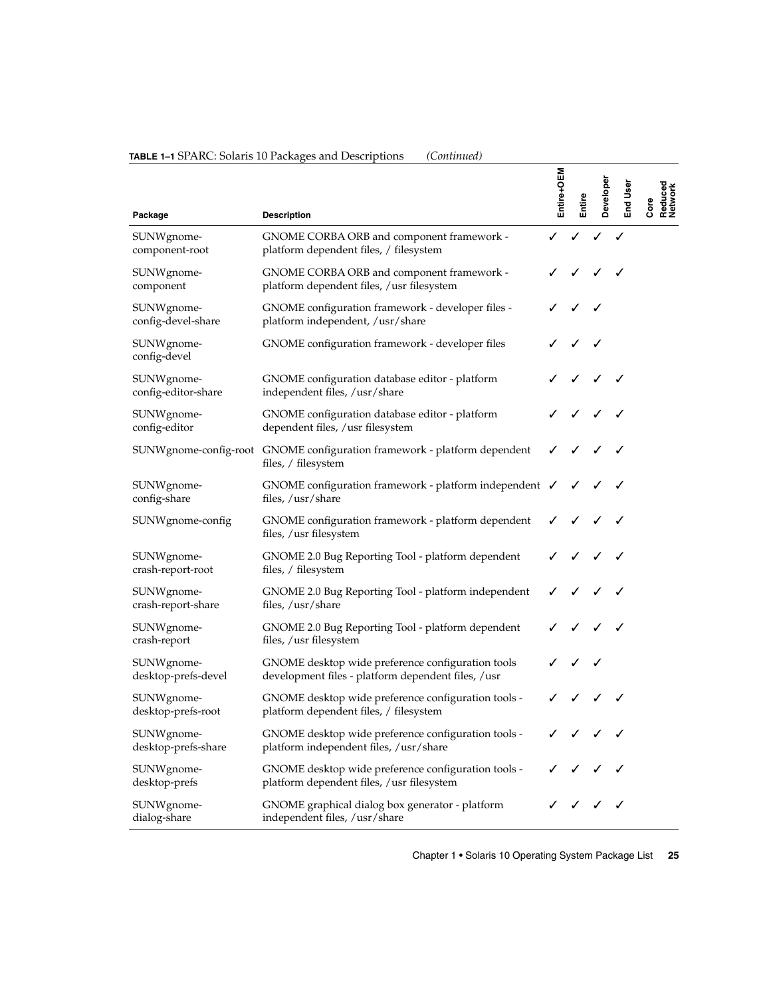| Package                           | <b>Description</b>                                                                                      | Entire+OEM |              | Entire       | Developer                              | End User | Reduced<br>Network<br>Core |
|-----------------------------------|---------------------------------------------------------------------------------------------------------|------------|--------------|--------------|----------------------------------------|----------|----------------------------|
| SUNWgnome-<br>component-root      | GNOME CORBA ORB and component framework -<br>platform dependent files, / filesystem                     | ✓          | ✓            |              | $\checkmark$                           | ✓        |                            |
| SUNWgnome-<br>component           | GNOME CORBA ORB and component framework -<br>platform dependent files, /usr filesystem                  | ✓          |              |              | ✓                                      | ✓        |                            |
| SUNWgnome-<br>config-devel-share  | GNOME configuration framework - developer files -<br>platform independent, /usr/share                   |            |              |              |                                        |          |                            |
| SUNWgnome-<br>config-devel        | GNOME configuration framework - developer files                                                         |            | ✓            | ✓            |                                        |          |                            |
| SUNWgnome-<br>config-editor-share | GNOME configuration database editor - platform<br>independent files, /usr/share                         |            |              |              | $\checkmark$                           |          |                            |
| SUNWgnome-<br>config-editor       | GNOME configuration database editor - platform<br>dependent files, /usr filesystem                      |            |              | ✓            |                                        |          |                            |
|                                   | SUNWgnome-config-root GNOME configuration framework - platform dependent<br>files, / filesystem         | ✓          | $\checkmark$ | $\checkmark$ |                                        |          |                            |
| SUNWgnome-<br>config-share        | GNOME configuration framework - platform independent √<br>files, /usr/share                             |            | ✓            |              |                                        |          |                            |
| SUNWgnome-config                  | GNOME configuration framework - platform dependent<br>files, /usr filesystem                            | ✓          | $\checkmark$ |              | $\checkmark$                           |          |                            |
| SUNWgnome-<br>crash-report-root   | GNOME 2.0 Bug Reporting Tool - platform dependent<br>files, / filesystem                                |            | $\checkmark$ | $\checkmark$ |                                        |          |                            |
| SUNWgnome-<br>crash-report-share  | GNOME 2.0 Bug Reporting Tool - platform independent<br>files, /usr/share                                |            | $\checkmark$ |              |                                        |          |                            |
| SUNWgnome-<br>crash-report        | GNOME 2.0 Bug Reporting Tool - platform dependent<br>files, /usr filesystem                             | ✓          |              |              | $\checkmark$ $\checkmark$ $\checkmark$ |          |                            |
| SUNWgnome-<br>desktop-prefs-devel | GNOME desktop wide preference configuration tools<br>development files - platform dependent files, /usr |            | ✓            | ✓            |                                        |          |                            |
| SUNWgnome-<br>desktop-prefs-root  | GNOME desktop wide preference configuration tools -<br>platform dependent files, / filesystem           | ✓          | $\checkmark$ |              | $\checkmark$                           | ✓        |                            |
| SUNWgnome-<br>desktop-prefs-share | GNOME desktop wide preference configuration tools -<br>platform independent files, /usr/share           |            | 1 1 1 1      |              |                                        |          |                            |
| SUNWgnome-<br>desktop-prefs       | GNOME desktop wide preference configuration tools -<br>platform dependent files, /usr filesystem        |            |              |              |                                        |          |                            |
| SUNWgnome-<br>dialog-share        | GNOME graphical dialog box generator - platform<br>independent files, /usr/share                        |            |              |              | $\checkmark$                           |          |                            |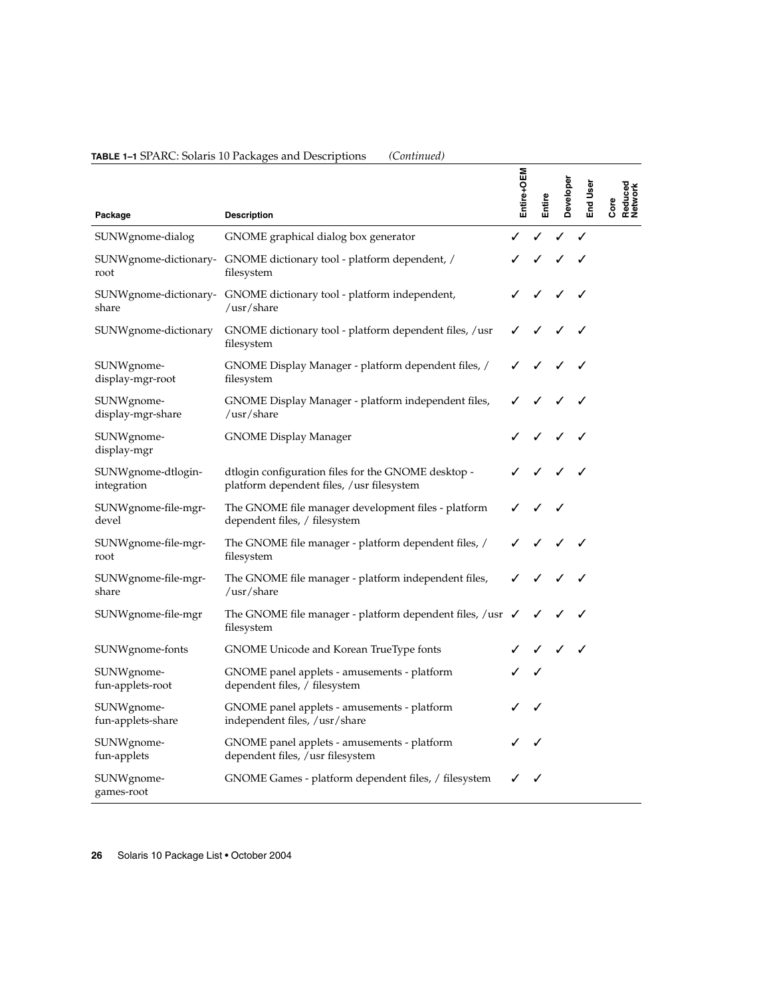| $\frac{1}{2}$                     | $\sim$ and $\sim$ $\sim$<br>$-0.00$<br>$\sqrt{ }$                                                |            |        |              |                 |                            |
|-----------------------------------|--------------------------------------------------------------------------------------------------|------------|--------|--------------|-----------------|----------------------------|
| Package                           | <b>Description</b>                                                                               | Entire+OEM | Entire | Developer    | <b>End User</b> | Reduced<br>Network<br>Core |
| SUNWgnome-dialog                  | GNOME graphical dialog box generator                                                             | ✓          |        | $\checkmark$ | ✓               |                            |
| root                              | SUNWgnome-dictionary- GNOME dictionary tool - platform dependent, /<br>filesystem                |            |        |              |                 |                            |
| share                             | SUNWgnome-dictionary- GNOME dictionary tool - platform independent,<br>/usr/share                |            |        |              |                 |                            |
| SUNWgnome-dictionary              | GNOME dictionary tool - platform dependent files, /usr<br>filesystem                             |            |        |              |                 |                            |
| SUNWgnome-<br>display-mgr-root    | GNOME Display Manager - platform dependent files, /<br>filesystem                                |            |        |              |                 |                            |
| SUNWgnome-<br>display-mgr-share   | GNOME Display Manager - platform independent files,<br>/usr/share                                |            |        |              |                 |                            |
| SUNWgnome-<br>display-mgr         | <b>GNOME Display Manager</b>                                                                     |            |        |              |                 |                            |
| SUNWgnome-dtlogin-<br>integration | dtlogin configuration files for the GNOME desktop -<br>platform dependent files, /usr filesystem |            |        |              |                 |                            |
| SUNWgnome-file-mgr-<br>devel      | The GNOME file manager development files - platform<br>dependent files, / filesystem             |            |        |              |                 |                            |
| SUNWgnome-file-mgr-<br>root       | The GNOME file manager - platform dependent files, /<br>filesystem                               |            |        |              |                 |                            |
| SUNWgnome-file-mgr-<br>share      | The GNOME file manager - platform independent files,<br>/usr/share                               |            |        |              |                 |                            |
| SUNWgnome-file-mgr                | The GNOME file manager - platform dependent files, /usr $\checkmark$<br>filesystem               |            | ✓      |              |                 |                            |
| SUNWgnome-fonts                   | GNOME Unicode and Korean TrueType fonts                                                          |            |        | ✓            | ✓               |                            |
| SUNWgnome-<br>fun-applets-root    | GNOME panel applets - amusements - platform<br>dependent files, / filesystem                     |            |        |              |                 |                            |
| SUNWgnome-<br>fun-applets-share   | GNOME panel applets - amusements - platform<br>independent files, /usr/share                     |            |        |              |                 |                            |
| SUNWgnome-<br>fun-applets         | GNOME panel applets - amusements - platform<br>dependent files, /usr filesystem                  |            |        |              |                 |                            |
| SUNWgnome-<br>games-root          | GNOME Games - platform dependent files, / filesystem                                             | ✓          | ✓      |              |                 |                            |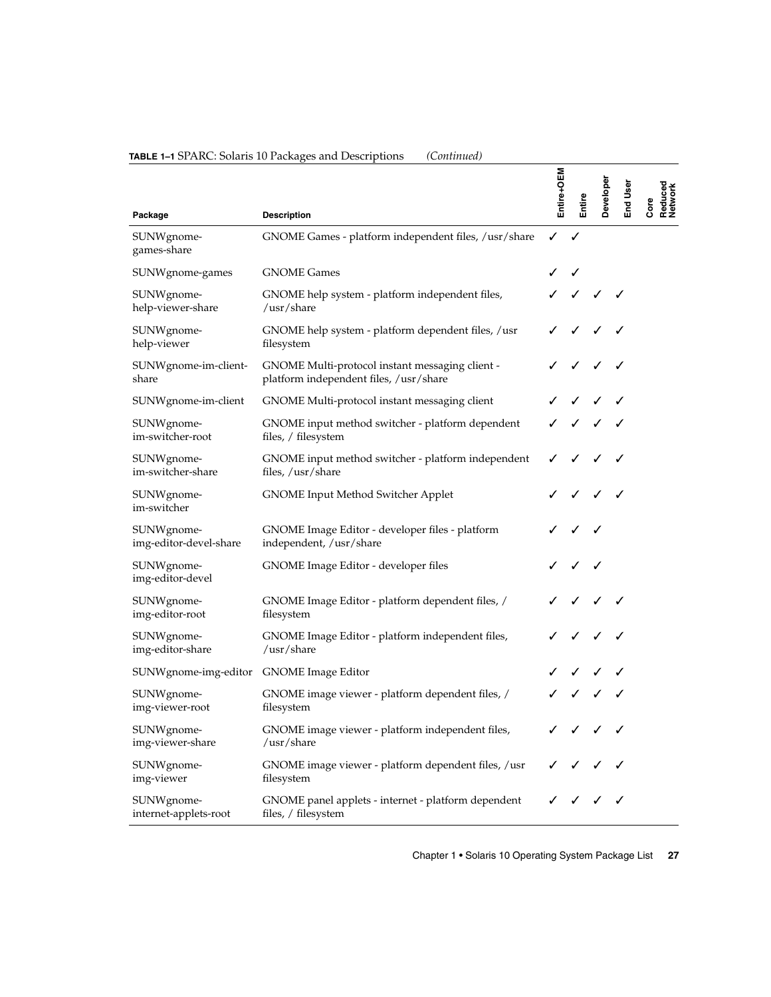| Package                              | <b>Description</b>                                                                        | Entire+OEM | Entire       | Developer                                           | End User | Reduced<br>Network<br>Core |
|--------------------------------------|-------------------------------------------------------------------------------------------|------------|--------------|-----------------------------------------------------|----------|----------------------------|
| SUNWgnome-<br>games-share            | GNOME Games - platform independent files, /usr/share                                      | ✓          | ✓            |                                                     |          |                            |
| SUNWgnome-games                      | <b>GNOME Games</b>                                                                        | ✓          | ✓            |                                                     |          |                            |
| SUNWgnome-<br>help-viewer-share      | GNOME help system - platform independent files,<br>/usr/share                             |            | $\checkmark$ | $\checkmark$                                        | ✓        |                            |
| SUNWgnome-<br>help-viewer            | GNOME help system - platform dependent files, /usr<br>filesystem                          |            |              |                                                     |          |                            |
| SUNWgnome-im-client-<br>share        | GNOME Multi-protocol instant messaging client -<br>platform independent files, /usr/share |            | ✓            | ✓                                                   | ✓        |                            |
| SUNWgnome-im-client                  | GNOME Multi-protocol instant messaging client                                             |            | $\checkmark$ | ✓                                                   |          |                            |
| SUNWgnome-<br>im-switcher-root       | GNOME input method switcher - platform dependent<br>files, / filesystem                   |            | $\checkmark$ | ✓                                                   |          |                            |
| SUNWgnome-<br>im-switcher-share      | GNOME input method switcher - platform independent<br>files, /usr/share                   |            | ✓            | ✓                                                   |          |                            |
| SUNWgnome-<br>im-switcher            | <b>GNOME</b> Input Method Switcher Applet                                                 |            | ✓            | $\checkmark$                                        | ✓        |                            |
| SUNWgnome-<br>img-editor-devel-share | GNOME Image Editor - developer files - platform<br>independent, /usr/share                |            | ✓            | ✓                                                   |          |                            |
| SUNWgnome-<br>img-editor-devel       | GNOME Image Editor - developer files                                                      |            | ✓            | ✓                                                   |          |                            |
| SUNWgnome-<br>img-editor-root        | GNOME Image Editor - platform dependent files, /<br>filesystem                            |            | $\checkmark$ | $\checkmark$                                        |          |                            |
| SUNWgnome-<br>img-editor-share       | GNOME Image Editor - platform independent files,<br>/usr/share                            |            |              |                                                     |          |                            |
| SUNWgnome-img-editor                 | <b>GNOME</b> Image Editor                                                                 |            |              | $\checkmark$                                        |          |                            |
| SUNWgnome-<br>img-viewer-root        | GNOME image viewer - platform dependent files, /<br>filesystem                            | ✓          | $\checkmark$ | $\checkmark$                                        |          |                            |
| SUNWgnome-<br>img-viewer-share       | GNOME image viewer - platform independent files,<br>/usr/share                            |            |              | v v v v                                             |          |                            |
| SUNWgnome-<br>img-viewer             | GNOME image viewer - platform dependent files, /usr<br>filesystem                         | ✓          | $\checkmark$ | $\checkmark$                                        |          |                            |
| SUNWgnome-<br>internet-applets-root  | GNOME panel applets - internet - platform dependent<br>files, / filesystem                |            |              | $\checkmark$ $\checkmark$ $\checkmark$ $\checkmark$ |          |                            |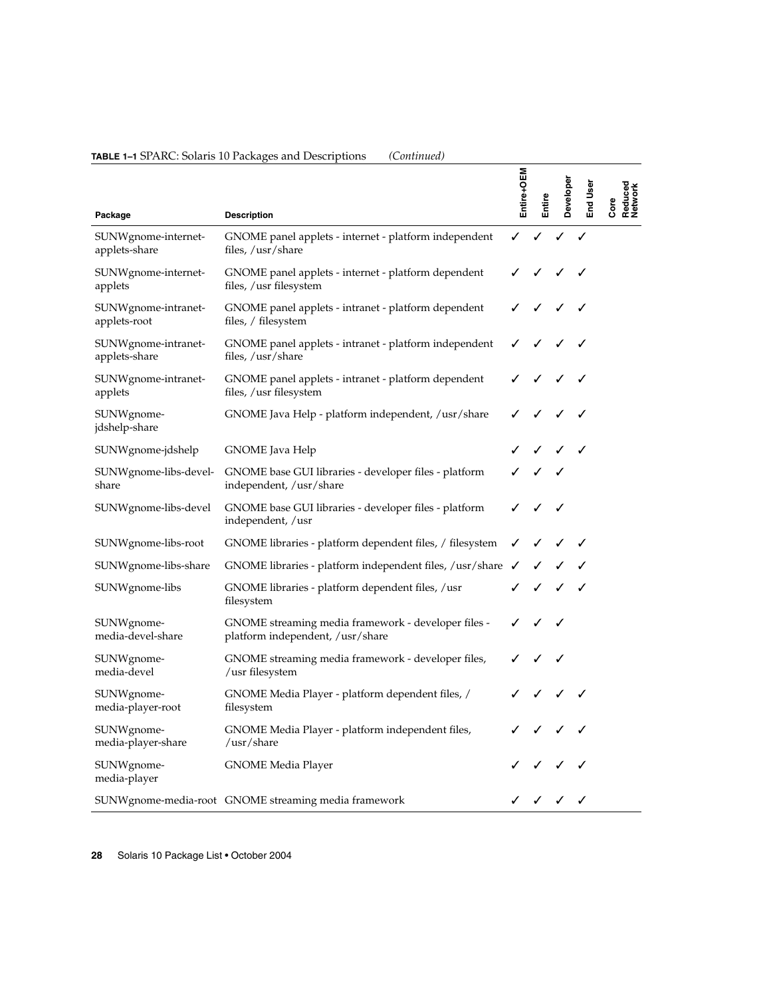| TABLE 1-1 SPARC: Solaris 10 Packages and Descriptions | (Continued) |
|-------------------------------------------------------|-------------|
|-------------------------------------------------------|-------------|

|                                      |                                                                                         | Entire+OEM    |              | Entire       | Developer | End User | Reduced<br>Network<br>Core |
|--------------------------------------|-----------------------------------------------------------------------------------------|---------------|--------------|--------------|-----------|----------|----------------------------|
| Package                              | <b>Description</b>                                                                      |               |              |              |           |          |                            |
| SUNWgnome-internet-<br>applets-share | GNOME panel applets - internet - platform independent<br>files, /usr/share              | ✓             | ✓            | ✓            |           | ✓        |                            |
| SUNWgnome-internet-<br>applets       | GNOME panel applets - internet - platform dependent<br>files, /usr filesystem           |               |              |              |           |          |                            |
| SUNWgnome-intranet-<br>applets-root  | GNOME panel applets - intranet - platform dependent<br>files, / filesystem              |               |              |              |           |          |                            |
| SUNWgnome-intranet-<br>applets-share | GNOME panel applets - intranet - platform independent<br>files, /usr/share              |               |              |              |           |          |                            |
| SUNWgnome-intranet-<br>applets       | GNOME panel applets - intranet - platform dependent<br>files, /usr filesystem           |               |              |              |           |          |                            |
| SUNWgnome-<br>jdshelp-share          | GNOME Java Help - platform independent, /usr/share                                      |               |              |              |           |          |                            |
| SUNWgnome-jdshelp                    | GNOME Java Help                                                                         |               |              | $\checkmark$ |           | ✓        |                            |
| SUNWgnome-libs-devel-<br>share       | GNOME base GUI libraries - developer files - platform<br>independent, /usr/share        |               |              |              |           |          |                            |
| SUNWgnome-libs-devel                 | GNOME base GUI libraries - developer files - platform<br>independent, /usr              | ✓             | ✓            |              |           |          |                            |
| SUNWgnome-libs-root                  | GNOME libraries - platform dependent files, / filesystem                                | ✓             | ✓            |              |           |          |                            |
| SUNWgnome-libs-share                 | GNOME libraries - platform independent files, /usr/share $\sqrt$                        |               |              |              |           |          |                            |
| SUNWgnome-libs                       | GNOME libraries - platform dependent files, /usr<br>filesystem                          | ✓             | ✓            | ✓            |           | ✓        |                            |
| SUNWgnome-<br>media-devel-share      | GNOME streaming media framework - developer files -<br>platform independent, /usr/share | ✓             | ✓            |              |           |          |                            |
| SUNWgnome-<br>media-devel            | GNOME streaming media framework - developer files,<br>/usr filesystem                   |               | ✓            |              |           |          |                            |
| SUNWgnome-<br>media-player-root      | GNOME Media Player - platform dependent files, /<br>filesystem                          |               | ✓            | ✓            |           | ✓        |                            |
| SUNWgnome-<br>media-player-share     | GNOME Media Player - platform independent files,<br>$\sqrt{usr/share}$                  |               |              |              |           |          |                            |
| SUNWgnome-<br>media-player           | <b>GNOME</b> Media Player                                                               |               | $\checkmark$ | $\checkmark$ |           |          |                            |
|                                      | SUNWgnome-media-root GNOME streaming media framework                                    | $\mathcal{I}$ |              | $J$ $J$      |           |          |                            |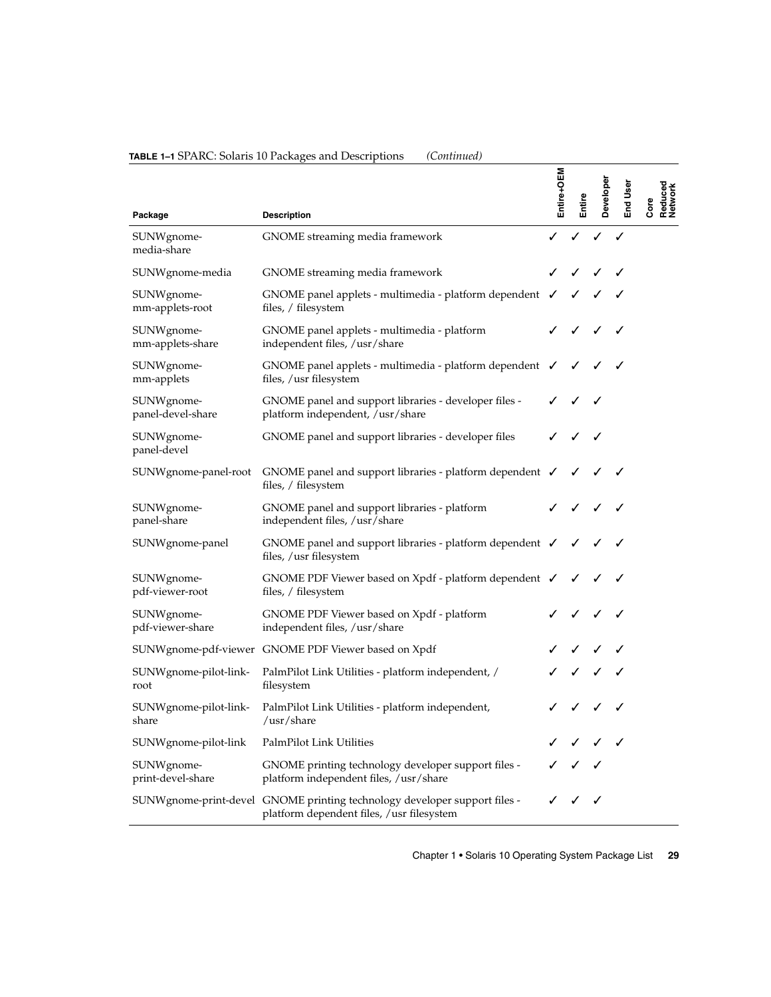| Package                         | <b>EXAMPLE 1-1</b> SEARC: SORALS TO E ackages and Descriptions<br>$\sqrt{2}$<br><b>Description</b>                     | Entire+OEM | Entire                    | Developer                              | End User | Core<br>Reduced<br>Network |
|---------------------------------|------------------------------------------------------------------------------------------------------------------------|------------|---------------------------|----------------------------------------|----------|----------------------------|
| SUNWgnome-<br>media-share       | GNOME streaming media framework                                                                                        | ✓          | $\checkmark$              | $\checkmark$                           | ✓        |                            |
| SUNWgnome-media                 | GNOME streaming media framework                                                                                        |            |                           | ✓                                      | ✓        |                            |
| SUNWgnome-<br>mm-applets-root   | GNOME panel applets - multimedia - platform dependent √<br>files, / filesystem                                         |            |                           |                                        |          |                            |
| SUNWgnome-<br>mm-applets-share  | GNOME panel applets - multimedia - platform<br>independent files, /usr/share                                           | ✓          | $\checkmark$              | ✓                                      | ✓        |                            |
| SUNWgnome-<br>mm-applets        | GNOME panel applets - multimedia - platform dependent V<br>files, /usr filesystem                                      |            | $\checkmark$              |                                        |          |                            |
| SUNWgnome-<br>panel-devel-share | GNOME panel and support libraries - developer files -<br>platform independent, /usr/share                              | ✓          | $\checkmark$              | ✓                                      |          |                            |
| SUNWgnome-<br>panel-devel       | GNOME panel and support libraries - developer files                                                                    | ✓          | $\sqrt{2}$                | ✓                                      |          |                            |
| SUNWgnome-panel-root            | GNOME panel and support libraries - platform dependent √<br>files, / filesystem                                        |            | $\checkmark$              |                                        |          |                            |
| SUNWgnome-<br>panel-share       | GNOME panel and support libraries - platform<br>independent files, /usr/share                                          |            | $\checkmark$              | $\checkmark$                           | ✓        |                            |
| SUNWgnome-panel                 | GNOME panel and support libraries - platform dependent $\sqrt{ }$<br>files, /usr filesystem                            |            |                           |                                        |          |                            |
| SUNWgnome-<br>pdf-viewer-root   | GNOME PDF Viewer based on Xpdf - platform dependent $\sqrt{ }$<br>files, / filesystem                                  |            |                           | $\checkmark$                           |          |                            |
| SUNWgnome-<br>pdf-viewer-share  | GNOME PDF Viewer based on Xpdf - platform<br>independent files, /usr/share                                             |            | ✓                         | ✓                                      | ✓        |                            |
|                                 | SUNWgnome-pdf-viewer GNOME PDF Viewer based on Xpdf                                                                    |            |                           |                                        | ✓        |                            |
| SUNWgnome-pilot-link-<br>root   | PalmPilot Link Utilities - platform independent, /<br>filesystem                                                       |            |                           |                                        |          |                            |
| SUNWgnome-pilot-link-<br>share  | PalmPilot Link Utilities - platform independent,<br>/usr/share                                                         |            | $\checkmark$              | $\checkmark$                           |          |                            |
| SUNWgnome-pilot-link            | PalmPilot Link Utilities                                                                                               |            |                           | $\checkmark$ $\checkmark$ $\checkmark$ |          |                            |
| SUNWgnome-<br>print-devel-share | GNOME printing technology developer support files -<br>platform independent files, /usr/share                          |            | $\checkmark$ $\checkmark$ |                                        |          |                            |
|                                 | SUNWgnome-print-devel GNOME printing technology developer support files -<br>platform dependent files, /usr filesystem |            |                           |                                        |          |                            |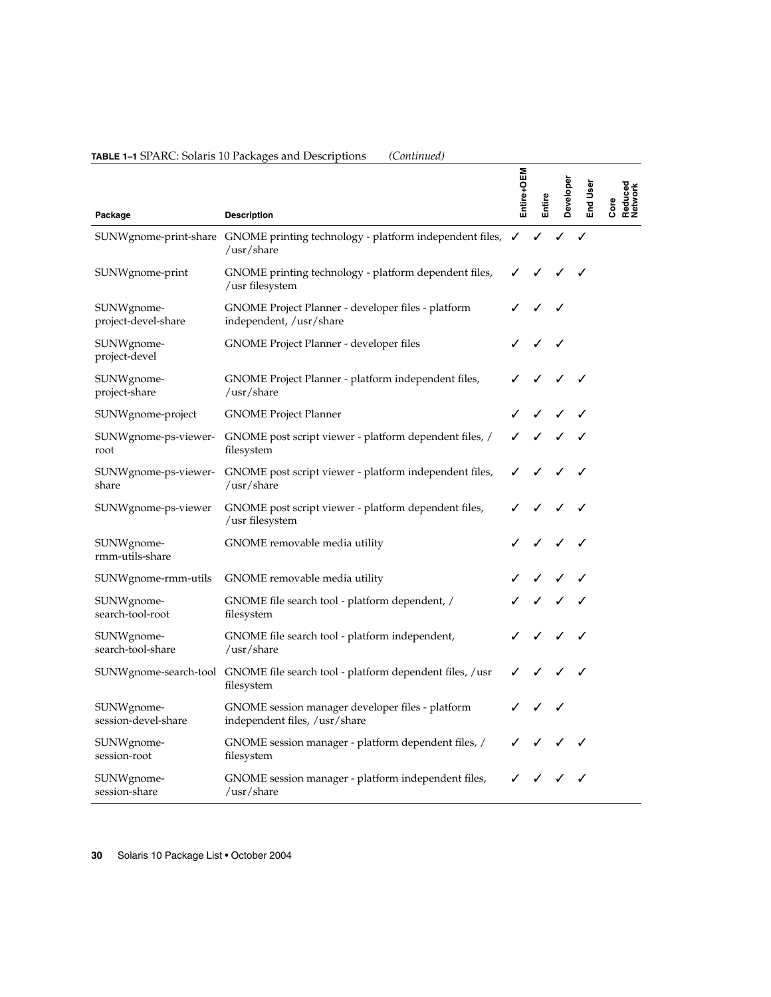| Package                           | <b>Description</b>                                                                          | Entire+OEM | Entire | Developer | End User | Core<br>Reduced<br>Network |
|-----------------------------------|---------------------------------------------------------------------------------------------|------------|--------|-----------|----------|----------------------------|
|                                   | SUNWgnome-print-share GNOME printing technology - platform independent files,<br>/usr/share | ✓          | ✓      |           | ✓        |                            |
| SUNWgnome-print                   | GNOME printing technology - platform dependent files,<br>/usr filesystem                    | ✓          | ✓      |           |          |                            |
| SUNWgnome-<br>project-devel-share | GNOME Project Planner - developer files - platform<br>independent, /usr/share               |            |        |           |          |                            |
| SUNWgnome-<br>project-devel       | <b>GNOME</b> Project Planner - developer files                                              |            |        |           |          |                            |
| SUNWgnome-<br>project-share       | GNOME Project Planner - platform independent files,<br>/usr/share                           |            |        |           |          |                            |
| SUNWgnome-project                 | <b>GNOME Project Planner</b>                                                                |            |        |           |          |                            |
| SUNWgnome-ps-viewer-<br>root      | GNOME post script viewer - platform dependent files, /<br>filesystem                        |            |        |           |          |                            |
| SUNWgnome-ps-viewer-<br>share     | GNOME post script viewer - platform independent files,<br>/usr/share                        |            |        |           |          |                            |
| SUNWgnome-ps-viewer               | GNOME post script viewer - platform dependent files,<br>/usr filesystem                     |            |        |           |          |                            |
| SUNWgnome-<br>rmm-utils-share     | GNOME removable media utility                                                               |            |        | ✓         |          |                            |
| SUNWgnome-rmm-utils               | GNOME removable media utility                                                               |            |        |           |          |                            |
| SUNWgnome-<br>search-tool-root    | GNOME file search tool - platform dependent, /<br>filesystem                                |            |        |           |          |                            |
| SUNWgnome-<br>search-tool-share   | GNOME file search tool - platform independent,<br>/usr/share                                |            |        |           |          |                            |
|                                   | SUNWgnome-search-tool GNOME file search tool - platform dependent files, /usr<br>filesystem |            |        |           |          |                            |
| SUNWgnome-<br>session-devel-share | GNOME session manager developer files - platform<br>independent files, /usr/share           |            |        |           |          |                            |
| SUNWgnome-<br>session-root        | GNOME session manager - platform dependent files, /<br>filesystem                           |            |        |           |          |                            |
| SUNWgnome-<br>session-share       | GNOME session manager - platform independent files,<br>/usr/share                           |            |        |           |          |                            |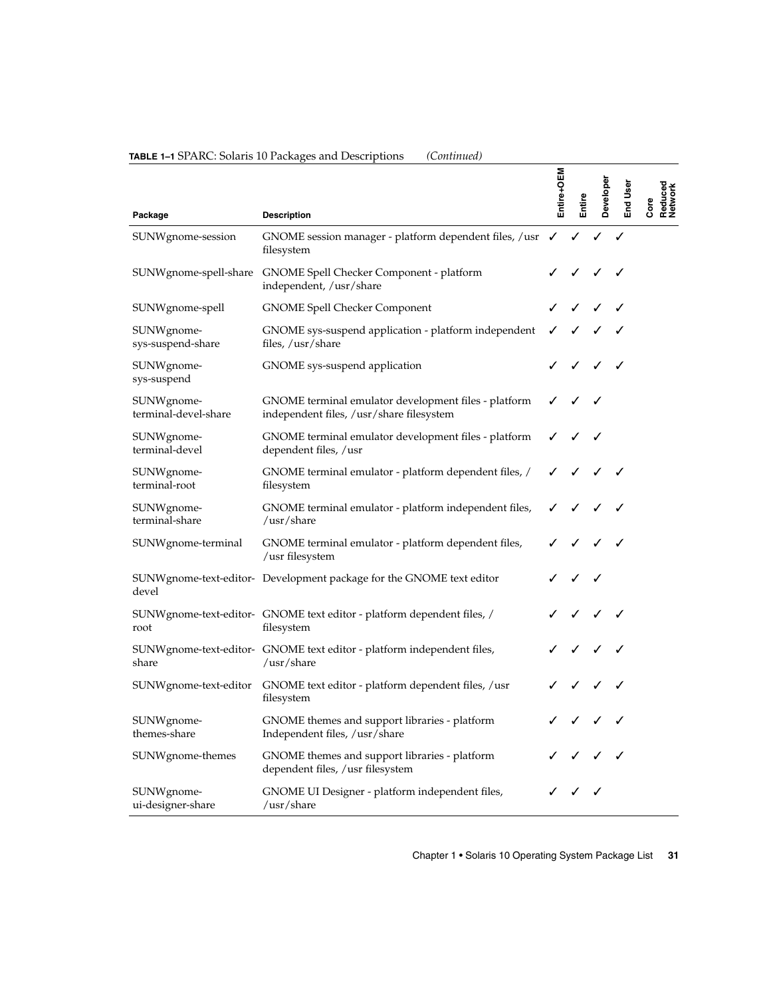| Package                            | <b>INDEE</b> To DITING: COMITION TO F ACKAGES ATTA DESCRIPTIONS<br>$\sqrt{2}$<br><b>Description</b> | Entire+OEM | Entire       | Developer | End User | Core<br>Reduced<br>Network |
|------------------------------------|-----------------------------------------------------------------------------------------------------|------------|--------------|-----------|----------|----------------------------|
| SUNWgnome-session                  | GNOME session manager - platform dependent files, /usr<br>filesystem                                | ✓          | ✓            |           |          |                            |
| SUNWgnome-spell-share              | GNOME Spell Checker Component - platform<br>independent, /usr/share                                 |            |              | ✓         |          |                            |
| SUNWgnome-spell                    | <b>GNOME Spell Checker Component</b>                                                                |            |              |           |          |                            |
| SUNWgnome-<br>sys-suspend-share    | GNOME sys-suspend application - platform independent<br>files, /usr/share                           |            |              |           |          |                            |
| SUNWgnome-<br>sys-suspend          | GNOME sys-suspend application                                                                       |            |              | ✓         |          |                            |
| SUNWgnome-<br>terminal-devel-share | GNOME terminal emulator development files - platform<br>independent files, /usr/share filesystem    |            | ✓            |           |          |                            |
| SUNWgnome-<br>terminal-devel       | GNOME terminal emulator development files - platform<br>dependent files, /usr                       |            |              |           |          |                            |
| SUNWgnome-<br>terminal-root        | GNOME terminal emulator - platform dependent files, /<br>filesystem                                 |            |              |           |          |                            |
| SUNWgnome-<br>terminal-share       | GNOME terminal emulator - platform independent files,<br>/usr/share                                 |            |              |           |          |                            |
| SUNWgnome-terminal                 | GNOME terminal emulator - platform dependent files,<br>/usr filesystem                              |            |              |           |          |                            |
| devel                              | SUNWgnome-text-editor- Development package for the GNOME text editor                                |            |              |           |          |                            |
| root                               | SUNWgnome-text-editor- GNOME text editor - platform dependent files, /<br>filesystem                |            |              |           |          |                            |
| share                              | SUNWgnome-text-editor- GNOME text editor - platform independent files,<br>/usr/share                |            | $\checkmark$ |           |          |                            |
| SUNWgnome-text-editor              | GNOME text editor - platform dependent files, /usr<br>filesystem                                    |            | $\checkmark$ |           |          |                            |
| SUNWgnome-<br>themes-share         | GNOME themes and support libraries - platform<br>Independent files, /usr/share                      |            | $\checkmark$ |           |          |                            |
| SUNWgnome-themes                   | GNOME themes and support libraries - platform<br>dependent files, /usr filesystem                   |            |              |           |          |                            |
| SUNWgnome-<br>ui-designer-share    | GNOME UI Designer - platform independent files,<br>/usr/share                                       |            |              |           |          |                            |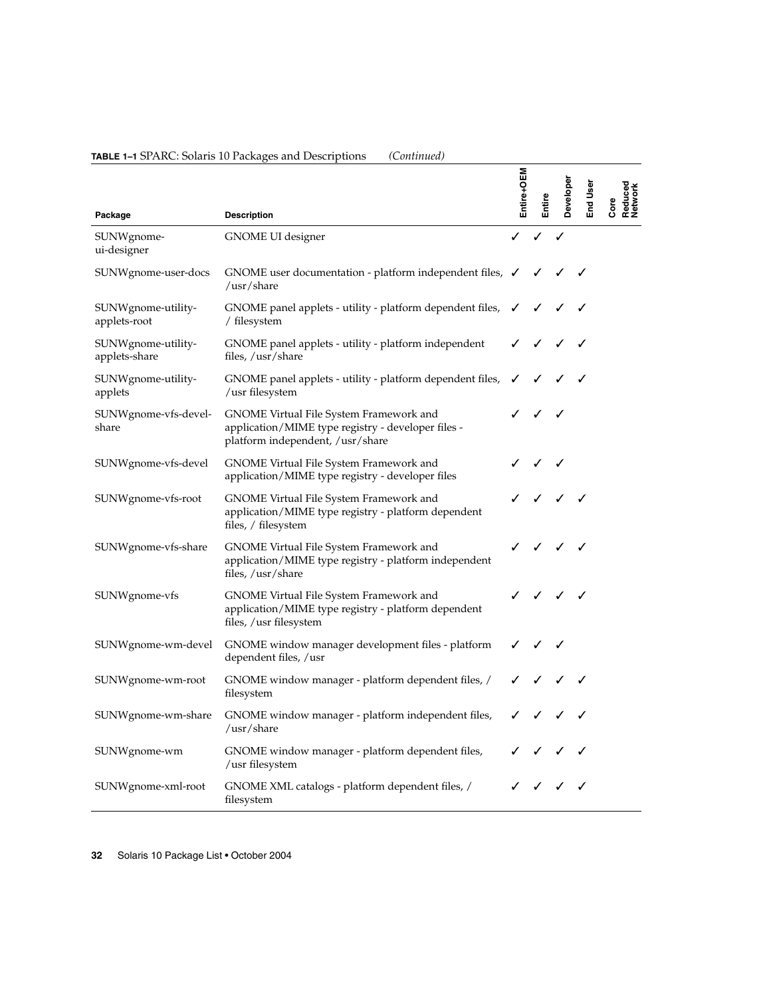|                                     | <b>INDEL</b> 1-1 STARC: SORIIS TO I RENAGES and DESCRIPTIONS<br>$\sqrt{2}$                                                        |            |        |           |                 |                            |
|-------------------------------------|-----------------------------------------------------------------------------------------------------------------------------------|------------|--------|-----------|-----------------|----------------------------|
| Package                             | <b>Description</b>                                                                                                                | Entire+OEM | Entire | Developer | <b>End User</b> | Core<br>Reduced<br>Network |
| SUNWgnome-<br>ui-designer           | GNOME UI designer                                                                                                                 | ✓          | ✓      | ✓         |                 |                            |
| SUNWgnome-user-docs                 | GNOME user documentation - platform independent files, $\checkmark$<br>/usr/share                                                 |            |        |           |                 |                            |
| SUNWgnome-utility-<br>applets-root  | GNOME panel applets - utility - platform dependent files,<br>/ filesystem                                                         | ✓          |        |           |                 |                            |
| SUNWgnome-utility-<br>applets-share | GNOME panel applets - utility - platform independent<br>files, /usr/share                                                         | ✓          |        |           |                 |                            |
| SUNWgnome-utility-<br>applets       | GNOME panel applets - utility - platform dependent files,<br>/usr filesystem                                                      | ✓          | ✓      |           |                 |                            |
| SUNWgnome-vfs-devel-<br>share       | GNOME Virtual File System Framework and<br>application/MIME type registry - developer files -<br>platform independent, /usr/share |            | ✓      |           |                 |                            |
| SUNWgnome-vfs-devel                 | GNOME Virtual File System Framework and<br>application/MIME type registry - developer files                                       |            |        |           |                 |                            |
| SUNWgnome-vfs-root                  | GNOME Virtual File System Framework and<br>application/MIME type registry - platform dependent<br>files, / filesystem             |            |        |           |                 |                            |
| SUNWgnome-vfs-share                 | GNOME Virtual File System Framework and<br>application/MIME type registry - platform independent<br>files, /usr/share             |            |        |           |                 |                            |
| SUNWgnome-vfs                       | GNOME Virtual File System Framework and<br>application/MIME type registry - platform dependent<br>files, /usr filesystem          |            |        | ✓         |                 |                            |
| SUNWgnome-wm-devel                  | GNOME window manager development files - platform<br>dependent files, /usr                                                        |            |        |           |                 |                            |
| SUNWgnome-wm-root                   | GNOME window manager - platform dependent files, /<br>filesystem                                                                  |            |        |           |                 |                            |
| SUNWgnome-wm-share                  | GNOME window manager - platform independent files,<br>/usr/share                                                                  |            |        |           |                 |                            |
| SUNWgnome-wm                        | GNOME window manager - platform dependent files,<br>/usr filesystem                                                               |            |        |           |                 |                            |
| SUNWgnome-xml-root                  | GNOME XML catalogs - platform dependent files, /<br>filesystem                                                                    |            |        |           |                 |                            |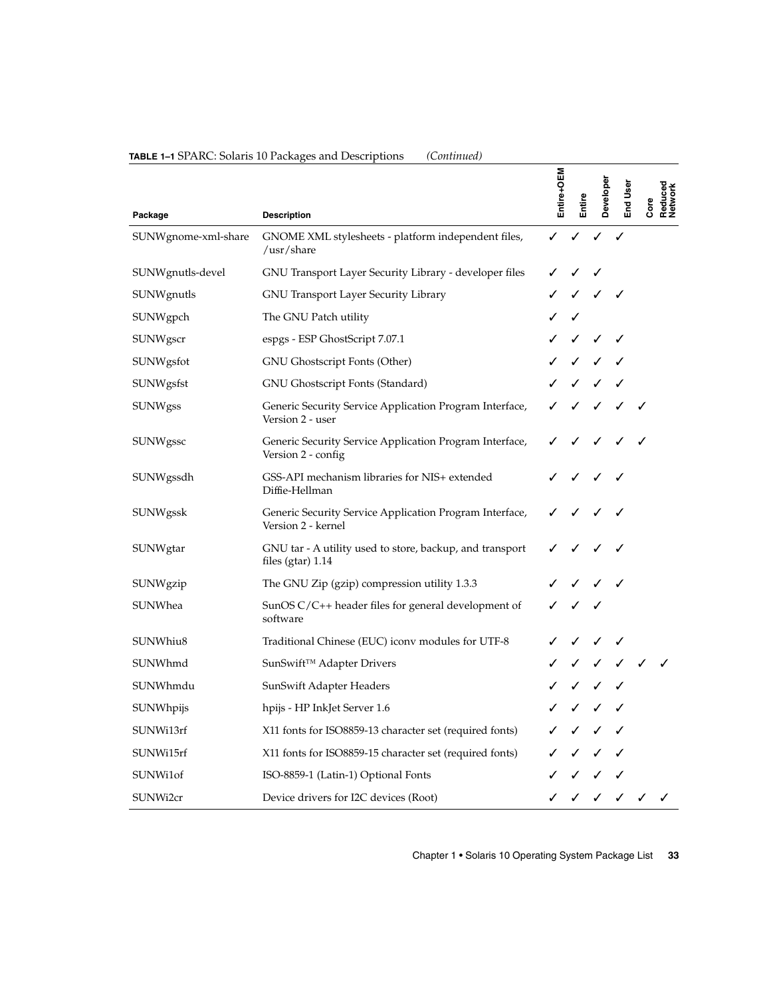|                     |                                                                               | Entire+OEM | Entire | Developer    | End User | Core         | Reduced<br>Network |
|---------------------|-------------------------------------------------------------------------------|------------|--------|--------------|----------|--------------|--------------------|
| Package             | <b>Description</b>                                                            |            |        |              |          |              |                    |
| SUNWgnome-xml-share | GNOME XML stylesheets - platform independent files,<br>/usr/share             | ✓          | ✓      | ✓            | ✓        |              |                    |
| SUNWgnutls-devel    | GNU Transport Layer Security Library - developer files                        | ✓          | ✓      | ✓            |          |              |                    |
| SUNWgnutls          | <b>GNU Transport Layer Security Library</b>                                   |            | ✓      | ✓            | ✓        |              |                    |
| SUNWgpch            | The GNU Patch utility                                                         |            |        |              |          |              |                    |
| SUNWgscr            | espgs - ESP GhostScript 7.07.1                                                |            |        | ✓            |          |              |                    |
| SUNWgsfot           | GNU Ghostscript Fonts (Other)                                                 |            |        |              |          |              |                    |
| SUNWgsfst           | GNU Ghostscript Fonts (Standard)                                              |            |        |              |          |              |                    |
| <b>SUNWgss</b>      | Generic Security Service Application Program Interface,<br>Version 2 - user   |            |        |              |          |              |                    |
| SUNWgssc            | Generic Security Service Application Program Interface,<br>Version 2 - config |            |        |              |          |              |                    |
| SUNWgssdh           | GSS-API mechanism libraries for NIS+ extended<br>Diffie-Hellman               |            |        | ✓            |          |              |                    |
| SUNWgssk            | Generic Security Service Application Program Interface,<br>Version 2 - kernel |            |        |              |          |              |                    |
| SUNWgtar            | GNU tar - A utility used to store, backup, and transport<br>files (gtar) 1.14 |            |        |              |          |              |                    |
| SUNWgzip            | The GNU Zip (gzip) compression utility 1.3.3                                  |            |        |              |          |              |                    |
| SUNWhea             | SunOS C/C++ header files for general development of<br>software               |            | ✓      |              |          |              |                    |
| SUNWhiu8            | Traditional Chinese (EUC) iconv modules for UTF-8                             |            |        |              | ✓        |              |                    |
| SUNWhmd             | SunSwift <sup>™</sup> Adapter Drivers                                         |            |        |              | ✓        |              |                    |
| SUNWhmdu            | SunSwift Adapter Headers                                                      |            |        |              |          |              |                    |
| SUNWhpijs           | hpijs - HP InkJet Server 1.6                                                  |            |        |              |          |              |                    |
| SUNWi13rf           | X11 fonts for ISO8859-13 character set (required fonts)                       |            | ✓      | ✓            |          |              |                    |
| SUNWi15rf           | X11 fonts for ISO8859-15 character set (required fonts)                       |            |        |              |          |              |                    |
| SUNWi1of            | ISO-8859-1 (Latin-1) Optional Fonts                                           |            |        | $\checkmark$ |          |              |                    |
| SUNWi2cr            | Device drivers for I2C devices (Root)                                         |            | ✓      | ✓            | ✓        | $\checkmark$ |                    |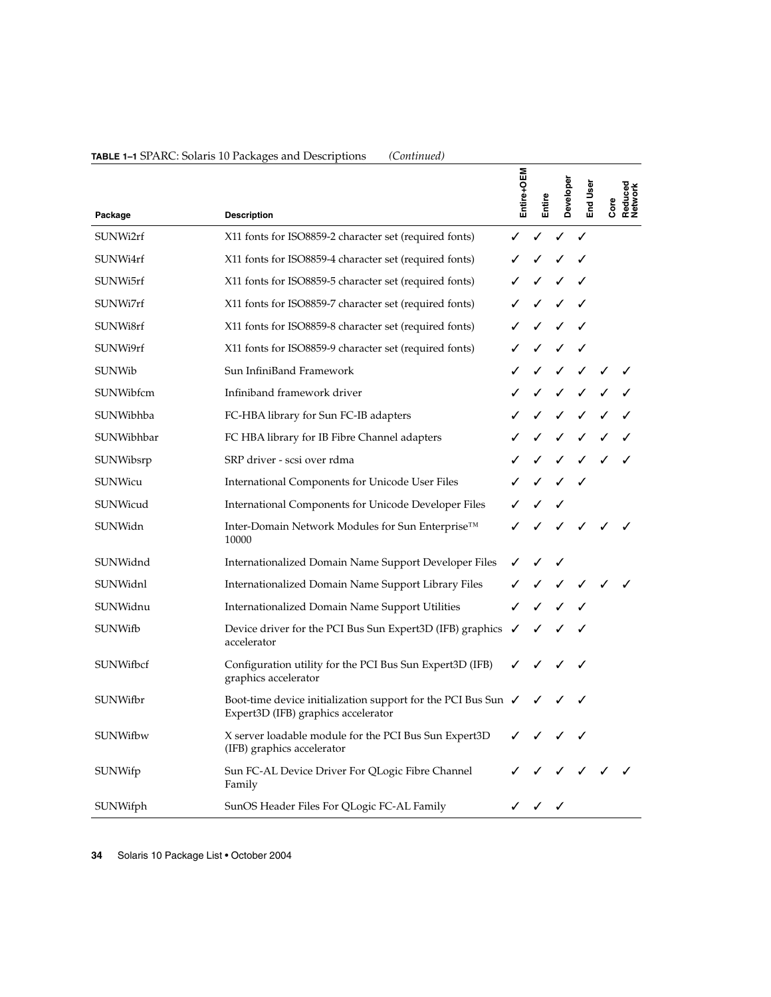| Package          | <b>Description</b>                                                                                              | Entire+OEM | Entire       | Developer | End User | Core | Reduced<br>Network |
|------------------|-----------------------------------------------------------------------------------------------------------------|------------|--------------|-----------|----------|------|--------------------|
| SUNWi2rf         | X11 fonts for ISO8859-2 character set (required fonts)                                                          | ✓          | $\checkmark$ | ✓         | ✓        |      |                    |
| SUNWi4rf         | X11 fonts for ISO8859-4 character set (required fonts)                                                          |            |              |           |          |      |                    |
| SUNWi5rf         | X11 fonts for ISO8859-5 character set (required fonts)                                                          |            |              |           |          |      |                    |
| SUNWi7rf         | X11 fonts for ISO8859-7 character set (required fonts)                                                          |            |              |           |          |      |                    |
| SUNWi8rf         | X11 fonts for ISO8859-8 character set (required fonts)                                                          |            |              |           |          |      |                    |
| SUNWi9rf         | X11 fonts for ISO8859-9 character set (required fonts)                                                          |            |              |           |          |      |                    |
| <b>SUNWib</b>    | Sun InfiniBand Framework                                                                                        |            |              |           |          |      |                    |
| <b>SUNWibfcm</b> | Infiniband framework driver                                                                                     |            |              |           |          |      |                    |
| SUNWibhba        | FC-HBA library for Sun FC-IB adapters                                                                           |            |              |           |          |      |                    |
| SUNWibhbar       | FC HBA library for IB Fibre Channel adapters                                                                    |            |              |           |          |      |                    |
| SUNWibsrp        | SRP driver - scsi over rdma                                                                                     |            |              |           |          |      |                    |
| <b>SUNWicu</b>   | International Components for Unicode User Files                                                                 |            |              |           |          |      |                    |
| SUNWicud         | International Components for Unicode Developer Files                                                            |            |              |           |          |      |                    |
| SUNWidn          | Inter-Domain Network Modules for Sun Enterprise™<br>10000                                                       |            |              |           |          |      |                    |
| SUNWidnd         | Internationalized Domain Name Support Developer Files                                                           |            |              |           |          |      |                    |
| SUNWidnl         | Internationalized Domain Name Support Library Files                                                             |            |              |           |          |      |                    |
| SUNWidnu         | Internationalized Domain Name Support Utilities                                                                 |            |              |           |          |      |                    |
| SUNWifb          | Device driver for the PCI Bus Sun Expert3D (IFB) graphics<br>accelerator                                        |            |              |           |          |      |                    |
| SUNWifbcf        | Configuration utility for the PCI Bus Sun Expert3D (IFB)<br>graphics accelerator                                | ✓          |              |           |          |      |                    |
| SUNWifbr         | Boot-time device initialization support for the PCI Bus Sun $\checkmark$<br>Expert3D (IFB) graphics accelerator |            |              |           |          |      |                    |
| SUNWifbw         | X server loadable module for the PCI Bus Sun Expert3D<br>(IFB) graphics accelerator                             |            | ✓            |           |          |      |                    |
| SUNWifp          | Sun FC-AL Device Driver For QLogic Fibre Channel<br>Family                                                      |            |              |           |          |      |                    |
| SUNWifph         | SunOS Header Files For QLogic FC-AL Family                                                                      |            | ✓            |           |          |      |                    |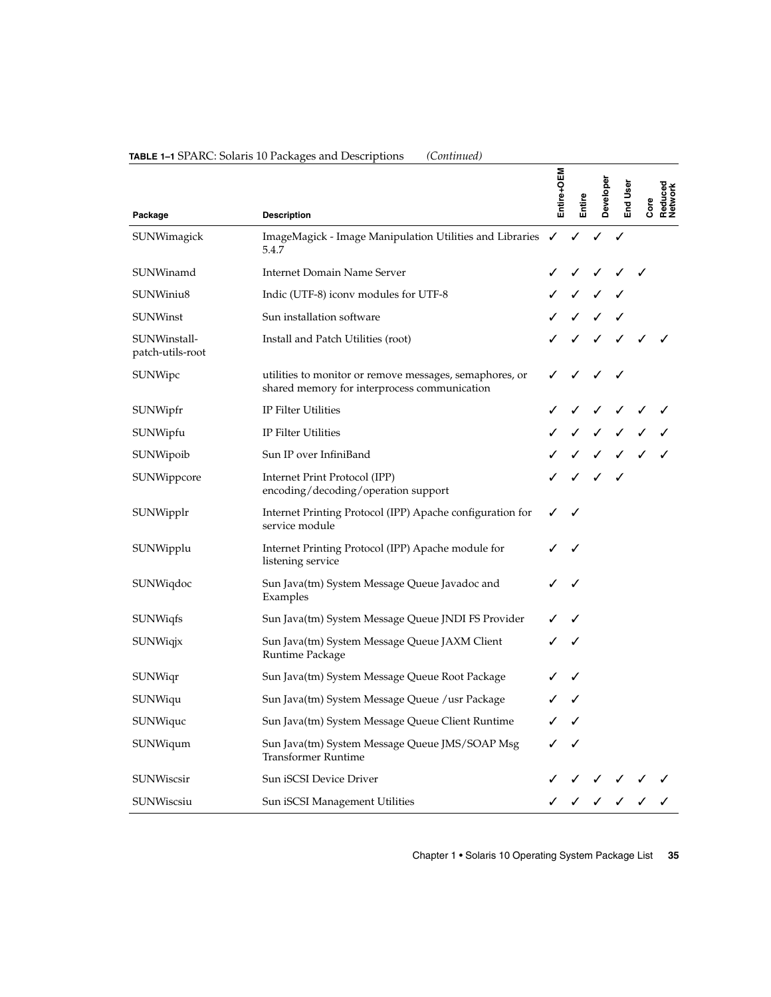| Package                          | <b>Description</b>                                                                                      | Entire+OEM | Entire       | Developer    | End User     | Core | Reduced<br>Network |
|----------------------------------|---------------------------------------------------------------------------------------------------------|------------|--------------|--------------|--------------|------|--------------------|
| SUNWimagick                      | ImageMagick - Image Manipulation Utilities and Libraries<br>5.4.7                                       | ✓          | ✓            | ✓            | ✓            |      |                    |
| SUNWinamd                        | Internet Domain Name Server                                                                             |            |              | $\checkmark$ | $\checkmark$ |      |                    |
| SUNWiniu8                        | Indic (UTF-8) iconv modules for UTF-8                                                                   |            |              | ✓            |              |      |                    |
| <b>SUNWinst</b>                  | Sun installation software                                                                               |            |              |              |              |      |                    |
| SUNWinstall-<br>patch-utils-root | Install and Patch Utilities (root)                                                                      |            |              |              | ✓            |      |                    |
| SUNWipc                          | utilities to monitor or remove messages, semaphores, or<br>shared memory for interprocess communication |            |              |              |              |      |                    |
| SUNWipfr                         | IP Filter Utilities                                                                                     |            |              |              |              |      |                    |
| SUNWipfu                         | IP Filter Utilities                                                                                     |            |              |              |              |      |                    |
| SUNWipoib                        | Sun IP over InfiniBand                                                                                  |            |              |              |              |      |                    |
| SUNWippcore                      | Internet Print Protocol (IPP)<br>encoding/decoding/operation support                                    |            |              |              |              |      |                    |
| SUNWipplr                        | Internet Printing Protocol (IPP) Apache configuration for<br>service module                             | ✓          |              |              |              |      |                    |
| SUNWipplu                        | Internet Printing Protocol (IPP) Apache module for<br>listening service                                 |            |              |              |              |      |                    |
| SUNWiqdoc                        | Sun Java(tm) System Message Queue Javadoc and<br>Examples                                               |            |              |              |              |      |                    |
| SUNWiqfs                         | Sun Java(tm) System Message Queue JNDI FS Provider                                                      |            |              |              |              |      |                    |
| SUNWiqjx                         | Sun Java(tm) System Message Queue JAXM Client<br>Runtime Package                                        | ✓          |              |              |              |      |                    |
| SUNWiqr                          | Sun Java(tm) System Message Queue Root Package                                                          |            |              |              |              |      |                    |
| SUNWiqu                          | Sun Java(tm) System Message Queue /usr Package                                                          |            | ✓            |              |              |      |                    |
| SUNWique                         | Sun Java(tm) System Message Queue Client Runtime                                                        | ℐ          | ✓            |              |              |      |                    |
| SUNWiqum                         | Sun Java(tm) System Message Queue JMS/SOAP Msg<br><b>Transformer Runtime</b>                            | ✓          | ✓            |              |              |      |                    |
| <b>SUNWiscsir</b>                | Sun iSCSI Device Driver                                                                                 |            |              |              |              |      |                    |
| SUNWiscsiu                       | Sun iSCSI Management Utilities                                                                          |            | $\checkmark$ | $\checkmark$ | $\checkmark$ | ✓    |                    |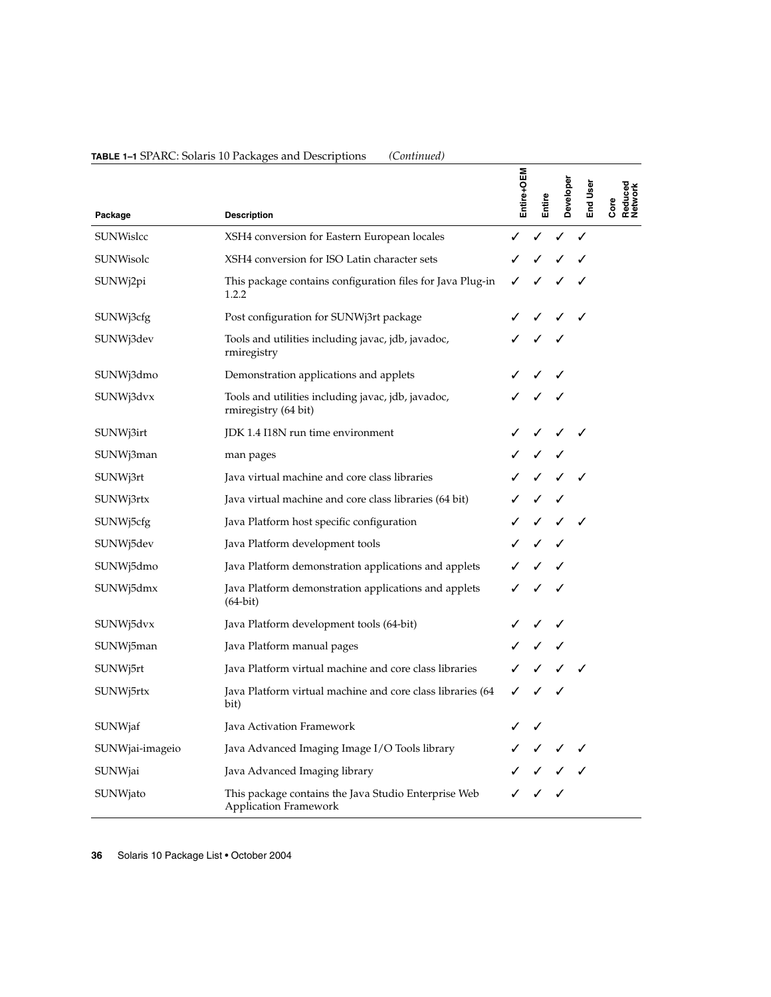| Package          | $\sqrt{2}$<br><b>Description</b>                                              | Entire+OEM | Entire       | Developer                              | End User | Reduced<br>Network<br>Core |
|------------------|-------------------------------------------------------------------------------|------------|--------------|----------------------------------------|----------|----------------------------|
| <b>SUNWislcc</b> | XSH4 conversion for Eastern European locales                                  |            |              |                                        |          |                            |
| <b>SUNWisolc</b> | XSH4 conversion for ISO Latin character sets                                  |            |              |                                        |          |                            |
| SUNWj2pi         | This package contains configuration files for Java Plug-in<br>1.2.2           |            |              |                                        |          |                            |
| SUNWj3cfg        | Post configuration for SUNWj3rt package                                       |            |              |                                        |          |                            |
| SUNWj3dev        | Tools and utilities including javac, jdb, javadoc,<br>rmiregistry             |            |              |                                        |          |                            |
| SUNWj3dmo        | Demonstration applications and applets                                        |            |              |                                        |          |                            |
| SUNWj3dvx        | Tools and utilities including javac, jdb, javadoc,<br>rmiregistry (64 bit)    |            |              |                                        |          |                            |
| SUNWj3irt        | JDK 1.4 I18N run time environment                                             |            |              |                                        | ✓        |                            |
| SUNWj3man        | man pages                                                                     |            |              |                                        |          |                            |
| SUNWj3rt         | Java virtual machine and core class libraries                                 |            |              |                                        | ✓        |                            |
| SUNWj3rtx        | Java virtual machine and core class libraries (64 bit)                        |            |              |                                        |          |                            |
| SUNWj5cfg        | Java Platform host specific configuration                                     |            |              | ✓                                      | ✓        |                            |
| SUNWj5dev        | Java Platform development tools                                               |            |              |                                        |          |                            |
| SUNWj5dmo        | Java Platform demonstration applications and applets                          |            | ✓            |                                        |          |                            |
| SUNWj5dmx        | Java Platform demonstration applications and applets<br>$(64-bit)$            |            | $\checkmark$ |                                        |          |                            |
| SUNWj5dvx        | Java Platform development tools (64-bit)                                      |            |              |                                        |          |                            |
| SUNWj5man        | Java Platform manual pages                                                    |            |              |                                        |          |                            |
| SUNWj5rt         | Java Platform virtual machine and core class libraries                        |            |              |                                        |          |                            |
| SUNWj5rtx        | Java Platform virtual machine and core class libraries (64<br>bit)            |            |              |                                        |          |                            |
| SUNWjaf          | Java Activation Framework                                                     |            |              |                                        |          |                            |
| SUNWjai-imageio  | Java Advanced Imaging Image I/O Tools library                                 |            |              | $\checkmark$ $\checkmark$              |          |                            |
| SUNWjai          | Java Advanced Imaging library                                                 |            |              | $\checkmark$ $\checkmark$ $\checkmark$ |          |                            |
| SUNWjato         | This package contains the Java Studio Enterprise Web<br>Application Framework |            | ✓ ✓ ✓        |                                        |          |                            |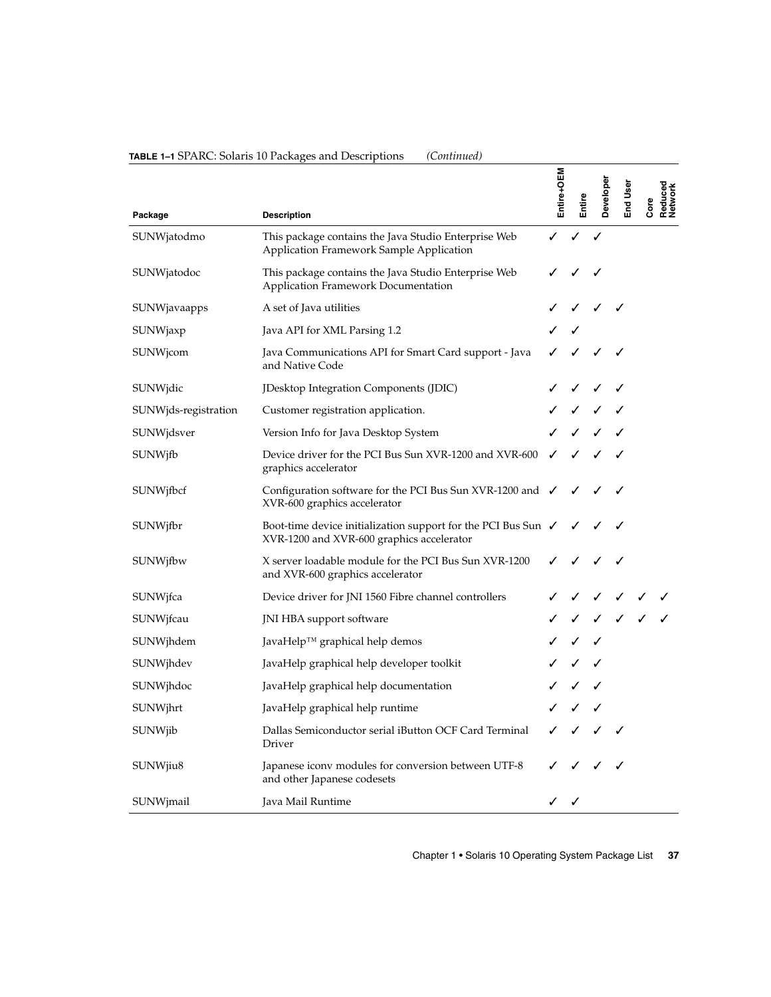| Package                          | <b>ELLETT</b> STIRE. COMILS TO I ackages and Descriptions<br>$\sqrt{2}$<br><b>Description</b>                         | Entire+OEM | Entire | Developer | End User | Core |  |
|----------------------------------|-----------------------------------------------------------------------------------------------------------------------|------------|--------|-----------|----------|------|--|
| SUNWjatodmo                      | This package contains the Java Studio Enterprise Web<br>Application Framework Sample Application                      | ✓          | ✓      | ✓         |          |      |  |
| SUNWjatodoc                      | This package contains the Java Studio Enterprise Web<br>Application Framework Documentation                           |            |        |           |          |      |  |
| SUNWjavaapps                     | A set of Java utilities                                                                                               |            |        | ✓         | ✓        |      |  |
| SUNWjaxp                         | Java API for XML Parsing 1.2                                                                                          |            |        |           |          |      |  |
| SUNWjcom                         | Java Communications API for Smart Card support - Java<br>and Native Code                                              |            |        |           |          |      |  |
| SUNWjdic                         | JDesktop Integration Components (JDIC)                                                                                |            |        |           |          |      |  |
| SUNW <sub>jds-registration</sub> | Customer registration application.                                                                                    |            |        |           |          |      |  |
| SUNWjdsver                       | Version Info for Java Desktop System                                                                                  |            |        |           |          |      |  |
| SUNWifb                          | Device driver for the PCI Bus Sun XVR-1200 and XVR-600<br>graphics accelerator                                        | ✓          |        |           |          |      |  |
| SUNWifbcf                        | Configuration software for the PCI Bus Sun XVR-1200 and √<br>XVR-600 graphics accelerator                             |            |        |           |          |      |  |
| SUNWjfbr                         | Boot-time device initialization support for the PCI Bus Sun $\checkmark$<br>XVR-1200 and XVR-600 graphics accelerator |            |        |           |          |      |  |
| SUNWjfbw                         | X server loadable module for the PCI Bus Sun XVR-1200<br>and XVR-600 graphics accelerator                             |            |        |           |          |      |  |
| SUNWjfca                         | Device driver for JNI 1560 Fibre channel controllers                                                                  |            |        |           |          |      |  |
| SUNWjfcau                        | JNI HBA support software                                                                                              |            |        | ✓         | ✓        |      |  |
| SUNWjhdem                        | JavaHelp™ graphical help demos                                                                                        |            | ✓      |           |          |      |  |
| SUNWjhdev                        | JavaHelp graphical help developer toolkit                                                                             |            | ✓      |           |          |      |  |
| SUNWjhdoc                        | JavaHelp graphical help documentation                                                                                 |            |        |           |          |      |  |
| SUNWjhrt                         | JavaHelp graphical help runtime                                                                                       |            |        |           |          |      |  |
| SUNWjib                          | Dallas Semiconductor serial iButton OCF Card Terminal<br>Driver                                                       |            |        |           |          |      |  |
| SUNWjiu8                         | Japanese iconv modules for conversion between UTF-8<br>and other Japanese codesets                                    |            |        |           |          |      |  |
| SUNWjmail                        | Java Mail Runtime                                                                                                     |            | ✓      |           |          |      |  |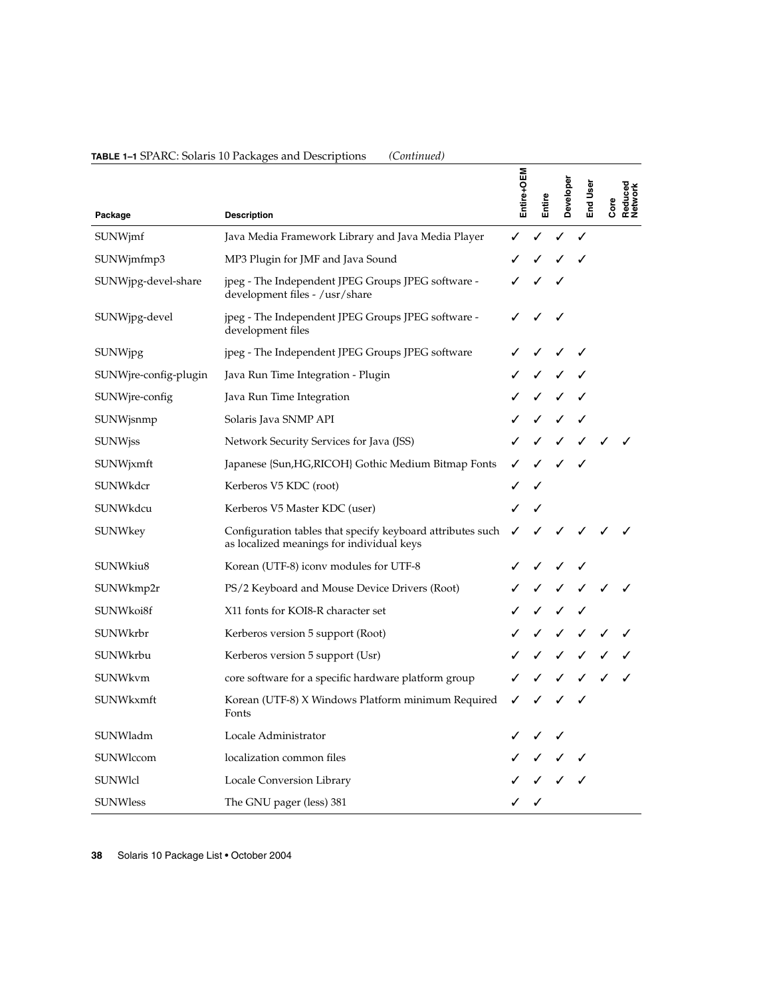|                       |                                                                                                         | Entire+OEM | Entire | Developer    |   | End User |      | Reduced<br>Network |
|-----------------------|---------------------------------------------------------------------------------------------------------|------------|--------|--------------|---|----------|------|--------------------|
| Package               | <b>Description</b>                                                                                      |            |        |              |   |          | Core |                    |
| SUNWjmf               | Java Media Framework Library and Java Media Player                                                      | ✓          | ✓      | $\checkmark$ | ✓ |          |      |                    |
| SUNWjmfmp3            | MP3 Plugin for JMF and Java Sound                                                                       |            |        |              |   |          |      |                    |
| SUNWjpg-devel-share   | jpeg - The Independent JPEG Groups JPEG software -<br>development files - /usr/share                    |            |        |              |   |          |      |                    |
| SUNWjpg-devel         | jpeg - The Independent JPEG Groups JPEG software -<br>development files                                 |            |        |              |   |          |      |                    |
| SUNWjpg               | jpeg - The Independent JPEG Groups JPEG software                                                        |            |        |              |   |          |      |                    |
| SUNWjre-config-plugin | Java Run Time Integration - Plugin                                                                      |            |        |              |   |          |      |                    |
| SUNWjre-config        | Java Run Time Integration                                                                               |            |        |              |   |          |      |                    |
| SUNWjsnmp             | Solaris Java SNMP API                                                                                   |            |        |              |   |          |      |                    |
| <b>SUNWjss</b>        | Network Security Services for Java (JSS)                                                                |            |        |              |   |          |      |                    |
| SUNWjxmft             | Japanese {Sun,HG,RICOH} Gothic Medium Bitmap Fonts                                                      |            |        |              |   |          |      |                    |
| SUNWkdcr              | Kerberos V5 KDC (root)                                                                                  |            |        |              |   |          |      |                    |
| SUNWkdcu              | Kerberos V5 Master KDC (user)                                                                           | ✓          | ✓      |              |   |          |      |                    |
| SUNWkey               | Configuration tables that specify keyboard attributes such<br>as localized meanings for individual keys | ✓          |        |              |   |          |      |                    |
| SUNWkiu8              | Korean (UTF-8) icony modules for UTF-8                                                                  |            |        |              |   |          |      |                    |
| SUNWkmp2r             | PS/2 Keyboard and Mouse Device Drivers (Root)                                                           |            |        |              |   |          |      |                    |
| SUNWkoi8f             | X11 fonts for KOI8-R character set                                                                      |            |        |              |   |          |      |                    |
| SUNWkrbr              | Kerberos version 5 support (Root)                                                                       |            |        |              |   |          |      |                    |
| SUNWkrbu              | Kerberos version 5 support (Usr)                                                                        |            |        |              |   |          |      |                    |
| SUNWkvm               | core software for a specific hardware platform group                                                    |            |        |              |   |          |      |                    |
| SUNWkxmft             | Korean (UTF-8) X Windows Platform minimum Required<br>Fonts                                             | ✓          | ✓      |              |   |          |      |                    |
| SUNWladm              | Locale Administrator                                                                                    |            |        |              |   |          |      |                    |
| <b>SUNWlccom</b>      | localization common files                                                                               |            |        |              |   |          |      |                    |
| <b>SUNWICI</b>        | Locale Conversion Library                                                                               |            |        | ✓            |   |          |      |                    |
| <b>SUNWless</b>       | The GNU pager (less) 381                                                                                |            | ✓      |              |   |          |      |                    |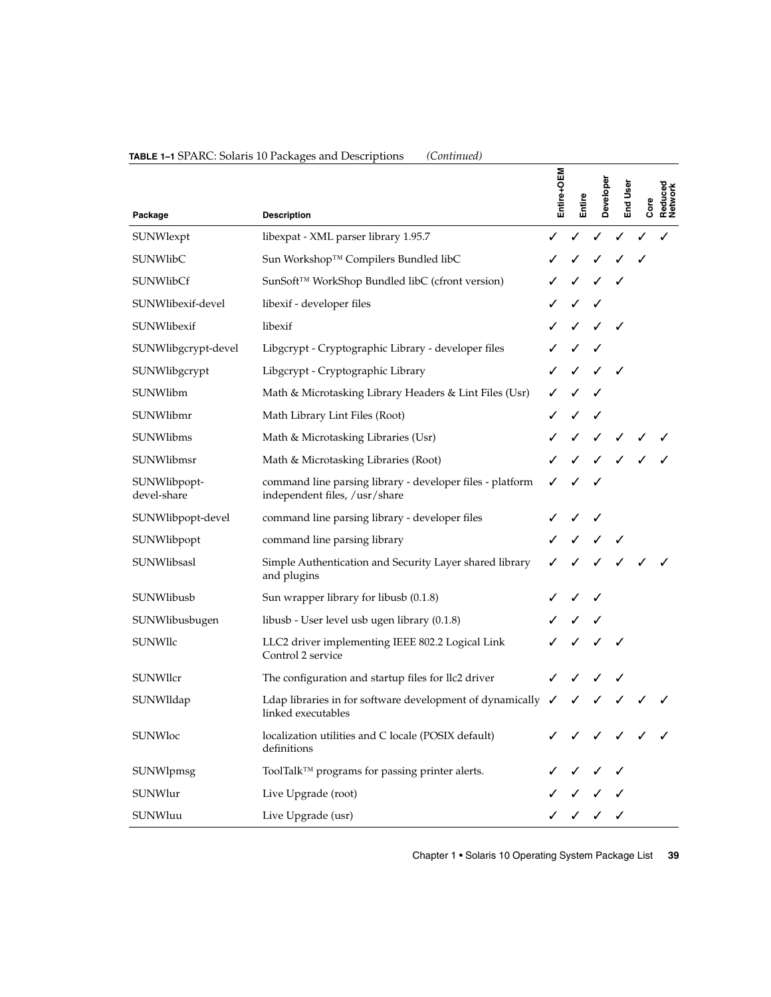| Package                     | <b>Description</b>                                                                         | Entire+OEM | Entire       | Developer                              | <b>End User</b> | Core | Reduced<br>Network |
|-----------------------------|--------------------------------------------------------------------------------------------|------------|--------------|----------------------------------------|-----------------|------|--------------------|
| SUNWlexpt                   | libexpat - XML parser library 1.95.7                                                       |            |              |                                        |                 |      |                    |
| <b>SUNWlibC</b>             | Sun Workshop™ Compilers Bundled libC                                                       |            |              |                                        | ✓               |      |                    |
| SUNWlibCf                   | SunSoft™ WorkShop Bundled libC (cfront version)                                            |            |              |                                        |                 |      |                    |
| SUNWlibexif-devel           | libexif - developer files                                                                  |            | ✓            | ✓                                      |                 |      |                    |
| SUNWlibexif                 | libexif                                                                                    |            | ✓            | ✓                                      | ✓               |      |                    |
| SUNWlibgcrypt-devel         | Libgcrypt - Cryptographic Library - developer files                                        |            | ✓            | ✓                                      |                 |      |                    |
| SUNWlibgcrypt               | Libgcrypt - Cryptographic Library                                                          |            |              | ✓                                      | ✓               |      |                    |
| <b>SUNWlibm</b>             | Math & Microtasking Library Headers & Lint Files (Usr)                                     |            |              |                                        |                 |      |                    |
| SUNWlibmr                   | Math Library Lint Files (Root)                                                             |            |              |                                        |                 |      |                    |
| <b>SUNWlibms</b>            | Math & Microtasking Libraries (Usr)                                                        |            |              |                                        | $\checkmark$    |      |                    |
| <b>SUNWlibmsr</b>           | Math & Microtasking Libraries (Root)                                                       |            |              |                                        |                 |      |                    |
| SUNWlibpopt-<br>devel-share | command line parsing library - developer files - platform<br>independent files, /usr/share |            |              |                                        |                 |      |                    |
| SUNWlibpopt-devel           | command line parsing library - developer files                                             |            |              |                                        |                 |      |                    |
| SUNWlibpopt                 | command line parsing library                                                               |            |              | ✓                                      | ✓               |      |                    |
| <b>SUNWlibsasl</b>          | Simple Authentication and Security Layer shared library<br>and plugins                     |            |              |                                        |                 |      |                    |
| SUNWlibusb                  | Sun wrapper library for libusb (0.1.8)                                                     |            |              |                                        |                 |      |                    |
| SUNWlibusbugen              | libusb - User level usb ugen library (0.1.8)                                               |            |              |                                        |                 |      |                    |
| SUNWIIc                     | LLC2 driver implementing IEEE 802.2 Logical Link<br>Control 2 service                      |            |              |                                        |                 |      |                    |
| SUNWllcr                    | The configuration and startup files for llc2 driver                                        |            |              |                                        |                 |      |                    |
| SUNWlldap                   | Ldap libraries in for software development of dynamically<br>linked executables            |            |              |                                        |                 |      |                    |
| SUNWloc                     | localization utilities and C locale (POSIX default)<br>definitions                         |            | $\checkmark$ |                                        | 1 1 1 1         |      |                    |
| SUNWlpmsg                   | ToolTalk™ programs for passing printer alerts.                                             |            |              |                                        |                 |      |                    |
| SUNWlur                     | Live Upgrade (root)                                                                        |            |              | $\checkmark$ $\checkmark$ $\checkmark$ |                 |      |                    |
| SUNWluu                     | Live Upgrade (usr)                                                                         |            |              | $\checkmark$ $\checkmark$ $\checkmark$ |                 |      |                    |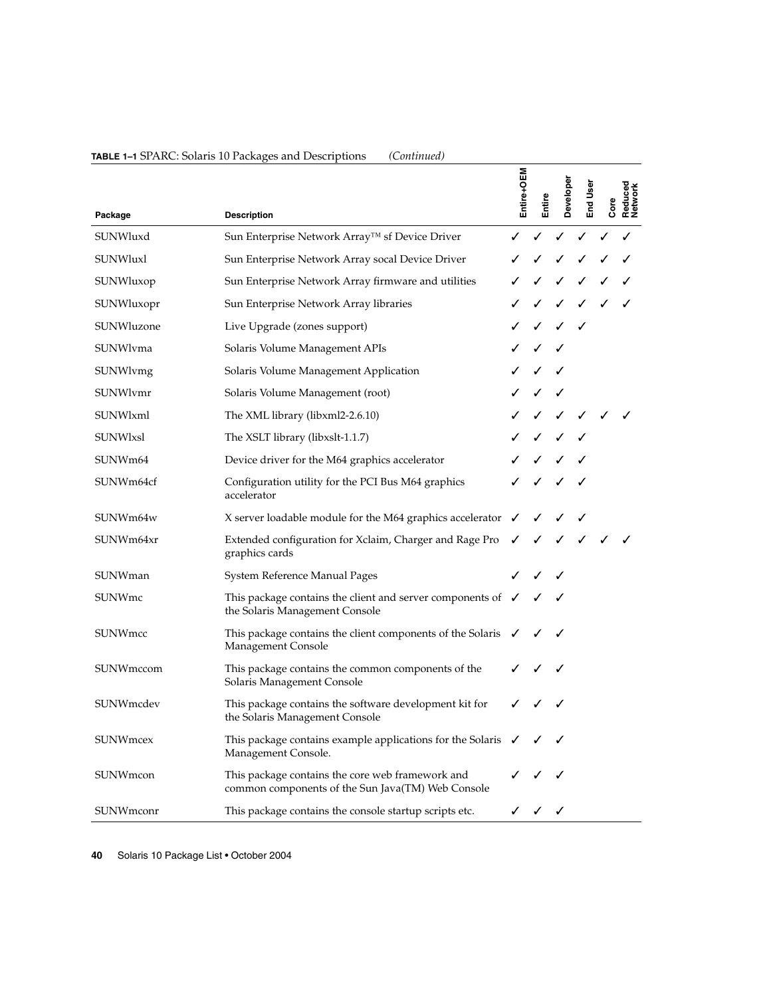|                  |                                                                                                       | Entire+OEM | Entire     | Developer | <b>End User</b> | Core         | Reduced<br>Network |
|------------------|-------------------------------------------------------------------------------------------------------|------------|------------|-----------|-----------------|--------------|--------------------|
| Package          | <b>Description</b>                                                                                    |            |            |           |                 |              |                    |
| SUNWluxd         | Sun Enterprise Network Array™ sf Device Driver                                                        | ✓          | ✓          | ✓         | ✓               |              |                    |
| SUNWluxl         | Sun Enterprise Network Array socal Device Driver                                                      |            |            |           |                 |              |                    |
| SUNWluxop        | Sun Enterprise Network Array firmware and utilities                                                   |            |            |           |                 |              |                    |
| SUNWluxopr       | Sun Enterprise Network Array libraries                                                                |            |            |           |                 |              |                    |
| SUNWluzone       | Live Upgrade (zones support)                                                                          |            |            |           |                 |              |                    |
| SUNWlyma         | Solaris Volume Management APIs                                                                        |            | $\epsilon$ | ✓         |                 |              |                    |
| SUNWlymg         | Solaris Volume Management Application                                                                 |            |            |           |                 |              |                    |
| SUNWlymr         | Solaris Volume Management (root)                                                                      |            | ✓          |           |                 |              |                    |
| SUNWlxml         | The XML library (libxml2-2.6.10)                                                                      |            |            |           | ✓               | $\checkmark$ | ✓                  |
| SUNW1xs1         | The XSLT library (libxslt-1.1.7)                                                                      |            |            |           |                 |              |                    |
| SUNWm64          | Device driver for the M64 graphics accelerator                                                        |            |            |           |                 |              |                    |
| SUNWm64cf        | Configuration utility for the PCI Bus M64 graphics<br>accelerator                                     |            |            |           |                 |              |                    |
| SUNWm64w         | X server loadable module for the M64 graphics accelerator                                             |            |            |           |                 |              |                    |
| SUNWm64xr        | Extended configuration for Xclaim, Charger and Rage Pro<br>graphics cards                             |            |            |           |                 |              |                    |
| SUNWman          | System Reference Manual Pages                                                                         | ✓          |            |           |                 |              |                    |
| SUNWmc           | This package contains the client and server components of<br>the Solaris Management Console           | ✓          |            |           |                 |              |                    |
| <b>SUNWmcc</b>   | This package contains the client components of the Solaris<br>Management Console                      | ✓          | ✓          |           |                 |              |                    |
| <b>SUNWmccom</b> | This package contains the common components of the<br>Solaris Management Console                      | ✓          |            |           |                 |              |                    |
| SUNWmcdev        | This package contains the software development kit for<br>the Solaris Management Console              | ✓          | ✓          |           |                 |              |                    |
| <b>SUNWmcex</b>  | This package contains example applications for the Solaris<br>Management Console.                     |            | ✓          |           |                 |              |                    |
| <b>SUNWmcon</b>  | This package contains the core web framework and<br>common components of the Sun Java(TM) Web Console | ✓          | ✓          |           |                 |              |                    |
| SUNWmconr        | This package contains the console startup scripts etc.                                                | ✓          | ✓          | ✓         |                 |              |                    |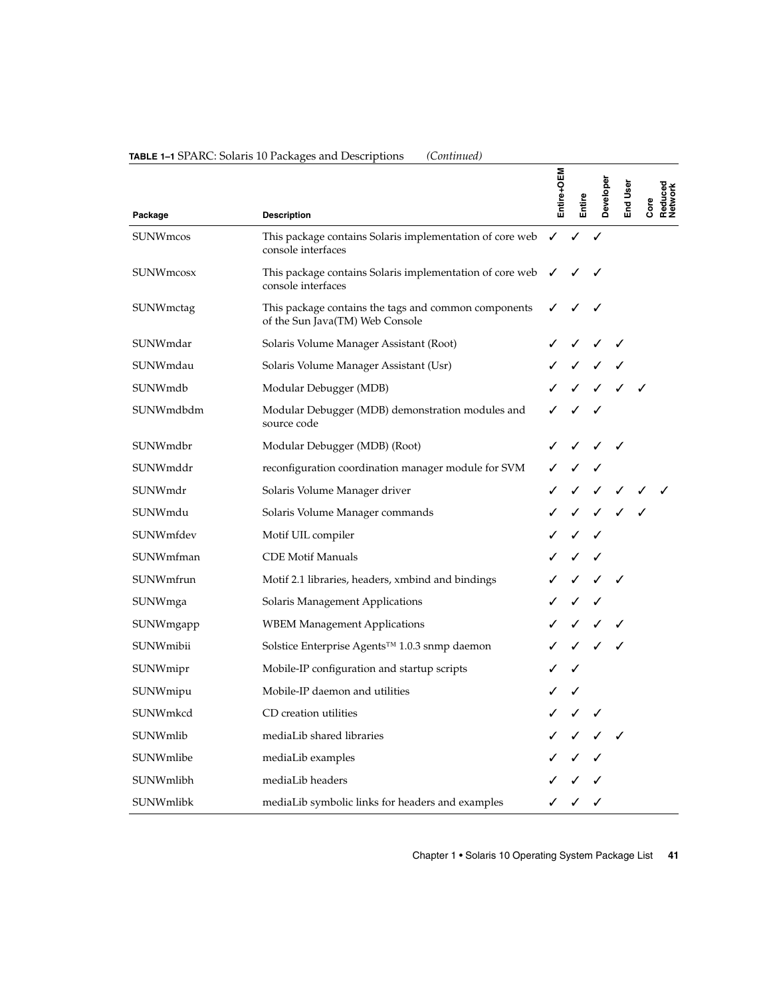| Package          | <b>ELLETT</b> STIRE. COMILS TO I ackages and Descriptions<br>$\sqrt{2}$<br><b>Description</b> | Entire+OEM | Entire       | Developer | End User | Core |  |
|------------------|-----------------------------------------------------------------------------------------------|------------|--------------|-----------|----------|------|--|
| <b>SUNWmcos</b>  | This package contains Solaris implementation of core web<br>console interfaces                | ✓          | ✓            | ✓         |          |      |  |
| <b>SUNWmcosx</b> | This package contains Solaris implementation of core web<br>console interfaces                | ✓          | ✓            |           |          |      |  |
| SUNWmctag        | This package contains the tags and common components<br>of the Sun Java(TM) Web Console       | ✓          | $\checkmark$ |           |          |      |  |
| SUNWmdar         | Solaris Volume Manager Assistant (Root)                                                       |            |              |           | ✓        |      |  |
| SUNWmdau         | Solaris Volume Manager Assistant (Usr)                                                        |            |              |           |          |      |  |
| SUNWmdb          | Modular Debugger (MDB)                                                                        |            |              |           |          |      |  |
| SUNWmdbdm        | Modular Debugger (MDB) demonstration modules and<br>source code                               |            |              |           |          |      |  |
| SUNWmdbr         | Modular Debugger (MDB) (Root)                                                                 |            |              |           |          |      |  |
| SUNWmddr         | reconfiguration coordination manager module for SVM                                           |            |              |           |          |      |  |
| SUNWmdr          | Solaris Volume Manager driver                                                                 |            |              |           |          |      |  |
| SUNWmdu          | Solaris Volume Manager commands                                                               |            |              |           |          |      |  |
| SUNWmfdev        | Motif UIL compiler                                                                            |            |              |           |          |      |  |
| SUNWmfman        | <b>CDE Motif Manuals</b>                                                                      |            | ✓            |           |          |      |  |
| SUNWmfrun        | Motif 2.1 libraries, headers, xmbind and bindings                                             |            |              |           |          |      |  |
| SUNWmga          | Solaris Management Applications                                                               |            |              |           |          |      |  |
| SUNWmgapp        | <b>WBEM Management Applications</b>                                                           |            | J            | ✓         | ✓        |      |  |
| SUNWmibii        | Solstice Enterprise Agents <sup>™</sup> 1.0.3 snmp daemon                                     |            |              | ✓         |          |      |  |
| SUNWmipr         | Mobile-IP configuration and startup scripts                                                   |            | ✓            |           |          |      |  |
| SUNWmipu         | Mobile-IP daemon and utilities                                                                |            |              |           |          |      |  |
| SUNWmkcd         | CD creation utilities                                                                         |            | ✓            |           |          |      |  |
| SUNWmlib         | mediaLib shared libraries                                                                     |            |              |           |          |      |  |
| SUNWmlibe        | mediaLib examples                                                                             |            |              |           |          |      |  |
| SUNWmlibh        | mediaLib headers                                                                              |            |              |           |          |      |  |
| SUNWmlibk        | mediaLib symbolic links for headers and examples                                              |            | ✓            | ✓         |          |      |  |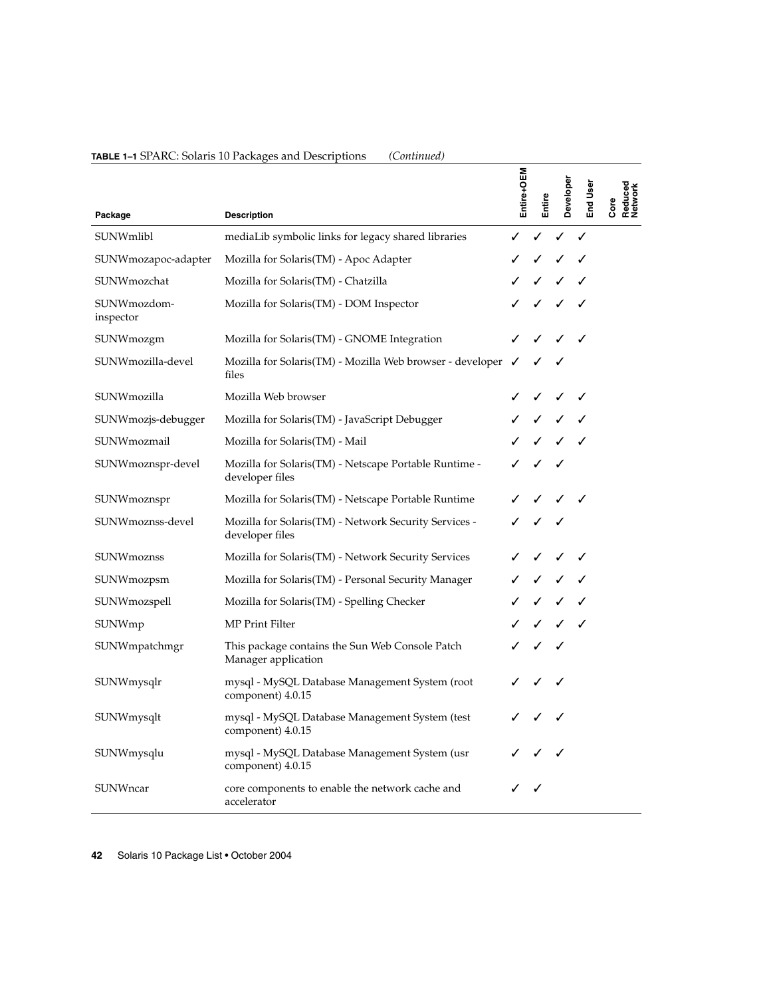| Package                  | <b>Description</b>                                                       | Entire+OEM |              | Entire | Developer    | <b>End User</b> | Core<br>Reduced<br>Network |
|--------------------------|--------------------------------------------------------------------------|------------|--------------|--------|--------------|-----------------|----------------------------|
| SUNWmlibl                | mediaLib symbolic links for legacy shared libraries                      | ✓          |              |        |              |                 |                            |
| SUNWmozapoc-adapter      | Mozilla for Solaris(TM) - Apoc Adapter                                   |            |              |        | ✓            |                 |                            |
| SUNWmozchat              | Mozilla for Solaris(TM) - Chatzilla                                      |            |              |        |              |                 |                            |
| SUNWmozdom-<br>inspector | Mozilla for Solaris(TM) - DOM Inspector                                  |            |              |        |              |                 |                            |
| SUNWmozgm                | Mozilla for Solaris(TM) - GNOME Integration                              |            |              |        |              |                 |                            |
| SUNWmozilla-devel        | Mozilla for Solaris(TM) - Mozilla Web browser - developer<br>files       | ✓          | ✓            |        |              |                 |                            |
| SUNWmozilla              | Mozilla Web browser                                                      |            | $\checkmark$ |        | $\checkmark$ | ✓               |                            |
| SUNWmozjs-debugger       | Mozilla for Solaris(TM) - JavaScript Debugger                            |            |              |        |              |                 |                            |
| SUNWmozmail              | Mozilla for Solaris(TM) - Mail                                           |            |              |        |              |                 |                            |
| SUNWmoznspr-devel        | Mozilla for Solaris(TM) - Netscape Portable Runtime -<br>developer files |            |              |        |              |                 |                            |
| SUNWmoznspr              | Mozilla for Solaris(TM) - Netscape Portable Runtime                      |            |              |        | ✓            | ✓               |                            |
| SUNWmoznss-devel         | Mozilla for Solaris(TM) - Network Security Services -<br>developer files |            |              |        |              |                 |                            |
| <b>SUNWmoznss</b>        | Mozilla for Solaris(TM) - Network Security Services                      |            |              |        |              |                 |                            |
| SUNWmozpsm               | Mozilla for Solaris(TM) - Personal Security Manager                      |            |              |        |              |                 |                            |
| SUNWmozspell             | Mozilla for Solaris(TM) - Spelling Checker                               |            |              |        | ✓            |                 |                            |
| SUNWmp                   | <b>MP Print Filter</b>                                                   |            |              |        | ✓            | ✓               |                            |
| SUNWmpatchmgr            | This package contains the Sun Web Console Patch<br>Manager application   |            |              |        |              |                 |                            |
| SUNWmysqlr               | mysql - MySQL Database Management System (root<br>component) 4.0.15      |            | $\checkmark$ |        |              |                 |                            |
| SUNWmysqlt               | mysql - MySQL Database Management System (test<br>component) 4.0.15      |            |              |        |              |                 |                            |
| SUNWmysqlu               | mysql - MySQL Database Management System (usr<br>component) 4.0.15       |            | $\checkmark$ |        |              |                 |                            |
| SUNWncar                 | core components to enable the network cache and<br>accelerator           |            |              |        |              |                 |                            |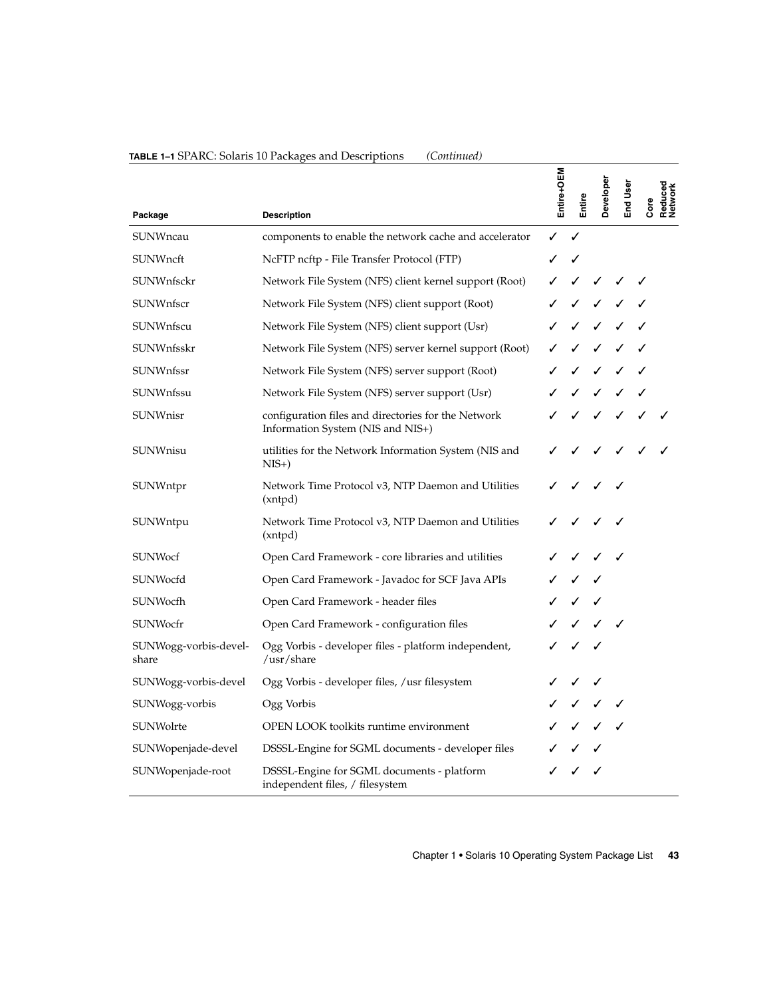|                                | <b>ADLL T</b> TOTTING: DOMEIS TO I ACKAGES ATM DESCRIPTIONS<br>$\sqrt{2}$                | Entire+OEM | Entire | Developer | End User | Core | Reduced<br>Network |
|--------------------------------|------------------------------------------------------------------------------------------|------------|--------|-----------|----------|------|--------------------|
| Package<br><b>SUNWncau</b>     | <b>Description</b><br>components to enable the network cache and accelerator             | ✓          | ✓      |           |          |      |                    |
| SUNWncft                       | NcFTP ncftp - File Transfer Protocol (FTP)                                               | ✓          | ✓      |           |          |      |                    |
| SUNWnfsckr                     | Network File System (NFS) client kernel support (Root)                                   |            | ✓      | ✓         | ✓        | ✓    |                    |
| SUNWnfscr                      | Network File System (NFS) client support (Root)                                          |            |        |           |          |      |                    |
| SUNWnfscu                      | Network File System (NFS) client support (Usr)                                           |            |        |           |          |      |                    |
| SUNWnfsskr                     | Network File System (NFS) server kernel support (Root)                                   |            |        |           |          |      |                    |
| SUNWnfssr                      | Network File System (NFS) server support (Root)                                          |            |        |           |          |      |                    |
| SUNWnfssu                      | Network File System (NFS) server support (Usr)                                           |            |        |           |          |      |                    |
| SUNWnisr                       | configuration files and directories for the Network<br>Information System (NIS and NIS+) |            |        |           |          |      |                    |
| SUNWnisu                       | utilities for the Network Information System (NIS and<br>$NIS+$                          |            |        |           |          |      |                    |
| SUNWntpr                       | Network Time Protocol v3, NTP Daemon and Utilities<br>(xntpd)                            |            |        |           |          |      |                    |
| SUNWntpu                       | Network Time Protocol v3, NTP Daemon and Utilities<br>(xntpd)                            |            |        |           |          |      |                    |
| <b>SUNWocf</b>                 | Open Card Framework - core libraries and utilities                                       |            |        |           |          |      |                    |
| SUNWocfd                       | Open Card Framework - Javadoc for SCF Java APIs                                          |            |        |           |          |      |                    |
| SUNWocfh                       | Open Card Framework - header files                                                       |            |        |           |          |      |                    |
| SUNWocfr                       | Open Card Framework - configuration files                                                |            |        | ✓         | ✓        |      |                    |
| SUNWogg-vorbis-devel-<br>share | Ogg Vorbis - developer files - platform independent,<br>/usr/share                       |            | ✓      |           |          |      |                    |
| SUNWogg-vorbis-devel           | Ogg Vorbis - developer files, /usr filesystem                                            |            | ✓      |           |          |      |                    |
| SUNWogg-vorbis                 | Ogg Vorbis                                                                               |            |        |           |          |      |                    |
| SUNWolrte                      | <b>OPEN LOOK</b> toolkits runtime environment                                            |            |        |           |          |      |                    |
| SUNWopenjade-devel             | DSSSL-Engine for SGML documents - developer files                                        |            |        |           |          |      |                    |
| SUNWopenjade-root              | DSSSL-Engine for SGML documents - platform<br>independent files, / filesystem            |            |        |           |          |      |                    |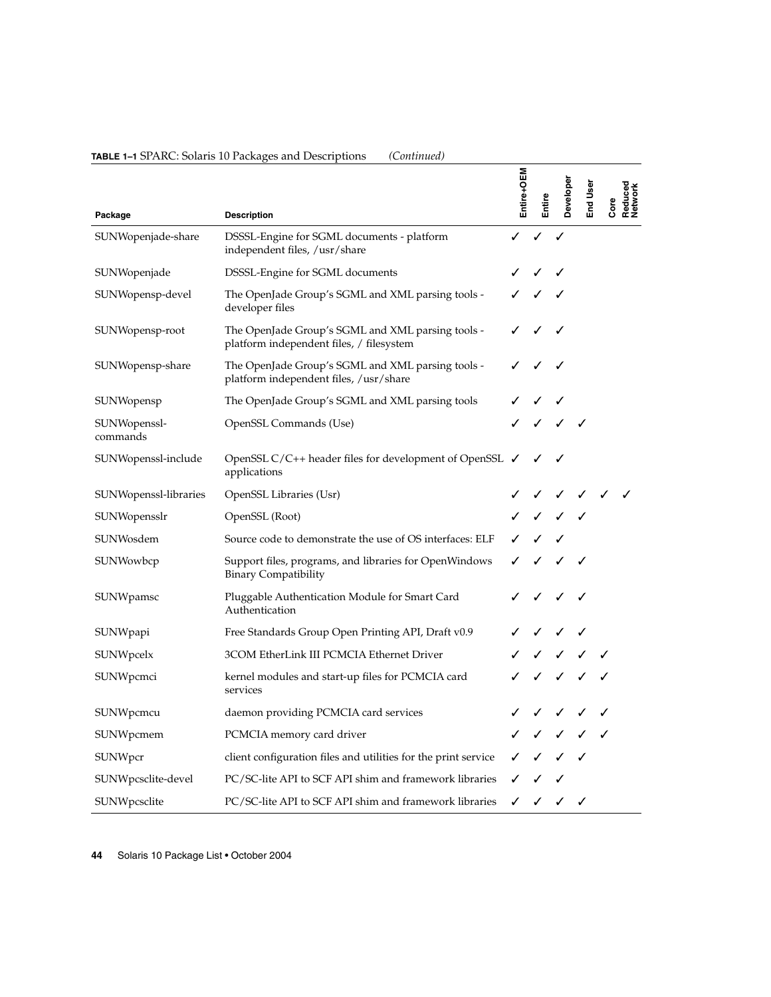| Package                  | <b>Description</b>                                                                            | Entire+OEM | Entire       | Developer | End User                  | Core | Reduced<br>Network |
|--------------------------|-----------------------------------------------------------------------------------------------|------------|--------------|-----------|---------------------------|------|--------------------|
| SUNWopenjade-share       | DSSSL-Engine for SGML documents - platform<br>independent files, /usr/share                   | ✓          | ✓            | ✓         |                           |      |                    |
| SUNWopenjade             | DSSSL-Engine for SGML documents                                                               |            |              |           |                           |      |                    |
| SUNWopensp-devel         | The OpenJade Group's SGML and XML parsing tools -<br>developer files                          |            | ✓            |           |                           |      |                    |
| SUNWopensp-root          | The OpenJade Group's SGML and XML parsing tools -<br>platform independent files, / filesystem |            | ✓            |           |                           |      |                    |
| SUNWopensp-share         | The OpenJade Group's SGML and XML parsing tools -<br>platform independent files, /usr/share   |            | ✓            |           |                           |      |                    |
| SUNWopensp               | The OpenJade Group's SGML and XML parsing tools                                               |            |              |           |                           |      |                    |
| SUNWopenssl-<br>commands | OpenSSL Commands (Use)                                                                        |            |              | ✓         | ✓                         |      |                    |
| SUNWopenssl-include      | OpenSSL $C/C++$ header files for development of OpenSSL $\checkmark$<br>applications          |            | ✓            |           |                           |      |                    |
| SUNWopenssl-libraries    | OpenSSL Libraries (Usr)                                                                       |            |              |           | $\checkmark$ $\checkmark$ |      |                    |
| SUNWopensslr             | OpenSSL (Root)                                                                                |            |              |           |                           |      |                    |
| SUNWosdem                | Source code to demonstrate the use of OS interfaces: ELF                                      |            |              |           |                           |      |                    |
| SUNWowbcp                | Support files, programs, and libraries for OpenWindows<br>Binary Compatibility                |            | ✓            | ✓         |                           |      |                    |
| SUNWpamsc                | Pluggable Authentication Module for Smart Card<br>Authentication                              |            |              | ✓         |                           |      |                    |
| SUNWpapi                 | Free Standards Group Open Printing API, Draft v0.9                                            |            |              |           |                           |      |                    |
| SUNWpcelx                | 3COM EtherLink III PCMCIA Ethernet Driver                                                     |            |              |           | ✓                         |      |                    |
| SUNWpcmci                | kernel modules and start-up files for PCMCIA card<br>services                                 |            |              |           |                           |      |                    |
| SUNWpcmcu                | daemon providing PCMCIA card services                                                         |            |              |           |                           |      |                    |
| SUNWpcmem                | PCMCIA memory card driver                                                                     |            |              | ✓         |                           |      |                    |
| SUNWpcr                  | client configuration files and utilities for the print service                                |            |              |           |                           |      |                    |
| SUNWpcsclite-devel       | PC/SC-lite API to SCF API shim and framework libraries                                        |            |              |           |                           |      |                    |
| SUNWpcsclite             | PC/SC-lite API to SCF API shim and framework libraries                                        | ✓          | $\checkmark$ | ✓         | ✓                         |      |                    |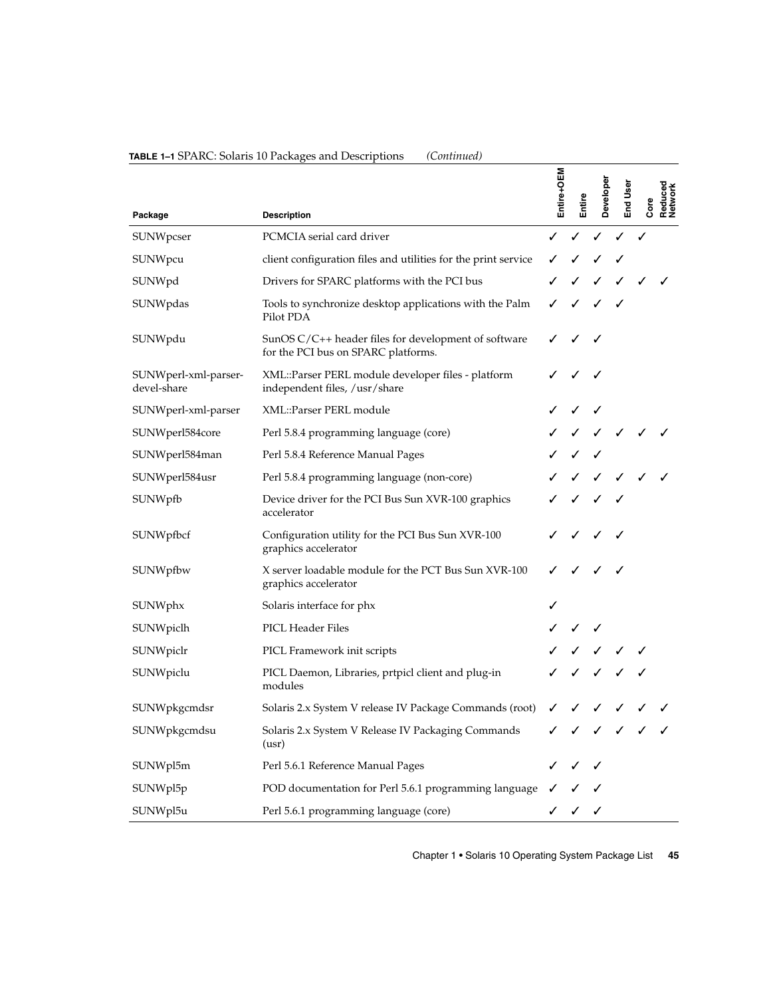| Package                             | <b>Description</b>                                                                            | Entire+OEM | Entire | Developer | End User | Core | Reduced<br>Network |
|-------------------------------------|-----------------------------------------------------------------------------------------------|------------|--------|-----------|----------|------|--------------------|
| SUNWpcser                           | PCMCIA serial card driver                                                                     | ✓          | ✓      | ✓         | ✓        | ✓    |                    |
| SUNWpcu                             | client configuration files and utilities for the print service                                |            |        |           |          |      |                    |
| SUNWpd                              | Drivers for SPARC platforms with the PCI bus                                                  |            |        |           |          |      |                    |
| SUNWpdas                            | Tools to synchronize desktop applications with the Palm<br>Pilot PDA                          | ✓          |        |           |          |      |                    |
| SUNWpdu                             | SunOS $C/C++$ header files for development of software<br>for the PCI bus on SPARC platforms. | ✓          | ✓      |           |          |      |                    |
| SUNWperl-xml-parser-<br>devel-share | XML::Parser PERL module developer files - platform<br>independent files, /usr/share           |            |        |           |          |      |                    |
| SUNWperl-xml-parser                 | XML::Parser PERL module                                                                       |            |        |           |          |      |                    |
| SUNWperl584core                     | Perl 5.8.4 programming language (core)                                                        |            |        |           |          |      |                    |
| SUNWperl584man                      | Perl 5.8.4 Reference Manual Pages                                                             |            |        |           |          |      |                    |
| SUNWperl584usr                      | Perl 5.8.4 programming language (non-core)                                                    |            |        |           |          |      |                    |
| SUNWpfb                             | Device driver for the PCI Bus Sun XVR-100 graphics<br>accelerator                             |            |        |           |          |      |                    |
| SUNWpfbcf                           | Configuration utility for the PCI Bus Sun XVR-100<br>graphics accelerator                     |            |        |           |          |      |                    |
| SUNWpfbw                            | X server loadable module for the PCT Bus Sun XVR-100<br>graphics accelerator                  |            |        |           |          |      |                    |
| SUNWphx                             | Solaris interface for phx                                                                     | ✓          |        |           |          |      |                    |
| SUNWpiclh                           | <b>PICL Header Files</b>                                                                      |            |        |           |          |      |                    |
| SUNWpiclr                           | PICL Framework init scripts                                                                   |            |        |           |          |      |                    |
| SUNWpiclu                           | PICL Daemon, Libraries, prtpicl client and plug-in<br>modules                                 |            |        |           |          |      |                    |
| SUNWpkgcmdsr                        | Solaris 2.x System V release IV Package Commands (root)                                       |            |        |           |          |      |                    |
| SUNWpkgcmdsu                        | Solaris 2.x System V Release IV Packaging Commands<br>(usr)                                   |            |        |           |          |      |                    |
| SUNWpl5m                            | Perl 5.6.1 Reference Manual Pages                                                             |            |        |           |          |      |                    |
| SUNWpl5p                            | POD documentation for Perl 5.6.1 programming language                                         |            |        |           |          |      |                    |
| SUNWpl5u                            | Perl 5.6.1 programming language (core)                                                        |            | ✓      |           |          |      |                    |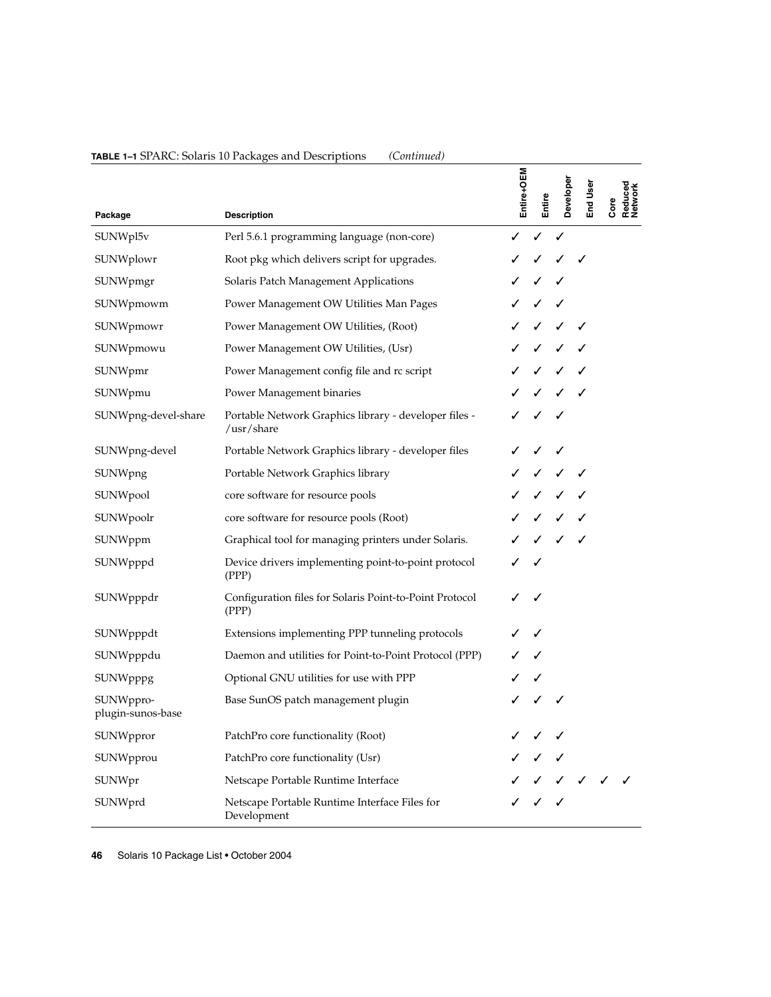|                                | <b>IABLE 1-1</b> 31 ARC. 301a115 TO I ackages and Descriptions<br>$\langle$ Comunica | Entire+OEM | Entire                                 |              | Developer<br>End User | Reduced<br>Network<br>Core |
|--------------------------------|--------------------------------------------------------------------------------------|------------|----------------------------------------|--------------|-----------------------|----------------------------|
| Package                        | <b>Description</b>                                                                   |            |                                        |              |                       |                            |
| SUNWpl5v                       | Perl 5.6.1 programming language (non-core)                                           | ✓          | ✓                                      | ✓            |                       |                            |
| SUNWplowr                      | Root pkg which delivers script for upgrades.                                         |            | $\checkmark$                           | ✓            | ✓                     |                            |
| SUNWpmgr                       | Solaris Patch Management Applications                                                |            |                                        |              |                       |                            |
| SUNWpmowm                      | Power Management OW Utilities Man Pages                                              |            | $\checkmark$                           |              |                       |                            |
| SUNWpmowr                      | Power Management OW Utilities, (Root)                                                |            |                                        | ✓            | ✓                     |                            |
| SUNWpmowu                      | Power Management OW Utilities, (Usr)                                                 |            |                                        |              |                       |                            |
| SUNWpmr                        | Power Management config file and rc script                                           |            |                                        |              |                       |                            |
| SUNWpmu                        | Power Management binaries                                                            |            |                                        |              |                       |                            |
| SUNWpng-devel-share            | Portable Network Graphics library - developer files -<br>/usr/share                  |            |                                        | ✓            |                       |                            |
| SUNWpng-devel                  | Portable Network Graphics library - developer files                                  |            |                                        |              |                       |                            |
| SUNWpng                        | Portable Network Graphics library                                                    |            |                                        | ✓            |                       |                            |
| SUNWpool                       | core software for resource pools                                                     |            |                                        |              |                       |                            |
| SUNWpoolr                      | core software for resource pools (Root)                                              |            |                                        |              |                       |                            |
| SUNWppm                        | Graphical tool for managing printers under Solaris.                                  |            | $\checkmark$                           | $\checkmark$ | ✓                     |                            |
| SUNWpppd                       | Device drivers implementing point-to-point protocol<br>(PPP)                         |            | ✓                                      |              |                       |                            |
| SUNWpppdr                      | Configuration files for Solaris Point-to-Point Protocol<br>(PPP)                     |            | ✓                                      |              |                       |                            |
| SUNWpppdt                      | Extensions implementing PPP tunneling protocols                                      |            |                                        |              |                       |                            |
| SUNWpppdu                      | Daemon and utilities for Point-to-Point Protocol (PPP)                               |            |                                        |              |                       |                            |
| SUNWpppg                       | Optional GNU utilities for use with PPP                                              |            | ✓                                      |              |                       |                            |
| SUNWppro-<br>plugin-sunos-base | Base SunOS patch management plugin                                                   |            |                                        |              |                       |                            |
| SUNWppror                      | PatchPro core functionality (Root)                                                   |            | ✓ ✓ ✓                                  |              |                       |                            |
| SUNWpprou                      | PatchPro core functionality (Usr)                                                    |            | $\checkmark$ $\checkmark$ $\checkmark$ |              |                       |                            |
| SUNWpr                         | Netscape Portable Runtime Interface                                                  |            |                                        |              |                       | 1 1 1 1 1 1                |
| SUNWprd                        | Netscape Portable Runtime Interface Files for<br>Development                         |            | $\checkmark$ $\checkmark$ $\checkmark$ |              |                       |                            |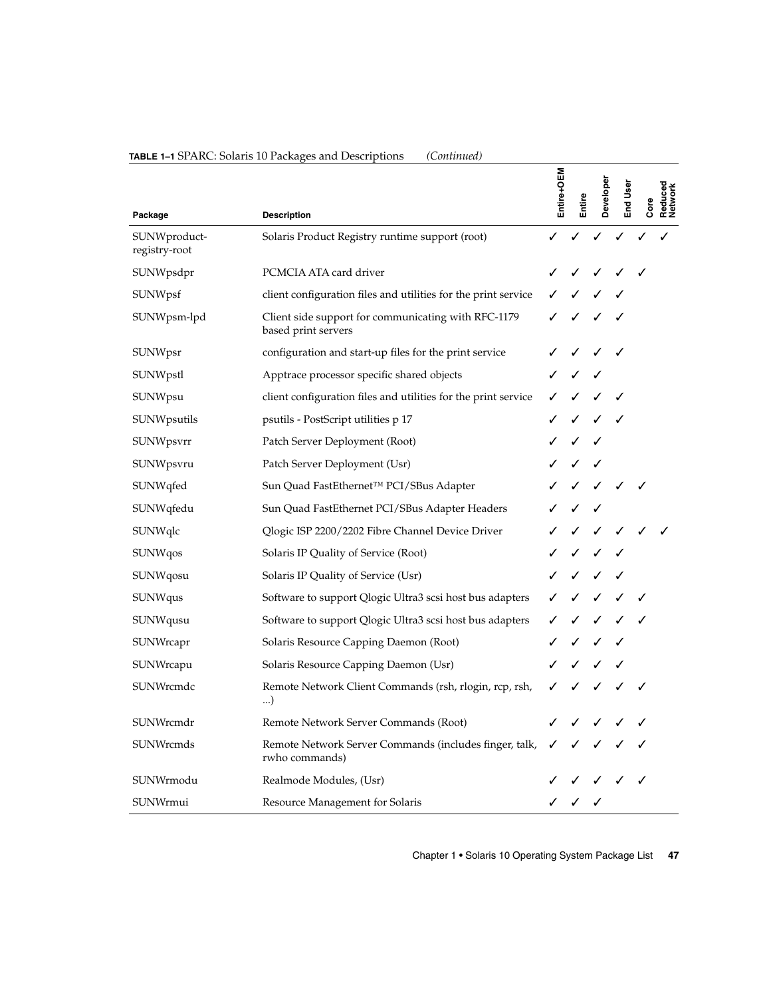| Package                       | <b>Description</b>                                                         | Entire+OEM | Entire | Developer | End User | Core | Reduced<br>Network |
|-------------------------------|----------------------------------------------------------------------------|------------|--------|-----------|----------|------|--------------------|
| SUNWproduct-<br>registry-root | Solaris Product Registry runtime support (root)                            |            |        |           |          |      |                    |
| SUNWpsdpr                     | PCMCIA ATA card driver                                                     |            |        |           |          |      |                    |
| SUNWpsf                       | client configuration files and utilities for the print service             |            |        |           |          |      |                    |
| SUNWpsm-lpd                   | Client side support for communicating with RFC-1179<br>based print servers |            |        |           |          |      |                    |
| SUNWpsr                       | configuration and start-up files for the print service                     |            |        |           |          |      |                    |
| SUNWpstl                      | Apptrace processor specific shared objects                                 |            | ✓      |           |          |      |                    |
| SUNWpsu                       | client configuration files and utilities for the print service             |            |        |           |          |      |                    |
| SUNWpsutils                   | psutils - PostScript utilities p 17                                        |            |        |           |          |      |                    |
| SUNWpsvrr                     | Patch Server Deployment (Root)                                             |            |        |           |          |      |                    |
| SUNWpsvru                     | Patch Server Deployment (Usr)                                              |            |        |           |          |      |                    |
| SUNWqfed                      | Sun Quad FastEthernet™ PCI/SBus Adapter                                    |            |        |           | ✓        |      |                    |
| SUNWqfedu                     | Sun Quad FastEthernet PCI/SBus Adapter Headers                             |            |        |           |          |      |                    |
| SUNWqlc                       | Qlogic ISP 2200/2202 Fibre Channel Device Driver                           |            |        |           | ✓        |      |                    |
| SUNWqos                       | Solaris IP Quality of Service (Root)                                       |            |        |           |          |      |                    |
| SUNWqosu                      | Solaris IP Quality of Service (Usr)                                        |            |        |           |          |      |                    |
| SUNWqus                       | Software to support Qlogic Ultra3 scsi host bus adapters                   |            |        |           |          |      |                    |
| SUNWqusu                      | Software to support Qlogic Ultra3 scsi host bus adapters                   |            |        |           |          |      |                    |
| SUNWrcapr                     | Solaris Resource Capping Daemon (Root)                                     |            |        |           |          |      |                    |
| SUNWrcapu                     | Solaris Resource Capping Daemon (Usr)                                      |            |        |           |          |      |                    |
| SUNWrcmdc                     | Remote Network Client Commands (rsh, rlogin, rcp, rsh,<br>)                |            |        |           |          |      |                    |
| SUNWrcmdr                     | Remote Network Server Commands (Root)                                      |            |        |           |          |      |                    |
| SUNWrcmds                     | Remote Network Server Commands (includes finger, talk,<br>rwho commands)   |            |        |           |          |      |                    |
| SUNWrmodu                     | Realmode Modules, (Usr)                                                    |            |        |           |          |      |                    |
| SUNWrmui                      | Resource Management for Solaris                                            |            |        |           |          |      |                    |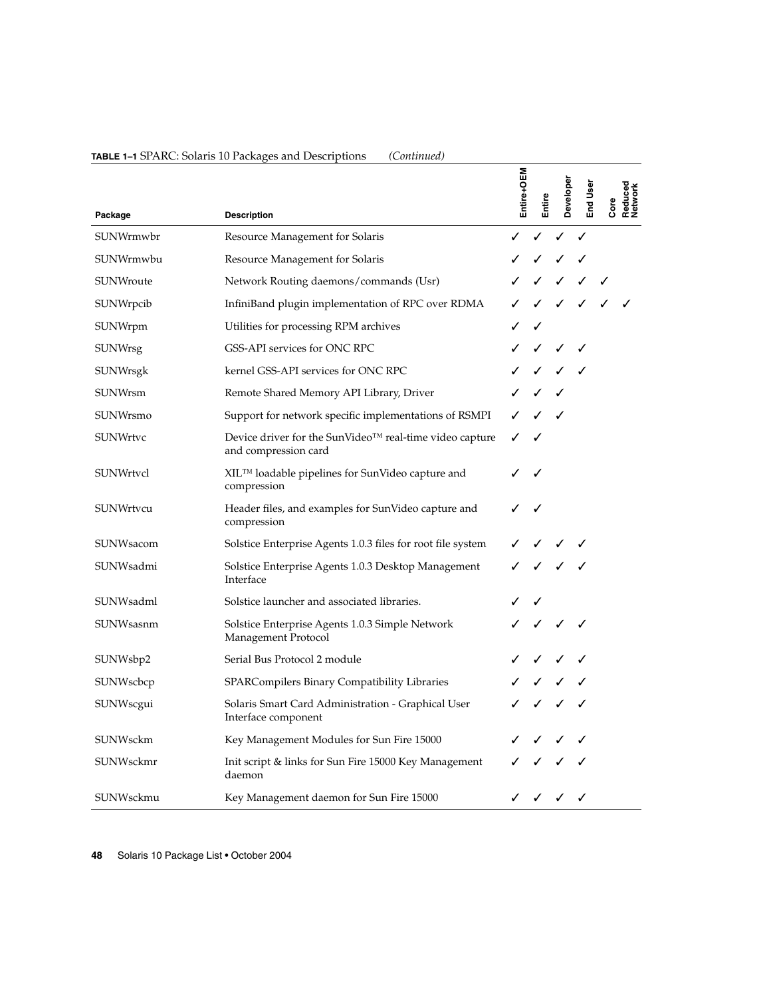| Package          | <b>Description</b>                                                                           | Entire+OEM | Entire | Developer | End User | Core | Reduced<br>Network |
|------------------|----------------------------------------------------------------------------------------------|------------|--------|-----------|----------|------|--------------------|
| SUNWrmwbr        | Resource Management for Solaris                                                              | ✓          | ✓      | ✓         | ✓        |      |                    |
| SUNWrmwbu        | Resource Management for Solaris                                                              |            |        | ✓         |          |      |                    |
| SUNWroute        | Network Routing daemons/commands (Usr)                                                       |            |        |           |          |      |                    |
| SUNWrpcib        | InfiniBand plugin implementation of RPC over RDMA                                            |            |        |           |          |      | ✓                  |
| SUNWrpm          | Utilities for processing RPM archives                                                        |            |        |           |          |      |                    |
| SUNWrsg          | GSS-API services for ONC RPC                                                                 |            | ✓      | ✓         |          |      |                    |
| SUNWrsgk         | kernel GSS-API services for ONC RPC                                                          |            |        |           |          |      |                    |
| <b>SUNWrsm</b>   | Remote Shared Memory API Library, Driver                                                     |            |        |           |          |      |                    |
| SUNWrsmo         | Support for network specific implementations of RSMPI                                        |            | ✓      |           |          |      |                    |
| <b>SUNWrtvc</b>  | Device driver for the SunVideo <sup>TM</sup> real-time video capture<br>and compression card | ✓          | ✓      |           |          |      |                    |
| <b>SUNWrtvcl</b> | XIL™ loadable pipelines for SunVideo capture and<br>compression                              |            |        |           |          |      |                    |
| <b>SUNWrtvcu</b> | Header files, and examples for SunVideo capture and<br>compression                           |            | ✓      |           |          |      |                    |
| <b>SUNWsacom</b> | Solstice Enterprise Agents 1.0.3 files for root file system                                  |            |        |           |          |      |                    |
| SUNWsadmi        | Solstice Enterprise Agents 1.0.3 Desktop Management<br>Interface                             |            |        |           |          |      |                    |
| SUNWsadml        | Solstice launcher and associated libraries.                                                  |            |        |           |          |      |                    |
| SUNWsasnm        | Solstice Enterprise Agents 1.0.3 Simple Network<br>Management Protocol                       |            |        |           |          |      |                    |
| SUNWsbp2         | Serial Bus Protocol 2 module                                                                 |            |        |           |          |      |                    |
| SUNWscbcp        | SPARCompilers Binary Compatibility Libraries                                                 |            |        |           |          |      |                    |
| SUNWscgui        | Solaris Smart Card Administration - Graphical User<br>Interface component                    |            |        |           |          |      |                    |
| SUNWsckm         | Key Management Modules for Sun Fire 15000                                                    |            |        |           |          |      |                    |
| SUNWsckmr        | Init script & links for Sun Fire 15000 Key Management<br>daemon                              |            |        |           |          |      |                    |
| SUNWsckmu        | Key Management daemon for Sun Fire 15000                                                     |            | ✓      |           |          |      |                    |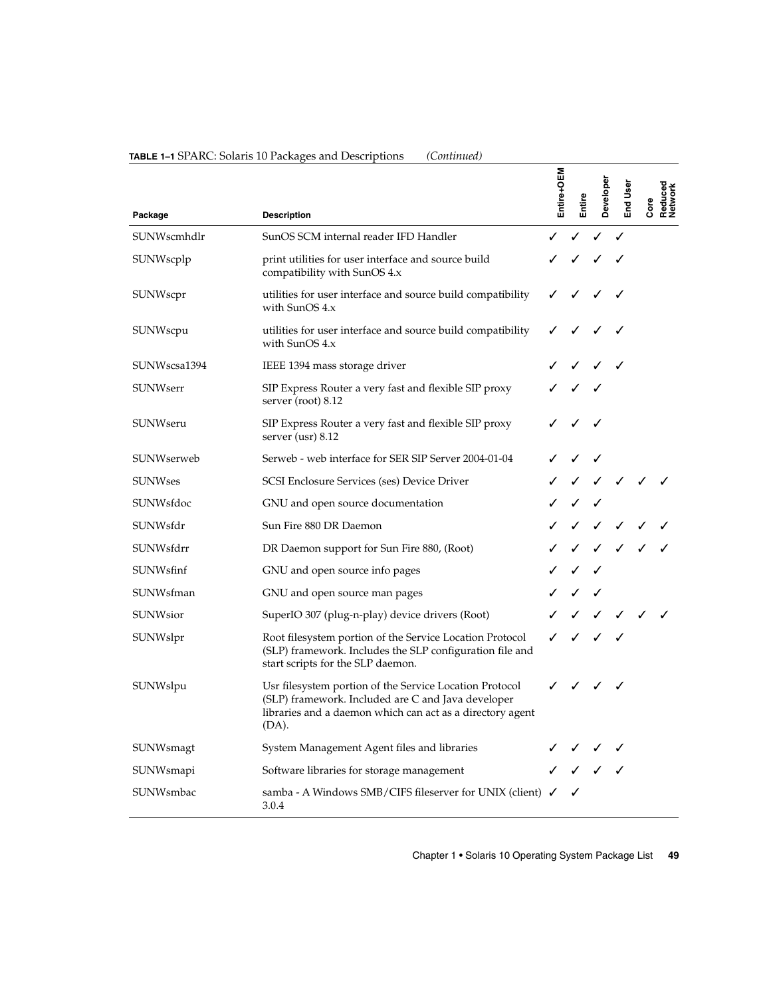|                 |                                                                                                                                                                                     | Entire+OEM | Entire       | Developer    | End User     | Core         | Reduced<br>Network |
|-----------------|-------------------------------------------------------------------------------------------------------------------------------------------------------------------------------------|------------|--------------|--------------|--------------|--------------|--------------------|
| Package         | <b>Description</b>                                                                                                                                                                  | ✓          |              |              | ✓            |              |                    |
| SUNWscmhdlr     | SunOS SCM internal reader IFD Handler                                                                                                                                               |            | ✓            | ✓            |              |              |                    |
| SUNWscplp       | print utilities for user interface and source build<br>compatibility with SunOS 4.x                                                                                                 |            |              | $\checkmark$ |              |              |                    |
| SUNWscpr        | utilities for user interface and source build compatibility<br>with SunOS $4.x$                                                                                                     |            |              |              |              |              |                    |
| SUNWscpu        | utilities for user interface and source build compatibility<br>with SunOS 4.x                                                                                                       |            | ✓            | ✓            |              |              |                    |
| SUNWscsa1394    | IEEE 1394 mass storage driver                                                                                                                                                       |            |              | ✓            |              |              |                    |
| <b>SUNWserr</b> | SIP Express Router a very fast and flexible SIP proxy<br>server (root) 8.12                                                                                                         |            |              |              |              |              |                    |
| <b>SUNWseru</b> | SIP Express Router a very fast and flexible SIP proxy<br>server $(usr)$ 8.12                                                                                                        |            |              |              |              |              |                    |
| SUNWserweb      | Serweb - web interface for SER SIP Server 2004-01-04                                                                                                                                |            | ✓            |              |              |              |                    |
| <b>SUNWses</b>  | SCSI Enclosure Services (ses) Device Driver                                                                                                                                         |            |              | $\checkmark$ | $\checkmark$ | $\checkmark$ |                    |
| SUNWsfdoc       | GNU and open source documentation                                                                                                                                                   |            |              | ✓            |              |              |                    |
| SUNWsfdr        | Sun Fire 880 DR Daemon                                                                                                                                                              |            |              |              |              |              |                    |
| SUNWsfdrr       | DR Daemon support for Sun Fire 880, (Root)                                                                                                                                          |            |              |              |              |              |                    |
| SUNWsfinf       | GNU and open source info pages                                                                                                                                                      |            | ✓            |              |              |              |                    |
| SUNWsfman       | GNU and open source man pages                                                                                                                                                       |            | $\checkmark$ | ✓            |              |              |                    |
| <b>SUNWsior</b> | SuperIO 307 (plug-n-play) device drivers (Root)                                                                                                                                     |            |              |              |              |              |                    |
| SUNWslpr        | Root filesystem portion of the Service Location Protocol<br>(SLP) framework. Includes the SLP configuration file and<br>start scripts for the SLP daemon.                           |            | ✓            |              |              |              |                    |
| SUNWslpu        | Usr filesystem portion of the Service Location Protocol<br>(SLP) framework. Included are C and Java developer<br>libraries and a daemon which can act as a directory agent<br>(DA). |            | ✓            | $\checkmark$ |              |              |                    |
| SUNWsmagt       | System Management Agent files and libraries                                                                                                                                         |            |              | ✓            |              |              |                    |
| SUNWsmapi       | Software libraries for storage management                                                                                                                                           |            |              |              |              |              |                    |
| SUNWsmbac       | samba - A Windows SMB/CIFS fileserver for UNIX (client) ✔<br>3.0.4                                                                                                                  |            |              |              |              |              |                    |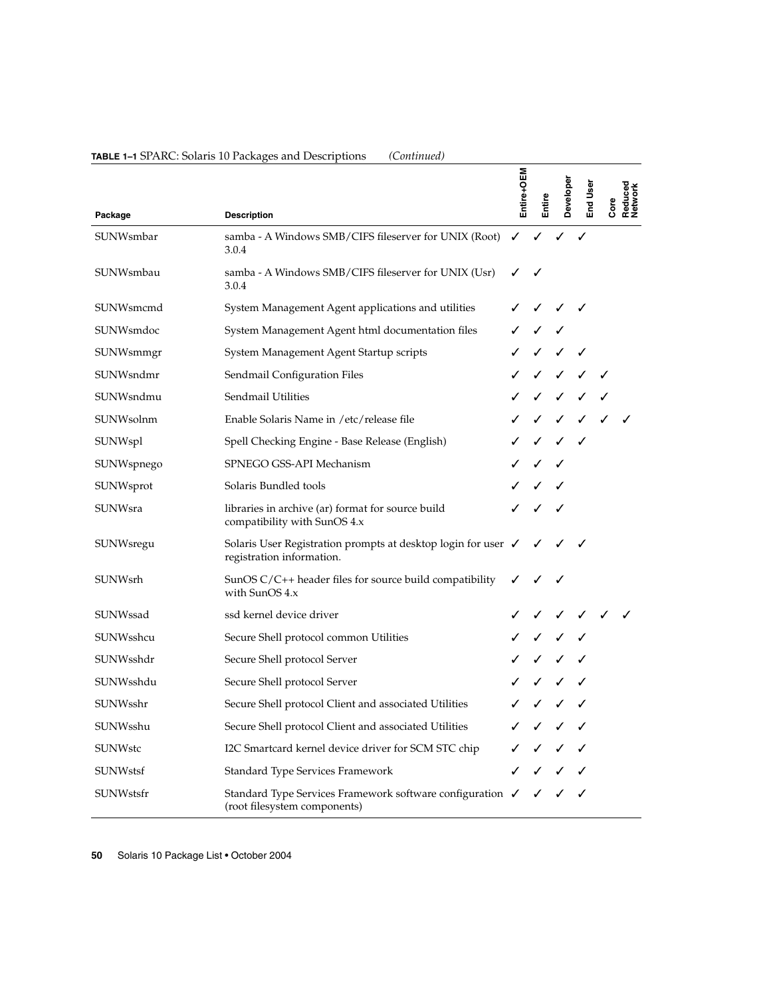| Package         | <b>EXPLC</b> $\blacksquare$ of ARC. Solaris TV I ackages and Descriptions<br>$\sqrt{2}$<br><b>Description</b> | Entire+OEM | Entire       | Developer                              | End User     | Core | Reduced<br>Network |
|-----------------|---------------------------------------------------------------------------------------------------------------|------------|--------------|----------------------------------------|--------------|------|--------------------|
| SUNWsmbar       | samba - A Windows SMB/CIFS fileserver for UNIX (Root)<br>3.0.4                                                | ✓          | ✓            | ✓                                      | ✓            |      |                    |
| SUNWsmbau       | samba - A Windows SMB/CIFS fileserver for UNIX (Usr)<br>3.0.4                                                 | ✓          | ✓            |                                        |              |      |                    |
| SUNWsmcmd       | System Management Agent applications and utilities                                                            |            |              | ✓                                      |              |      |                    |
| SUNWsmdoc       | System Management Agent html documentation files                                                              |            |              |                                        |              |      |                    |
| SUNWsmmgr       | System Management Agent Startup scripts                                                                       |            |              |                                        |              |      |                    |
| SUNWsndmr       | Sendmail Configuration Files                                                                                  |            |              |                                        |              |      |                    |
| SUNWsndmu       | Sendmail Utilities                                                                                            |            |              | $\checkmark$                           |              |      |                    |
| SUNWsolnm       | Enable Solaris Name in /etc/release file                                                                      |            |              |                                        | $\checkmark$ |      |                    |
| SUNWspl         | Spell Checking Engine - Base Release (English)                                                                |            |              | ✓                                      |              |      |                    |
| SUNWspnego      | SPNEGO GSS-API Mechanism                                                                                      |            |              |                                        |              |      |                    |
| SUNWsprot       | Solaris Bundled tools                                                                                         |            |              |                                        |              |      |                    |
| <b>SUNWsra</b>  | libraries in archive (ar) format for source build<br>compatibility with SunOS 4.x                             |            | ✓            |                                        |              |      |                    |
| SUNWsregu       | Solaris User Registration prompts at desktop login for user √<br>registration information.                    |            | ✓            |                                        |              |      |                    |
| SUNWsrh         | SunOS C/C++ header files for source build compatibility<br>with SunOS 4.x                                     |            | ✓            |                                        |              |      |                    |
| SUNWssad        | ssd kernel device driver                                                                                      |            |              |                                        |              |      |                    |
| SUNWsshcu       | Secure Shell protocol common Utilities                                                                        |            |              |                                        |              |      |                    |
| SUNWsshdr       | Secure Shell protocol Server                                                                                  |            |              |                                        |              |      |                    |
| SUNWsshdu       | Secure Shell protocol Server                                                                                  |            |              |                                        |              |      |                    |
| SUNWsshr        | Secure Shell protocol Client and associated Utilities                                                         |            |              |                                        |              |      |                    |
| SUNWsshu        | Secure Shell protocol Client and associated Utilities                                                         |            |              | $\checkmark$ $\checkmark$ $\checkmark$ |              |      |                    |
| SUNWstc         | I2C Smartcard kernel device driver for SCM STC chip                                                           |            |              |                                        |              |      |                    |
| <b>SUNWstsf</b> | Standard Type Services Framework                                                                              |            |              | $\checkmark$ $\checkmark$ $\checkmark$ |              |      |                    |
| SUNWstsfr       | Standard Type Services Framework software configuration √<br>(root filesystem components)                     |            | $\checkmark$ |                                        |              |      |                    |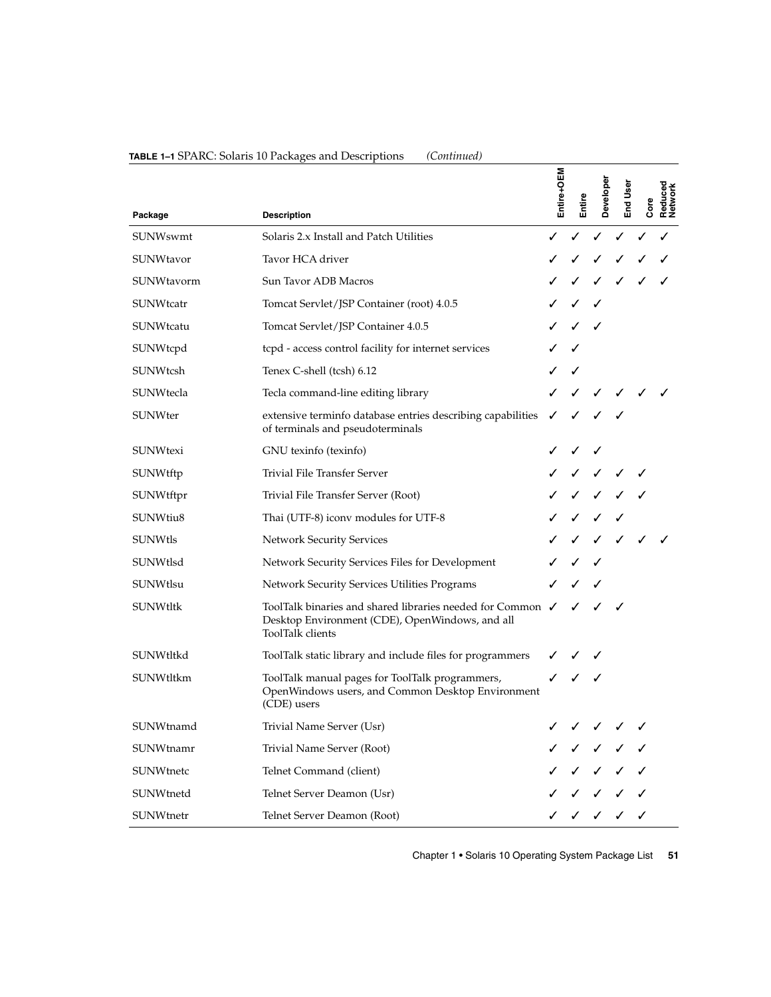| Package           | <b>Description</b>                                                                                                                      | Entire+OEM |              | Entire | Developer    | End User                                                         | Core                                   | Reduced<br>Network |
|-------------------|-----------------------------------------------------------------------------------------------------------------------------------------|------------|--------------|--------|--------------|------------------------------------------------------------------|----------------------------------------|--------------------|
| <b>SUNWswmt</b>   | Solaris 2.x Install and Patch Utilities                                                                                                 |            |              |        | ✓            | $\checkmark$                                                     | ✓                                      |                    |
| SUNWtavor         | Tavor HCA driver                                                                                                                        |            |              |        | $\checkmark$ | $\checkmark$                                                     |                                        |                    |
| SUNWtavorm        | Sun Tavor ADB Macros                                                                                                                    |            |              |        | $\checkmark$ | $\checkmark$                                                     |                                        |                    |
| <b>SUNW</b> tcatr | Tomcat Servlet/JSP Container (root) 4.0.5                                                                                               |            |              |        |              |                                                                  |                                        |                    |
| <b>SUNW</b> tcatu | Tomcat Servlet/JSP Container 4.0.5                                                                                                      |            | ✓            |        |              |                                                                  |                                        |                    |
| SUNWtcpd          | tcpd - access control facility for internet services                                                                                    |            | ✓            |        |              |                                                                  |                                        |                    |
| SUNWtcsh          | Tenex C-shell (tcsh) 6.12                                                                                                               | ✓          | ✓            |        |              |                                                                  |                                        |                    |
| SUNWtecla         | Tecla command-line editing library                                                                                                      |            | $\checkmark$ |        | $\checkmark$ |                                                                  | $\checkmark$ $\checkmark$ $\checkmark$ |                    |
| <b>SUNWter</b>    | extensive terminfo database entries describing capabilities<br>of terminals and pseudoterminals                                         | ✓          |              |        |              |                                                                  |                                        |                    |
| <b>SUNW</b> texi  | GNU texinfo (texinfo)                                                                                                                   |            | ✓            |        | ✓            |                                                                  |                                        |                    |
| SUNWtftp          | Trivial File Transfer Server                                                                                                            |            |              |        | ✓            | $\checkmark$                                                     |                                        |                    |
| SUNWtftpr         | Trivial File Transfer Server (Root)                                                                                                     |            |              |        | ✓            | ✓                                                                |                                        |                    |
| SUNWtiu8          | Thai (UTF-8) iconv modules for UTF-8                                                                                                    |            |              |        | ✓            | ✓                                                                |                                        |                    |
| <b>SUNWtls</b>    | <b>Network Security Services</b>                                                                                                        |            |              |        |              |                                                                  |                                        |                    |
| SUNWtlsd          | Network Security Services Files for Development                                                                                         |            | $\checkmark$ |        | ✓            |                                                                  |                                        |                    |
| SUNWtlsu          | <b>Network Security Services Utilities Programs</b>                                                                                     |            | ✓            |        | ✓            |                                                                  |                                        |                    |
| SUNWtltk          | ToolTalk binaries and shared libraries needed for Common $\sqrt$<br>Desktop Environment (CDE), OpenWindows, and all<br>ToolTalk clients |            | $\checkmark$ |        | $\checkmark$ | ✓                                                                |                                        |                    |
| SUNWtltkd         | ToolTalk static library and include files for programmers                                                                               |            | ✓            |        | ✓            |                                                                  |                                        |                    |
| SUNWtltkm         | ToolTalk manual pages for ToolTalk programmers,<br>OpenWindows users, and Common Desktop Environment<br>(CDE) users                     |            |              |        |              |                                                                  |                                        |                    |
| SUNWtnamd         | Trivial Name Server (Usr)                                                                                                               |            |              |        |              |                                                                  |                                        |                    |
| SUNWtnamr         | Trivial Name Server (Root)                                                                                                              |            |              |        |              | v v v v v                                                        |                                        |                    |
| SUNWtnetc         | Telnet Command (client)                                                                                                                 |            |              |        |              | $\checkmark$ $\checkmark$ $\checkmark$ $\checkmark$ $\checkmark$ |                                        |                    |
| SUNWtnetd         | Telnet Server Deamon (Usr)                                                                                                              |            |              |        |              | $\checkmark$ $\checkmark$ $\checkmark$ $\checkmark$ $\checkmark$ |                                        |                    |
| SUNWtnetr         | Telnet Server Deamon (Root)                                                                                                             |            |              |        |              | $\checkmark$ $\checkmark$ $\checkmark$ $\checkmark$              |                                        |                    |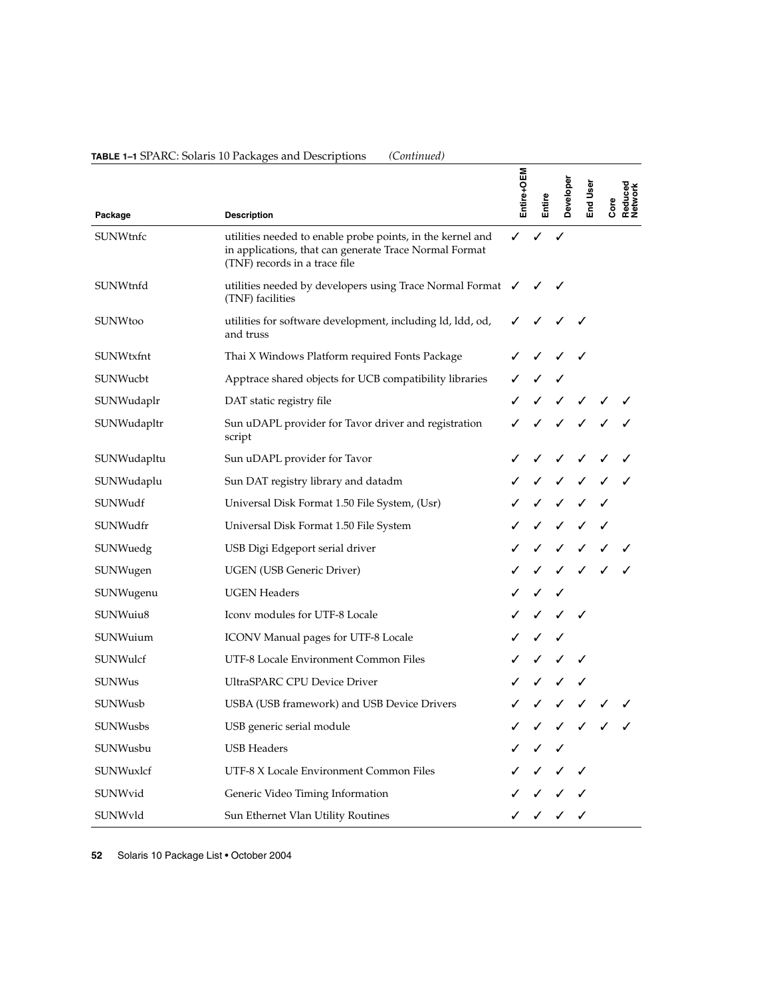|                 | Professional to Packages and Descriptions                                                                                                             | Entire+OEM |              | Developer                                           |                                                     |      |                    |
|-----------------|-------------------------------------------------------------------------------------------------------------------------------------------------------|------------|--------------|-----------------------------------------------------|-----------------------------------------------------|------|--------------------|
| Package         | <b>Description</b>                                                                                                                                    |            | Entire       |                                                     | End User                                            | Core | Reduced<br>Network |
| <b>SUNWtnfc</b> | utilities needed to enable probe points, in the kernel and<br>in applications, that can generate Trace Normal Format<br>(TNF) records in a trace file | ✓          | ✓            | ✓                                                   |                                                     |      |                    |
| SUNWtnfd        | utilities needed by developers using Trace Normal Format V<br>(TNF) facilities                                                                        |            |              |                                                     |                                                     |      |                    |
| <b>SUNWtoo</b>  | utilities for software development, including ld, ldd, od,<br>and truss                                                                               | ✓          | $\checkmark$ |                                                     |                                                     |      |                    |
| SUNWtxfnt       | Thai X Windows Platform required Fonts Package                                                                                                        |            |              | ✓                                                   |                                                     |      |                    |
| SUNWucbt        | Apptrace shared objects for UCB compatibility libraries                                                                                               |            |              |                                                     |                                                     |      |                    |
| SUNWudaplr      | DAT static registry file                                                                                                                              |            |              | $\checkmark$                                        | $\checkmark$                                        |      |                    |
| SUNWudapltr     | Sun uDAPL provider for Tavor driver and registration<br>script                                                                                        |            |              | ✓                                                   | ✓                                                   |      |                    |
| SUNWudapltu     | Sun uDAPL provider for Tavor                                                                                                                          |            |              | $\checkmark$                                        | $\checkmark$                                        |      |                    |
| SUNWudaplu      | Sun DAT registry library and datadm                                                                                                                   |            |              | $\checkmark$                                        | $\checkmark$                                        |      |                    |
| SUNWudf         | Universal Disk Format 1.50 File System, (Usr)                                                                                                         |            |              | $\checkmark$                                        | ✓                                                   |      |                    |
| SUNWudfr        | Universal Disk Format 1.50 File System                                                                                                                |            |              |                                                     | $\checkmark$ $\checkmark$                           |      |                    |
| SUNWuedg        | USB Digi Edgeport serial driver                                                                                                                       |            |              | $\checkmark$                                        | $\checkmark$                                        |      |                    |
| SUNWugen        | <b>UGEN</b> (USB Generic Driver)                                                                                                                      |            |              |                                                     | $\checkmark$ $\checkmark$                           |      |                    |
| SUNWugenu       | <b>UGEN Headers</b>                                                                                                                                   |            | $\checkmark$ | ✓                                                   |                                                     |      |                    |
| SUNWuiu8        | Icony modules for UTF-8 Locale                                                                                                                        |            | $\checkmark$ | $\checkmark$                                        | ✓                                                   |      |                    |
| SUNWuium        | ICONV Manual pages for UTF-8 Locale                                                                                                                   |            | ✓            |                                                     |                                                     |      |                    |
| SUNWulcf        | UTF-8 Locale Environment Common Files                                                                                                                 |            |              |                                                     |                                                     |      |                    |
| <b>SUNWus</b>   | UltraSPARC CPU Device Driver                                                                                                                          |            |              |                                                     |                                                     |      |                    |
| SUNWusb         | USBA (USB framework) and USB Device Drivers                                                                                                           |            |              |                                                     |                                                     |      |                    |
| SUNWusbs        | USB generic serial module                                                                                                                             |            |              |                                                     | $\checkmark$ $\checkmark$ $\checkmark$ $\checkmark$ |      |                    |
| SUNWusbu        | <b>USB Headers</b>                                                                                                                                    |            | $\checkmark$ |                                                     |                                                     |      |                    |
| SUNWuxlcf       | UTF-8 X Locale Environment Common Files                                                                                                               |            |              | / / / /                                             |                                                     |      |                    |
| SUNWvid         | Generic Video Timing Information                                                                                                                      |            |              | $\checkmark$ $\checkmark$ $\checkmark$ $\checkmark$ |                                                     |      |                    |
| SUNWvld         | Sun Ethernet Vlan Utility Routines                                                                                                                    |            |              |                                                     |                                                     |      |                    |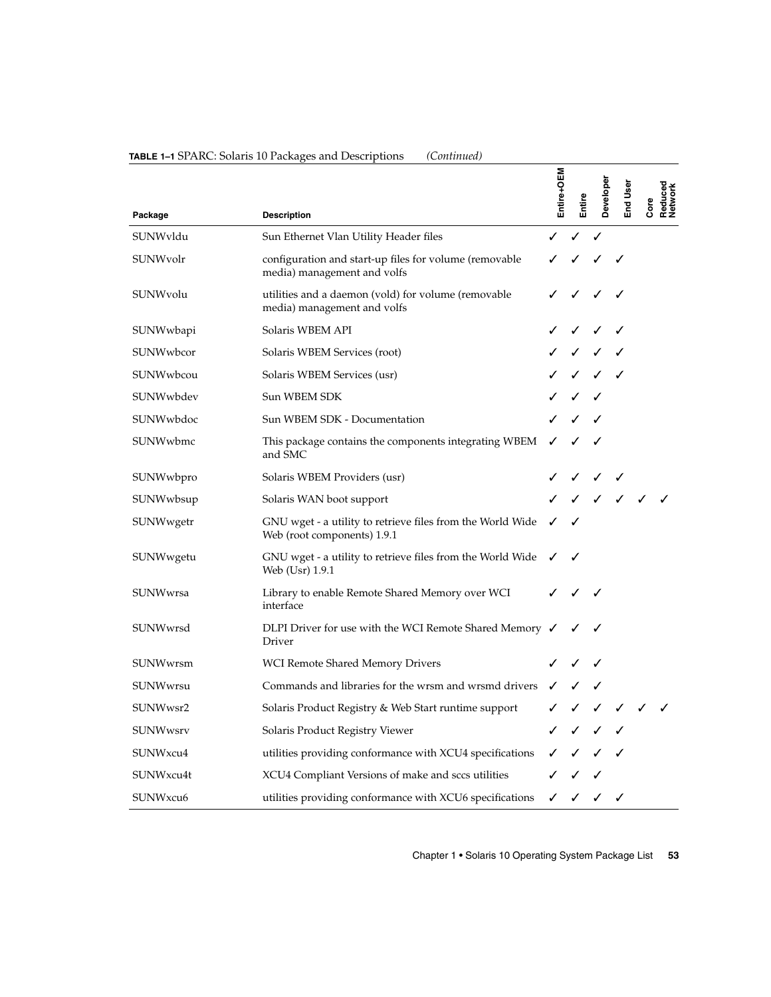| Package         | <b>ELLET</b> TOTTING: COMITS TO I ACKAGES ATM DESCRIPTIONS<br>$\sqrt{2}$<br><b>Description</b> | Entire+OEM | Entire | Developer | End User | Core | Reducec<br>Network |
|-----------------|------------------------------------------------------------------------------------------------|------------|--------|-----------|----------|------|--------------------|
| SUNWyldu        | Sun Ethernet Vlan Utility Header files                                                         | ✓          |        |           |          |      |                    |
| SUNWvolr        | configuration and start-up files for volume (removable<br>media) management and volfs          |            |        |           |          |      |                    |
| SUNWvolu        | utilities and a daemon (vold) for volume (removable<br>media) management and volfs             |            |        |           |          |      |                    |
| SUNWwbapi       | Solaris WBEM API                                                                               |            |        |           |          |      |                    |
| SUNWwbcor       | Solaris WBEM Services (root)                                                                   |            |        |           |          |      |                    |
| SUNWwbcou       | Solaris WBEM Services (usr)                                                                    |            |        |           |          |      |                    |
| SUNWwbdev       | Sun WBEM SDK                                                                                   |            |        |           |          |      |                    |
| SUNWwbdoc       | Sun WBEM SDK - Documentation                                                                   |            |        |           |          |      |                    |
| SUNWwbmc        | This package contains the components integrating WBEM<br>and SMC                               |            |        |           |          |      |                    |
| SUNWwbpro       | Solaris WBEM Providers (usr)                                                                   |            |        |           | ✓        |      |                    |
| SUNWwbsup       | Solaris WAN boot support                                                                       |            |        |           |          |      |                    |
| SUNWwgetr       | GNU wget - a utility to retrieve files from the World Wide<br>Web (root components) 1.9.1      |            |        |           |          |      |                    |
| SUNWwgetu       | GNU wget - a utility to retrieve files from the World Wide<br>Web (Usr) 1.9.1                  |            |        |           |          |      |                    |
| SUNWwrsa        | Library to enable Remote Shared Memory over WCI<br>interface                                   |            | ✓      |           |          |      |                    |
| SUNWwrsd        | DLPI Driver for use with the WCI Remote Shared Memory √<br>Driver                              |            |        |           |          |      |                    |
| <b>SUNWwrsm</b> | <b>WCI Remote Shared Memory Drivers</b>                                                        |            |        |           |          |      |                    |
| SUNWwrsu        | Commands and libraries for the wrsm and wrsmd drivers                                          |            |        |           |          |      |                    |
| SUNWwsr2        | Solaris Product Registry & Web Start runtime support                                           |            |        |           |          |      |                    |
| <b>SUNWwsrv</b> | Solaris Product Registry Viewer                                                                |            |        |           |          |      |                    |
| SUNWxcu4        | utilities providing conformance with XCU4 specifications                                       |            |        |           |          |      |                    |
| SUNWxcu4t       | XCU4 Compliant Versions of make and sccs utilities                                             |            |        |           |          |      |                    |
| SUNWxcu6        | utilities providing conformance with XCU6 specifications                                       | ✓          | ✓      | ✓         | ✓        |      |                    |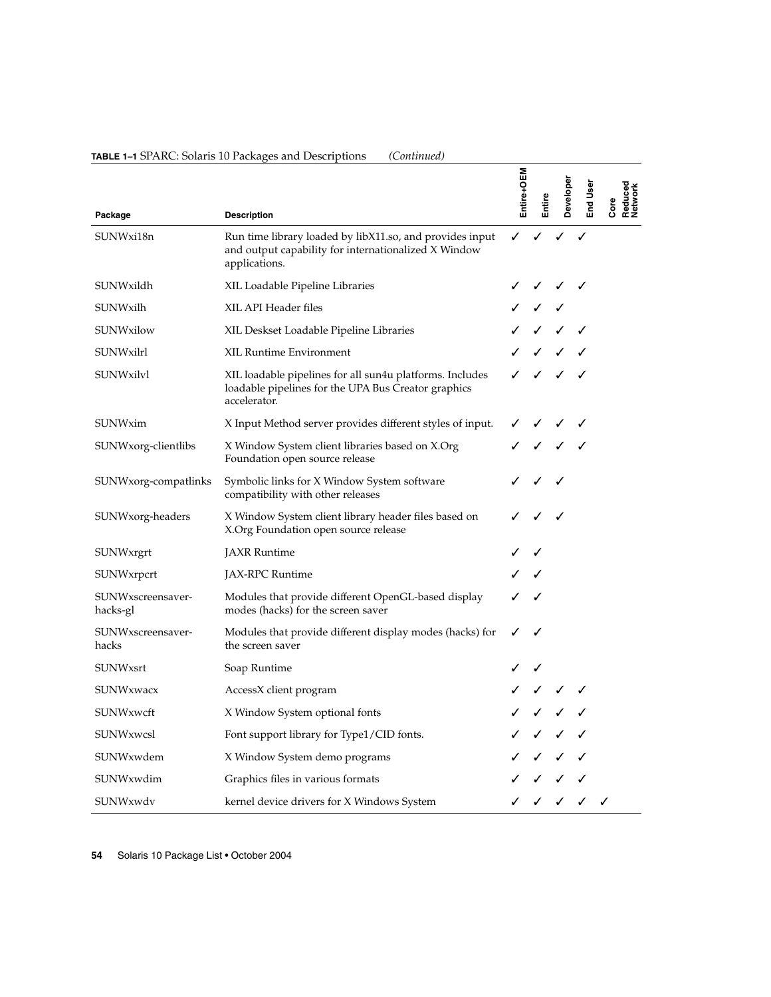|                               | <b>EXPLC</b> $\blacksquare$ of ARC. Solaris TV I ackages and Descriptions<br>$\langle$ Communica                                  |            |              |              |          |                            |
|-------------------------------|-----------------------------------------------------------------------------------------------------------------------------------|------------|--------------|--------------|----------|----------------------------|
|                               |                                                                                                                                   | Entire+OEM | Entire       | Developer    | End User | Reduced<br>Network<br>Core |
| Package                       | <b>Description</b>                                                                                                                |            |              |              |          |                            |
| SUNWxi18n                     | Run time library loaded by libX11.so, and provides input<br>and output capability for internationalized X Window<br>applications. | ✓          | $\checkmark$ | ✓            | ✓        |                            |
| SUNWxildh                     | XIL Loadable Pipeline Libraries                                                                                                   |            | $\checkmark$ | ✓            |          |                            |
| SUNWxilh                      | XIL API Header files                                                                                                              |            | $\checkmark$ | ✓            |          |                            |
| SUNWxilow                     | XIL Deskset Loadable Pipeline Libraries                                                                                           |            | ✓            | ✓            |          |                            |
| SUNWxilrl                     | XIL Runtime Environment                                                                                                           |            |              |              |          |                            |
| SUNWxilvl                     | XIL loadable pipelines for all sun4u platforms. Includes<br>loadable pipelines for the UPA Bus Creator graphics<br>accelerator.   |            |              |              |          |                            |
| SUNWxim                       | X Input Method server provides different styles of input.                                                                         |            | ✓            |              |          |                            |
| SUNWxorg-clientlibs           | X Window System client libraries based on X.Org<br>Foundation open source release                                                 |            |              |              |          |                            |
| SUNWxorg-compatlinks          | Symbolic links for X Window System software<br>compatibility with other releases                                                  |            |              |              |          |                            |
| SUNWxorg-headers              | X Window System client library header files based on<br>X.Org Foundation open source release                                      |            | ✓            |              |          |                            |
| SUNWxrgrt                     | <b>JAXR</b> Runtime                                                                                                               |            |              |              |          |                            |
| SUNWxrpcrt                    | JAX-RPC Runtime                                                                                                                   |            |              |              |          |                            |
| SUNWxscreensaver-<br>hacks-gl | Modules that provide different OpenGL-based display<br>modes (hacks) for the screen saver                                         |            | ✓            |              |          |                            |
| SUNWxscreensaver-<br>hacks    | Modules that provide different display modes (hacks) for<br>the screen saver                                                      | ✓          | ✓            |              |          |                            |
| <b>SUNWxsrt</b>               | Soap Runtime                                                                                                                      |            |              |              |          |                            |
| <b>SUNWxwacx</b>              | AccessX client program                                                                                                            |            | $\checkmark$ | ✓            |          |                            |
| SUNWxwcft                     | X Window System optional fonts                                                                                                    |            |              |              |          |                            |
| <b>SUNWxwcsl</b>              | Font support library for Type1/CID fonts.                                                                                         |            |              |              |          |                            |
| SUNWxwdem                     | X Window System demo programs                                                                                                     |            |              |              |          |                            |
| SUNWxwdim                     | Graphics files in various formats                                                                                                 |            |              |              |          |                            |
| SUNWxwdv                      | kernel device drivers for X Windows System                                                                                        |            | ✓            | $\checkmark$ | ✓        |                            |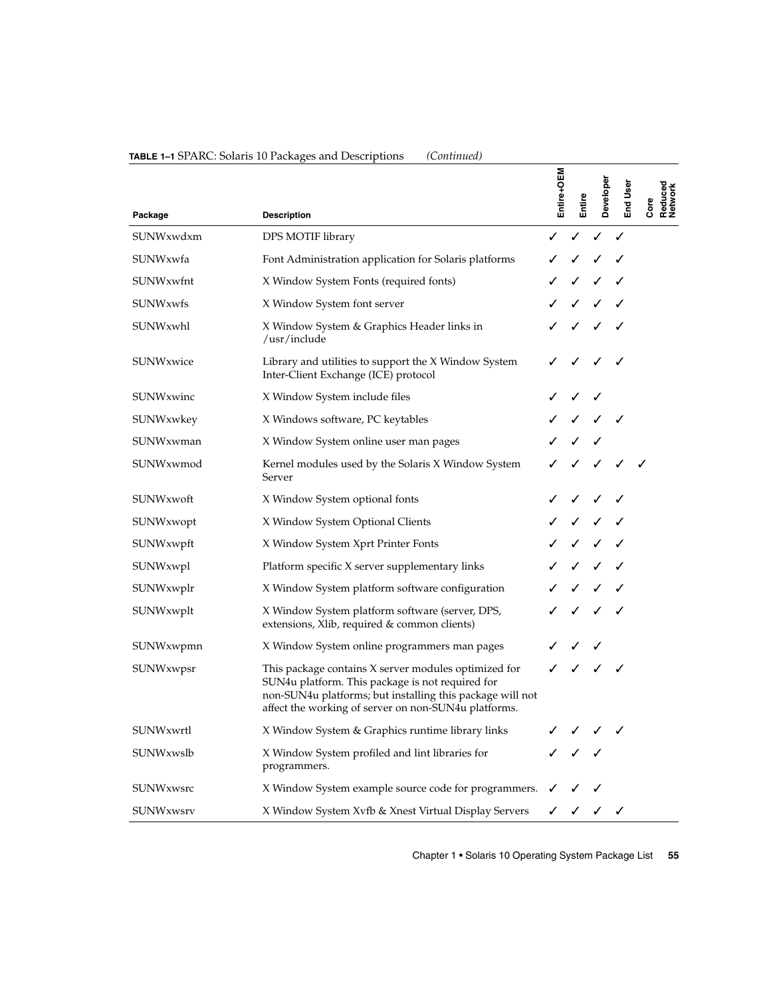| Package          | <b>Description</b>                                                                                                                                                                                                            | Entire+OEM |              | Entire | Developer | <b>End User</b> | Reduced<br>Network<br>Core |
|------------------|-------------------------------------------------------------------------------------------------------------------------------------------------------------------------------------------------------------------------------|------------|--------------|--------|-----------|-----------------|----------------------------|
| SUNWxwdxm        | DPS MOTIF library                                                                                                                                                                                                             | ✓          | ✓            | ✓      |           | ✓               |                            |
| SUNWxwfa         | Font Administration application for Solaris platforms                                                                                                                                                                         |            |              |        |           |                 |                            |
| SUNWxwfnt        | X Window System Fonts (required fonts)                                                                                                                                                                                        |            |              |        |           |                 |                            |
| <b>SUNW</b> xwfs | X Window System font server                                                                                                                                                                                                   |            |              |        |           |                 |                            |
| SUNWxwhl         | X Window System & Graphics Header links in<br>/usr/include                                                                                                                                                                    |            |              |        |           |                 |                            |
| SUNWxwice        | Library and utilities to support the X Window System<br>Inter-Client Exchange (ICE) protocol                                                                                                                                  |            |              |        |           |                 |                            |
| SUNWxwinc        | X Window System include files                                                                                                                                                                                                 |            | ✓            |        |           |                 |                            |
| SUNWxwkey        | X Windows software, PC keytables                                                                                                                                                                                              |            |              | ✓      |           | ✓               |                            |
| SUNWxwman        | X Window System online user man pages                                                                                                                                                                                         |            |              |        |           |                 |                            |
| SUNWxwmod        | Kernel modules used by the Solaris X Window System<br>Server                                                                                                                                                                  |            |              |        |           | ✓               | ✓                          |
| SUNWxwoft        | X Window System optional fonts                                                                                                                                                                                                |            |              |        |           |                 |                            |
| SUNWxwopt        | X Window System Optional Clients                                                                                                                                                                                              |            |              |        |           |                 |                            |
| SUNWxwpft        | X Window System Xprt Printer Fonts                                                                                                                                                                                            |            |              |        |           |                 |                            |
| SUNWxwpl         | Platform specific X server supplementary links                                                                                                                                                                                |            |              |        |           |                 |                            |
| SUNWxwplr        | X Window System platform software configuration                                                                                                                                                                               |            |              |        |           |                 |                            |
| SUNWxwplt        | X Window System platform software (server, DPS,<br>extensions, Xlib, required & common clients)                                                                                                                               |            |              | ✓      |           |                 |                            |
| SUNWxwpmn        | X Window System online programmers man pages                                                                                                                                                                                  |            |              | ✓      |           |                 |                            |
| SUNWxwpsr        | This package contains X server modules optimized for<br>SUN4u platform. This package is not required for<br>non-SUN4u platforms; but installing this package will not<br>affect the working of server on non-SUN4u platforms. |            |              |        |           |                 |                            |
| SUNWxwrtl        | X Window System & Graphics runtime library links                                                                                                                                                                              |            |              | ✓      |           |                 |                            |
| SUNWxwslb        | X Window System profiled and lint libraries for<br>programmers.                                                                                                                                                               |            | ✓            | ✓      |           |                 |                            |
| SUNWxwsrc        | X Window System example source code for programmers.                                                                                                                                                                          | ✓          | ✓            |        |           |                 |                            |
| SUNWxwsrv        | X Window System Xvfb & Xnest Virtual Display Servers                                                                                                                                                                          | ✓          | $\checkmark$ |        |           |                 |                            |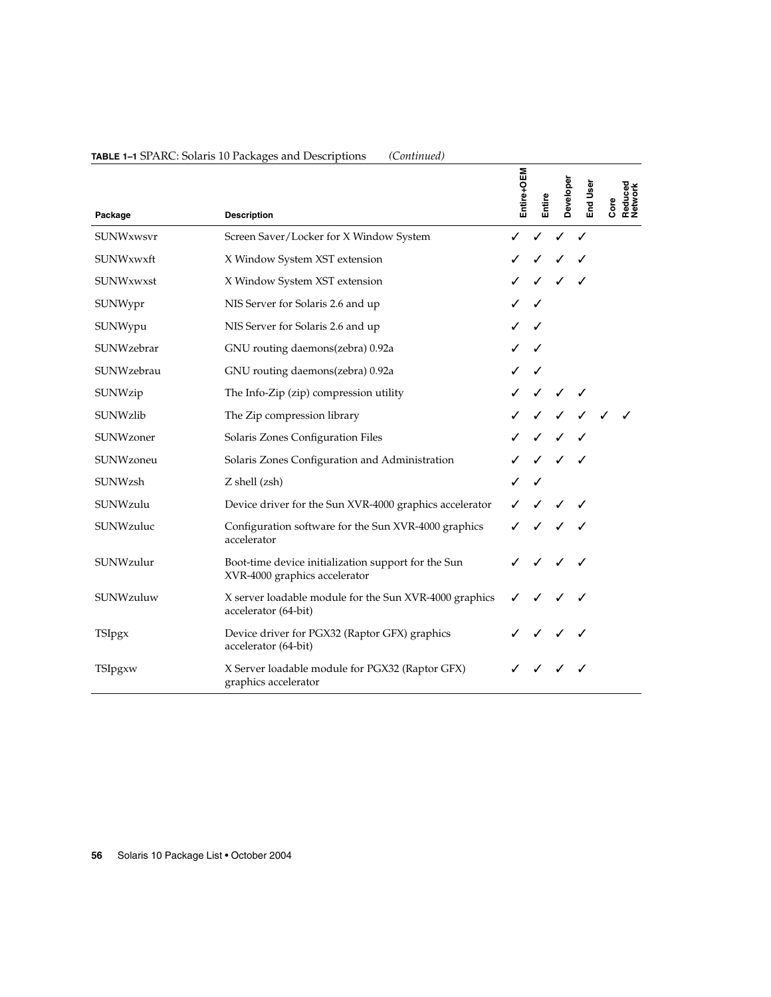|                  |                                                                                      | Entire+OEM | Entire | Developer | End User | Core | Reduced<br>Network |
|------------------|--------------------------------------------------------------------------------------|------------|--------|-----------|----------|------|--------------------|
| Package          | <b>Description</b>                                                                   |            |        |           |          |      |                    |
| <b>SUNWxwsvr</b> | Screen Saver/Locker for X Window System                                              |            |        |           |          |      |                    |
| SUNWxwxft        | X Window System XST extension                                                        |            |        |           |          |      |                    |
| SUNWxwxst        | X Window System XST extension                                                        |            |        |           |          |      |                    |
| SUNWypr          | NIS Server for Solaris 2.6 and up                                                    |            |        |           |          |      |                    |
| SUNWypu          | NIS Server for Solaris 2.6 and up                                                    |            |        |           |          |      |                    |
| SUNWzebrar       | GNU routing daemons(zebra) 0.92a                                                     |            |        |           |          |      |                    |
| SUNWzebrau       | GNU routing daemons(zebra) 0.92a                                                     |            |        |           |          |      |                    |
| SUNWzip          | The Info-Zip (zip) compression utility                                               |            |        |           |          |      |                    |
| SUNWzlib         | The Zip compression library                                                          |            |        |           |          |      |                    |
| SUNWzoner        | Solaris Zones Configuration Files                                                    |            |        |           |          |      |                    |
| SUNWzoneu        | Solaris Zones Configuration and Administration                                       |            |        |           |          |      |                    |
| SUNWzsh          | Z shell (zsh)                                                                        |            |        |           |          |      |                    |
| SUNWzulu         | Device driver for the Sun XVR-4000 graphics accelerator                              |            |        |           |          |      |                    |
| SUNWzuluc        | Configuration software for the Sun XVR-4000 graphics<br>accelerator                  |            |        |           |          |      |                    |
| SUNWzulur        | Boot-time device initialization support for the Sun<br>XVR-4000 graphics accelerator |            |        |           |          |      |                    |
| SUNWzuluw        | X server loadable module for the Sun XVR-4000 graphics<br>accelerator (64-bit)       |            |        |           |          |      |                    |
| <b>TSIpgx</b>    | Device driver for PGX32 (Raptor GFX) graphics<br>accelerator (64-bit)                |            |        |           |          |      |                    |
| TSIpgxw          | X Server loadable module for PGX32 (Raptor GFX)<br>graphics accelerator              |            |        |           |          |      |                    |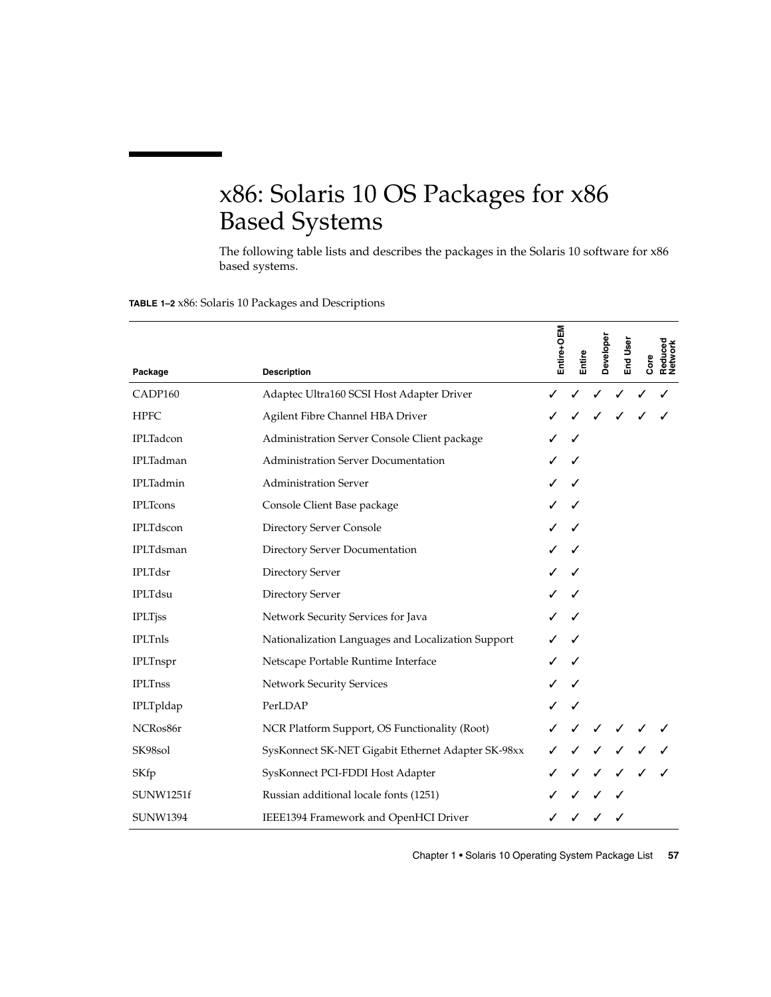# x86: Solaris 10 OS Packages for x86 Based Systems

The following table lists and describes the packages in the Solaris 10 software for x86 based systems.

#### **TABLE 1–2** x86: Solaris 10 Packages and Descriptions

|                  |                                                    | Entire+OEM |   | Entire                    | Developer    | End User                               | Core | Reduced<br>Network |
|------------------|----------------------------------------------------|------------|---|---------------------------|--------------|----------------------------------------|------|--------------------|
| Package          | <b>Description</b>                                 |            |   |                           |              |                                        |      |                    |
| CADP160          | Adaptec Ultra160 SCSI Host Adapter Driver          |            |   |                           |              |                                        |      |                    |
| <b>HPFC</b>      | Agilent Fibre Channel HBA Driver                   |            |   |                           | $\checkmark$ | $\mathcal{L}$                          |      |                    |
| <b>IPLTadcon</b> | Administration Server Console Client package       |            | ✓ |                           |              |                                        |      |                    |
| <b>IPLTadman</b> | <b>Administration Server Documentation</b>         |            |   |                           |              |                                        |      |                    |
| <b>IPLTadmin</b> | <b>Administration Server</b>                       |            | ✓ |                           |              |                                        |      |                    |
| <b>IPLTcons</b>  | Console Client Base package                        |            |   |                           |              |                                        |      |                    |
| <b>IPLTdscon</b> | Directory Server Console                           |            |   |                           |              |                                        |      |                    |
| <b>IPLTdsman</b> | Directory Server Documentation                     |            |   |                           |              |                                        |      |                    |
| <b>IPLTdsr</b>   | Directory Server                                   |            |   |                           |              |                                        |      |                    |
| <b>IPLTdsu</b>   | Directory Server                                   |            |   |                           |              |                                        |      |                    |
| <b>IPLTjss</b>   | Network Security Services for Java                 |            |   |                           |              |                                        |      |                    |
| <b>IPLTnls</b>   | Nationalization Languages and Localization Support |            |   |                           |              |                                        |      |                    |
| IPLTnspr         | Netscape Portable Runtime Interface                |            |   |                           |              |                                        |      |                    |
| <b>IPLTnss</b>   | <b>Network Security Services</b>                   |            |   |                           |              |                                        |      |                    |
| IPLTpldap        | PerLDAP                                            |            |   |                           |              |                                        |      |                    |
| NCRos86r         | NCR Platform Support, OS Functionality (Root)      |            |   |                           |              |                                        |      |                    |
| SK98sol          | SysKonnect SK-NET Gigabit Ethernet Adapter SK-98xx |            |   |                           |              |                                        |      |                    |
| SKfp             | SysKonnect PCI-FDDI Host Adapter                   |            |   |                           |              | $\checkmark$ $\checkmark$ $\checkmark$ |      |                    |
| <b>SUNW1251f</b> | Russian additional locale fonts (1251)             |            |   |                           |              |                                        |      |                    |
| <b>SUNW1394</b>  | IEEE1394 Framework and OpenHCI Driver              |            |   | $\checkmark$ $\checkmark$ |              |                                        |      |                    |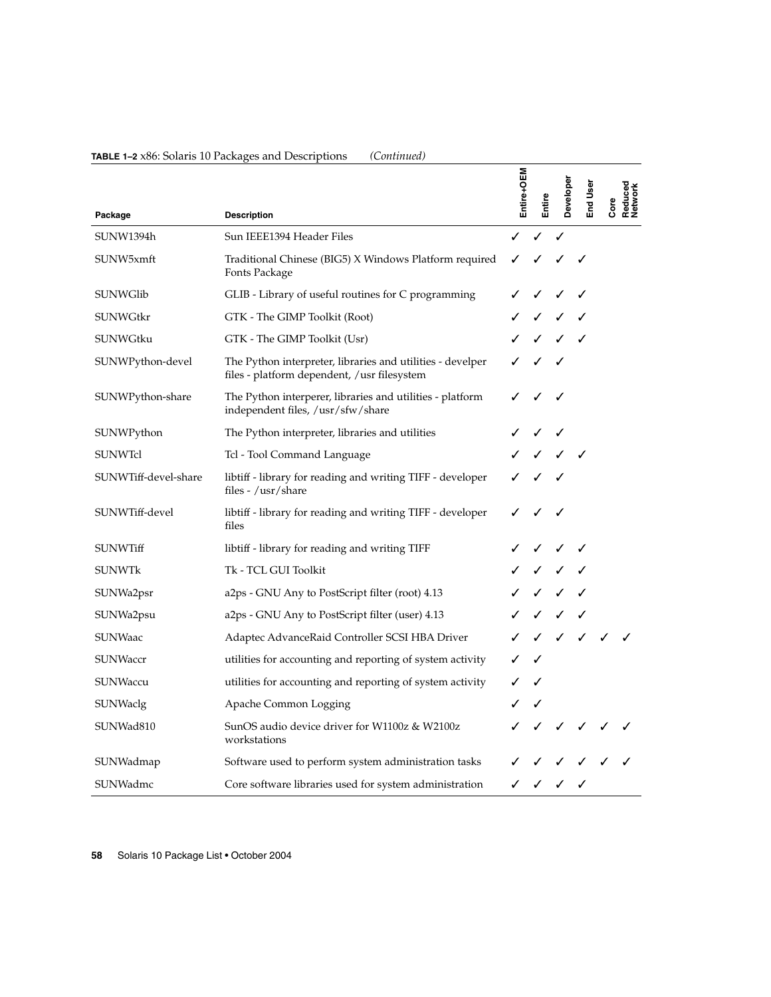| Package              | <b>Description</b>                                                                                        | Entire+OEM | Entire       | Developer | End User | Core<br>Reduced<br>Network |
|----------------------|-----------------------------------------------------------------------------------------------------------|------------|--------------|-----------|----------|----------------------------|
| SUNW1394h            | Sun IEEE1394 Header Files                                                                                 | ✓          |              |           |          |                            |
| SUNW5xmft            | Traditional Chinese (BIG5) X Windows Platform required<br>Fonts Package                                   |            |              |           |          |                            |
| SUNWGlib             | GLIB - Library of useful routines for C programming                                                       |            |              |           |          |                            |
| SUNWGtkr             | GTK - The GIMP Toolkit (Root)                                                                             |            |              |           |          |                            |
| SUNWGtku             | GTK - The GIMP Toolkit (Usr)                                                                              |            |              |           |          |                            |
| SUNWPython-devel     | The Python interpreter, libraries and utilities - develper<br>files - platform dependent, /usr filesystem |            |              |           |          |                            |
| SUNWPython-share     | The Python interperer, libraries and utilities - platform<br>independent files, /usr/sfw/share            |            | $\checkmark$ |           |          |                            |
| SUNWPython           | The Python interpreter, libraries and utilities                                                           |            |              |           |          |                            |
| <b>SUNWTcl</b>       | Tcl - Tool Command Language                                                                               |            |              |           | ✓        |                            |
| SUNWTiff-devel-share | libtiff - library for reading and writing TIFF - developer<br>files - $/usr/share$                        |            | ✓            |           |          |                            |
| SUNWTiff-devel       | libtiff - library for reading and writing TIFF - developer<br>files                                       |            | ✓            |           |          |                            |
| SUNWTiff             | libtiff - library for reading and writing TIFF                                                            |            |              |           |          |                            |
| SUNWTk               | Tk - TCL GUI Toolkit                                                                                      |            |              |           |          |                            |
| SUNWa2psr            | a2ps - GNU Any to PostScript filter (root) 4.13                                                           |            |              |           |          |                            |
| SUNWa2psu            | a2ps - GNU Any to PostScript filter (user) 4.13                                                           |            |              |           |          |                            |
| <b>SUNWaac</b>       | Adaptec AdvanceRaid Controller SCSI HBA Driver                                                            |            |              |           |          |                            |
| <b>SUNWaccr</b>      | utilities for accounting and reporting of system activity                                                 |            | ✓            |           |          |                            |
| <b>SUNWaccu</b>      | utilities for accounting and reporting of system activity                                                 |            |              |           |          |                            |
| SUNWaclg             | Apache Common Logging                                                                                     |            | ✓            |           |          |                            |
| SUNWad810            | SunOS audio device driver for W1100z & W2100z<br>workstations                                             |            |              |           |          |                            |
| SUNWadmap            | Software used to perform system administration tasks                                                      |            |              |           |          |                            |
| SUNWadmc             | Core software libraries used for system administration                                                    |            |              |           |          |                            |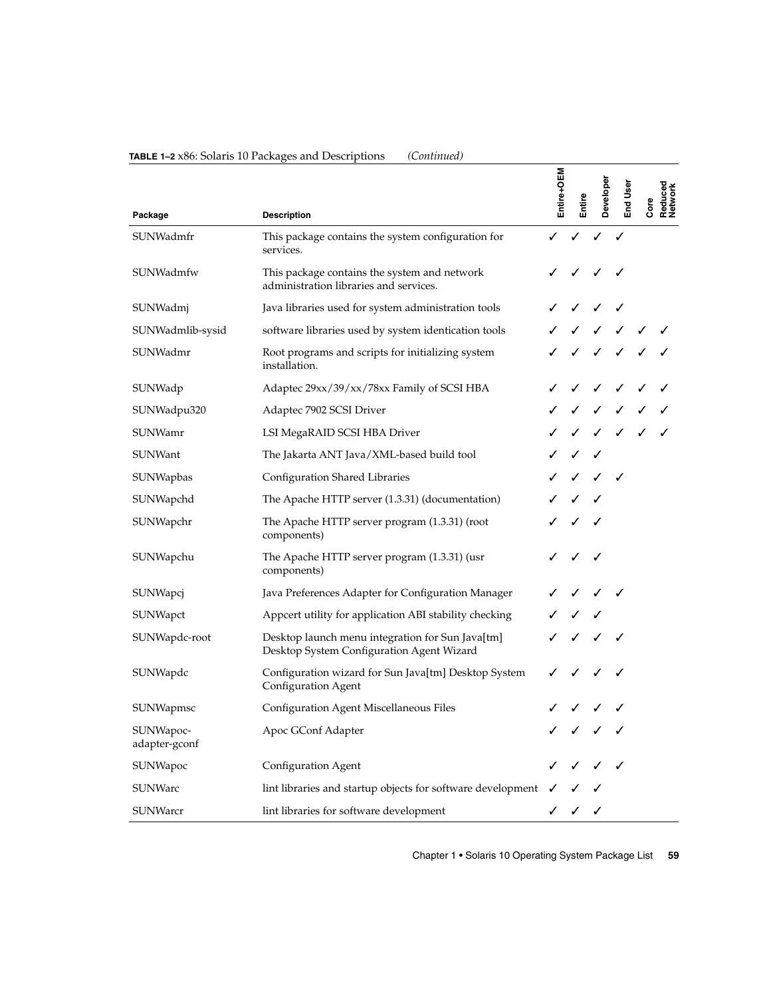|  | (Continued) |  |
|--|-------------|--|
|  |             |  |

| Package                    | <b>Description</b>                                                                            | Entire+OEM | Entire | Developer | End User | Core | Reduced<br>Network |
|----------------------------|-----------------------------------------------------------------------------------------------|------------|--------|-----------|----------|------|--------------------|
| SUNWadmfr                  | This package contains the system configuration for                                            | ✓          |        | ✓         | ✓        |      |                    |
|                            | services.                                                                                     |            |        |           |          |      |                    |
| SUNWadmfw                  | This package contains the system and network<br>administration libraries and services.        |            |        | ✓         |          |      |                    |
| SUNWadmj                   | Java libraries used for system administration tools                                           |            |        |           |          |      |                    |
| SUNWadmlib-sysid           | software libraries used by system identication tools                                          |            |        |           | ✓        |      |                    |
| SUNWadmr                   | Root programs and scripts for initializing system<br>installation.                            |            |        |           |          |      |                    |
| SUNWadp                    | Adaptec 29xx/39/xx/78xx Family of SCSI HBA                                                    |            |        |           |          |      |                    |
| SUNWadpu320                | Adaptec 7902 SCSI Driver                                                                      |            |        | ✓         | ✓        |      |                    |
| SUNWamr                    | LSI MegaRAID SCSI HBA Driver                                                                  |            |        | ✓         | ✓        |      |                    |
| <b>SUNWant</b>             | The Jakarta ANT Java/XML-based build tool                                                     |            | ✓      | ✓         |          |      |                    |
| SUNWapbas                  | Configuration Shared Libraries                                                                |            | ✓      | ✓         | ✓        |      |                    |
| SUNWapchd                  | The Apache HTTP server (1.3.31) (documentation)                                               |            | ✓      |           |          |      |                    |
| SUNWapchr                  | The Apache HTTP server program (1.3.31) (root<br>components)                                  |            | ✓      |           |          |      |                    |
| SUNWapchu                  | The Apache HTTP server program (1.3.31) (usr<br>components)                                   |            | ✓      |           |          |      |                    |
| SUNWapcj                   | Java Preferences Adapter for Configuration Manager                                            |            | ✓      | ✓         | ✓        |      |                    |
| SUNWapct                   | Appcert utility for application ABI stability checking                                        |            |        |           |          |      |                    |
| SUNWapdc-root              | Desktop launch menu integration for Sun Java[tm]<br>Desktop System Configuration Agent Wizard |            |        |           |          |      |                    |
| SUNWapdc                   | Configuration wizard for Sun Java[tm] Desktop System<br>Configuration Agent                   |            |        |           |          |      |                    |
| SUNWapmsc                  | Configuration Agent Miscellaneous Files                                                       |            |        |           |          |      |                    |
| SUNWapoc-<br>adapter-gconf | Apoc GConf Adapter                                                                            |            |        |           |          |      |                    |
| <b>SUNWapoc</b>            | Configuration Agent                                                                           |            |        |           |          |      |                    |
| <b>SUNWarc</b>             | lint libraries and startup objects for software development                                   |            |        |           |          |      |                    |
| SUNWarcr                   | lint libraries for software development                                                       | ✓          | ✓      | ✓         |          |      |                    |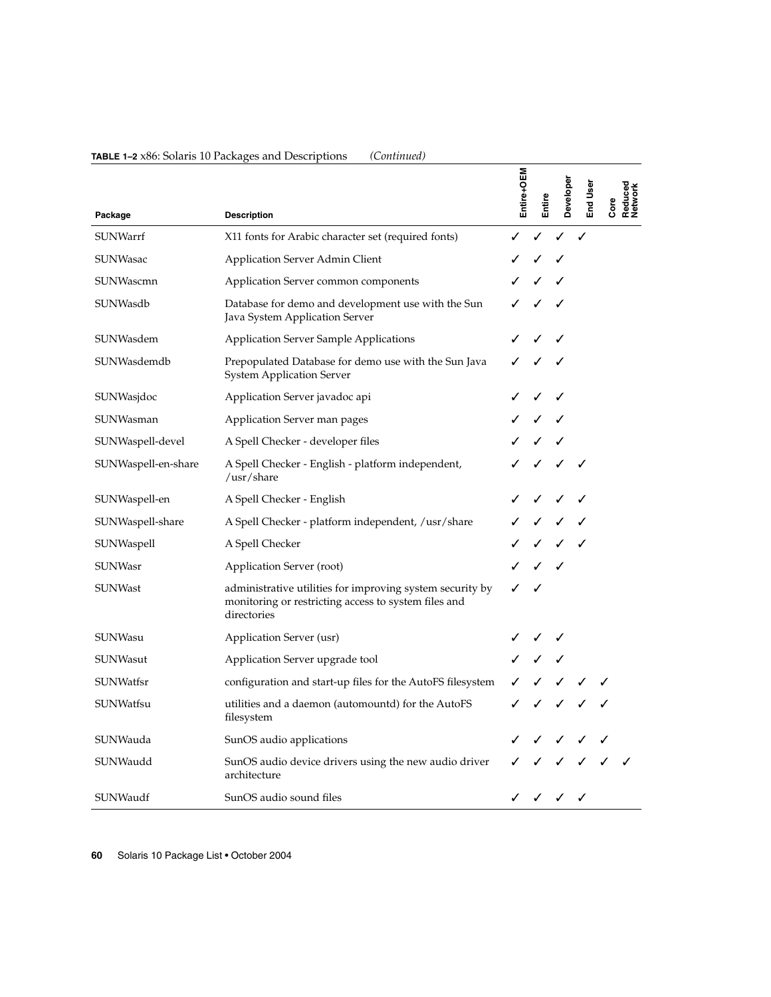| Package             | <b>Description</b>                                                                                                               | Entire+OEM | Entire        | Developer | End User | Reduced<br>Network<br>Core |
|---------------------|----------------------------------------------------------------------------------------------------------------------------------|------------|---------------|-----------|----------|----------------------------|
| SUNWarrf            | X11 fonts for Arabic character set (required fonts)                                                                              | ✓          | ✓             | ✓         | ✓        |                            |
| <b>SUNWasac</b>     | Application Server Admin Client                                                                                                  |            |               |           |          |                            |
| SUNWascmn           | Application Server common components                                                                                             |            |               |           |          |                            |
| SUNWasdb            | Database for demo and development use with the Sun<br>Java System Application Server                                             |            |               |           |          |                            |
| SUNWasdem           | Application Server Sample Applications                                                                                           |            |               |           |          |                            |
| SUNWasdemdb         | Prepopulated Database for demo use with the Sun Java<br>System Application Server                                                |            | ✓             |           |          |                            |
| SUNWasjdoc          | Application Server javadoc api                                                                                                   |            | ✓             |           |          |                            |
| SUNWasman           | Application Server man pages                                                                                                     |            |               |           |          |                            |
| SUNWaspell-devel    | A Spell Checker - developer files                                                                                                |            | ✓             |           |          |                            |
| SUNWaspell-en-share | A Spell Checker - English - platform independent,<br>/usr/share                                                                  |            |               | ✓         | ✓        |                            |
| SUNWaspell-en       | A Spell Checker - English                                                                                                        |            |               |           |          |                            |
| SUNWaspell-share    | A Spell Checker - platform independent, /usr/share                                                                               |            |               |           |          |                            |
| SUNWaspell          | A Spell Checker                                                                                                                  |            |               |           |          |                            |
| SUNWasr             | Application Server (root)                                                                                                        |            |               |           |          |                            |
| <b>SUNWast</b>      | administrative utilities for improving system security by<br>monitoring or restricting access to system files and<br>directories | ✓          | ✓             |           |          |                            |
| <b>SUNWasu</b>      | Application Server (usr)                                                                                                         |            | ✓             |           |          |                            |
| <b>SUNWasut</b>     | Application Server upgrade tool                                                                                                  |            | ✓             | ✓         |          |                            |
| SUNWatfsr           | configuration and start-up files for the AutoFS filesystem                                                                       |            |               |           |          |                            |
| SUNWatfsu           | utilities and a daemon (automountd) for the AutoFS<br>filesystem                                                                 |            |               |           |          |                            |
| SUNWauda            | SunOS audio applications                                                                                                         |            |               |           |          |                            |
| SUNWaudd            | SunOS audio device drivers using the new audio driver<br>architecture                                                            |            |               |           |          |                            |
| SUNWaudf            | SunOS audio sound files                                                                                                          |            | $\mathcal{L}$ | ✓         |          |                            |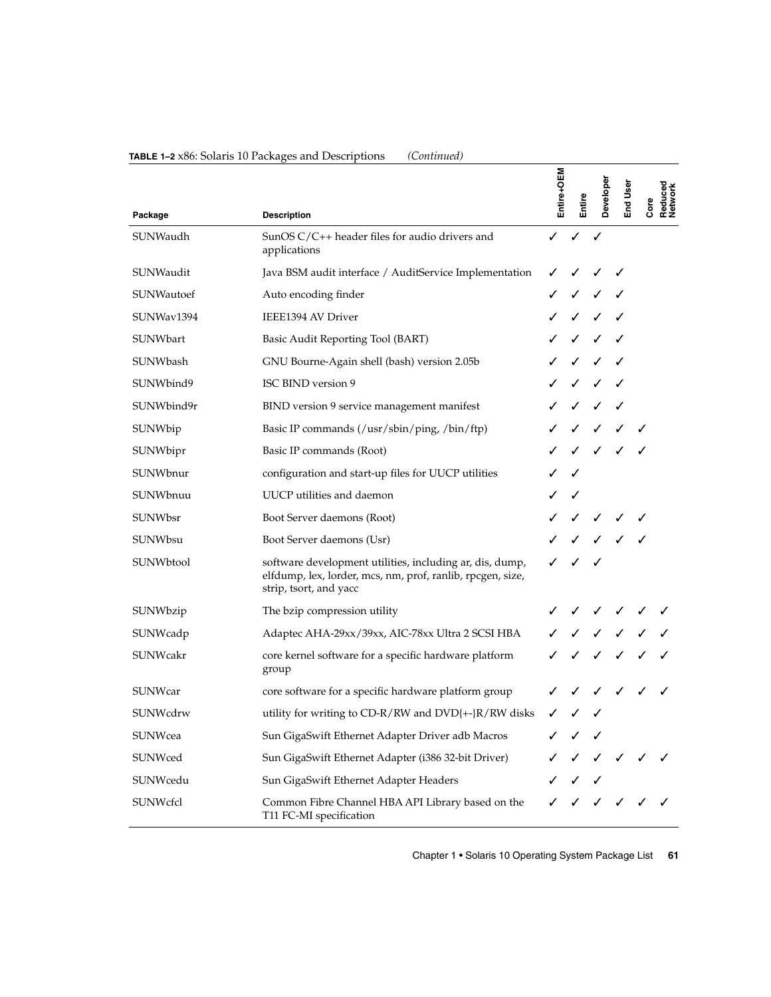| Package        | <b>Description</b>                                                                                                                               | Entire+OEM | Entire                                 |              | Developer<br>End User                                                                                                                                                                                                                                                                                                                                                                                                         |   | Reduced<br>Network<br>Core |
|----------------|--------------------------------------------------------------------------------------------------------------------------------------------------|------------|----------------------------------------|--------------|-------------------------------------------------------------------------------------------------------------------------------------------------------------------------------------------------------------------------------------------------------------------------------------------------------------------------------------------------------------------------------------------------------------------------------|---|----------------------------|
| SUNWaudh       | SunOS $C/C++$ header files for audio drivers and<br>applications                                                                                 | ✓          | ✓                                      | ✓            |                                                                                                                                                                                                                                                                                                                                                                                                                               |   |                            |
| SUNWaudit      | Java BSM audit interface / AuditService Implementation                                                                                           |            | $\checkmark$                           | $\checkmark$ |                                                                                                                                                                                                                                                                                                                                                                                                                               |   |                            |
| SUNWautoef     | Auto encoding finder                                                                                                                             |            | $\checkmark$                           | $\checkmark$ |                                                                                                                                                                                                                                                                                                                                                                                                                               |   |                            |
| SUNWav1394     | IEEE1394 AV Driver                                                                                                                               |            | $\checkmark$                           | $\checkmark$ |                                                                                                                                                                                                                                                                                                                                                                                                                               |   |                            |
| SUNWbart       | Basic Audit Reporting Tool (BART)                                                                                                                |            | $\checkmark$                           | $\checkmark$ |                                                                                                                                                                                                                                                                                                                                                                                                                               |   |                            |
| SUNWbash       | GNU Bourne-Again shell (bash) version 2.05b                                                                                                      |            | $\checkmark$                           | $\checkmark$ |                                                                                                                                                                                                                                                                                                                                                                                                                               |   |                            |
| SUNWbind9      | ISC BIND version 9                                                                                                                               |            | $\checkmark$                           | $\checkmark$ | ✓                                                                                                                                                                                                                                                                                                                                                                                                                             |   |                            |
| SUNWbind9r     | BIND version 9 service management manifest                                                                                                       |            | $\checkmark$                           | $\checkmark$ | ✓                                                                                                                                                                                                                                                                                                                                                                                                                             |   |                            |
| SUNWbip        | Basic IP commands (/usr/sbin/ping, /bin/ftp)                                                                                                     |            | ✓                                      | $\checkmark$ | $\checkmark$                                                                                                                                                                                                                                                                                                                                                                                                                  | ✓ |                            |
| SUNWbipr       | Basic IP commands (Root)                                                                                                                         |            | ✓                                      | $\checkmark$ | ✓                                                                                                                                                                                                                                                                                                                                                                                                                             |   |                            |
| SUNWbnur       | configuration and start-up files for UUCP utilities                                                                                              | ✓          | ✓                                      |              |                                                                                                                                                                                                                                                                                                                                                                                                                               |   |                            |
| SUNWbnuu       | UUCP utilities and daemon                                                                                                                        |            | ✓                                      |              |                                                                                                                                                                                                                                                                                                                                                                                                                               |   |                            |
| <b>SUNWbsr</b> | Boot Server daemons (Root)                                                                                                                       |            | $\checkmark$                           | $\checkmark$ | $\checkmark$                                                                                                                                                                                                                                                                                                                                                                                                                  | ✓ |                            |
| SUNWbsu        | Boot Server daemons (Usr)                                                                                                                        |            |                                        |              | $\checkmark$ $\checkmark$                                                                                                                                                                                                                                                                                                                                                                                                     |   |                            |
| SUNWbtool      | software development utilities, including ar, dis, dump,<br>elfdump, lex, lorder, mcs, nm, prof, ranlib, rpcgen, size,<br>strip, tsort, and yacc |            | ✓                                      |              |                                                                                                                                                                                                                                                                                                                                                                                                                               |   |                            |
| SUNWbzip       | The bzip compression utility                                                                                                                     |            |                                        |              | $\checkmark$ $\checkmark$ $\checkmark$                                                                                                                                                                                                                                                                                                                                                                                        |   |                            |
| SUNWcadp       | Adaptec AHA-29xx/39xx, AIC-78xx Ultra 2 SCSI HBA                                                                                                 |            |                                        |              | $\checkmark$                                                                                                                                                                                                                                                                                                                                                                                                                  |   |                            |
| SUNWcakr       | core kernel software for a specific hardware platform<br>group                                                                                   |            |                                        |              | ✓                                                                                                                                                                                                                                                                                                                                                                                                                             |   |                            |
| <b>SUNWcar</b> | core software for a specific hardware platform group                                                                                             |            |                                        |              | $\checkmark$                                                                                                                                                                                                                                                                                                                                                                                                                  | ✓ |                            |
| SUNWcdrw       | utility for writing to CD-R/RW and DVD{+-}R/RW disks                                                                                             |            | ✓                                      |              |                                                                                                                                                                                                                                                                                                                                                                                                                               |   |                            |
| SUNWcea        | Sun GigaSwift Ethernet Adapter Driver adb Macros                                                                                                 |            |                                        |              |                                                                                                                                                                                                                                                                                                                                                                                                                               |   |                            |
| <b>SUNWced</b> | Sun GigaSwift Ethernet Adapter (i386 32-bit Driver)                                                                                              |            |                                        |              | $\begin{array}{ccccccccc} \sqrt{2} & \sqrt{2} & \sqrt{2} & \sqrt{2} & \sqrt{2} & \sqrt{2} & \sqrt{2} & \sqrt{2} & \sqrt{2} & \sqrt{2} & \sqrt{2} & \sqrt{2} & \sqrt{2} & \sqrt{2} & \sqrt{2} & \sqrt{2} & \sqrt{2} & \sqrt{2} & \sqrt{2} & \sqrt{2} & \sqrt{2} & \sqrt{2} & \sqrt{2} & \sqrt{2} & \sqrt{2} & \sqrt{2} & \sqrt{2} & \sqrt{2} & \sqrt{2} & \sqrt{2} & \sqrt{2} & \sqrt{2} & \sqrt{2} & \sqrt{2} & \sqrt{2} & \$ |   |                            |
| SUNWcedu       | Sun GigaSwift Ethernet Adapter Headers                                                                                                           |            | $\checkmark$ $\checkmark$ $\checkmark$ |              |                                                                                                                                                                                                                                                                                                                                                                                                                               |   |                            |
| SUNWcfcl       | Common Fibre Channel HBA API Library based on the<br>T11 FC-MI specification                                                                     |            |                                        |              | v v v v v v                                                                                                                                                                                                                                                                                                                                                                                                                   |   |                            |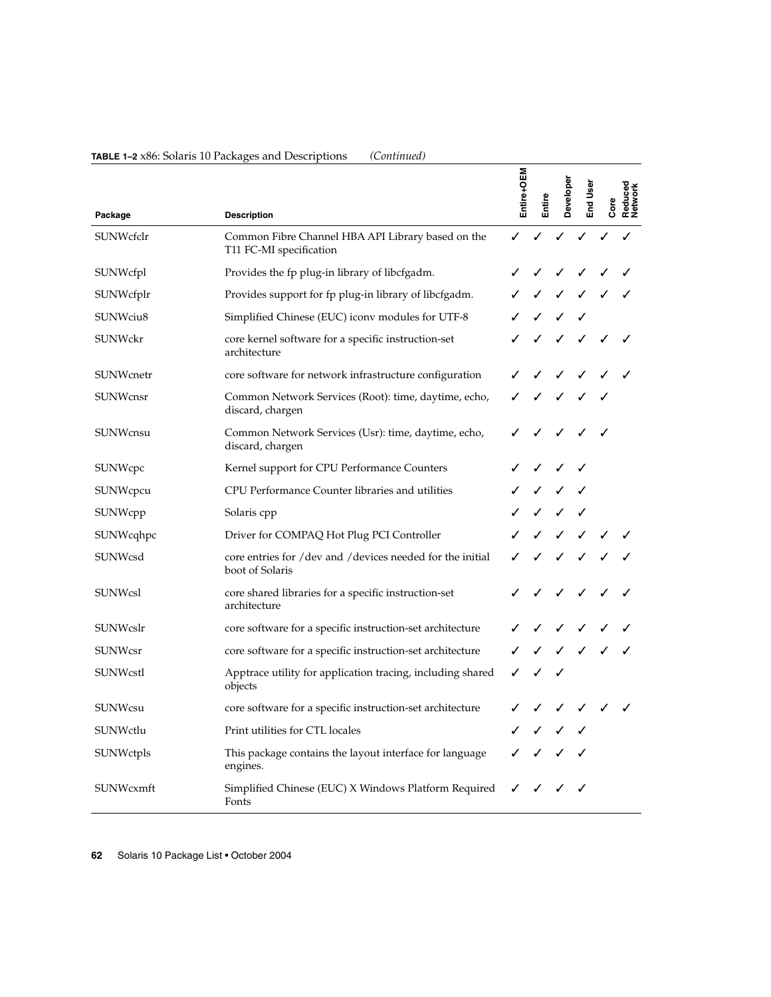| Package           | <b>Description</b>                                                           | Entire+OEM | Entire       | Developer    | End User | Core | Reduced<br>Network |
|-------------------|------------------------------------------------------------------------------|------------|--------------|--------------|----------|------|--------------------|
| SUNWcfclr         | Common Fibre Channel HBA API Library based on the<br>T11 FC-MI specification | ✓          | $\checkmark$ | $\checkmark$ | ✓        |      |                    |
| SUNWcfpl          | Provides the fp plug-in library of libcfgadm.                                |            |              |              |          |      |                    |
| SUNWcfplr         | Provides support for fp plug-in library of libergadm.                        |            |              |              |          |      |                    |
| SUNWciu8          | Simplified Chinese (EUC) icony modules for UTF-8                             |            |              |              |          |      |                    |
| SUNWckr           | core kernel software for a specific instruction-set<br>architecture          |            |              |              |          |      |                    |
| <b>SUNW</b> cnetr | core software for network infrastructure configuration                       |            |              |              |          |      |                    |
| <b>SUNW</b> cnsr  | Common Network Services (Root): time, daytime, echo,<br>discard, chargen     |            |              |              |          |      |                    |
| <b>SUNW</b> cnsu  | Common Network Services (Usr): time, daytime, echo,<br>discard, chargen      |            |              | ✓            |          |      |                    |
| SUNWcpc           | Kernel support for CPU Performance Counters                                  |            |              |              |          |      |                    |
| SUNWcpcu          | CPU Performance Counter libraries and utilities                              |            |              |              |          |      |                    |
| SUNWcpp           | Solaris cpp                                                                  |            |              | ✓            |          |      |                    |
| SUNWcqhpc         | Driver for COMPAQ Hot Plug PCI Controller                                    |            |              |              |          |      |                    |
| <b>SUNWcsd</b>    | core entries for /dev and /devices needed for the initial<br>boot of Solaris |            |              |              |          |      |                    |
| <b>SUNWcsl</b>    | core shared libraries for a specific instruction-set<br>architecture         |            |              |              |          |      |                    |
| SUNWcslr          | core software for a specific instruction-set architecture                    |            |              |              |          |      |                    |
| <b>SUNWcsr</b>    | core software for a specific instruction-set architecture                    |            |              |              |          |      |                    |
| <b>SUNWcstl</b>   | Apptrace utility for application tracing, including shared<br>objects        | ℐ          | ✓            |              |          |      |                    |
| <b>SUNWcsu</b>    | core software for a specific instruction-set architecture                    |            |              |              |          |      |                    |
| SUNWctlu          | Print utilities for CTL locales                                              |            |              |              |          |      |                    |
| SUNWctpls         | This package contains the layout interface for language<br>engines.          |            |              |              |          |      |                    |
| SUNWcxmft         | Simplified Chinese (EUC) X Windows Platform Required<br>Fonts                |            |              |              |          |      |                    |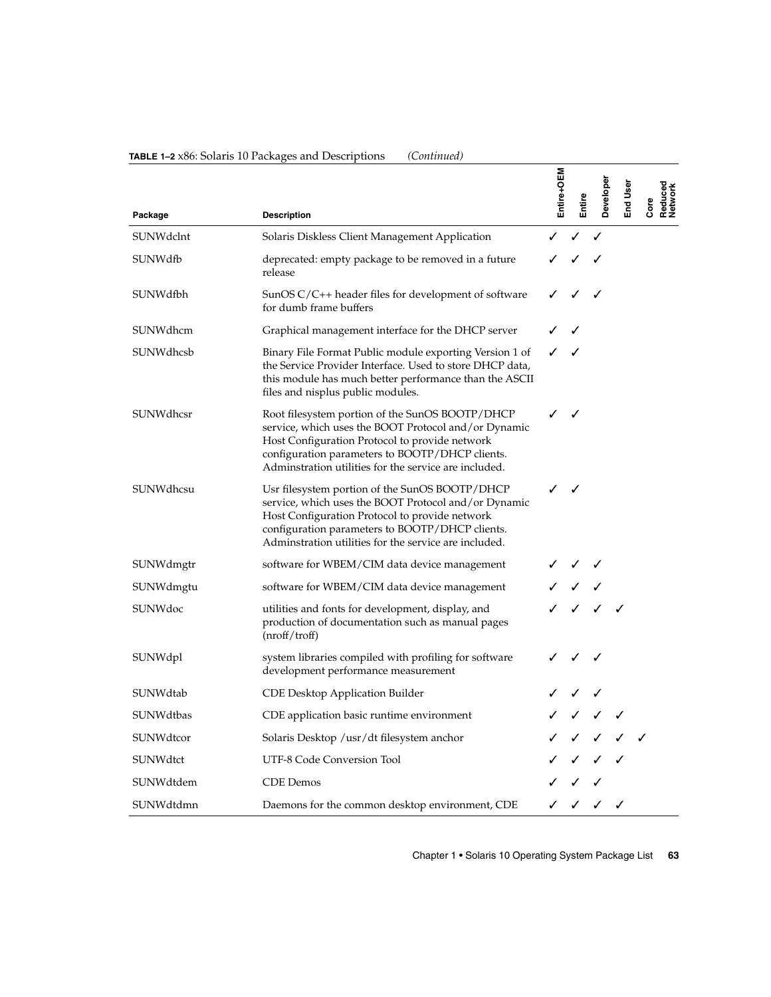| Package   | <b>Description</b>                                                                                                                                                                                                                                                    | Entire+OEM | Entire       | Developer | End User | Reduced<br>Network<br>Core |
|-----------|-----------------------------------------------------------------------------------------------------------------------------------------------------------------------------------------------------------------------------------------------------------------------|------------|--------------|-----------|----------|----------------------------|
| SUNWdclnt | Solaris Diskless Client Management Application                                                                                                                                                                                                                        |            |              | ✓         |          |                            |
| SUNWdfb   | deprecated: empty package to be removed in a future<br>release                                                                                                                                                                                                        |            |              |           |          |                            |
| SUNWdfbh  | SunOS C/C++ header files for development of software<br>for dumb frame buffers                                                                                                                                                                                        |            |              |           |          |                            |
| SUNWdhcm  | Graphical management interface for the DHCP server                                                                                                                                                                                                                    |            | ✓            |           |          |                            |
| SUNWdhcsb | Binary File Format Public module exporting Version 1 of<br>the Service Provider Interface. Used to store DHCP data,<br>this module has much better performance than the ASCII<br>files and nisplus public modules.                                                    | ✓          |              |           |          |                            |
| SUNWdhcsr | Root filesystem portion of the SunOS BOOTP/DHCP<br>service, which uses the BOOT Protocol and/or Dynamic<br>Host Configuration Protocol to provide network<br>configuration parameters to BOOTP/DHCP clients.<br>Adminstration utilities for the service are included. | ✓          | ✓            |           |          |                            |
| SUNWdhcsu | Usr filesystem portion of the SunOS BOOTP/DHCP<br>service, which uses the BOOT Protocol and/or Dynamic<br>Host Configuration Protocol to provide network<br>configuration parameters to BOOTP/DHCP clients.<br>Adminstration utilities for the service are included.  |            | ✓            |           |          |                            |
| SUNWdmgtr | software for WBEM/CIM data device management                                                                                                                                                                                                                          |            |              |           |          |                            |
| SUNWdmgtu | software for WBEM/CIM data device management                                                                                                                                                                                                                          |            |              |           |          |                            |
| SUNWdoc   | utilities and fonts for development, display, and<br>production of documentation such as manual pages<br>$(n\text{roff}/\text{troff})$                                                                                                                                |            |              |           |          |                            |
| SUNWdpl   | system libraries compiled with profiling for software<br>development performance measurement                                                                                                                                                                          |            |              |           |          |                            |
| SUNWdtab  | CDE Desktop Application Builder                                                                                                                                                                                                                                       |            |              |           |          |                            |
| SUNWdtbas | CDE application basic runtime environment                                                                                                                                                                                                                             |            |              |           |          |                            |
| SUNWdtcor | Solaris Desktop /usr/dt filesystem anchor                                                                                                                                                                                                                             |            |              |           |          |                            |
| SUNWdtct  | UTF-8 Code Conversion Tool                                                                                                                                                                                                                                            |            |              |           |          |                            |
| SUNWdtdem | <b>CDE</b> Demos                                                                                                                                                                                                                                                      |            |              |           |          |                            |
| SUNWdtdmn | Daemons for the common desktop environment, CDE                                                                                                                                                                                                                       | ✓          | $\checkmark$ | ✓         | ✓        |                            |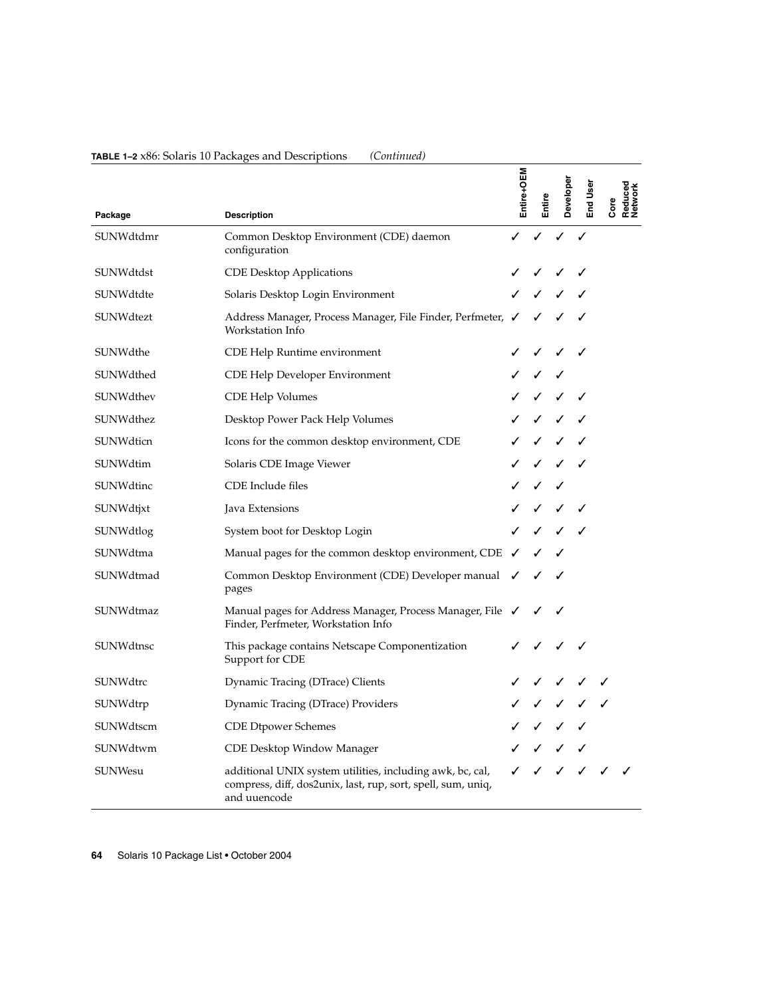| Package         | <b>Description</b>                                                                                                                        | Entire+OEM | Entire | Developer | <b>End User</b> | Core | Reduced<br>Network |
|-----------------|-------------------------------------------------------------------------------------------------------------------------------------------|------------|--------|-----------|-----------------|------|--------------------|
| SUNWdtdmr       | Common Desktop Environment (CDE) daemon<br>configuration                                                                                  | ✓          | ✓      | ✓         | ✓               |      |                    |
| SUNWdtdst       | <b>CDE Desktop Applications</b>                                                                                                           |            |        |           |                 |      |                    |
| SUNWdtdte       | Solaris Desktop Login Environment                                                                                                         |            |        |           |                 |      |                    |
| SUNWdtezt       | Address Manager, Process Manager, File Finder, Perfmeter, √<br>Workstation Info                                                           |            | ✓      |           |                 |      |                    |
| SUNWdthe        | CDE Help Runtime environment                                                                                                              |            |        |           |                 |      |                    |
| SUNWdthed       | <b>CDE Help Developer Environment</b>                                                                                                     |            |        |           |                 |      |                    |
| SUNWdthev       | CDE Help Volumes                                                                                                                          |            |        | ✓         | ✓               |      |                    |
| SUNWdthez       | Desktop Power Pack Help Volumes                                                                                                           |            |        |           |                 |      |                    |
| SUNWdticn       | Icons for the common desktop environment, CDE                                                                                             |            |        |           |                 |      |                    |
| <b>SUNWdtim</b> | Solaris CDE Image Viewer                                                                                                                  |            |        |           |                 |      |                    |
| SUNWdtinc       | CDE Include files                                                                                                                         |            | ✓      |           |                 |      |                    |
| SUNWdtjxt       | Java Extensions                                                                                                                           |            |        |           |                 |      |                    |
| SUNWdtlog       | System boot for Desktop Login                                                                                                             |            |        |           |                 |      |                    |
| SUNWdtma        | Manual pages for the common desktop environment, CDE                                                                                      |            |        |           |                 |      |                    |
| SUNWdtmad       | Common Desktop Environment (CDE) Developer manual<br>pages                                                                                | ✓          | ✓      |           |                 |      |                    |
| SUNWdtmaz       | Manual pages for Address Manager, Process Manager, File √<br>Finder, Perfmeter, Workstation Info                                          |            | ✓      |           |                 |      |                    |
| SUNWdtnsc       | This package contains Netscape Componentization<br>Support for CDE                                                                        |            | ✓      | ✓         |                 |      |                    |
| SUNWdtrc        | Dynamic Tracing (DTrace) Clients                                                                                                          |            |        |           |                 |      |                    |
| SUNWdtrp        | Dynamic Tracing (DTrace) Providers                                                                                                        |            |        |           |                 |      |                    |
| SUNWdtscm       | <b>CDE Dtpower Schemes</b>                                                                                                                |            |        |           |                 |      |                    |
| SUNWdtwm        | CDE Desktop Window Manager                                                                                                                |            |        |           |                 |      |                    |
| <b>SUNWesu</b>  | additional UNIX system utilities, including awk, bc, cal,<br>compress, diff, dos2unix, last, rup, sort, spell, sum, uniq,<br>and uuencode |            |        |           |                 |      |                    |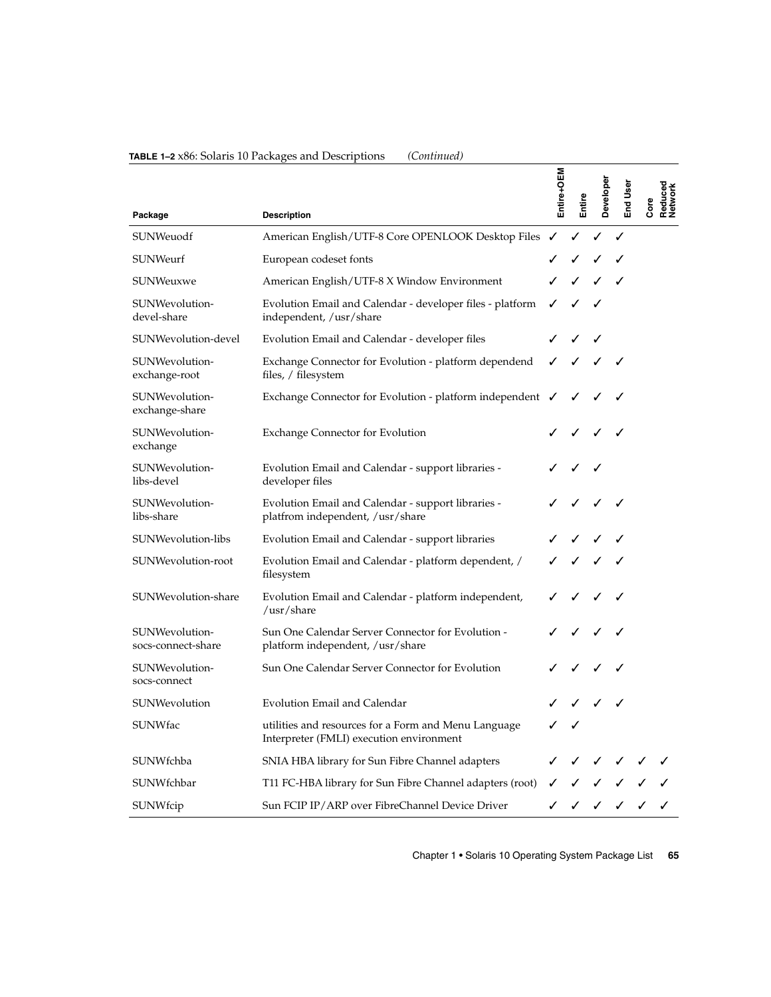| Package                              | <b>Description</b>                                                                               | Entire+OEM | Entire       | Developer    | End User | Core | Reduced<br>Network |
|--------------------------------------|--------------------------------------------------------------------------------------------------|------------|--------------|--------------|----------|------|--------------------|
| SUNWeuodf                            | American English/UTF-8 Core OPENLOOK Desktop Files                                               |            |              |              |          |      |                    |
| SUNWeurf                             | European codeset fonts                                                                           |            | ✓            | $\checkmark$ | ✓        |      |                    |
| SUNWeuxwe                            | American English/UTF-8 X Window Environment                                                      |            |              | $\checkmark$ | ✓        |      |                    |
| SUNWevolution-<br>devel-share        | Evolution Email and Calendar - developer files - platform<br>independent, /usr/share             |            |              |              |          |      |                    |
| SUNWevolution-devel                  | Evolution Email and Calendar - developer files                                                   |            |              |              |          |      |                    |
| SUNWevolution-<br>exchange-root      | Exchange Connector for Evolution - platform dependend<br>files, / filesystem                     |            |              |              | ✓        |      |                    |
| SUNWevolution-<br>exchange-share     | Exchange Connector for Evolution - platform independent √                                        |            | $\checkmark$ |              |          |      |                    |
| SUNWevolution-<br>exchange           | <b>Exchange Connector for Evolution</b>                                                          |            |              |              |          |      |                    |
| SUNWevolution-<br>libs-devel         | Evolution Email and Calendar - support libraries -<br>developer files                            |            |              |              |          |      |                    |
| SUNWevolution-<br>libs-share         | Evolution Email and Calendar - support libraries -<br>platfrom independent, /usr/share           |            |              |              |          |      |                    |
| SUNWevolution-libs                   | Evolution Email and Calendar - support libraries                                                 |            |              |              |          |      |                    |
| SUNWevolution-root                   | Evolution Email and Calendar - platform dependent, /<br>filesystem                               |            |              |              |          |      |                    |
| SUNWevolution-share                  | Evolution Email and Calendar - platform independent,<br>/usr/share                               |            |              |              |          |      |                    |
| SUNWevolution-<br>socs-connect-share | Sun One Calendar Server Connector for Evolution -<br>platform independent, /usr/share            |            |              |              |          |      |                    |
| SUNWevolution-<br>socs-connect       | Sun One Calendar Server Connector for Evolution                                                  |            |              |              |          |      |                    |
| SUNWevolution                        | Evolution Email and Calendar                                                                     |            |              | ✓            |          |      |                    |
| SUNWfac                              | utilities and resources for a Form and Menu Language<br>Interpreter (FMLI) execution environment |            |              |              |          |      |                    |
| SUNWfchba                            | SNIA HBA library for Sun Fibre Channel adapters                                                  |            |              |              |          |      |                    |
| SUNWfchbar                           | T11 FC-HBA library for Sun Fibre Channel adapters (root)                                         |            |              |              |          |      |                    |
| SUNWfcip                             | Sun FCIP IP/ARP over FibreChannel Device Driver                                                  |            |              |              |          |      |                    |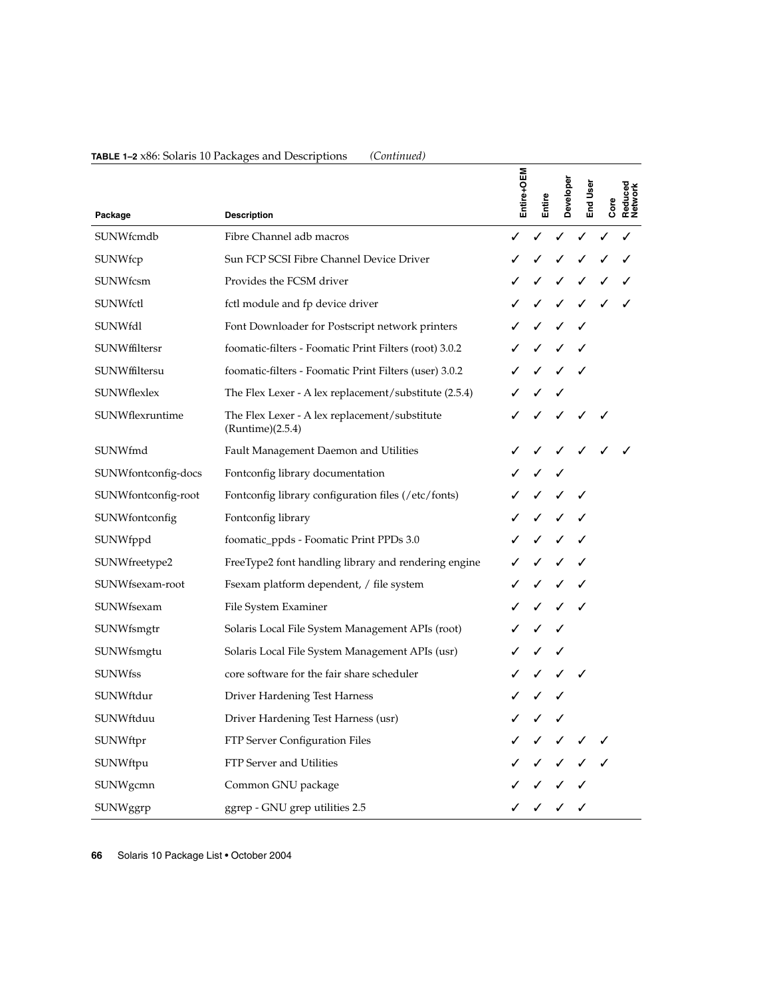| Package             | <b>Description</b>                                                | Entire+OEM |   | Entire | Developer | End User     | Core | Reduced<br>Network |
|---------------------|-------------------------------------------------------------------|------------|---|--------|-----------|--------------|------|--------------------|
| SUNWfcmdb           | Fibre Channel adb macros                                          | ✓          | ✓ |        | ✓         | ✓            | ✓    |                    |
| SUNWfcp             | Sun FCP SCSI Fibre Channel Device Driver                          |            |   |        |           |              |      |                    |
| <b>SUNWfcsm</b>     | Provides the FCSM driver                                          |            |   |        |           | ✓            |      |                    |
| SUNWfctl            | fctl module and fp device driver                                  |            |   |        |           | ✓            |      |                    |
| SUNWfdl             | Font Downloader for Postscript network printers                   |            |   |        |           |              |      |                    |
| SUNWffiltersr       | foomatic-filters - Foomatic Print Filters (root) 3.0.2            |            |   |        |           |              |      |                    |
| SUNWffiltersu       | foomatic-filters - Foomatic Print Filters (user) 3.0.2            |            |   |        |           |              |      |                    |
| <b>SUNWflexlex</b>  | The Flex Lexer - A lex replacement/substitute (2.5.4)             |            | ✓ |        |           |              |      |                    |
| SUNWflexruntime     | The Flex Lexer - A lex replacement/substitute<br>(Runtime)(2.5.4) |            |   |        |           | $\checkmark$ |      |                    |
| SUNWfmd             | Fault Management Daemon and Utilities                             |            |   |        |           |              |      |                    |
| SUNWfontconfig-docs | Fontconfig library documentation                                  |            |   |        |           |              |      |                    |
| SUNWfontconfig-root | Fontconfig library configuration files (/etc/fonts)               |            |   |        |           |              |      |                    |
| SUNWfontconfig      | Fontconfig library                                                |            |   |        |           |              |      |                    |
| SUNWfppd            | foomatic_ppds - Foomatic Print PPDs 3.0                           |            |   |        |           |              |      |                    |
| SUNWfreetype2       | FreeType2 font handling library and rendering engine              |            |   |        |           |              |      |                    |
| SUNWfsexam-root     | Fsexam platform dependent, / file system                          |            |   |        |           |              |      |                    |
| <b>SUNWfsexam</b>   | File System Examiner                                              |            |   |        |           |              |      |                    |
| SUNWfsmgtr          | Solaris Local File System Management APIs (root)                  |            | ✓ |        |           |              |      |                    |
| SUNWfsmgtu          | Solaris Local File System Management APIs (usr)                   |            | ✓ |        |           |              |      |                    |
| <b>SUNWfss</b>      | core software for the fair share scheduler                        |            |   |        |           | ✓            |      |                    |
| SUNWftdur           | Driver Hardening Test Harness                                     |            |   |        |           |              |      |                    |
| SUNWftduu           | Driver Hardening Test Harness (usr)                               |            |   |        |           |              |      |                    |
| SUNWftpr            | FTP Server Configuration Files                                    |            |   |        | ✓         | ✓            |      |                    |
| SUNWftpu            | FTP Server and Utilities                                          |            |   |        |           |              |      |                    |
| SUNWgcmn            | Common GNU package                                                |            |   |        |           |              |      |                    |
| SUNWggrp            | ggrep - GNU grep utilities 2.5                                    |            | ✓ |        |           |              |      |                    |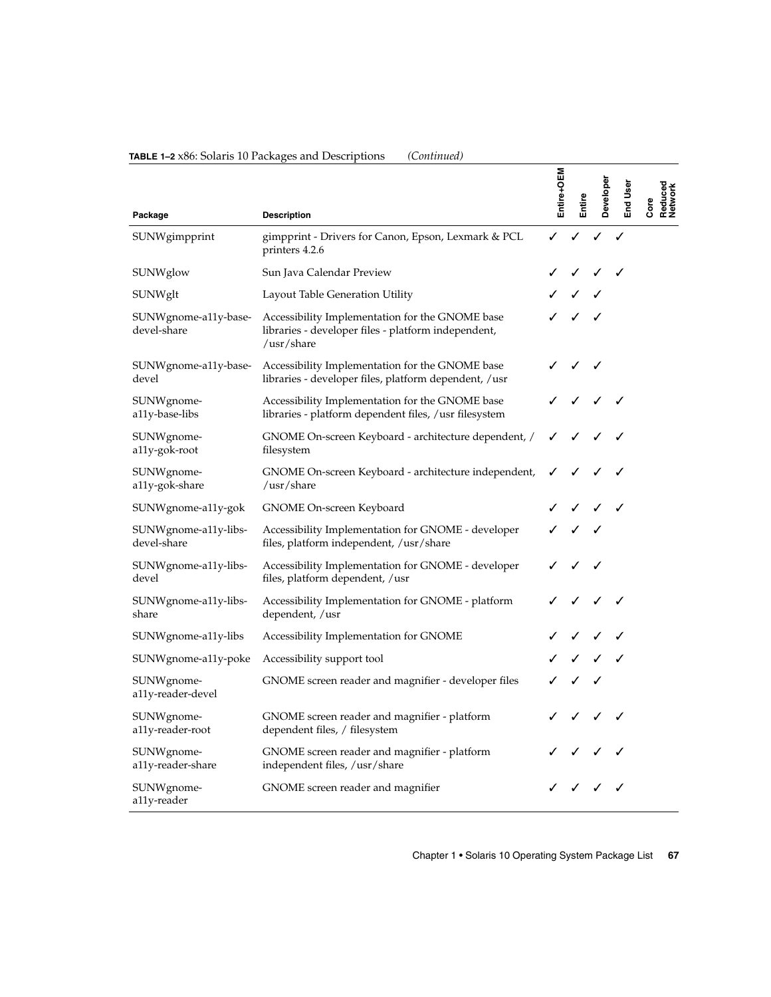| Package                             | <b>Description</b>                                                                                                   | Entire+OEM |   | Entire       | Developer    | End User | Core<br>Reduced<br>Network |
|-------------------------------------|----------------------------------------------------------------------------------------------------------------------|------------|---|--------------|--------------|----------|----------------------------|
| SUNWgimpprint                       | gimpprint - Drivers for Canon, Epson, Lexmark & PCL<br>printers 4.2.6                                                | ✓          | ✓ |              | ✓            | ✓        |                            |
| SUNWglow                            | Sun Java Calendar Preview                                                                                            |            | ✓ |              | ✓            | ✓        |                            |
| SUNWglt                             | Layout Table Generation Utility                                                                                      |            |   | $\checkmark$ | ✓            |          |                            |
| SUNWgnome-a11y-base-<br>devel-share | Accessibility Implementation for the GNOME base<br>libraries - developer files - platform independent,<br>/usr/share |            |   |              |              |          |                            |
| SUNWgnome-a11y-base-<br>devel       | Accessibility Implementation for the GNOME base<br>libraries - developer files, platform dependent, /usr             | ✓          | ✓ |              | ✓            |          |                            |
| SUNWgnome-<br>a11y-base-libs        | Accessibility Implementation for the GNOME base<br>libraries - platform dependent files, /usr filesystem             |            |   |              | $\checkmark$ | ✓        |                            |
| SUNWgnome-<br>a11y-gok-root         | GNOME On-screen Keyboard - architecture dependent, /<br>filesystem                                                   |            |   |              |              |          |                            |
| SUNWgnome-<br>a11y-gok-share        | GNOME On-screen Keyboard - architecture independent,<br>/usr/share                                                   | ✓          | ✓ |              | ✓            |          |                            |
| SUNWgnome-a11y-gok                  | GNOME On-screen Keyboard                                                                                             |            |   |              | ✓            | ✓        |                            |
| SUNWgnome-a11y-libs-<br>devel-share | Accessibility Implementation for GNOME - developer<br>files, platform independent, /usr/share                        |            |   |              |              |          |                            |
| SUNWgnome-a11y-libs-<br>devel       | Accessibility Implementation for GNOME - developer<br>files, platform dependent, /usr                                | ✓          | ✓ |              |              |          |                            |
| SUNWgnome-a11y-libs-<br>share       | Accessibility Implementation for GNOME - platform<br>dependent, /usr                                                 |            |   |              | ✓            | ✓        |                            |
| SUNWgnome-a11y-libs                 | Accessibility Implementation for GNOME                                                                               |            |   |              |              |          |                            |
| SUNWgnome-a11y-poke                 | Accessibility support tool                                                                                           |            |   |              |              |          |                            |
| SUNWgnome-<br>a11y-reader-devel     | GNOME screen reader and magnifier - developer files                                                                  |            | ✓ |              |              |          |                            |
| SUNWgnome-<br>a11y-reader-root      | GNOME screen reader and magnifier - platform<br>dependent files, / filesystem                                        |            | ✓ |              | ✓            | ✓        |                            |
| SUNWgnome-<br>a11y-reader-share     | GNOME screen reader and magnifier - platform<br>independent files, /usr/share                                        |            |   |              | $\checkmark$ |          |                            |
| SUNWgnome-<br>a11y-reader           | GNOME screen reader and magnifier                                                                                    |            |   |              | $\sqrt{2}$   |          |                            |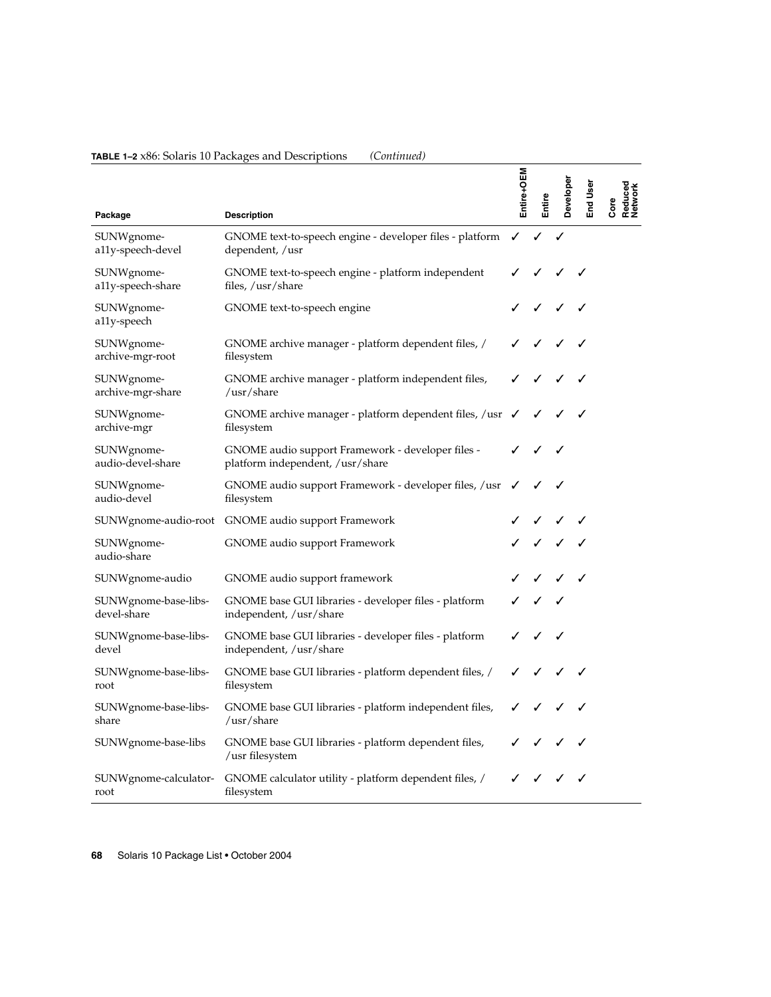| Package                             | <b>Description</b>                                                                    | Entire+OEM | Entire       | Developer    | End User | Reduced<br>Network<br>Core |
|-------------------------------------|---------------------------------------------------------------------------------------|------------|--------------|--------------|----------|----------------------------|
| SUNWgnome-<br>a11y-speech-devel     | GNOME text-to-speech engine - developer files - platform<br>dependent, /usr           | ✓          | $\checkmark$ | $\checkmark$ |          |                            |
| SUNWgnome-<br>a11y-speech-share     | GNOME text-to-speech engine - platform independent<br>files, /usr/share               |            |              |              |          |                            |
| SUNWgnome-<br>a11y-speech           | GNOME text-to-speech engine                                                           |            |              | ✓            |          |                            |
| SUNWgnome-<br>archive-mgr-root      | GNOME archive manager - platform dependent files, /<br>filesystem                     |            |              |              |          |                            |
| SUNWgnome-<br>archive-mgr-share     | GNOME archive manager - platform independent files,<br>/usr/share                     |            | ✓            |              |          |                            |
| SUNWgnome-<br>archive-mgr           | GNOME archive manager - platform dependent files, /usr<br>filesystem                  | ✓          | ✓            |              |          |                            |
| SUNWgnome-<br>audio-devel-share     | GNOME audio support Framework - developer files -<br>platform independent, /usr/share | ✓          | $\checkmark$ |              |          |                            |
| SUNWgnome-<br>audio-devel           | GNOME audio support Framework - developer files, /usr<br>filesystem                   | ✓          | ✓            |              |          |                            |
| SUNWgnome-audio-root                | GNOME audio support Framework                                                         |            |              |              |          |                            |
| SUNWgnome-<br>audio-share           | GNOME audio support Framework                                                         |            |              |              |          |                            |
| SUNWgnome-audio                     | GNOME audio support framework                                                         |            |              |              |          |                            |
| SUNWgnome-base-libs-<br>devel-share | GNOME base GUI libraries - developer files - platform<br>independent, /usr/share      |            | ✓            |              |          |                            |
| SUNWgnome-base-libs-<br>devel       | GNOME base GUI libraries - developer files - platform<br>independent, /usr/share      |            |              |              |          |                            |
| SUNWgnome-base-libs-<br>root        | GNOME base GUI libraries - platform dependent files, /<br>filesystem                  |            | ✓            |              |          |                            |
| SUNWgnome-base-libs-<br>share       | GNOME base GUI libraries - platform independent files,<br>/usr/share                  |            | $\checkmark$ |              |          |                            |
| SUNWgnome-base-libs                 | GNOME base GUI libraries - platform dependent files,<br>/usr filesystem               |            |              |              |          |                            |
| SUNWgnome-calculator-<br>root       | GNOME calculator utility - platform dependent files, /<br>filesystem                  |            |              |              |          |                            |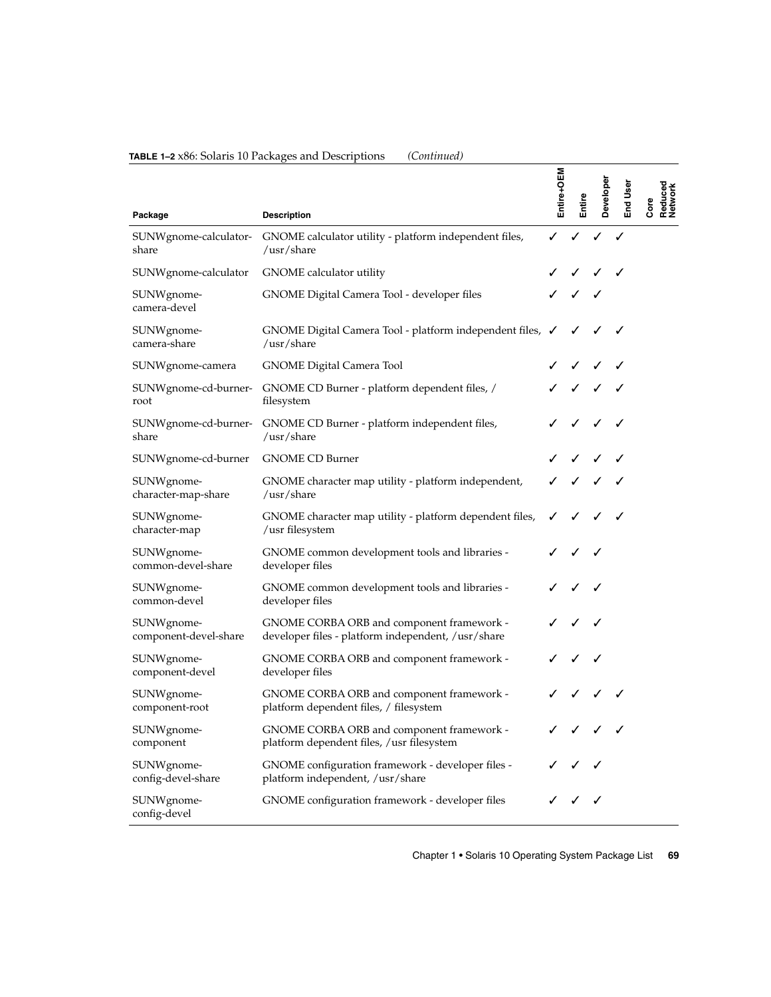| Package                             | <b>Description</b>                                                                              | Entire+OEM | Entire       | Developer | End User | Reduced<br>Network<br>Core |
|-------------------------------------|-------------------------------------------------------------------------------------------------|------------|--------------|-----------|----------|----------------------------|
| SUNWgnome-calculator-<br>share      | GNOME calculator utility - platform independent files,<br>/usr/share                            | ✓          | ✓            | ✓         | ✓        |                            |
| SUNWgnome-calculator                | GNOME calculator utility                                                                        |            |              |           |          |                            |
| SUNWgnome-<br>camera-devel          | GNOME Digital Camera Tool - developer files                                                     |            |              |           |          |                            |
| SUNWgnome-<br>camera-share          | GNOME Digital Camera Tool - platform independent files, √<br>/usr/share                         |            | ✓            |           |          |                            |
| SUNWgnome-camera                    | <b>GNOME</b> Digital Camera Tool                                                                |            |              | ✓         |          |                            |
| SUNWgnome-cd-burner-<br>root        | GNOME CD Burner - platform dependent files, /<br>filesystem                                     |            |              |           |          |                            |
| SUNWgnome-cd-burner-<br>share       | GNOME CD Burner - platform independent files,<br>/usr/share                                     |            |              |           |          |                            |
| SUNWgnome-cd-burner                 | <b>GNOME CD Burner</b>                                                                          |            |              |           |          |                            |
| SUNWgnome-<br>character-map-share   | GNOME character map utility - platform independent,<br>/usr/share                               |            |              |           |          |                            |
| SUNWgnome-<br>character-map         | GNOME character map utility - platform dependent files,<br>/usr filesystem                      | ✓          | $\checkmark$ |           |          |                            |
| SUNWgnome-<br>common-devel-share    | GNOME common development tools and libraries -<br>developer files                               |            |              |           |          |                            |
| SUNWgnome-<br>common-devel          | GNOME common development tools and libraries -<br>developer files                               |            |              |           |          |                            |
| SUNWgnome-<br>component-devel-share | GNOME CORBA ORB and component framework -<br>developer files - platform independent, /usr/share |            |              |           |          |                            |
| SUNWgnome-<br>component-devel       | GNOME CORBA ORB and component framework -<br>developer files                                    |            |              |           |          |                            |
| SUNWgnome-<br>component-root        | GNOME CORBA ORB and component framework -<br>platform dependent files, / filesystem             |            |              |           |          |                            |
| SUNWgnome-<br>component             | GNOME CORBA ORB and component framework -<br>platform dependent files, /usr filesystem          |            |              |           |          |                            |
| SUNWgnome-<br>config-devel-share    | GNOME configuration framework - developer files -<br>platform independent, /usr/share           |            |              |           |          |                            |
| SUNWgnome-<br>config-devel          | GNOME configuration framework - developer files                                                 |            |              |           |          |                            |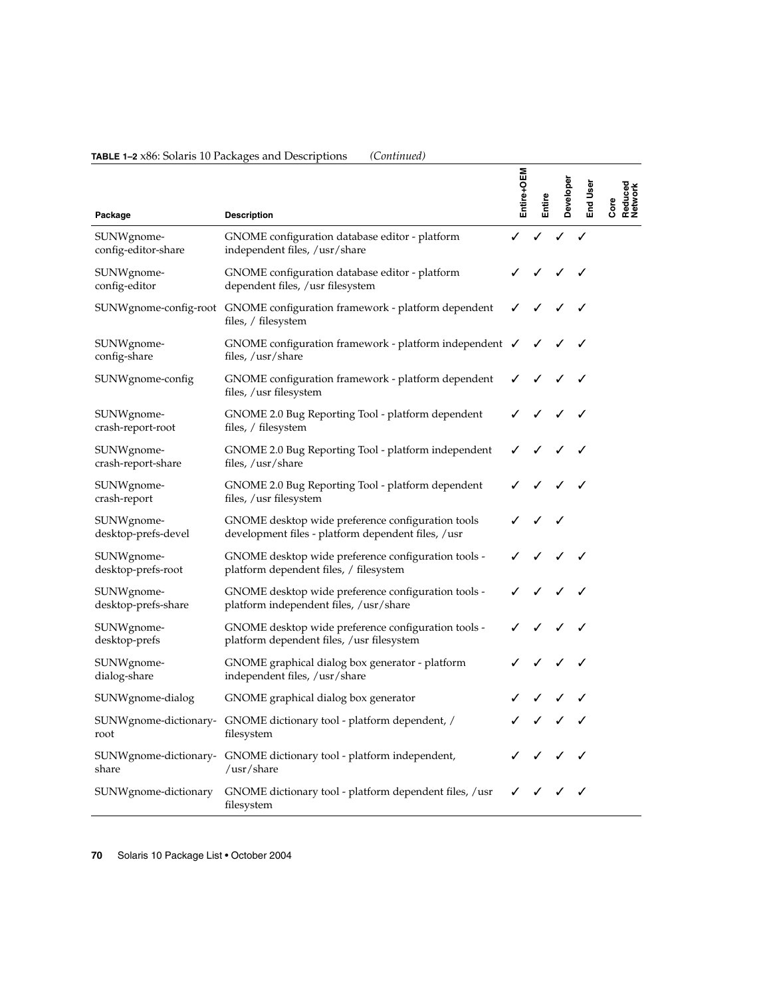| Package                           | <b>Description</b>                                                                                      | Entire+OEM | Entire | Developer | End User | Reduced<br>Network<br>Core |
|-----------------------------------|---------------------------------------------------------------------------------------------------------|------------|--------|-----------|----------|----------------------------|
| SUNWgnome-<br>config-editor-share | GNOME configuration database editor - platform<br>independent files, /usr/share                         | ✓          | ✓      | ✓         | ✓        |                            |
| SUNWgnome-<br>config-editor       | GNOME configuration database editor - platform<br>dependent files, /usr filesystem                      | ✓          |        |           |          |                            |
|                                   | SUNWgnome-config-root GNOME configuration framework - platform dependent<br>files, / filesystem         | ✓          | ✓      |           |          |                            |
| SUNWgnome-<br>config-share        | GNOME configuration framework - platform independent $\checkmark$<br>files, /usr/share                  |            | ✓      |           |          |                            |
| SUNWgnome-config                  | GNOME configuration framework - platform dependent<br>files, /usr filesystem                            | ✓          |        |           |          |                            |
| SUNWgnome-<br>crash-report-root   | GNOME 2.0 Bug Reporting Tool - platform dependent<br>files, / filesystem                                |            |        |           |          |                            |
| SUNWgnome-<br>crash-report-share  | GNOME 2.0 Bug Reporting Tool - platform independent<br>files, /usr/share                                |            |        |           |          |                            |
| SUNWgnome-<br>crash-report        | GNOME 2.0 Bug Reporting Tool - platform dependent<br>files, /usr filesystem                             |            |        |           |          |                            |
| SUNWgnome-<br>desktop-prefs-devel | GNOME desktop wide preference configuration tools<br>development files - platform dependent files, /usr |            |        |           |          |                            |
| SUNWgnome-<br>desktop-prefs-root  | GNOME desktop wide preference configuration tools -<br>platform dependent files, / filesystem           |            |        |           |          |                            |
| SUNWgnome-<br>desktop-prefs-share | GNOME desktop wide preference configuration tools -<br>platform independent files, /usr/share           |            |        |           |          |                            |
| SUNWgnome-<br>desktop-prefs       | GNOME desktop wide preference configuration tools -<br>platform dependent files, /usr filesystem        |            |        |           |          |                            |
| SUNWgnome-<br>dialog-share        | GNOME graphical dialog box generator - platform<br>independent files, /usr/share                        |            |        | ✓         |          |                            |
| SUNWgnome-dialog                  | GNOME graphical dialog box generator                                                                    |            |        |           |          |                            |
| SUNWgnome-dictionary-<br>root     | GNOME dictionary tool - platform dependent, /<br>filesystem                                             |            |        |           |          |                            |
| share                             | SUNWgnome-dictionary- GNOME dictionary tool - platform independent,<br>/usr/share                       |            |        |           |          |                            |
| SUNWgnome-dictionary              | GNOME dictionary tool - platform dependent files, /usr<br>filesystem                                    |            |        |           |          |                            |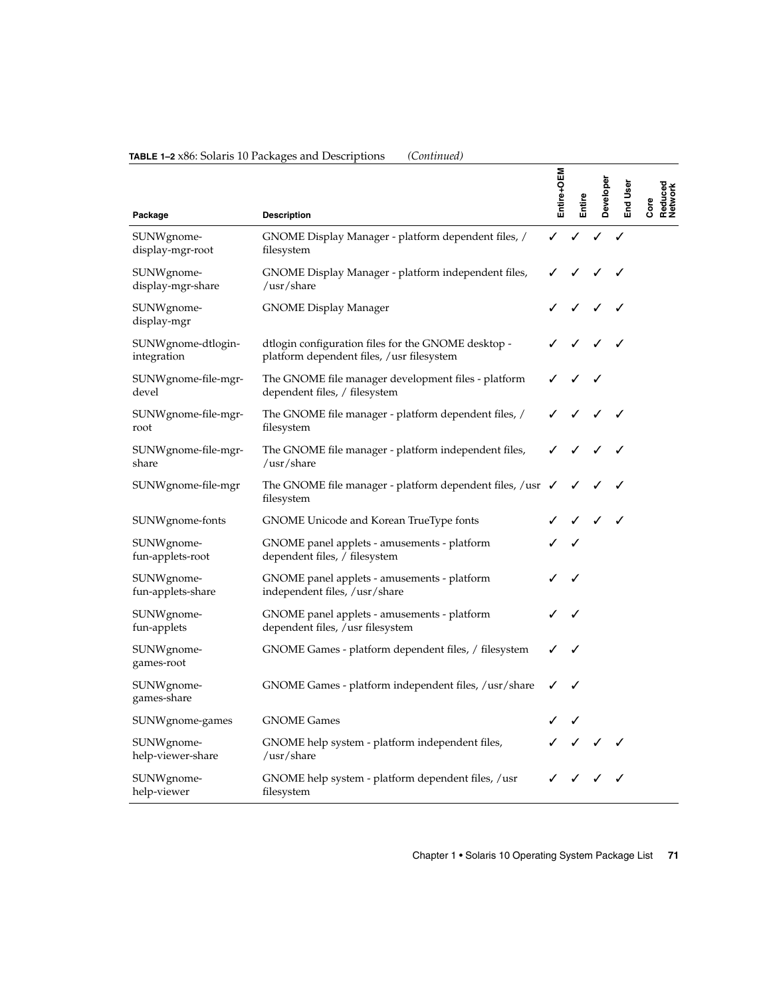| Package                           | <b>Description</b>                                                                               | Entire+OEM | Entire | Developer | End User | Reduced<br>Network<br>Core |
|-----------------------------------|--------------------------------------------------------------------------------------------------|------------|--------|-----------|----------|----------------------------|
| SUNWgnome-<br>display-mgr-root    | GNOME Display Manager - platform dependent files, /<br>filesystem                                | ✓          | ✓      | ✓         | ✓        |                            |
| SUNWgnome-<br>display-mgr-share   | GNOME Display Manager - platform independent files,<br>/usr/share                                |            |        |           |          |                            |
| SUNWgnome-<br>display-mgr         | GNOME Display Manager                                                                            |            |        |           |          |                            |
| SUNWgnome-dtlogin-<br>integration | dtlogin configuration files for the GNOME desktop -<br>platform dependent files, /usr filesystem |            |        |           |          |                            |
| SUNWgnome-file-mgr-<br>devel      | The GNOME file manager development files - platform<br>dependent files, / filesystem             |            |        |           |          |                            |
| SUNWgnome-file-mgr-<br>root       | The GNOME file manager - platform dependent files, /<br>filesystem                               |            |        |           | ✓        |                            |
| SUNWgnome-file-mgr-<br>share      | The GNOME file manager - platform independent files,<br>/usr/share                               |            | ✓      |           |          |                            |
| SUNWgnome-file-mgr                | The GNOME file manager - platform dependent files, /usr $\checkmark$<br>filesystem               |            | ✓      |           |          |                            |
| SUNWgnome-fonts                   | GNOME Unicode and Korean TrueType fonts                                                          |            |        |           | ✓        |                            |
| SUNWgnome-<br>fun-applets-root    | GNOME panel applets - amusements - platform<br>dependent files, / filesystem                     |            |        |           |          |                            |
| SUNWgnome-<br>fun-applets-share   | GNOME panel applets - amusements - platform<br>independent files, /usr/share                     |            |        |           |          |                            |
| SUNWgnome-<br>fun-applets         | GNOME panel applets - amusements - platform<br>dependent files, /usr filesystem                  |            |        |           |          |                            |
| SUNWgnome-<br>games-root          | GNOME Games - platform dependent files, / filesystem                                             | ✓          |        |           |          |                            |
| SUNWgnome-<br>games-share         | GNOME Games - platform independent files, /usr/share                                             | ✓          | ✓      |           |          |                            |
| SUNWgnome-games                   | <b>GNOME</b> Games                                                                               |            |        |           |          |                            |
| SUNWgnome-<br>help-viewer-share   | GNOME help system - platform independent files,<br>/usr/share                                    |            |        |           |          |                            |
| SUNWgnome-<br>help-viewer         | GNOME help system - platform dependent files, /usr<br>filesystem                                 |            |        |           |          |                            |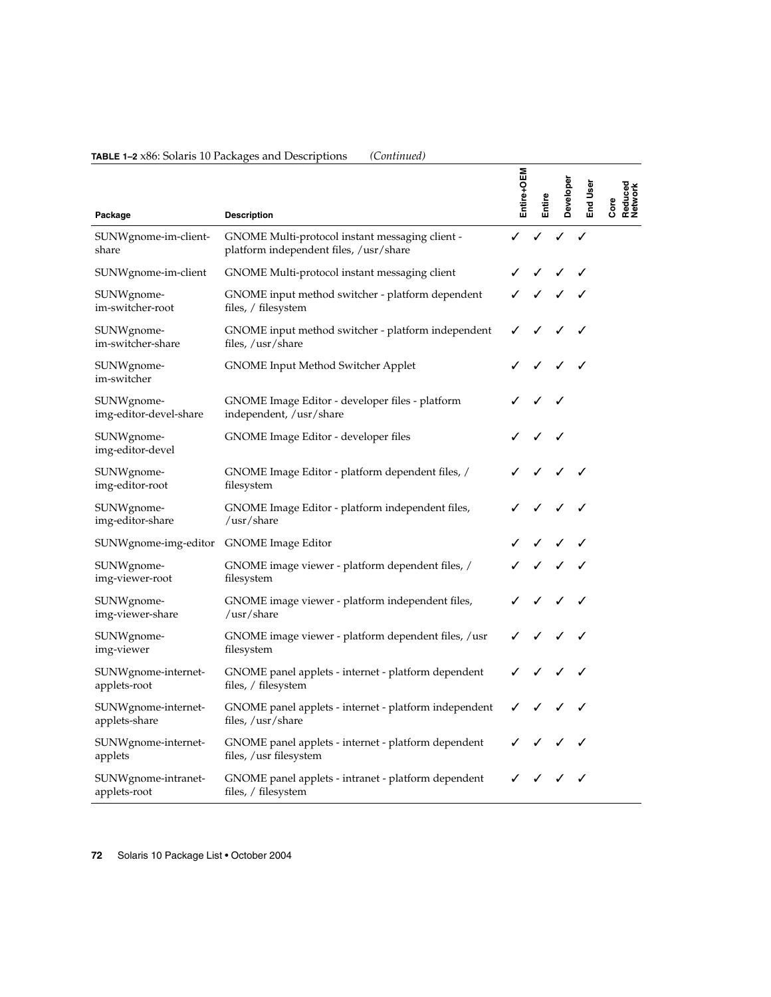| Package                              | <b>Description</b>                                                                        | Entire+OEM |              | Entire       | Developer    | <b>End User</b> | Core<br>Reduced<br>Network |
|--------------------------------------|-------------------------------------------------------------------------------------------|------------|--------------|--------------|--------------|-----------------|----------------------------|
| SUNWgnome-im-client-<br>share        | GNOME Multi-protocol instant messaging client -<br>platform independent files, /usr/share | ✓          | $\checkmark$ |              | ✓            | ✓               |                            |
| SUNWgnome-im-client                  | GNOME Multi-protocol instant messaging client                                             |            |              |              | ✓            |                 |                            |
| SUNWgnome-<br>im-switcher-root       | GNOME input method switcher - platform dependent<br>files, / filesystem                   | ✓          |              | $\checkmark$ | ✓            |                 |                            |
| SUNWgnome-<br>im-switcher-share      | GNOME input method switcher - platform independent<br>files, /usr/share                   |            |              | $\checkmark$ | $\checkmark$ |                 |                            |
| SUNWgnome-<br>im-switcher            | GNOME Input Method Switcher Applet                                                        |            |              | $\checkmark$ | $\checkmark$ | ✓               |                            |
| SUNWgnome-<br>img-editor-devel-share | GNOME Image Editor - developer files - platform<br>independent, /usr/share                |            | ✓            |              | ✓            |                 |                            |
| SUNWgnome-<br>img-editor-devel       | GNOME Image Editor - developer files                                                      |            | ✓            |              | $\checkmark$ |                 |                            |
| SUNWgnome-<br>img-editor-root        | GNOME Image Editor - platform dependent files, /<br>filesystem                            |            |              |              | ✓            | ✓               |                            |
| SUNWgnome-<br>img-editor-share       | GNOME Image Editor - platform independent files,<br>/usr/share                            |            |              |              |              |                 |                            |
| SUNWgnome-img-editor                 | <b>GNOME</b> Image Editor                                                                 |            |              |              | $\checkmark$ |                 |                            |
| SUNWgnome-<br>img-viewer-root        | GNOME image viewer - platform dependent files, /<br>filesystem                            |            |              | $\checkmark$ | ✓            |                 |                            |
| SUNWgnome-<br>img-viewer-share       | GNOME image viewer - platform independent files,<br>/usr/share                            |            |              | $\checkmark$ | $\checkmark$ |                 |                            |
| SUNWgnome-<br>img-viewer             | GNOME image viewer - platform dependent files, /usr<br>filesystem                         |            |              | $\checkmark$ | $\checkmark$ |                 |                            |
| SUNWgnome-internet-<br>applets-root  | GNOME panel applets - internet - platform dependent<br>files, / filesystem                | ✓          | $\checkmark$ |              | $\checkmark$ |                 |                            |
| SUNWgnome-internet-<br>applets-share | GNOME panel applets - internet - platform independent<br>files, /usr/share                |            | ✓            |              | $\checkmark$ |                 |                            |
| SUNWgnome-internet-<br>applets       | GNOME panel applets - internet - platform dependent<br>files, /usr filesystem             |            |              |              |              |                 |                            |
| SUNWgnome-intranet-<br>applets-root  | GNOME panel applets - intranet - platform dependent<br>files, / filesystem                |            |              |              |              |                 |                            |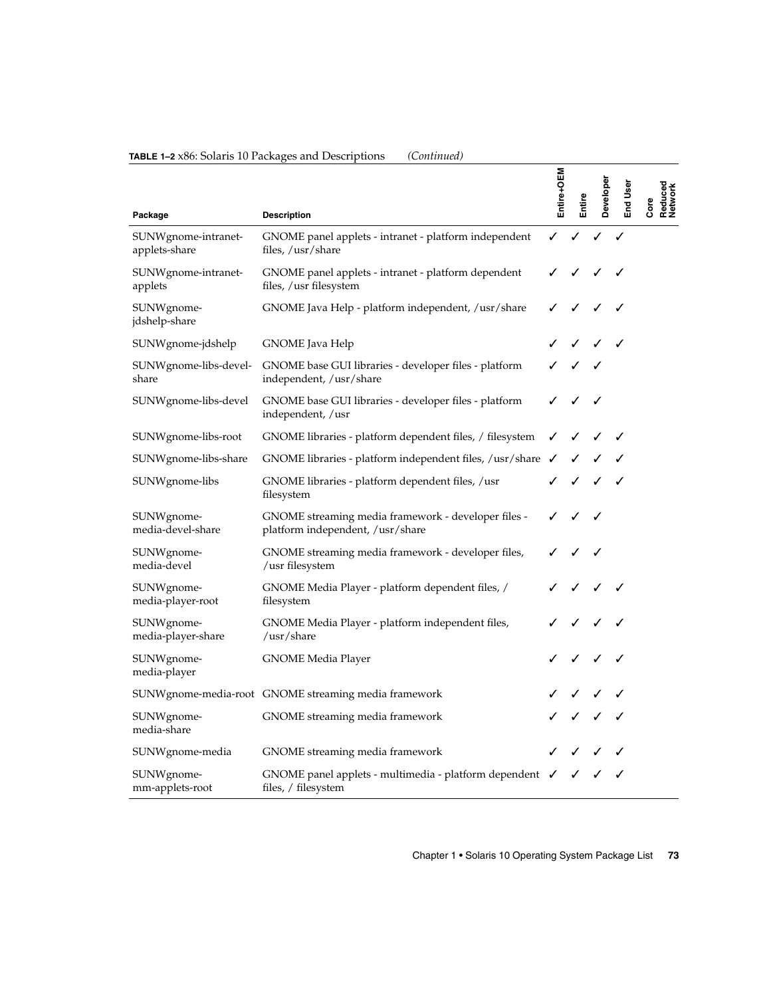|                                      |                                                                                         | Entire+OEM |              | Entire       | Developer | End User | Reduced<br>Network<br>Core |
|--------------------------------------|-----------------------------------------------------------------------------------------|------------|--------------|--------------|-----------|----------|----------------------------|
| Package                              | <b>Description</b>                                                                      |            |              |              |           |          |                            |
| SUNWgnome-intranet-<br>applets-share | GNOME panel applets - intranet - platform independent<br>files, /usr/share              | ✓          | ✓            | ✓            |           | ✓        |                            |
| SUNWgnome-intranet-<br>applets       | GNOME panel applets - intranet - platform dependent<br>files, /usr filesystem           |            |              |              |           |          |                            |
| SUNWgnome-<br>jdshelp-share          | GNOME Java Help - platform independent, /usr/share                                      |            |              |              |           |          |                            |
| SUNWgnome-jdshelp                    | GNOME Java Help                                                                         |            |              | $\checkmark$ |           | ✓        |                            |
| SUNWgnome-libs-devel-<br>share       | GNOME base GUI libraries - developer files - platform<br>independent, /usr/share        |            | ✓            |              |           |          |                            |
| SUNWgnome-libs-devel                 | GNOME base GUI libraries - developer files - platform<br>independent, /usr              |            | $\checkmark$ |              |           |          |                            |
| SUNWgnome-libs-root                  | GNOME libraries - platform dependent files, / filesystem                                |            |              |              |           |          |                            |
| SUNWgnome-libs-share                 | GNOME libraries - platform independent files, /usr/share                                | ✓          |              |              |           |          |                            |
| SUNWgnome-libs                       | GNOME libraries - platform dependent files, /usr<br>filesystem                          |            |              |              |           |          |                            |
| SUNWgnome-<br>media-devel-share      | GNOME streaming media framework - developer files -<br>platform independent, /usr/share | ✓          | ✓            |              |           |          |                            |
| SUNWgnome-<br>media-devel            | GNOME streaming media framework - developer files,<br>/usr filesystem                   |            | ✓            |              |           |          |                            |
| SUNWgnome-<br>media-player-root      | GNOME Media Player - platform dependent files, /<br>filesystem                          |            |              |              |           |          |                            |
| SUNWgnome-<br>media-player-share     | GNOME Media Player - platform independent files,<br>/usr/share                          |            |              |              |           |          |                            |
| SUNWgnome-<br>media-player           | <b>GNOME</b> Media Player                                                               |            | ✓            | ✓            |           |          |                            |
|                                      | SUNWgnome-media-root GNOME streaming media framework                                    |            |              |              |           |          |                            |
| SUNWgnome-<br>media-share            | GNOME streaming media framework                                                         |            |              |              |           |          |                            |
| SUNWgnome-media                      | GNOME streaming media framework                                                         |            |              |              |           |          |                            |
| SUNWgnome-<br>mm-applets-root        | GNOME panel applets - multimedia - platform dependent √<br>files, / filesystem          |            |              |              |           |          |                            |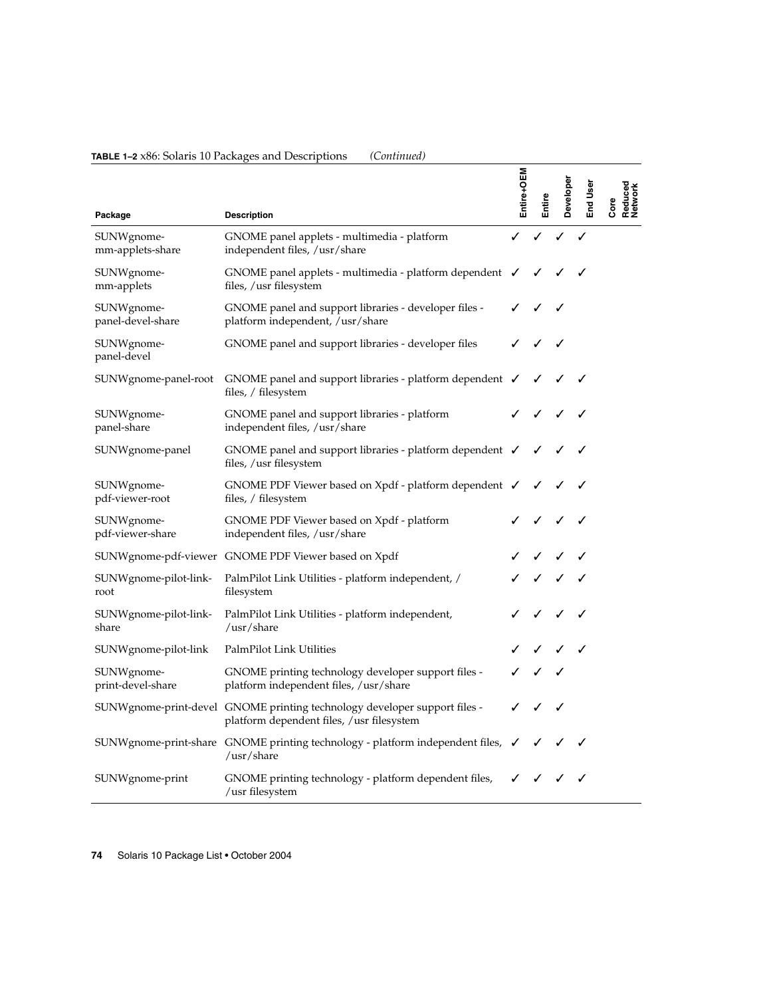|                                 |                                                                                                                        | Entire+OEM | Entire | Developer | <b>End User</b> | Reduced<br>Network<br>Core |
|---------------------------------|------------------------------------------------------------------------------------------------------------------------|------------|--------|-----------|-----------------|----------------------------|
| Package                         | <b>Description</b>                                                                                                     |            |        |           |                 |                            |
| SUNWgnome-<br>mm-applets-share  | GNOME panel applets - multimedia - platform<br>independent files, /usr/share                                           | ✓          | ✓      | ✓         | ✓               |                            |
| SUNWgnome-<br>mm-applets        | GNOME panel applets - multimedia - platform dependent √<br>files, /usr filesystem                                      |            | ✓      |           |                 |                            |
| SUNWgnome-<br>panel-devel-share | GNOME panel and support libraries - developer files -<br>platform independent, /usr/share                              | ✓          | ✓      |           |                 |                            |
| SUNWgnome-<br>panel-devel       | GNOME panel and support libraries - developer files                                                                    | ✓          | ✓      |           |                 |                            |
| SUNWgnome-panel-root            | GNOME panel and support libraries - platform dependent $\checkmark$<br>files, / filesystem                             |            | ✓      |           |                 |                            |
| SUNWgnome-<br>panel-share       | GNOME panel and support libraries - platform<br>independent files, /usr/share                                          |            |        |           |                 |                            |
| SUNWgnome-panel                 | GNOME panel and support libraries - platform dependent $\checkmark$<br>files, /usr filesystem                          |            | ✓      |           |                 |                            |
| SUNWgnome-<br>pdf-viewer-root   | GNOME PDF Viewer based on Xpdf - platform dependent √<br>files, / filesystem                                           |            | ✓      |           |                 |                            |
| SUNWgnome-<br>pdf-viewer-share  | GNOME PDF Viewer based on Xpdf - platform<br>independent files, /usr/share                                             |            |        | ✓         |                 |                            |
|                                 | SUNWgnome-pdf-viewer GNOME PDF Viewer based on Xpdf                                                                    |            |        |           |                 |                            |
| SUNWgnome-pilot-link-<br>root   | PalmPilot Link Utilities - platform independent, /<br>filesystem                                                       |            |        |           |                 |                            |
| SUNWgnome-pilot-link-<br>share  | PalmPilot Link Utilities - platform independent,<br>/usr/share                                                         |            |        |           |                 |                            |
| SUNWgnome-pilot-link            | PalmPilot Link Utilities                                                                                               |            |        |           | ✓               |                            |
| SUNWgnome-<br>print-devel-share | GNOME printing technology developer support files -<br>platform independent files, /usr/share                          |            |        |           |                 |                            |
|                                 | SUNWgnome-print-devel GNOME printing technology developer support files -<br>platform dependent files, /usr filesystem | ✓          | ✓      |           |                 |                            |
|                                 | SUNWgnome-print-share GNOME printing technology - platform independent files,<br>/usr/share                            | ✓          | ✓      |           |                 |                            |
| SUNWgnome-print                 | GNOME printing technology - platform dependent files,<br>/usr filesystem                                               | ✓          | ✓      |           |                 |                            |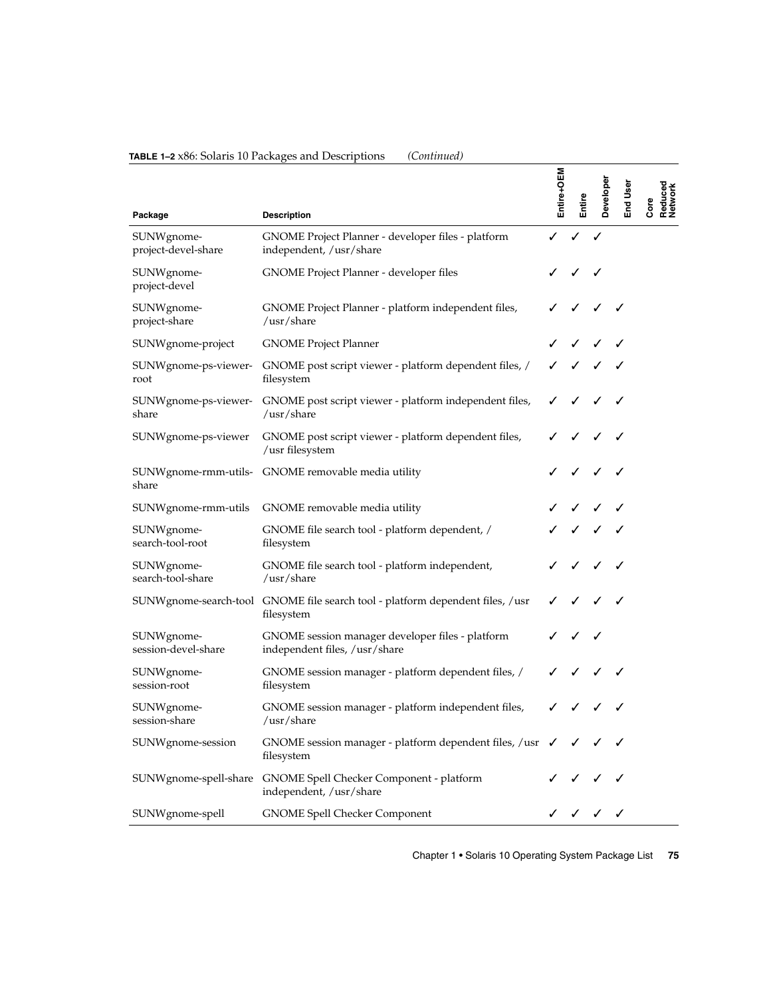| Package                           | <b>Description</b>                                                                          | Entire+OEM | Entire             |                           | Developer         | End User | Reduced<br>Network<br>Core |
|-----------------------------------|---------------------------------------------------------------------------------------------|------------|--------------------|---------------------------|-------------------|----------|----------------------------|
| SUNWgnome-<br>project-devel-share | GNOME Project Planner - developer files - platform<br>independent, /usr/share               | ✓          | $\checkmark$       | ✓                         |                   |          |                            |
| SUNWgnome-<br>project-devel       | <b>GNOME Project Planner - developer files</b>                                              |            | ✓                  | ✓                         |                   |          |                            |
| SUNWgnome-<br>project-share       | GNOME Project Planner - platform independent files,<br>/usr/share                           |            |                    |                           | $\checkmark$      |          |                            |
| SUNWgnome-project                 | <b>GNOME</b> Project Planner                                                                |            |                    |                           |                   |          |                            |
| SUNWgnome-ps-viewer-<br>root      | GNOME post script viewer - platform dependent files, /<br>filesystem                        |            |                    |                           |                   |          |                            |
| SUNWgnome-ps-viewer-<br>share     | GNOME post script viewer - platform independent files,<br>/usr/share                        |            | $\checkmark$       | ✓                         | ✓                 |          |                            |
| SUNWgnome-ps-viewer               | GNOME post script viewer - platform dependent files,<br>/usr filesystem                     |            | $\checkmark$       | ✓                         |                   |          |                            |
| share                             | SUNWgnome-rmm-utils- GNOME removable media utility                                          |            |                    | $\checkmark$ $\checkmark$ | ✓                 |          |                            |
| SUNWgnome-rmm-utils               | GNOME removable media utility                                                               |            |                    | $\checkmark$              |                   |          |                            |
| SUNWgnome-<br>search-tool-root    | GNOME file search tool - platform dependent, /<br>filesystem                                |            |                    |                           |                   |          |                            |
| SUNWgnome-<br>search-tool-share   | GNOME file search tool - platform independent,<br>/usr/share                                |            |                    | ✓                         |                   |          |                            |
|                                   | SUNWgnome-search-tool GNOME file search tool - platform dependent files, /usr<br>filesystem |            | $\checkmark$       |                           | $\checkmark$<br>✓ |          |                            |
| SUNWgnome-<br>session-devel-share | GNOME session manager developer files - platform<br>independent files, /usr/share           |            | $\checkmark$       | ✓                         |                   |          |                            |
| SUNWgnome-<br>session-root        | GNOME session manager - platform dependent files, /<br>filesystem                           |            |                    |                           | $\checkmark$      |          |                            |
| SUNWgnome-<br>session-share       | GNOME session manager - platform independent files,<br>/usr/share                           |            | $\checkmark$       |                           | $\checkmark$<br>✓ |          |                            |
| SUNWgnome-session                 | GNOME session manager - platform dependent files, /usr √<br>filesystem                      |            |                    |                           |                   |          |                            |
| SUNWgnome-spell-share             | GNOME Spell Checker Component - platform<br>independent, /usr/share                         |            | v v v v<br>v v v v |                           |                   |          |                            |
| SUNWgnome-spell                   | <b>GNOME Spell Checker Component</b>                                                        |            |                    |                           |                   |          |                            |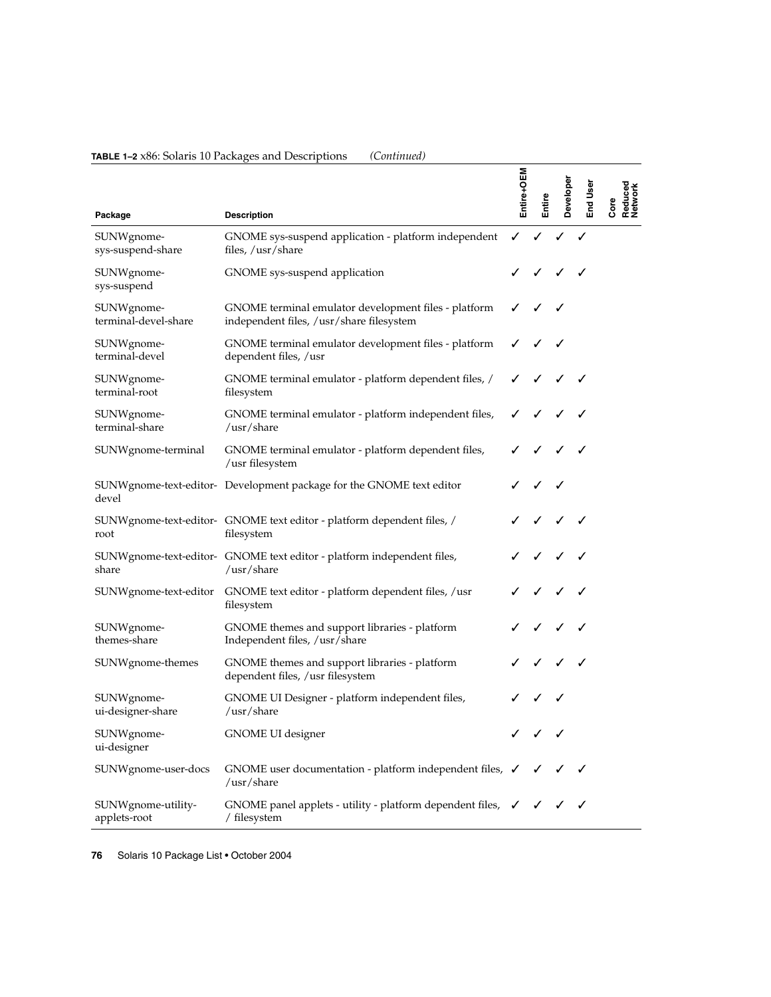| Package                            | <b>Description</b>                                                                                  | Entire+OEM | Entire       | Developer    | End User | Reduced<br>Network<br>Core |
|------------------------------------|-----------------------------------------------------------------------------------------------------|------------|--------------|--------------|----------|----------------------------|
| SUNWgnome-<br>sys-suspend-share    | GNOME sys-suspend application - platform independent<br>files, /usr/share                           | ✓          | ✓            | ✓            | ✓        |                            |
| SUNWgnome-<br>sys-suspend          | GNOME sys-suspend application                                                                       |            | $\checkmark$ | $\checkmark$ | ✓        |                            |
| SUNWgnome-<br>terminal-devel-share | GNOME terminal emulator development files - platform<br>independent files, /usr/share filesystem    |            | ✓            |              |          |                            |
| SUNWgnome-<br>terminal-devel       | GNOME terminal emulator development files - platform<br>dependent files, /usr                       | ✓          | ✓            |              |          |                            |
| SUNWgnome-<br>terminal-root        | GNOME terminal emulator - platform dependent files, /<br>filesystem                                 |            |              |              |          |                            |
| SUNWgnome-<br>terminal-share       | GNOME terminal emulator - platform independent files,<br>/usr/share                                 |            | ✓            |              |          |                            |
| SUNWgnome-terminal                 | GNOME terminal emulator - platform dependent files,<br>/usr filesystem                              |            |              |              |          |                            |
| devel                              | SUNWgnome-text-editor- Development package for the GNOME text editor                                |            |              |              |          |                            |
| root                               | SUNWgnome-text-editor- GNOME text editor - platform dependent files, /<br>filesystem                |            |              |              |          |                            |
| share                              | SUNWgnome-text-editor- GNOME text editor - platform independent files,<br>/usr/share                |            |              |              |          |                            |
| SUNWgnome-text-editor              | GNOME text editor - platform dependent files, /usr<br>filesystem                                    |            |              |              |          |                            |
| SUNWgnome-<br>themes-share         | GNOME themes and support libraries - platform<br>Independent files, /usr/share                      |            |              | $\checkmark$ |          |                            |
| SUNWgnome-themes                   | GNOME themes and support libraries - platform<br>dependent files, /usr filesystem                   |            |              | ✓            |          |                            |
| SUNWgnome-<br>ui-designer-share    | GNOME UI Designer - platform independent files,<br>/usr/share                                       | ✓          | $\checkmark$ | ✓            |          |                            |
| SUNWgnome-<br>ui-designer          | GNOME UI designer                                                                                   |            | ✓ ✓ ✓        |              |          |                            |
| SUNWgnome-user-docs                | GNOME user documentation - platform independent files, $\checkmark$ $\checkmark$<br>/usr/share      |            |              | $\checkmark$ |          |                            |
| SUNWgnome-utility-<br>applets-root | GNOME panel applets - utility - platform dependent files, $\checkmark$ $\checkmark$<br>/ filesystem |            |              | $\checkmark$ |          |                            |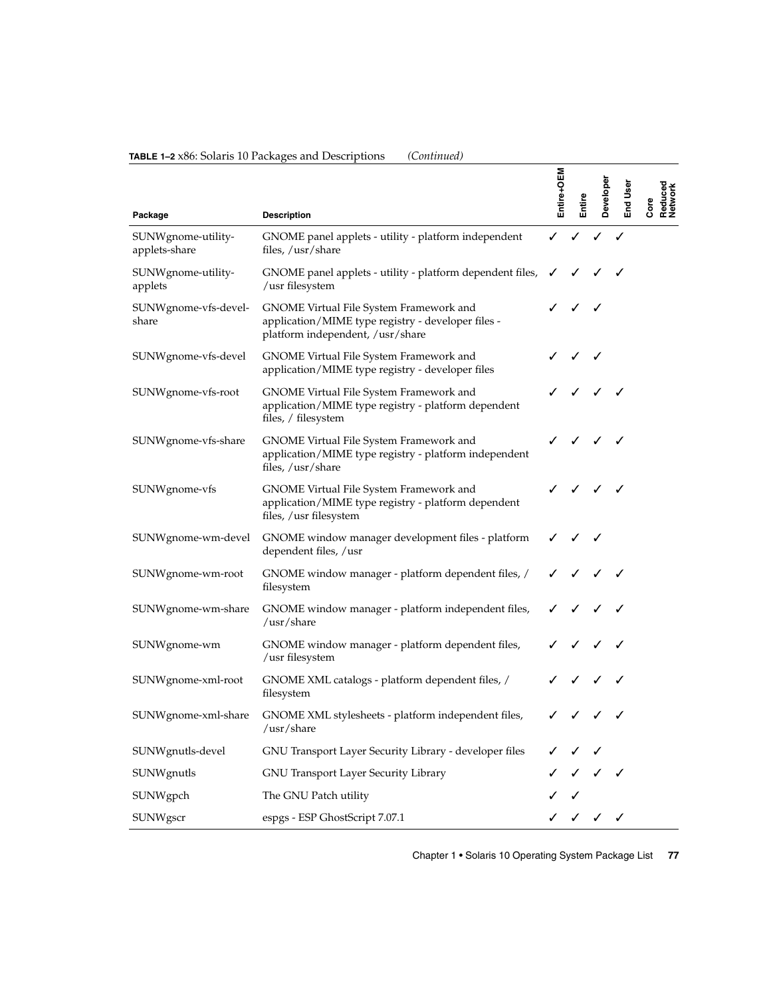| Package                             | <b>Description</b>                                                                                                                | Entire+OEM   |              | Entire       | Developer                              | End User     | Core<br>Reduced<br>Network |
|-------------------------------------|-----------------------------------------------------------------------------------------------------------------------------------|--------------|--------------|--------------|----------------------------------------|--------------|----------------------------|
| SUNWgnome-utility-<br>applets-share | GNOME panel applets - utility - platform independent<br>files, /usr/share                                                         | ✓            | $\checkmark$ |              | $\checkmark$                           | $\checkmark$ |                            |
| SUNWgnome-utility-<br>applets       | GNOME panel applets - utility - platform dependent files,<br>/usr filesystem                                                      | ✓            | ✓            |              | ✓                                      | ✓            |                            |
| SUNWgnome-vfs-devel-<br>share       | GNOME Virtual File System Framework and<br>application/MIME type registry - developer files -<br>platform independent, /usr/share | ✓            | ✓            |              | ✓                                      |              |                            |
| SUNWgnome-vfs-devel                 | GNOME Virtual File System Framework and<br>application/MIME type registry - developer files                                       |              |              | $\checkmark$ |                                        |              |                            |
| SUNWgnome-vfs-root                  | GNOME Virtual File System Framework and<br>application/MIME type registry - platform dependent<br>files, / filesystem             |              |              |              | $\checkmark$                           | $\checkmark$ |                            |
| SUNWgnome-vfs-share                 | GNOME Virtual File System Framework and<br>application/MIME type registry - platform independent<br>files, /usr/share             |              | ✓            |              | $\checkmark$                           | ✓            |                            |
| SUNWgnome-vfs                       | GNOME Virtual File System Framework and<br>application/MIME type registry - platform dependent<br>files, /usr filesystem          |              |              | $\checkmark$ | $\checkmark$ $\checkmark$              |              |                            |
| SUNWgnome-wm-devel                  | GNOME window manager development files - platform<br>dependent files, /usr                                                        |              | ✓            |              | ✓                                      |              |                            |
| SUNWgnome-wm-root                   | GNOME window manager - platform dependent files, /<br>filesystem                                                                  |              |              | $\checkmark$ | $\checkmark$                           |              |                            |
| SUNWgnome-wm-share                  | GNOME window manager - platform independent files,<br>/usr/share                                                                  |              |              | $\checkmark$ | $\checkmark$                           |              |                            |
| SUNWgnome-wm                        | GNOME window manager - platform dependent files,<br>/usr filesystem                                                               |              | ✓            |              | $\checkmark$                           |              |                            |
| SUNWgnome-xml-root                  | GNOME XML catalogs - platform dependent files, /<br>filesystem                                                                    |              |              | $\checkmark$ | $\checkmark$                           |              |                            |
| SUNWgnome-xml-share                 | GNOME XML stylesheets - platform independent files,<br>/usr/share                                                                 | $\checkmark$ |              | $\checkmark$ | $\checkmark$                           |              |                            |
| SUNWgnutls-devel                    | GNU Transport Layer Security Library - developer files                                                                            |              |              |              |                                        |              |                            |
| SUNWgnutls                          | GNU Transport Layer Security Library                                                                                              |              |              |              | $\checkmark$ $\checkmark$ $\checkmark$ |              |                            |
| SUNWgpch                            | The GNU Patch utility                                                                                                             |              |              |              |                                        |              |                            |
| SUNWgscr                            | espgs - ESP GhostScript 7.07.1                                                                                                    |              |              |              | $\sqrt{2}$                             |              |                            |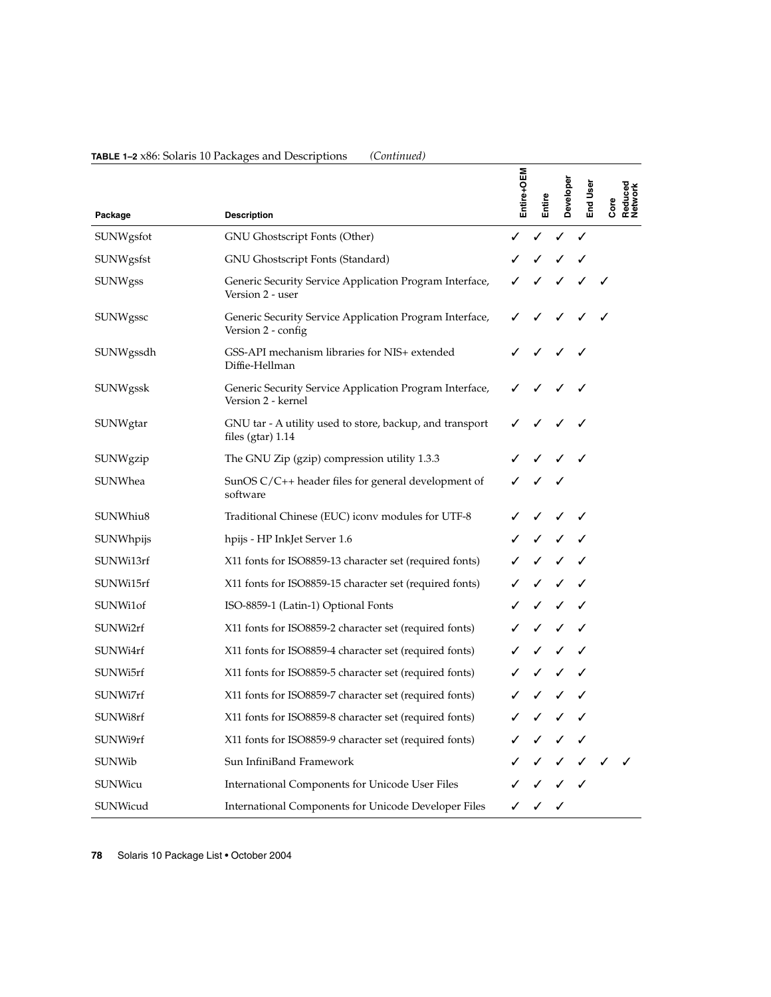| Package         | <b>Description</b>                                                              | Entire+OEM | Entire | Developer | End User | Core | Reduced<br>Network |
|-----------------|---------------------------------------------------------------------------------|------------|--------|-----------|----------|------|--------------------|
| SUNWgsfot       | GNU Ghostscript Fonts (Other)                                                   | ✓          | ✓      | ✓         | ✓        |      |                    |
| SUNWgsfst       | GNU Ghostscript Fonts (Standard)                                                |            |        |           |          |      |                    |
| <b>SUNWgss</b>  | Generic Security Service Application Program Interface,<br>Version 2 - user     |            |        |           |          |      |                    |
| <b>SUNWgssc</b> | Generic Security Service Application Program Interface,<br>Version 2 - config   |            |        |           |          |      |                    |
| SUNWgssdh       | GSS-API mechanism libraries for NIS+ extended<br>Diffie-Hellman                 |            |        |           |          |      |                    |
| SUNWgssk        | Generic Security Service Application Program Interface,<br>Version 2 - kernel   |            |        |           |          |      |                    |
| SUNWgtar        | GNU tar - A utility used to store, backup, and transport<br>files (gtar) $1.14$ |            |        |           |          |      |                    |
| SUNWgzip        | The GNU Zip (gzip) compression utility 1.3.3                                    |            |        |           |          |      |                    |
| SUNWhea         | SunOS C/C++ header files for general development of<br>software                 |            |        |           |          |      |                    |
| SUNWhiu8        | Traditional Chinese (EUC) icony modules for UTF-8                               |            |        |           |          |      |                    |
| SUNWhpijs       | hpijs - HP InkJet Server 1.6                                                    |            |        |           |          |      |                    |
| SUNWi13rf       | X11 fonts for ISO8859-13 character set (required fonts)                         |            |        |           |          |      |                    |
| SUNWi15rf       | X11 fonts for ISO8859-15 character set (required fonts)                         |            |        |           |          |      |                    |
| SUNWi1of        | ISO-8859-1 (Latin-1) Optional Fonts                                             |            |        |           |          |      |                    |
| SUNWi2rf        | X11 fonts for ISO8859-2 character set (required fonts)                          |            |        |           |          |      |                    |
| SUNWi4rf        | X11 fonts for ISO8859-4 character set (required fonts)                          |            | ✓      |           |          |      |                    |
| SUNWi5rf        | X11 fonts for ISO8859-5 character set (required fonts)                          |            |        |           |          |      |                    |
| SUNWi7rf        | X11 fonts for ISO8859-7 character set (required fonts)                          |            |        |           |          |      |                    |
| SUNWi8rf        | X11 fonts for ISO8859-8 character set (required fonts)                          |            |        |           |          |      |                    |
| SUNWi9rf        | X11 fonts for ISO8859-9 character set (required fonts)                          |            |        |           |          |      |                    |
| SUNWib          | Sun InfiniBand Framework                                                        |            |        |           | ✓        |      |                    |
| <b>SUNWicu</b>  | International Components for Unicode User Files                                 |            |        |           | ✓        |      |                    |
| SUNWicud        | International Components for Unicode Developer Files                            | ✓          | ✓      | ✓         |          |      |                    |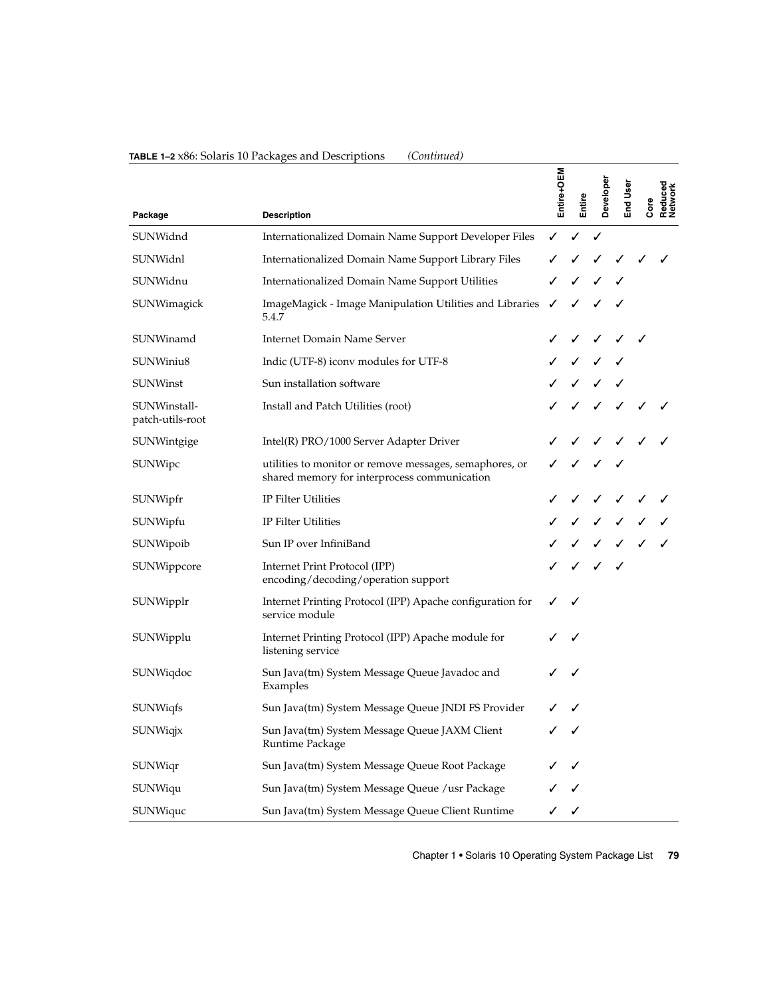| Package                          | <b>Description</b>                                                                                      | Entire+OEM |   | Entire | Developer    | End User     | Core | Reduced<br>Network |
|----------------------------------|---------------------------------------------------------------------------------------------------------|------------|---|--------|--------------|--------------|------|--------------------|
| SUNWidnd                         | Internationalized Domain Name Support Developer Files                                                   | ✓          |   |        |              |              |      |                    |
| SUNWidnl                         | Internationalized Domain Name Support Library Files                                                     |            |   |        |              | ✓            | ✓    |                    |
| SUNWidnu                         | Internationalized Domain Name Support Utilities                                                         |            |   |        |              | ✓            |      |                    |
| SUNWimagick                      | ImageMagick - Image Manipulation Utilities and Libraries<br>5.4.7                                       | ✓          | ✓ |        |              |              |      |                    |
| SUNWinamd                        | Internet Domain Name Server                                                                             |            |   |        |              |              | ✓    |                    |
| SUNWiniu8                        | Indic (UTF-8) iconv modules for UTF-8                                                                   |            |   |        |              |              |      |                    |
| <b>SUNWinst</b>                  | Sun installation software                                                                               |            |   |        | $\checkmark$ | ✓            |      |                    |
| SUNWinstall-<br>patch-utils-root | Install and Patch Utilities (root)                                                                      |            |   |        | ✓            | $\checkmark$ | ✓    |                    |
| SUNWintgige                      | Intel(R) PRO/1000 Server Adapter Driver                                                                 |            |   |        |              |              |      |                    |
| SUNWipc                          | utilities to monitor or remove messages, semaphores, or<br>shared memory for interprocess communication |            |   |        |              |              |      |                    |
| SUNWipfr                         | IP Filter Utilities                                                                                     |            |   |        |              |              |      |                    |
| SUNWipfu                         | <b>IP Filter Utilities</b>                                                                              |            |   |        | $\checkmark$ | $\checkmark$ |      |                    |
| SUNWipoib                        | Sun IP over InfiniBand                                                                                  |            |   |        |              |              |      |                    |
| SUNWippcore                      | Internet Print Protocol (IPP)<br>encoding/decoding/operation support                                    |            |   |        | ✓            |              |      |                    |
| SUNWipplr                        | Internet Printing Protocol (IPP) Apache configuration for<br>service module                             | ✓          | ✓ |        |              |              |      |                    |
| SUNWipplu                        | Internet Printing Protocol (IPP) Apache module for<br>listening service                                 |            |   |        |              |              |      |                    |
| SUNWiqdoc                        | Sun Java(tm) System Message Queue Javadoc and<br>Examples                                               |            |   |        |              |              |      |                    |
| SUNWiqfs                         | Sun Java(tm) System Message Queue JNDI FS Provider                                                      |            | ✓ |        |              |              |      |                    |
| SUNWiqjx                         | Sun Java(tm) System Message Queue JAXM Client<br>Runtime Package                                        |            |   |        |              |              |      |                    |
| SUNWiqr                          | Sun Java(tm) System Message Queue Root Package                                                          |            |   |        |              |              |      |                    |
| SUNWiqu                          | Sun Java(tm) System Message Queue /usr Package                                                          |            | ℐ |        |              |              |      |                    |
| SUNWique                         | Sun Java(tm) System Message Queue Client Runtime                                                        | ℐ          | ✓ |        |              |              |      |                    |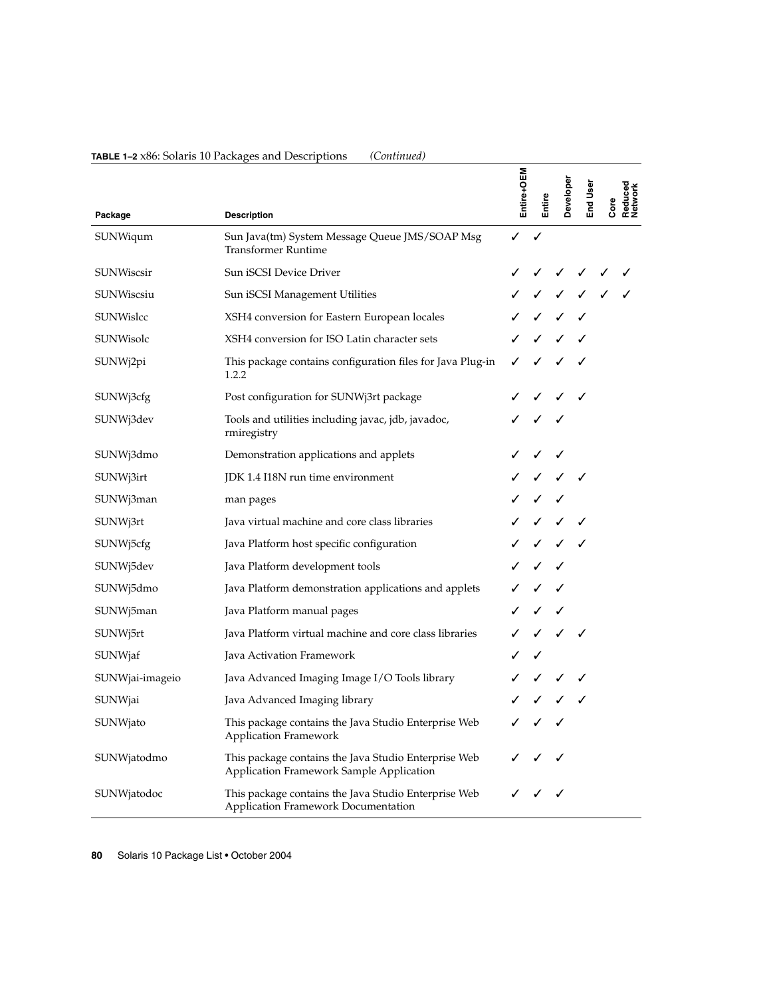|                       |                                                                                                         | Entire+OEM | Entire       | Jeveloper    | End User     | Core | Reduced<br>Network |
|-----------------------|---------------------------------------------------------------------------------------------------------|------------|--------------|--------------|--------------|------|--------------------|
| Package               | <b>Description</b>                                                                                      |            |              |              |              |      |                    |
| SUNWiqum              | Sun Java(tm) System Message Queue JMS/SOAP Msg<br><b>Transformer Runtime</b>                            | ✓          | ✓            |              |              |      |                    |
| <b>SUNWiscsir</b>     | Sun iSCSI Device Driver                                                                                 |            |              | $\checkmark$ | $\checkmark$ |      |                    |
| SUNWiscsiu            | Sun iSCSI Management Utilities                                                                          |            |              | $\checkmark$ | $\checkmark$ |      |                    |
| <b>SUNWislcc</b>      | XSH4 conversion for Eastern European locales                                                            |            |              |              |              |      |                    |
| <b>SUNWisolc</b>      | XSH4 conversion for ISO Latin character sets                                                            |            |              |              |              |      |                    |
| SUNWj2pi              | This package contains configuration files for Java Plug-in<br>1.2.2                                     |            |              |              |              |      |                    |
| SUNWj3cfg             | Post configuration for SUNWj3rt package                                                                 |            |              |              |              |      |                    |
| SUNWj3dev             | Tools and utilities including javac, jdb, javadoc,<br>rmiregistry                                       |            |              |              |              |      |                    |
| SUNWj3dmo             | Demonstration applications and applets                                                                  |            |              |              |              |      |                    |
| SUNWj3irt             | JDK 1.4 I18N run time environment                                                                       |            | ✓            | ✓            |              |      |                    |
| SUNWj3man             | man pages                                                                                               |            | ✓            |              |              |      |                    |
| SUNWj3rt              | Java virtual machine and core class libraries                                                           |            |              |              |              |      |                    |
| SUNW <sub>j5cfg</sub> | Java Platform host specific configuration                                                               |            |              |              |              |      |                    |
| SUNWj5dev             | Java Platform development tools                                                                         |            |              |              |              |      |                    |
| SUNWj5dmo             | Java Platform demonstration applications and applets                                                    |            | ✓            |              |              |      |                    |
| SUNWj5man             | Java Platform manual pages                                                                              |            | ✓            | ✓            |              |      |                    |
| SUNWj5rt              | Java Platform virtual machine and core class libraries                                                  |            |              | ✓            | ✓            |      |                    |
| SUNWjaf               | Java Activation Framework                                                                               |            | ✓            |              |              |      |                    |
| SUNWjai-imageio       | Java Advanced Imaging Image I/O Tools library                                                           |            |              |              |              |      |                    |
| SUNWjai               | Java Advanced Imaging library                                                                           |            |              |              |              |      |                    |
| SUNWjato              | This package contains the Java Studio Enterprise Web<br>Application Framework                           |            | ✓            | ✓            |              |      |                    |
| SUNWjatodmo           | This package contains the Java Studio Enterprise Web<br><b>Application Framework Sample Application</b> |            | ✓            |              |              |      |                    |
| SUNWjatodoc           | This package contains the Java Studio Enterprise Web<br>Application Framework Documentation             |            | $\checkmark$ |              |              |      |                    |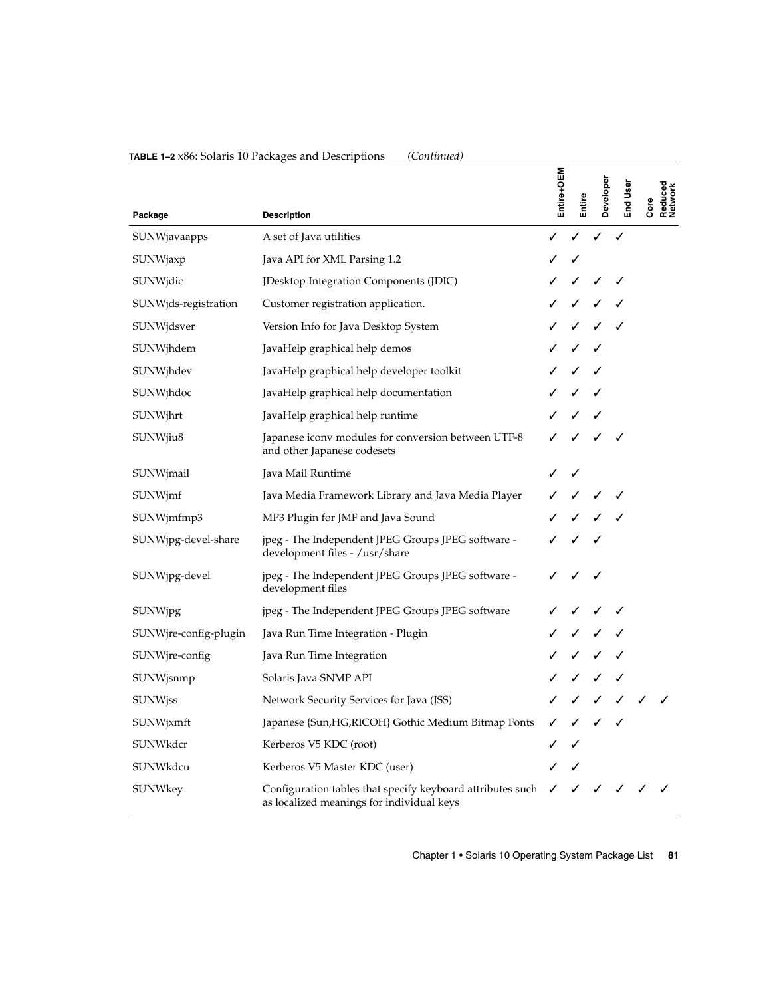| Package               | $\frac{1}{2}$ . 2 $\frac{1}{2}$ . Solution to Fuckages and Descriptions<br>$\sqrt{2}$<br><b>Description</b> | Entire+OEM | Entire | Developer | <b>End User</b> | Core | Reduced<br>Network |
|-----------------------|-------------------------------------------------------------------------------------------------------------|------------|--------|-----------|-----------------|------|--------------------|
| SUNWjavaapps          | A set of Java utilities                                                                                     | ✓          |        |           | ✓               |      |                    |
| SUNWjaxp              | Java API for XML Parsing 1.2                                                                                |            |        |           |                 |      |                    |
| SUNWjdic              | JDesktop Integration Components (JDIC)                                                                      |            |        |           |                 |      |                    |
| SUNWjds-registration  | Customer registration application.                                                                          |            |        |           |                 |      |                    |
| SUNWjdsver            | Version Info for Java Desktop System                                                                        |            |        |           |                 |      |                    |
| SUNWjhdem             | JavaHelp graphical help demos                                                                               |            |        |           |                 |      |                    |
| SUNWjhdev             | JavaHelp graphical help developer toolkit                                                                   |            |        |           |                 |      |                    |
| SUNWjhdoc             | JavaHelp graphical help documentation                                                                       |            |        |           |                 |      |                    |
| SUNWihrt              | JavaHelp graphical help runtime                                                                             |            |        |           |                 |      |                    |
| SUNWjiu8              | Japanese icony modules for conversion between UTF-8<br>and other Japanese codesets                          |            |        |           | ✓               |      |                    |
| SUNWjmail             | Java Mail Runtime                                                                                           |            |        |           |                 |      |                    |
| SUNWjmf               | Java Media Framework Library and Java Media Player                                                          |            |        |           |                 |      |                    |
| SUNWjmfmp3            | MP3 Plugin for JMF and Java Sound                                                                           |            |        |           |                 |      |                    |
| SUNWjpg-devel-share   | jpeg - The Independent JPEG Groups JPEG software -<br>development files - /usr/share                        |            |        |           |                 |      |                    |
| SUNWjpg-devel         | jpeg - The Independent JPEG Groups JPEG software -<br>development files                                     |            |        |           |                 |      |                    |
| SUNWjpg               | jpeg - The Independent JPEG Groups JPEG software                                                            |            |        |           |                 |      |                    |
| SUNWjre-config-plugin | Java Run Time Integration - Plugin                                                                          |            |        |           |                 |      |                    |
| SUNWjre-config        | Java Run Time Integration                                                                                   |            |        |           |                 |      |                    |
| SUNWjsnmp             | Solaris Java SNMP API                                                                                       |            |        |           |                 |      |                    |
| <b>SUNWjss</b>        | Network Security Services for Java (JSS)                                                                    |            |        |           |                 |      |                    |
| SUNWjxmft             | Japanese {Sun, HG, RICOH} Gothic Medium Bitmap Fonts                                                        |            |        |           |                 |      |                    |
| SUNWkdcr              | Kerberos V5 KDC (root)                                                                                      |            |        |           |                 |      |                    |
| SUNWkdcu              | Kerberos V5 Master KDC (user)                                                                               |            |        |           |                 |      |                    |
| SUNWkey               | Configuration tables that specify keyboard attributes such<br>as localized meanings for individual keys     |            |        |           |                 |      |                    |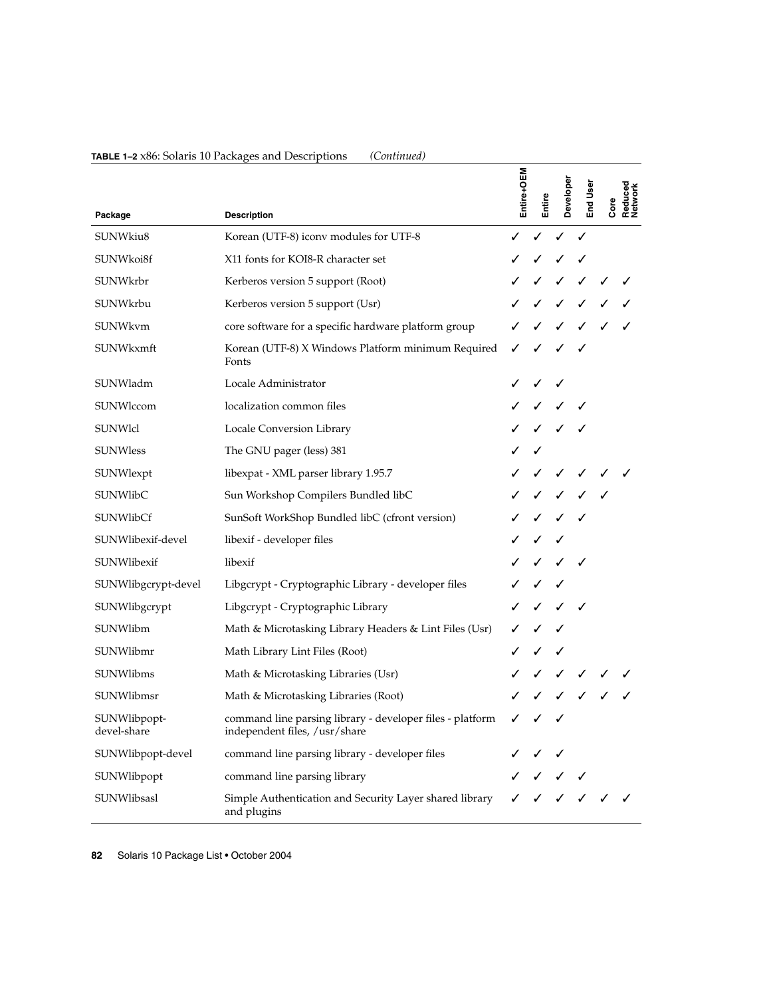| Package                     | <b>Description</b>                                                                         | Entire+OEM | Entire | Developer | End User    | Reduced<br>Network<br>Core |
|-----------------------------|--------------------------------------------------------------------------------------------|------------|--------|-----------|-------------|----------------------------|
| SUNWkiu8                    | Korean (UTF-8) iconv modules for UTF-8                                                     |            |        |           |             |                            |
| SUNWkoi8f                   | X11 fonts for KOI8-R character set                                                         |            |        |           |             |                            |
| SUNWkrbr                    | Kerberos version 5 support (Root)                                                          |            |        |           |             |                            |
| SUNWkrbu                    | Kerberos version 5 support (Usr)                                                           |            |        |           |             |                            |
| <b>SUNWkvm</b>              | core software for a specific hardware platform group                                       |            |        |           |             |                            |
| SUNWkxmft                   | Korean (UTF-8) X Windows Platform minimum Required<br>Fonts                                | ✓          |        |           |             |                            |
| SUNWladm                    | Locale Administrator                                                                       |            |        |           |             |                            |
| <b>SUNWlccom</b>            | localization common files                                                                  |            |        |           |             |                            |
| <b>SUNWlcl</b>              | Locale Conversion Library                                                                  |            |        |           |             |                            |
| <b>SUNWless</b>             | The GNU pager (less) 381                                                                   |            |        |           |             |                            |
| SUNWlexpt                   | libexpat - XML parser library 1.95.7                                                       |            |        |           | ✓           |                            |
| SUNWlibC                    | Sun Workshop Compilers Bundled libC                                                        |            |        |           |             |                            |
| SUNWlibCf                   | SunSoft WorkShop Bundled libC (cfront version)                                             |            |        |           |             |                            |
| SUNWlibexif-devel           | libexif - developer files                                                                  |            |        | ✓         |             |                            |
| SUNWlibexif                 | libexif                                                                                    |            |        |           | ✓           |                            |
| SUNWlibgcrypt-devel         | Libgcrypt - Cryptographic Library - developer files                                        |            |        | ✓         |             |                            |
| SUNWlibgcrypt               | Libgcrypt - Cryptographic Library                                                          |            |        |           |             |                            |
| <b>SUNWlibm</b>             | Math & Microtasking Library Headers & Lint Files (Usr)                                     |            |        |           |             |                            |
| SUNWlibmr                   | Math Library Lint Files (Root)                                                             |            |        |           |             |                            |
| <b>SUNWlibms</b>            | Math & Microtasking Libraries (Usr)                                                        |            |        |           |             |                            |
| SUNWlibmsr                  | Math & Microtasking Libraries (Root)                                                       |            |        |           |             |                            |
| SUNWlibpopt-<br>devel-share | command line parsing library - developer files - platform<br>independent files, /usr/share | ✓          |        |           |             |                            |
| SUNWlibpopt-devel           | command line parsing library - developer files                                             |            |        |           |             |                            |
| SUNWlibpopt                 | command line parsing library                                                               |            |        |           | $\sqrt{2}$  |                            |
| SUNWlibsasl                 | Simple Authentication and Security Layer shared library<br>and plugins                     |            |        |           | v v v v v v |                            |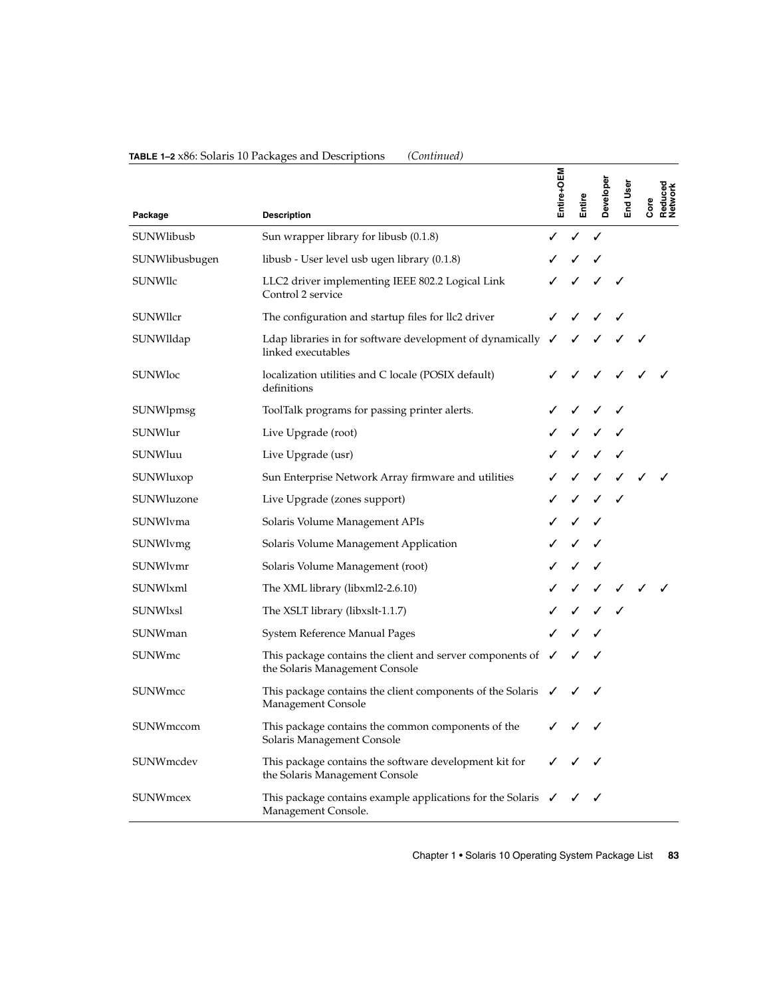| Package                     | <b>Description</b>                                                                             |   | Entire+OEM | Entire       | Developer    | End User | Core | Reduced<br>Network |
|-----------------------------|------------------------------------------------------------------------------------------------|---|------------|--------------|--------------|----------|------|--------------------|
| SUNWlibusb                  | Sun wrapper library for libusb (0.1.8)                                                         |   |            |              |              |          |      |                    |
| SUNWlibusbugen              | libusb - User level usb ugen library (0.1.8)                                                   |   |            |              |              |          |      |                    |
| SUNWllc                     | LLC2 driver implementing IEEE 802.2 Logical Link<br>Control 2 service                          |   |            |              | $\checkmark$ | ✓        |      |                    |
| SUNWllcr                    | The configuration and startup files for llc2 driver                                            |   |            |              |              |          |      |                    |
| SUNWlldap                   | Ldap libraries in for software development of dynamically<br>linked executables                |   |            |              |              |          |      |                    |
| <b>SUNWloc</b>              | localization utilities and C locale (POSIX default)<br>definitions                             |   |            |              |              |          |      |                    |
| SUNWlpmsg                   | ToolTalk programs for passing printer alerts.                                                  |   |            |              |              |          |      |                    |
| SUNWlur                     | Live Upgrade (root)                                                                            |   |            |              |              |          |      |                    |
| SUNWluu                     | Live Upgrade (usr)                                                                             |   |            |              | ✓            |          |      |                    |
| SUNWluxop                   | Sun Enterprise Network Array firmware and utilities                                            |   |            |              |              | ✓        | ✓    | J                  |
| SUNWluzone                  | Live Upgrade (zones support)                                                                   |   |            |              |              |          |      |                    |
| SUNWlvma                    | Solaris Volume Management APIs                                                                 |   |            | ✓            |              |          |      |                    |
| SUNWlymg                    | Solaris Volume Management Application                                                          |   |            |              |              |          |      |                    |
| SUNWlymr                    | Solaris Volume Management (root)                                                               |   |            | ✓            | ✓            |          |      |                    |
| SUNWlxml                    | The XML library (libxml2-2.6.10)                                                               |   |            |              |              |          |      |                    |
| <b>SUNW</b> <sub>lxsl</sub> | The XSLT library (libxslt-1.1.7)                                                               |   |            |              | ✓            |          |      |                    |
| SUNWman                     | System Reference Manual Pages                                                                  |   |            |              |              |          |      |                    |
| <b>SUNWmc</b>               | This package contains the client and server components of<br>the Solaris Management Console    |   |            | ✓            |              |          |      |                    |
| <b>SUNWmcc</b>              | This package contains the client components of the Solaris<br>Management Console               |   |            | $\checkmark$ |              |          |      |                    |
| <b>SUNWmccom</b>            | This package contains the common components of the<br>Solaris Management Console               |   |            | ✓            |              |          |      |                    |
| SUNWmcdev                   | This package contains the software development kit for<br>the Solaris Management Console       | ✓ |            | $\checkmark$ |              |          |      |                    |
| <b>SUNWmcex</b>             | This package contains example applications for the Solaris $\checkmark$<br>Management Console. |   |            |              |              |          |      |                    |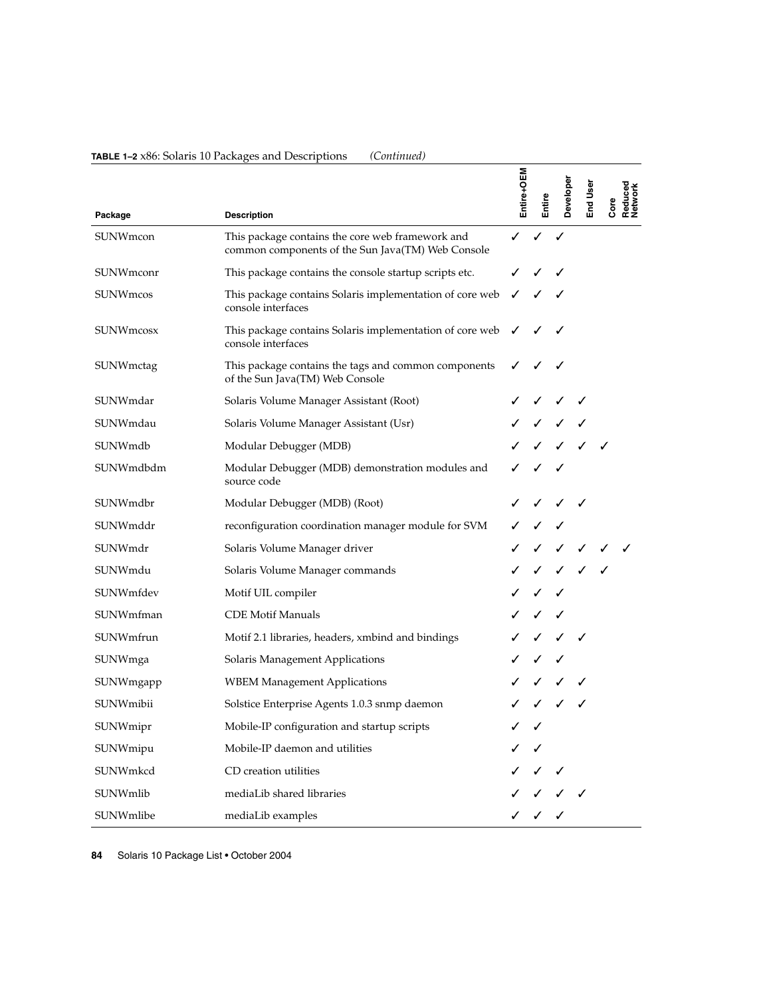| Package          | <b>Description</b>                                                                                    | Entire+OEM   | Entire                                 | Developer                                                                                                                                                                                                                                                                                                                                                                                                                     | End User     | Core | Reduced<br>Network |
|------------------|-------------------------------------------------------------------------------------------------------|--------------|----------------------------------------|-------------------------------------------------------------------------------------------------------------------------------------------------------------------------------------------------------------------------------------------------------------------------------------------------------------------------------------------------------------------------------------------------------------------------------|--------------|------|--------------------|
| <b>SUNWmcon</b>  | This package contains the core web framework and<br>common components of the Sun Java(TM) Web Console | ✓            | ✓                                      |                                                                                                                                                                                                                                                                                                                                                                                                                               |              |      |                    |
| SUNWmconr        | This package contains the console startup scripts etc.                                                |              |                                        |                                                                                                                                                                                                                                                                                                                                                                                                                               |              |      |                    |
| <b>SUNWmcos</b>  | This package contains Solaris implementation of core web<br>console interfaces                        | ✓            | ✓                                      |                                                                                                                                                                                                                                                                                                                                                                                                                               |              |      |                    |
| <b>SUNWmcosx</b> | This package contains Solaris implementation of core web<br>console interfaces                        | ✓            | ✓                                      |                                                                                                                                                                                                                                                                                                                                                                                                                               |              |      |                    |
| SUNWmctag        | This package contains the tags and common components<br>of the Sun Java(TM) Web Console               | ✓            | ✓                                      |                                                                                                                                                                                                                                                                                                                                                                                                                               |              |      |                    |
| SUNWmdar         | Solaris Volume Manager Assistant (Root)                                                               |              |                                        |                                                                                                                                                                                                                                                                                                                                                                                                                               |              |      |                    |
| SUNWmdau         | Solaris Volume Manager Assistant (Usr)                                                                |              |                                        |                                                                                                                                                                                                                                                                                                                                                                                                                               |              |      |                    |
| SUNWmdb          | Modular Debugger (MDB)                                                                                |              |                                        | $\checkmark$                                                                                                                                                                                                                                                                                                                                                                                                                  | $\checkmark$ | ✓    |                    |
| SUNWmdbdm        | Modular Debugger (MDB) demonstration modules and<br>source code                                       |              |                                        |                                                                                                                                                                                                                                                                                                                                                                                                                               |              |      |                    |
| SUNWmdbr         | Modular Debugger (MDB) (Root)                                                                         |              |                                        |                                                                                                                                                                                                                                                                                                                                                                                                                               |              |      |                    |
| SUNWmddr         | reconfiguration coordination manager module for SVM                                                   |              | ✓                                      |                                                                                                                                                                                                                                                                                                                                                                                                                               |              |      |                    |
| SUNWmdr          | Solaris Volume Manager driver                                                                         |              |                                        |                                                                                                                                                                                                                                                                                                                                                                                                                               | ✓            |      |                    |
| SUNWmdu          | Solaris Volume Manager commands                                                                       |              |                                        | ✓                                                                                                                                                                                                                                                                                                                                                                                                                             | ✓            |      |                    |
| SUNWmfdev        | Motif UIL compiler                                                                                    |              |                                        |                                                                                                                                                                                                                                                                                                                                                                                                                               |              |      |                    |
| SUNWmfman        | <b>CDE Motif Manuals</b>                                                                              |              | $\checkmark$                           |                                                                                                                                                                                                                                                                                                                                                                                                                               |              |      |                    |
| SUNWmfrun        | Motif 2.1 libraries, headers, xmbind and bindings                                                     |              |                                        | ✓                                                                                                                                                                                                                                                                                                                                                                                                                             | ✓            |      |                    |
| SUNWmga          | Solaris Management Applications                                                                       |              | ✓                                      | ✓                                                                                                                                                                                                                                                                                                                                                                                                                             |              |      |                    |
| SUNWmgapp        | <b>WBEM Management Applications</b>                                                                   |              |                                        |                                                                                                                                                                                                                                                                                                                                                                                                                               |              |      |                    |
| SUNWmibii        | Solstice Enterprise Agents 1.0.3 snmp daemon                                                          |              |                                        |                                                                                                                                                                                                                                                                                                                                                                                                                               |              |      |                    |
| SUNWmipr         | Mobile-IP configuration and startup scripts                                                           | $\epsilon$   | $\checkmark$                           |                                                                                                                                                                                                                                                                                                                                                                                                                               |              |      |                    |
| SUNWmipu         | Mobile-IP daemon and utilities                                                                        | $\checkmark$ |                                        |                                                                                                                                                                                                                                                                                                                                                                                                                               |              |      |                    |
| SUNWmkcd         | CD creation utilities                                                                                 |              | $\checkmark$ $\checkmark$ $\checkmark$ |                                                                                                                                                                                                                                                                                                                                                                                                                               |              |      |                    |
| SUNWmlib         | mediaLib shared libraries                                                                             |              |                                        | $\begin{array}{ccccccccc} \sqrt{2} & \sqrt{2} & \sqrt{2} & \sqrt{2} & \sqrt{2} & \sqrt{2} & \sqrt{2} & \sqrt{2} & \sqrt{2} & \sqrt{2} & \sqrt{2} & \sqrt{2} & \sqrt{2} & \sqrt{2} & \sqrt{2} & \sqrt{2} & \sqrt{2} & \sqrt{2} & \sqrt{2} & \sqrt{2} & \sqrt{2} & \sqrt{2} & \sqrt{2} & \sqrt{2} & \sqrt{2} & \sqrt{2} & \sqrt{2} & \sqrt{2} & \sqrt{2} & \sqrt{2} & \sqrt{2} & \sqrt{2} & \sqrt{2} & \sqrt{2} & \sqrt{2} & \$ |              |      |                    |
| SUNWmlibe        | mediaLib examples                                                                                     |              | $\checkmark$ $\checkmark$ $\checkmark$ |                                                                                                                                                                                                                                                                                                                                                                                                                               |              |      |                    |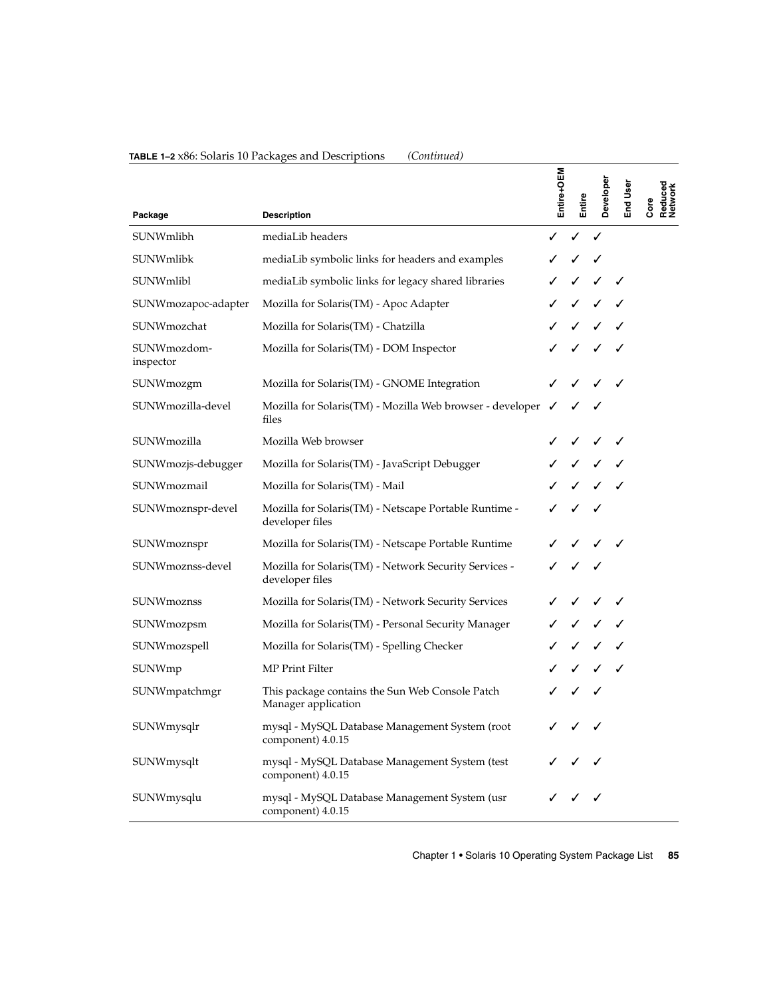| <b>TABLE 1-2</b> x86: Solaris 10 Packages and Descriptions | (Continued) |
|------------------------------------------------------------|-------------|
|                                                            |             |

| Package                  | <b>Description</b>                                                       |   | Entire+OEM | Entire | Developer | End User | Reduced<br>Network<br>Core |
|--------------------------|--------------------------------------------------------------------------|---|------------|--------|-----------|----------|----------------------------|
| SUNWmlibh                | mediaLib headers                                                         | ✓ |            | ✓      |           |          |                            |
| SUNWmlibk                | mediaLib symbolic links for headers and examples                         |   |            |        |           |          |                            |
| SUNWmlibl                | mediaLib symbolic links for legacy shared libraries                      |   |            |        | ✓         | ✓        |                            |
| SUNWmozapoc-adapter      | Mozilla for Solaris(TM) - Apoc Adapter                                   |   |            |        |           |          |                            |
| SUNWmozchat              | Mozilla for Solaris(TM) - Chatzilla                                      |   |            |        |           |          |                            |
| SUNWmozdom-<br>inspector | Mozilla for Solaris(TM) - DOM Inspector                                  |   |            |        |           |          |                            |
| SUNWmozgm                | Mozilla for Solaris(TM) - GNOME Integration                              |   |            |        |           |          |                            |
| SUNWmozilla-devel        | Mozilla for Solaris(TM) - Mozilla Web browser - developer<br>files       |   |            | ✓      |           |          |                            |
| SUNWmozilla              | Mozilla Web browser                                                      |   |            |        |           |          |                            |
| SUNWmozjs-debugger       | Mozilla for Solaris(TM) - JavaScript Debugger                            |   |            |        |           |          |                            |
| SUNWmozmail              | Mozilla for Solaris(TM) - Mail                                           |   |            |        |           |          |                            |
| SUNWmoznspr-devel        | Mozilla for Solaris(TM) - Netscape Portable Runtime -<br>developer files |   |            |        |           |          |                            |
| SUNWmoznspr              | Mozilla for Solaris(TM) - Netscape Portable Runtime                      |   |            |        |           |          |                            |
| SUNWmoznss-devel         | Mozilla for Solaris(TM) - Network Security Services -<br>developer files |   |            |        |           |          |                            |
| <b>SUNWmoznss</b>        | Mozilla for Solaris(TM) - Network Security Services                      |   |            |        |           |          |                            |
| SUNWmozpsm               | Mozilla for Solaris(TM) - Personal Security Manager                      |   |            |        |           |          |                            |
| SUNWmozspell             | Mozilla for Solaris(TM) - Spelling Checker                               |   |            |        |           |          |                            |
| SUNWmp                   | <b>MP Print Filter</b>                                                   |   |            |        |           |          |                            |
| SUNWmpatchmgr            | This package contains the Sun Web Console Patch<br>Manager application   |   |            | ✓      |           |          |                            |
| SUNWmysqlr               | mysql - MySQL Database Management System (root<br>component) 4.0.15      |   |            |        |           |          |                            |
| SUNWmysqlt               | mysql - MySQL Database Management System (test<br>component) 4.0.15      |   |            |        |           |          |                            |
| SUNWmysqlu               | mysql - MySQL Database Management System (usr<br>component) 4.0.15       |   |            |        |           |          |                            |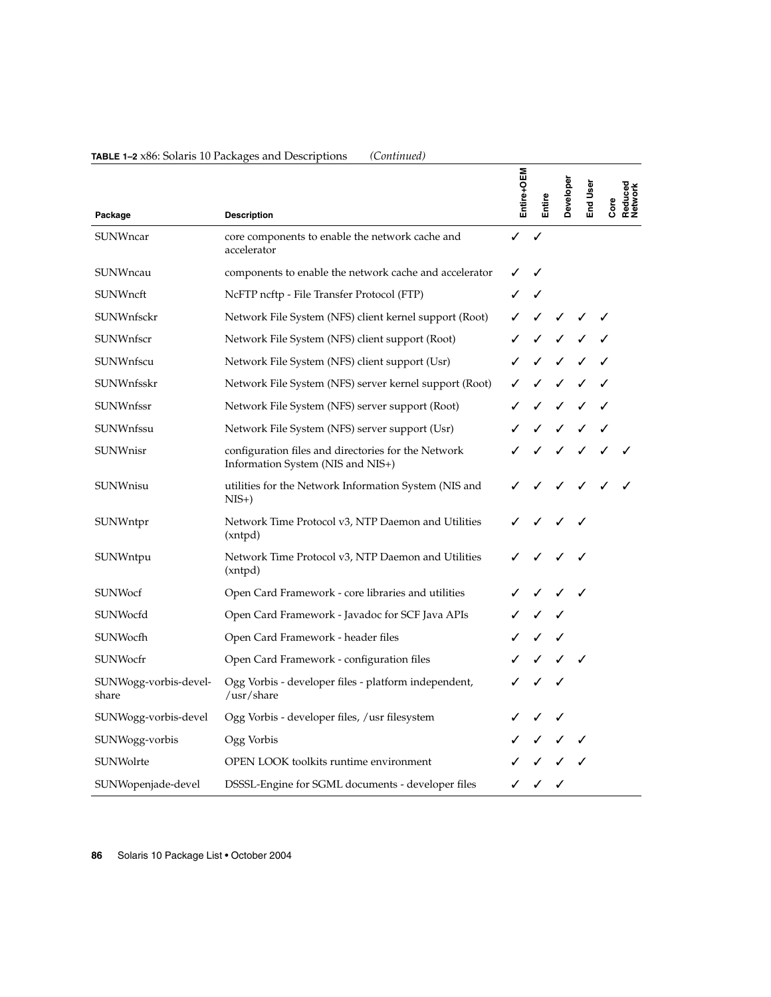|                                |                                                                                          | Entire+OEM | Entire | Developer | End User | Core | Reduced<br>Network |
|--------------------------------|------------------------------------------------------------------------------------------|------------|--------|-----------|----------|------|--------------------|
| Package<br>SUNWncar            | <b>Description</b>                                                                       | ✓          | ✓      |           |          |      |                    |
|                                | core components to enable the network cache and<br>accelerator                           |            |        |           |          |      |                    |
| SUNWncau                       | components to enable the network cache and accelerator                                   | ✓          |        |           |          |      |                    |
| SUNWncft                       | NcFTP ncftp - File Transfer Protocol (FTP)                                               |            | ✓      |           |          |      |                    |
| SUNWnfsckr                     | Network File System (NFS) client kernel support (Root)                                   |            |        | ✓         | ✓        |      |                    |
| SUNWnfscr                      | Network File System (NFS) client support (Root)                                          |            |        |           |          |      |                    |
| SUNWnfscu                      | Network File System (NFS) client support (Usr)                                           |            |        |           |          |      |                    |
| SUNWnfsskr                     | Network File System (NFS) server kernel support (Root)                                   |            |        |           |          |      |                    |
| SUNWnfssr                      | Network File System (NFS) server support (Root)                                          |            |        |           |          |      |                    |
| SUNWnfssu                      | Network File System (NFS) server support (Usr)                                           |            |        |           |          |      |                    |
| SUNWnisr                       | configuration files and directories for the Network<br>Information System (NIS and NIS+) |            |        |           |          |      |                    |
| SUNWnisu                       | utilities for the Network Information System (NIS and<br>$NIS+$                          |            |        |           |          |      |                    |
| SUNWntpr                       | Network Time Protocol v3, NTP Daemon and Utilities<br>(xntpd)                            |            |        |           |          |      |                    |
| SUNWntpu                       | Network Time Protocol v3, NTP Daemon and Utilities<br>(xntpd)                            |            |        |           |          |      |                    |
| <b>SUNWocf</b>                 | Open Card Framework - core libraries and utilities                                       |            |        |           |          |      |                    |
| SUNWocfd                       | Open Card Framework - Javadoc for SCF Java APIs                                          |            |        |           |          |      |                    |
| SUNWocfh                       | Open Card Framework - header files                                                       |            |        |           |          |      |                    |
| <b>SUNWocfr</b>                | Open Card Framework - configuration files                                                |            |        |           |          |      |                    |
| SUNWogg-vorbis-devel-<br>share | Ogg Vorbis - developer files - platform independent,<br>/usr/share                       |            |        |           |          |      |                    |
| SUNWogg-vorbis-devel           | Ogg Vorbis - developer files, /usr filesystem                                            |            |        |           |          |      |                    |
| SUNWogg-vorbis                 | Ogg Vorbis                                                                               |            |        |           |          |      |                    |
| SUNWolrte                      | <b>OPEN LOOK</b> toolkits runtime environment                                            |            |        |           |          |      |                    |
| SUNWopenjade-devel             | DSSSL-Engine for SGML documents - developer files                                        |            |        |           |          |      |                    |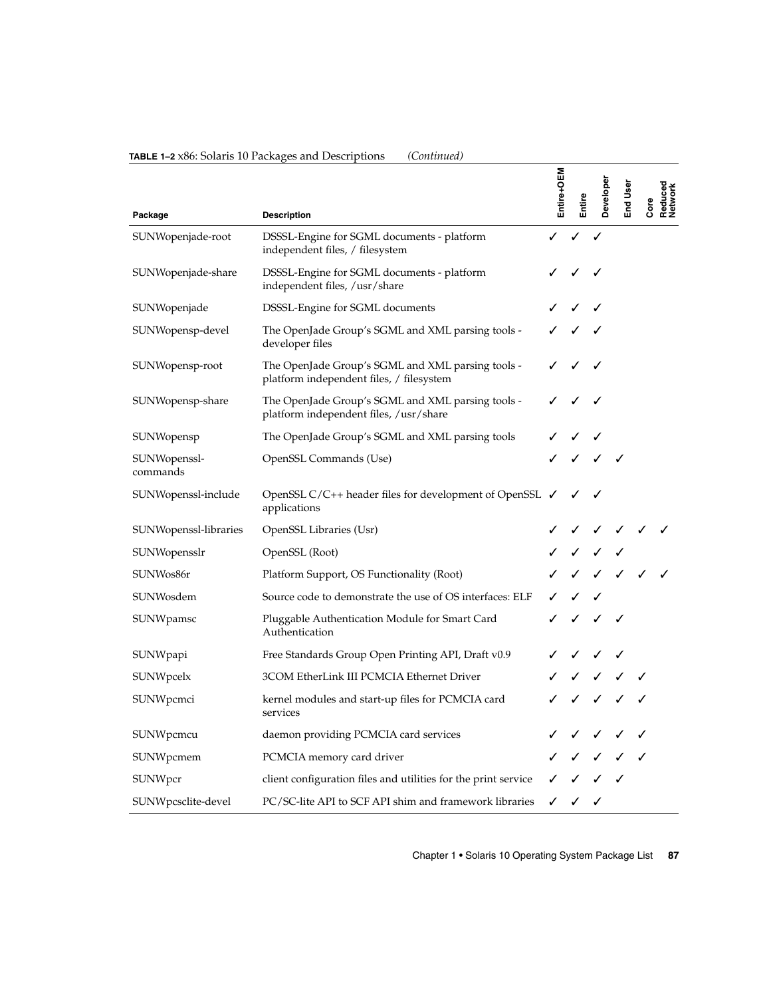| <b>TABLE 1-2</b> x86: Solaris 10 Packages and Descriptions |  | (Continued) |
|------------------------------------------------------------|--|-------------|
|                                                            |  |             |

|                          |                                                                                               | Entire+OEM |   | Entire       | Developer    | <b>End User</b> |              | Core<br>Reduced<br>Network |
|--------------------------|-----------------------------------------------------------------------------------------------|------------|---|--------------|--------------|-----------------|--------------|----------------------------|
| Package                  | <b>Description</b>                                                                            |            |   |              |              |                 |              |                            |
| SUNWopenjade-root        | DSSSL-Engine for SGML documents - platform<br>independent files, / filesystem                 | ✓          | ✓ |              |              |                 |              |                            |
| SUNWopenjade-share       | DSSSL-Engine for SGML documents - platform<br>independent files, /usr/share                   |            |   |              |              |                 |              |                            |
| SUNWopenjade             | DSSSL-Engine for SGML documents                                                               |            |   |              |              |                 |              |                            |
| SUNWopensp-devel         | The OpenJade Group's SGML and XML parsing tools -<br>developer files                          |            | ✓ |              |              |                 |              |                            |
| SUNWopensp-root          | The OpenJade Group's SGML and XML parsing tools -<br>platform independent files, / filesystem |            | ✓ |              |              |                 |              |                            |
| SUNWopensp-share         | The OpenJade Group's SGML and XML parsing tools -<br>platform independent files, /usr/share   | ✓          | ✓ |              |              |                 |              |                            |
| <b>SUNWopensp</b>        | The OpenJade Group's SGML and XML parsing tools                                               |            | ✓ |              |              |                 |              |                            |
| SUNWopenssl-<br>commands | OpenSSL Commands (Use)                                                                        |            |   | $\checkmark$ | $\checkmark$ | ✓               |              |                            |
| SUNWopenssl-include      | OpenSSL $C/C++$ header files for development of OpenSSL $\checkmark$<br>applications          |            | ✓ |              |              |                 |              |                            |
| SUNWopenssl-libraries    | OpenSSL Libraries (Usr)                                                                       |            |   |              |              | $\checkmark$    | $\checkmark$ |                            |
| SUNWopensslr             | OpenSSL (Root)                                                                                |            |   |              | $\checkmark$ | $\checkmark$    |              |                            |
| SUNWos86r                | Platform Support, OS Functionality (Root)                                                     |            |   |              |              | $\checkmark$    | $\checkmark$ |                            |
| SUNWosdem                | Source code to demonstrate the use of OS interfaces: ELF                                      |            |   |              |              |                 |              |                            |
| SUNWpamsc                | Pluggable Authentication Module for Smart Card<br>Authentication                              |            | ✓ |              | ✓            | ✓               |              |                            |
| SUNWpapi                 | Free Standards Group Open Printing API, Draft v0.9                                            |            |   |              | ✓            | ✓               |              |                            |
| SUNWpcelx                | 3COM EtherLink III PCMCIA Ethernet Driver                                                     |            |   |              |              | ✓               |              |                            |
| SUNWpcmci                | kernel modules and start-up files for PCMCIA card<br>services                                 |            |   |              |              |                 |              |                            |
| SUNWpcmcu                | daemon providing PCMCIA card services                                                         |            |   |              |              |                 |              |                            |
| SUNWpcmem                | PCMCIA memory card driver                                                                     |            |   |              |              |                 |              |                            |
| SUNWpcr                  | client configuration files and utilities for the print service                                |            |   |              |              |                 |              |                            |
| SUNWpcsclite-devel       | PC/SC-lite API to SCF API shim and framework libraries                                        | ✓          | ✓ |              | ✓            |                 |              |                            |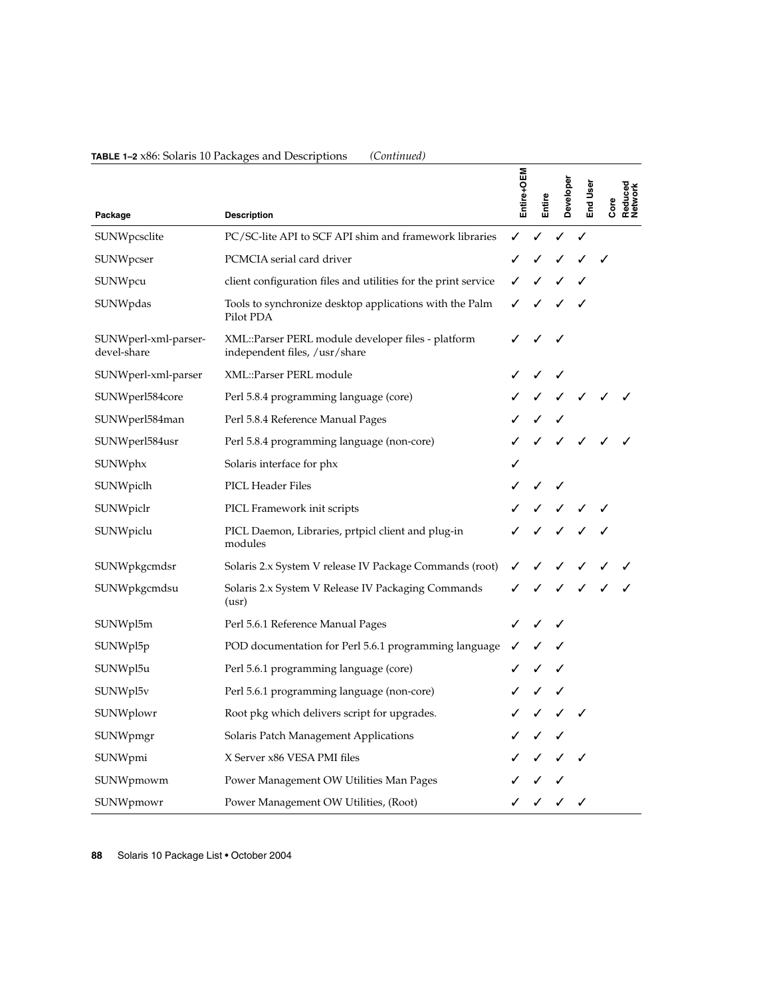| Package                             | <b>Description</b>                                                                  | Entire+OEM | Entire       | Developer | End User | Core | Reduced<br>Network |
|-------------------------------------|-------------------------------------------------------------------------------------|------------|--------------|-----------|----------|------|--------------------|
| SUNWpcsclite                        | PC/SC-lite API to SCF API shim and framework libraries                              | ✓          | ✓            | ✓         | ✓        |      |                    |
| SUNWpcser                           | PCMCIA serial card driver                                                           |            |              | ✓         | ✓        |      |                    |
| SUNWpcu                             | client configuration files and utilities for the print service                      |            |              |           |          |      |                    |
| SUNWpdas                            | Tools to synchronize desktop applications with the Palm<br>Pilot PDA                |            | ✓            |           |          |      |                    |
| SUNWperl-xml-parser-<br>devel-share | XML::Parser PERL module developer files - platform<br>independent files, /usr/share |            |              |           |          |      |                    |
| SUNWperl-xml-parser                 | XML::Parser PERL module                                                             |            |              |           |          |      |                    |
| SUNWperl584core                     | Perl 5.8.4 programming language (core)                                              |            |              |           | ✓        |      |                    |
| SUNWperl584man                      | Perl 5.8.4 Reference Manual Pages                                                   |            |              |           |          |      |                    |
| SUNWperl584usr                      | Perl 5.8.4 programming language (non-core)                                          |            |              |           |          |      |                    |
| SUNWphx                             | Solaris interface for phx                                                           |            |              |           |          |      |                    |
| SUNWpiclh                           | <b>PICL Header Files</b>                                                            |            | ✓            |           |          |      |                    |
| SUNWpiclr                           | PICL Framework init scripts                                                         |            |              |           |          |      |                    |
| SUNWpiclu                           | PICL Daemon, Libraries, prtpicl client and plug-in<br>modules                       |            |              |           |          |      |                    |
| SUNWpkgcmdsr                        | Solaris 2.x System V release IV Package Commands (root)                             |            |              |           |          |      |                    |
| SUNWpkgcmdsu                        | Solaris 2.x System V Release IV Packaging Commands<br>(usr)                         |            |              |           |          |      |                    |
| SUNWpl5m                            | Perl 5.6.1 Reference Manual Pages                                                   |            |              |           |          |      |                    |
| SUNWpl5p                            | POD documentation for Perl 5.6.1 programming language                               |            | ✓            |           |          |      |                    |
| SUNWpl5u                            | Perl 5.6.1 programming language (core)                                              |            | ✓            |           |          |      |                    |
| SUNWpl5v                            | Perl 5.6.1 programming language (non-core)                                          |            |              | ✓         |          |      |                    |
| SUNWplowr                           | Root pkg which delivers script for upgrades.                                        |            |              | ✓         | ✓        |      |                    |
| SUNWpmgr                            | Solaris Patch Management Applications                                               |            | ✓            | ✓         |          |      |                    |
| SUNWpmi                             | X Server x86 VESA PMI files                                                         |            |              |           |          |      |                    |
| SUNWpmowm                           | Power Management OW Utilities Man Pages                                             |            |              |           |          |      |                    |
| SUNWpmowr                           | Power Management OW Utilities, (Root)                                               | ℐ          | $\checkmark$ | ✓         | ✓        |      |                    |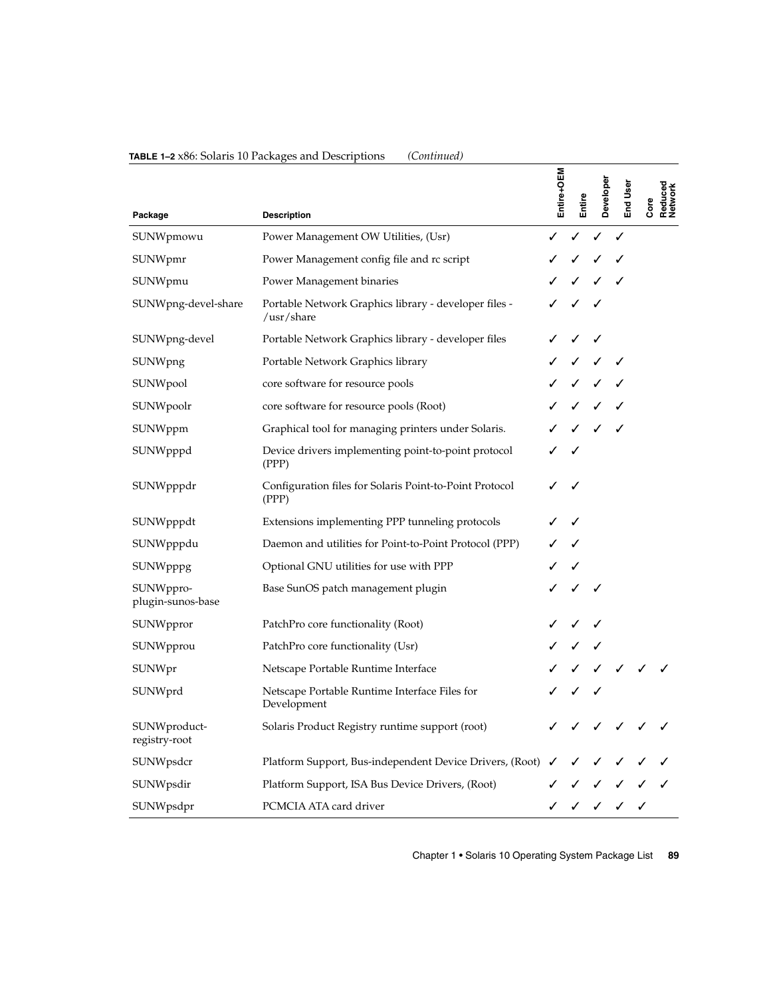| <b>TABLE 1-2</b> x86: Solaris 10 Packages and Descriptions | (Continued) |
|------------------------------------------------------------|-------------|

| Package                        | <b>Description</b>                                                  | Entire+OEM |   | Entire | Developer | End User     | Core | Reduced<br>Network |
|--------------------------------|---------------------------------------------------------------------|------------|---|--------|-----------|--------------|------|--------------------|
| SUNWpmowu                      | Power Management OW Utilities, (Usr)                                |            |   |        |           | ✓            |      |                    |
| SUNWpmr                        | Power Management config file and rc script                          |            |   |        |           |              |      |                    |
| SUNWpmu                        | Power Management binaries                                           |            |   | ✓      |           |              |      |                    |
| SUNWpng-devel-share            | Portable Network Graphics library - developer files -<br>/usr/share |            | ✓ |        |           |              |      |                    |
| SUNWpng-devel                  | Portable Network Graphics library - developer files                 |            |   |        |           |              |      |                    |
| SUNWpng                        | Portable Network Graphics library                                   |            |   | ✓      |           | ✓            |      |                    |
| SUNWpool                       | core software for resource pools                                    |            |   |        |           |              |      |                    |
| SUNWpoolr                      | core software for resource pools (Root)                             |            |   |        |           |              |      |                    |
| SUNWppm                        | Graphical tool for managing printers under Solaris.                 |            |   |        |           |              |      |                    |
| SUNWpppd                       | Device drivers implementing point-to-point protocol<br>(PPP)        |            |   |        |           |              |      |                    |
| SUNWpppdr                      | Configuration files for Solaris Point-to-Point Protocol<br>(PPP)    |            |   |        |           |              |      |                    |
| SUNWpppdt                      | Extensions implementing PPP tunneling protocols                     |            |   |        |           |              |      |                    |
| SUNWpppdu                      | Daemon and utilities for Point-to-Point Protocol (PPP)              |            |   |        |           |              |      |                    |
| SUNWpppg                       | Optional GNU utilities for use with PPP                             |            | ✓ |        |           |              |      |                    |
| SUNWppro-<br>plugin-sunos-base | Base SunOS patch management plugin                                  |            | ✓ |        |           |              |      |                    |
| SUNWppror                      | PatchPro core functionality (Root)                                  |            |   |        |           |              |      |                    |
| SUNWpprou                      | PatchPro core functionality (Usr)                                   |            |   |        |           |              |      |                    |
| SUNWpr                         | Netscape Portable Runtime Interface                                 |            |   |        |           |              |      |                    |
| SUNWprd                        | Netscape Portable Runtime Interface Files for<br>Development        |            |   |        |           |              |      |                    |
| SUNWproduct-<br>registry-root  | Solaris Product Registry runtime support (root)                     |            |   |        |           |              |      |                    |
| SUNWpsdcr                      | Platform Support, Bus-independent Device Drivers, (Root)            |            |   |        |           |              |      |                    |
| SUNWpsdir                      | Platform Support, ISA Bus Device Drivers, (Root)                    |            |   |        |           |              |      |                    |
| SUNWpsdpr                      | PCMCIA ATA card driver                                              | ✓          | ✓ | ✓      |           | $\checkmark$ |      |                    |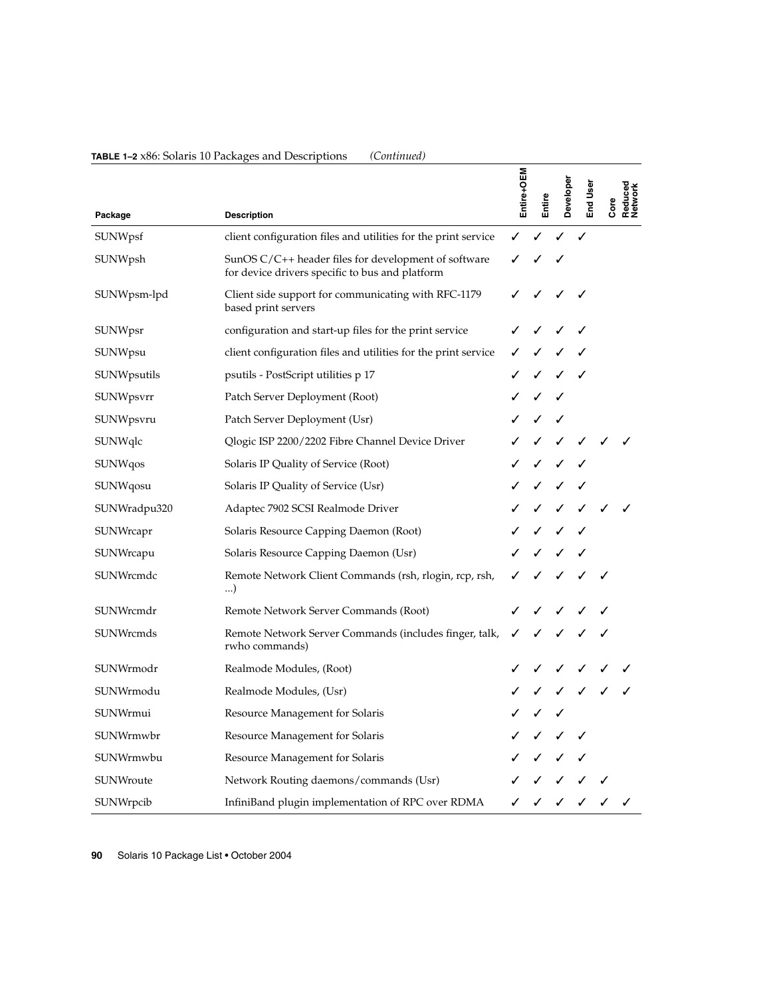| Package          | <b>Description</b>                                                                                      | Entire+OEM | Entire | Developer | End User | Core | Reduced<br>Network |
|------------------|---------------------------------------------------------------------------------------------------------|------------|--------|-----------|----------|------|--------------------|
| SUNWpsf          | client configuration files and utilities for the print service                                          | ✓          |        | ✓         | ✓        |      |                    |
| SUNWpsh          | SunOS C/C++ header files for development of software<br>for device drivers specific to bus and platform |            |        |           |          |      |                    |
| SUNWpsm-lpd      | Client side support for communicating with RFC-1179<br>based print servers                              |            |        |           |          |      |                    |
| SUNWpsr          | configuration and start-up files for the print service                                                  |            |        |           |          |      |                    |
| SUNWpsu          | client configuration files and utilities for the print service                                          |            |        |           |          |      |                    |
| SUNWpsutils      | psutils - PostScript utilities p 17                                                                     |            |        |           |          |      |                    |
| SUNWpsvrr        | Patch Server Deployment (Root)                                                                          |            |        |           |          |      |                    |
| SUNWpsvru        | Patch Server Deployment (Usr)                                                                           |            |        |           |          |      |                    |
| SUNWqlc          | Qlogic ISP 2200/2202 Fibre Channel Device Driver                                                        |            |        |           |          |      |                    |
| <b>SUNW</b> qos  | Solaris IP Quality of Service (Root)                                                                    |            |        |           |          |      |                    |
| SUNWqosu         | Solaris IP Quality of Service (Usr)                                                                     |            |        |           |          |      |                    |
| SUNWradpu320     | Adaptec 7902 SCSI Realmode Driver                                                                       |            |        |           |          |      |                    |
| SUNWrcapr        | Solaris Resource Capping Daemon (Root)                                                                  |            |        |           |          |      |                    |
| SUNWrcapu        | Solaris Resource Capping Daemon (Usr)                                                                   |            |        |           |          |      |                    |
| SUNWrcmdc        | Remote Network Client Commands (rsh, rlogin, rcp, rsh,<br>)                                             |            |        |           |          |      |                    |
| SUNWrcmdr        | Remote Network Server Commands (Root)                                                                   |            |        |           |          |      |                    |
| <b>SUNWrcmds</b> | Remote Network Server Commands (includes finger, talk,<br>rwho commands)                                |            |        |           |          |      |                    |
| SUNWrmodr        | Realmode Modules, (Root)                                                                                |            |        |           |          |      |                    |
| SUNWrmodu        | Realmode Modules, (Usr)                                                                                 |            |        |           |          |      |                    |
| SUNWrmui         | Resource Management for Solaris                                                                         |            |        |           |          |      |                    |
| SUNWrmwbr        | Resource Management for Solaris                                                                         |            |        |           |          |      |                    |
| SUNWrmwbu        | Resource Management for Solaris                                                                         |            |        |           |          |      |                    |
| SUNWroute        | Network Routing daemons/commands (Usr)                                                                  |            |        |           |          |      |                    |
| SUNWrpcib        | InfiniBand plugin implementation of RPC over RDMA                                                       |            |        |           |          |      |                    |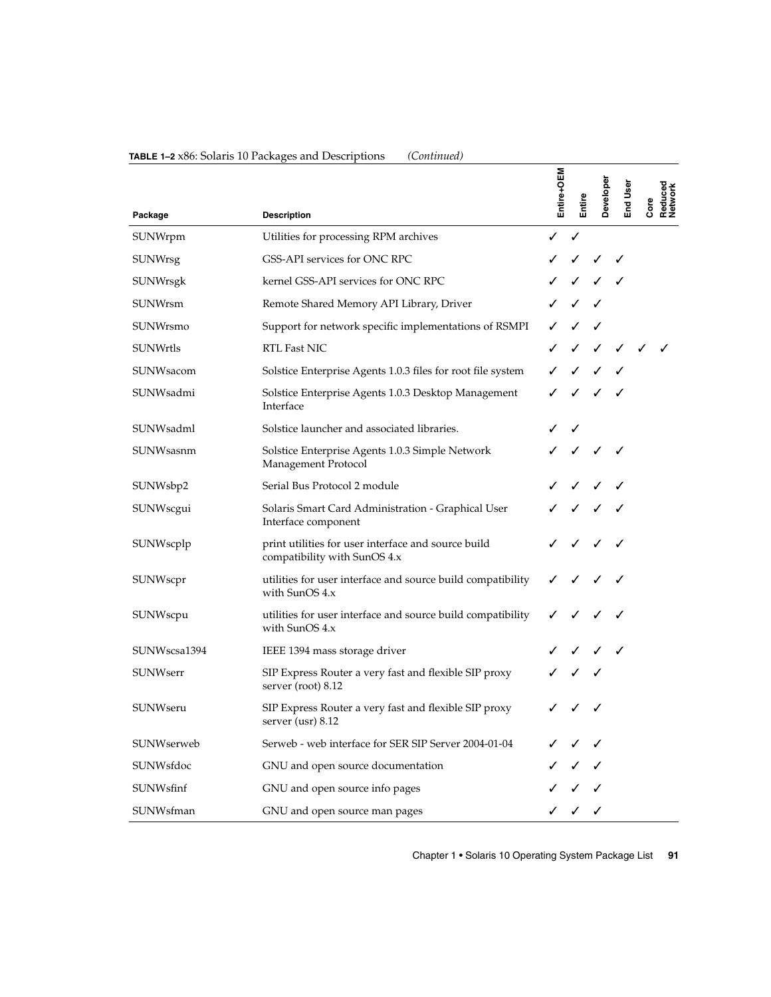| (Continued) |  |
|-------------|--|
|             |  |

| Package          | <b>Description</b>                                                                  |   | Entire+OEM | Entire | Developer    | End User     | Core         | Reduced<br>Network |
|------------------|-------------------------------------------------------------------------------------|---|------------|--------|--------------|--------------|--------------|--------------------|
| <b>SUNWrpm</b>   | Utilities for processing RPM archives                                               | ✓ |            | ✓      |              |              |              |                    |
| SUNWrsg          | GSS-API services for ONC RPC                                                        |   |            | ✓      | ✓            | ✓            |              |                    |
| SUNWrsgk         | kernel GSS-API services for ONC RPC                                                 |   |            |        | $\checkmark$ |              |              |                    |
| <b>SUNWrsm</b>   | Remote Shared Memory API Library, Driver                                            |   |            |        |              |              |              |                    |
| SUNWrsmo         | Support for network specific implementations of RSMPI                               |   |            |        |              |              |              |                    |
| <b>SUNWrtls</b>  | <b>RTL Fast NIC</b>                                                                 |   |            |        | ✓            | $\checkmark$ | $\checkmark$ |                    |
| <b>SUNWsacom</b> | Solstice Enterprise Agents 1.0.3 files for root file system                         |   |            |        |              |              |              |                    |
| SUNWsadmi        | Solstice Enterprise Agents 1.0.3 Desktop Management<br>Interface                    |   |            | ✓      |              |              |              |                    |
| SUNWsadml        | Solstice launcher and associated libraries.                                         |   |            |        |              |              |              |                    |
| <b>SUNWsasnm</b> | Solstice Enterprise Agents 1.0.3 Simple Network<br>Management Protocol              |   |            |        |              |              |              |                    |
| SUNWsbp2         | Serial Bus Protocol 2 module                                                        |   |            |        |              |              |              |                    |
| SUNWscgui        | Solaris Smart Card Administration - Graphical User<br>Interface component           |   |            |        |              |              |              |                    |
| SUNWscplp        | print utilities for user interface and source build<br>compatibility with SunOS 4.x |   |            |        |              |              |              |                    |
| SUNWscpr         | utilities for user interface and source build compatibility<br>with SunOS $4.x$     |   |            |        |              |              |              |                    |
| SUNWscpu         | utilities for user interface and source build compatibility<br>with SunOS 4.x       |   |            |        |              |              |              |                    |
| SUNWscsa1394     | IEEE 1394 mass storage driver                                                       |   |            |        |              |              |              |                    |
| <b>SUNWserr</b>  | SIP Express Router a very fast and flexible SIP proxy<br>server (root) 8.12         |   |            |        |              |              |              |                    |
| <b>SUNWseru</b>  | SIP Express Router a very fast and flexible SIP proxy<br>server (usr) 8.12          |   |            |        |              |              |              |                    |
| SUNWserweb       | Serweb - web interface for SER SIP Server 2004-01-04                                |   |            |        |              |              |              |                    |
| SUNWsfdoc        | GNU and open source documentation                                                   |   |            |        |              |              |              |                    |
| SUNWsfinf        | GNU and open source info pages                                                      |   |            |        |              |              |              |                    |
| SUNWsfman        | GNU and open source man pages                                                       |   |            | ✓      | ✓            |              |              |                    |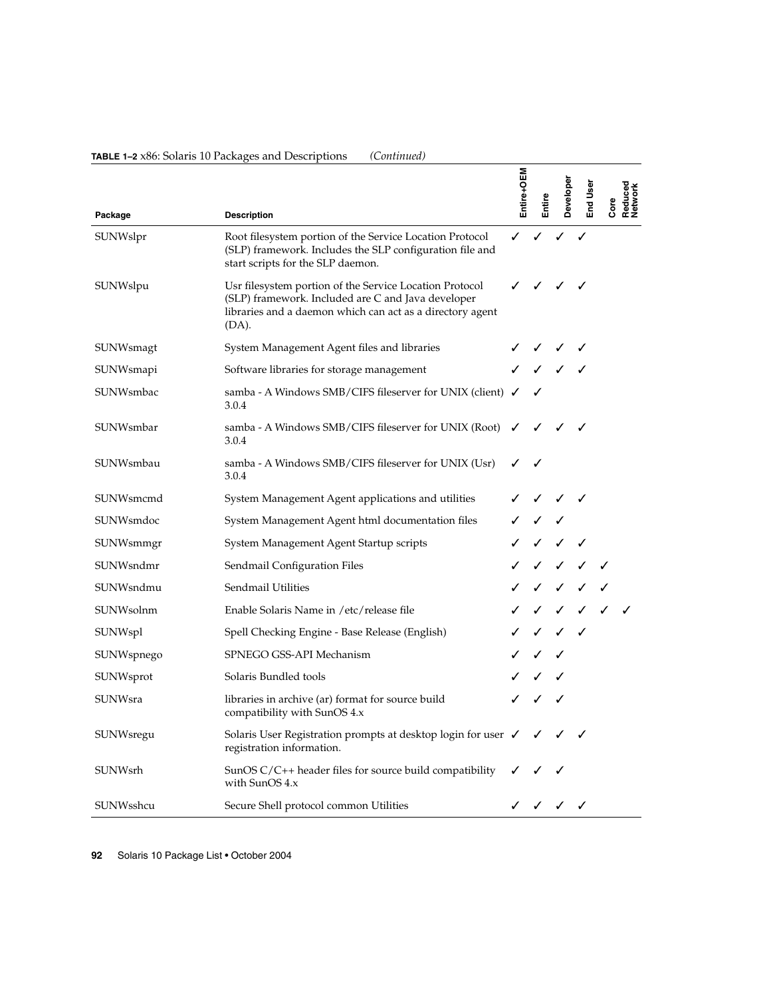| Package           | <b>Description</b>                                                                                                                                                                  | Entire+OEM | Entire       | Developer    | End User     | Core | Reduced<br>Network |
|-------------------|-------------------------------------------------------------------------------------------------------------------------------------------------------------------------------------|------------|--------------|--------------|--------------|------|--------------------|
| SUNWslpr          | Root filesystem portion of the Service Location Protocol<br>(SLP) framework. Includes the SLP configuration file and<br>start scripts for the SLP daemon.                           | ✓          | ✓            | ✓            | ✓            |      |                    |
| SUNWslpu          | Usr filesystem portion of the Service Location Protocol<br>(SLP) framework. Included are C and Java developer<br>libraries and a daemon which can act as a directory agent<br>(DA). |            | ✓            | ✓            |              |      |                    |
| SUNWsmagt         | System Management Agent files and libraries                                                                                                                                         |            |              | ✓            |              |      |                    |
| SUNWsmapi         | Software libraries for storage management                                                                                                                                           |            |              |              |              |      |                    |
| SUNWsmbac         | samba - A Windows SMB/CIFS fileserver for UNIX (client)<br>3.0.4                                                                                                                    |            |              |              |              |      |                    |
| SUNWsmbar         | samba - A Windows SMB/CIFS fileserver for UNIX (Root)<br>3.0.4                                                                                                                      | ✓          | ✓            |              |              |      |                    |
| SUNWsmbau         | samba - A Windows SMB/CIFS fileserver for UNIX (Usr)<br>3.0.4                                                                                                                       | ✓          |              |              |              |      |                    |
| SUNWsmcmd         | System Management Agent applications and utilities                                                                                                                                  |            |              | $\checkmark$ | ✓            |      |                    |
| SUNWsmdoc         | System Management Agent html documentation files                                                                                                                                    |            |              |              |              |      |                    |
| SUNWsmmgr         | System Management Agent Startup scripts                                                                                                                                             |            | ✓            | ✓            |              |      |                    |
| SUNWsndmr         | Sendmail Configuration Files                                                                                                                                                        |            |              | $\checkmark$ | $\checkmark$ |      |                    |
| SUNWsndmu         | Sendmail Utilities                                                                                                                                                                  |            |              | $\checkmark$ | $\checkmark$ |      |                    |
| SUNWsolnm         | Enable Solaris Name in /etc/release file                                                                                                                                            |            |              |              |              | ✓    |                    |
| SUNWspl           | Spell Checking Engine - Base Release (English)                                                                                                                                      |            |              |              | ✓            |      |                    |
| <b>SUNWspnego</b> | SPNEGO GSS-API Mechanism                                                                                                                                                            |            |              |              |              |      |                    |
| <b>SUNWsprot</b>  | Solaris Bundled tools                                                                                                                                                               |            |              |              |              |      |                    |
| <b>SUNWsra</b>    | libraries in archive (ar) format for source build<br>compatibility with SunOS 4.x                                                                                                   |            | ✓            |              |              |      |                    |
| SUNWsregu         | Solaris User Registration prompts at desktop login for user √<br>registration information.                                                                                          |            | ✓            |              |              |      |                    |
| SUNWsrh           | SunOS $C/C++$ header files for source build compatibility<br>with SunOS 4.x                                                                                                         | ✓          | ✓            |              |              |      |                    |
| <b>SUNWsshcu</b>  | Secure Shell protocol common Utilities                                                                                                                                              |            | $\checkmark$ | ✓            |              |      |                    |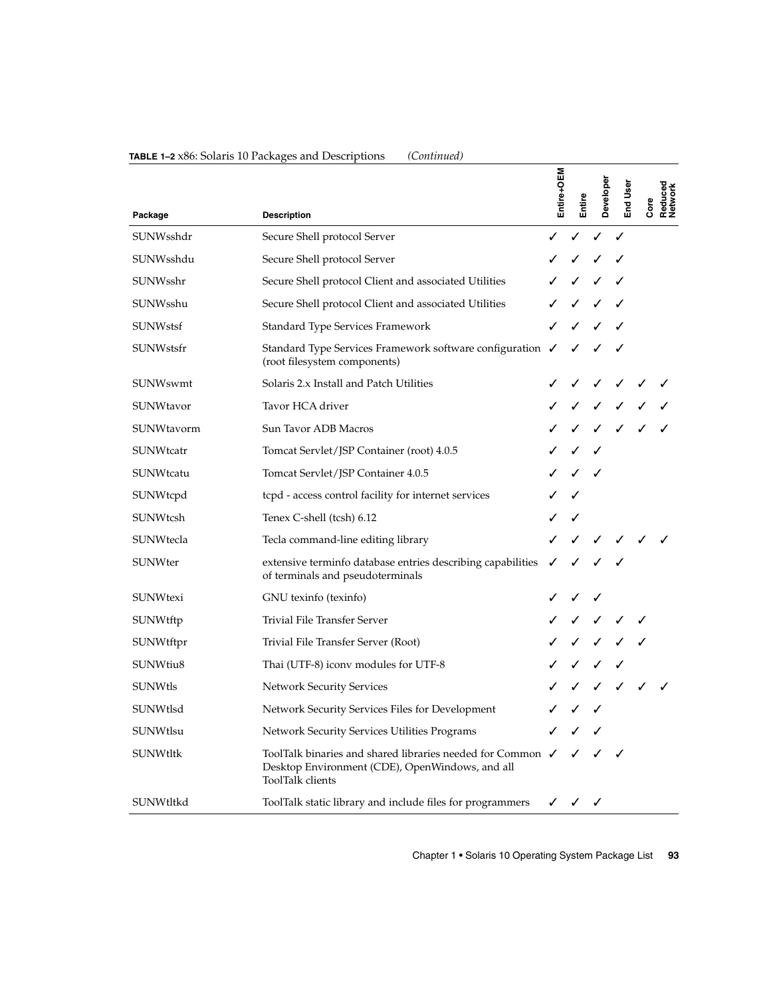| <b>TABLE 1-2</b> x86: Solaris 10 Packages and Descriptions | (Continued) |
|------------------------------------------------------------|-------------|
|                                                            |             |

|                      |                                                                                                                                              |   | Entire+OEM | Entire | Developer    | End User     |              | Core<br>Reduced<br>Network |
|----------------------|----------------------------------------------------------------------------------------------------------------------------------------------|---|------------|--------|--------------|--------------|--------------|----------------------------|
| Package              | <b>Description</b>                                                                                                                           |   |            |        |              |              |              |                            |
| SUNWsshdr            | Secure Shell protocol Server                                                                                                                 | J |            | ✓      | ✓            | ✓            |              |                            |
| SUNWsshdu            | Secure Shell protocol Server                                                                                                                 |   |            |        | $\checkmark$ |              |              |                            |
| SUNWsshr             | Secure Shell protocol Client and associated Utilities                                                                                        |   |            |        |              |              |              |                            |
| SUNWsshu             | Secure Shell protocol Client and associated Utilities                                                                                        |   |            |        |              |              |              |                            |
| <b>SUNWstsf</b>      | Standard Type Services Framework                                                                                                             |   |            |        |              |              |              |                            |
| SUNWstsfr            | Standard Type Services Framework software configuration √<br>(root filesystem components)                                                    |   |            | ✓      |              |              |              |                            |
| SUNWswmt             | Solaris 2.x Install and Patch Utilities                                                                                                      |   |            |        |              | $\checkmark$ |              |                            |
| SUNWtavor            | Tavor HCA driver                                                                                                                             |   |            |        |              |              |              |                            |
| <b>SUNW</b> tavorm   | Sun Tavor ADB Macros                                                                                                                         |   |            |        |              |              |              |                            |
| SUNWtcatr            | Tomcat Servlet/JSP Container (root) 4.0.5                                                                                                    |   |            |        |              |              |              |                            |
| SUNWtcatu            | Tomcat Servlet/JSP Container 4.0.5                                                                                                           |   |            |        |              |              |              |                            |
| SUNWtcpd             | tcpd - access control facility for internet services                                                                                         |   |            | ✓      |              |              |              |                            |
| <b>SUNWtcsh</b>      | Tenex C-shell (tcsh) 6.12                                                                                                                    |   |            | ✓      |              |              |              |                            |
| <b>SUNW</b> tecla    | Tecla command-line editing library                                                                                                           |   |            |        | $\checkmark$ | $\checkmark$ | $\checkmark$ |                            |
| SUNWter              | extensive terminfo database entries describing capabilities<br>of terminals and pseudoterminals                                              |   |            |        |              |              |              |                            |
| <b>SUNWtexi</b>      | GNU texinfo (texinfo)                                                                                                                        |   |            |        |              |              |              |                            |
| SUNWtftp             | Trivial File Transfer Server                                                                                                                 |   |            |        | ✓            | $\checkmark$ | ✓            |                            |
| SUNWtftpr            | Trivial File Transfer Server (Root)                                                                                                          |   |            |        |              |              |              |                            |
| SUNW <sub>tiu8</sub> | Thai (UTF-8) iconv modules for UTF-8                                                                                                         |   |            |        |              |              |              |                            |
| <b>SUNWtls</b>       | <b>Network Security Services</b>                                                                                                             |   |            |        |              |              |              |                            |
| SUNWtlsd             | Network Security Services Files for Development                                                                                              |   |            |        |              |              |              |                            |
| SUNWtlsu             | <b>Network Security Services Utilities Programs</b>                                                                                          |   |            |        |              |              |              |                            |
| <b>SUNWtltk</b>      | ToolTalk binaries and shared libraries needed for Common $\checkmark$<br>Desktop Environment (CDE), OpenWindows, and all<br>ToolTalk clients |   |            |        |              |              |              |                            |
| SUNWtltkd            | ToolTalk static library and include files for programmers                                                                                    | ✓ |            | ✓      | ✓            |              |              |                            |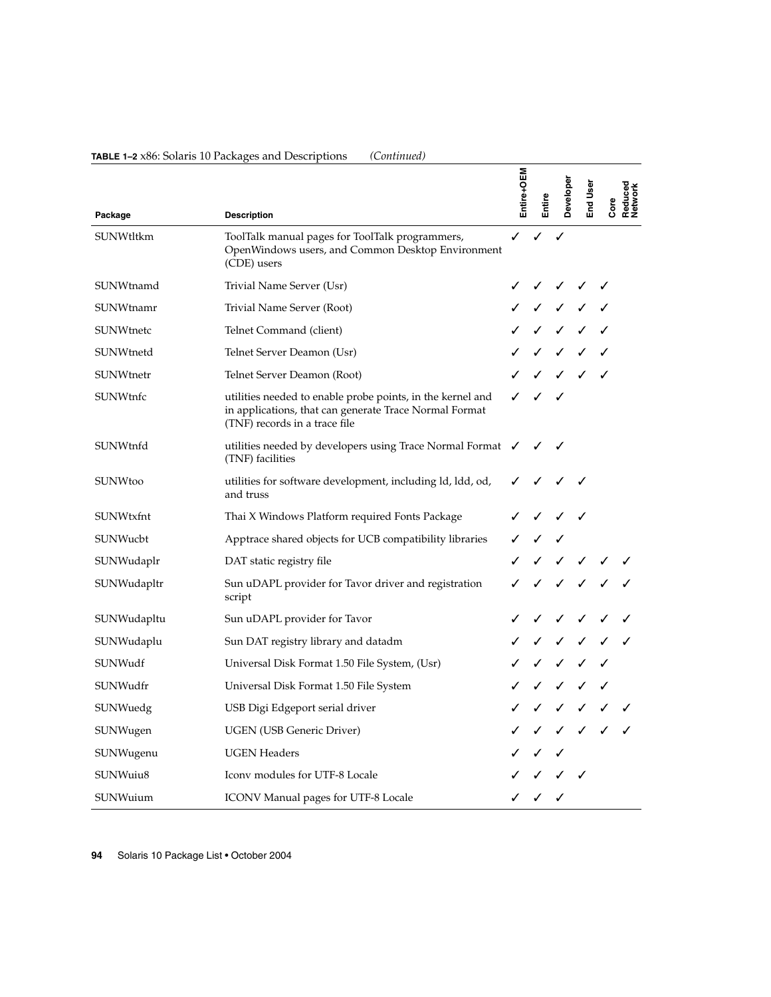| Package          | <b>Description</b>                                                                                                                                    | Entire+OEM   | Entire       | Developer                              | End User                  | Core | Reduced<br>Network |
|------------------|-------------------------------------------------------------------------------------------------------------------------------------------------------|--------------|--------------|----------------------------------------|---------------------------|------|--------------------|
| SUNWtltkm        | ToolTalk manual pages for ToolTalk programmers,<br>OpenWindows users, and Common Desktop Environment<br>(CDE) users                                   | $\checkmark$ | ✓            | ✓                                      |                           |      |                    |
| <b>SUNWtnamd</b> | Trivial Name Server (Usr)                                                                                                                             |              | $\checkmark$ |                                        | $\checkmark$ $\checkmark$ |      |                    |
| SUNWtnamr        | Trivial Name Server (Root)                                                                                                                            |              |              | $\checkmark$ $\checkmark$ $\checkmark$ |                           |      |                    |
| SUNWtnetc        | Telnet Command (client)                                                                                                                               |              |              |                                        |                           |      |                    |
| SUNWtnetd        | Telnet Server Deamon (Usr)                                                                                                                            |              |              |                                        |                           |      |                    |
| SUNWtnetr        | Telnet Server Deamon (Root)                                                                                                                           |              |              | $\checkmark$                           | $\checkmark$              | ✓    |                    |
| SUNWtnfc         | utilities needed to enable probe points, in the kernel and<br>in applications, that can generate Trace Normal Format<br>(TNF) records in a trace file | ✓            |              |                                        |                           |      |                    |
| SUNWtnfd         | utilities needed by developers using Trace Normal Format<br>(TNF) facilities                                                                          | ✓            | ✓            | ✓                                      |                           |      |                    |
| <b>SUNWtoo</b>   | utilities for software development, including ld, ldd, od,<br>and truss                                                                               | ✓            | $\checkmark$ |                                        | ✓                         |      |                    |
| SUNWtxfnt        | Thai X Windows Platform required Fonts Package                                                                                                        |              |              |                                        |                           |      |                    |
| SUNWucbt         | Apptrace shared objects for UCB compatibility libraries                                                                                               |              |              |                                        |                           |      |                    |
| SUNWudaplr       | DAT static registry file                                                                                                                              |              |              | ✓                                      | ✓                         |      |                    |
| SUNWudapltr      | Sun uDAPL provider for Tavor driver and registration<br>script                                                                                        |              |              | ✓                                      | ✓                         |      |                    |
| SUNWudapltu      | Sun uDAPL provider for Tavor                                                                                                                          |              |              |                                        |                           |      |                    |
| SUNWudaplu       | Sun DAT registry library and datadm                                                                                                                   |              |              |                                        |                           |      |                    |
| SUNWudf          | Universal Disk Format 1.50 File System, (Usr)                                                                                                         |              |              | ✓                                      | ✓                         |      |                    |
| SUNWudfr         | Universal Disk Format 1.50 File System                                                                                                                |              |              |                                        | ✓                         |      |                    |
| SUNWuedg         | USB Digi Edgeport serial driver                                                                                                                       |              |              | ✓                                      | ✓                         |      |                    |
| SUNWugen         | <b>UGEN</b> (USB Generic Driver)                                                                                                                      |              |              | ✓                                      | $\checkmark$              |      |                    |
| SUNWugenu        | <b>UGEN Headers</b>                                                                                                                                   |              |              |                                        |                           |      |                    |
| SUNWuiu8         | Icony modules for UTF-8 Locale                                                                                                                        |              |              | $\checkmark$                           | ✓                         |      |                    |
| SUNWuium         | ICONV Manual pages for UTF-8 Locale                                                                                                                   | ✓            | ✓            | $\checkmark$                           |                           |      |                    |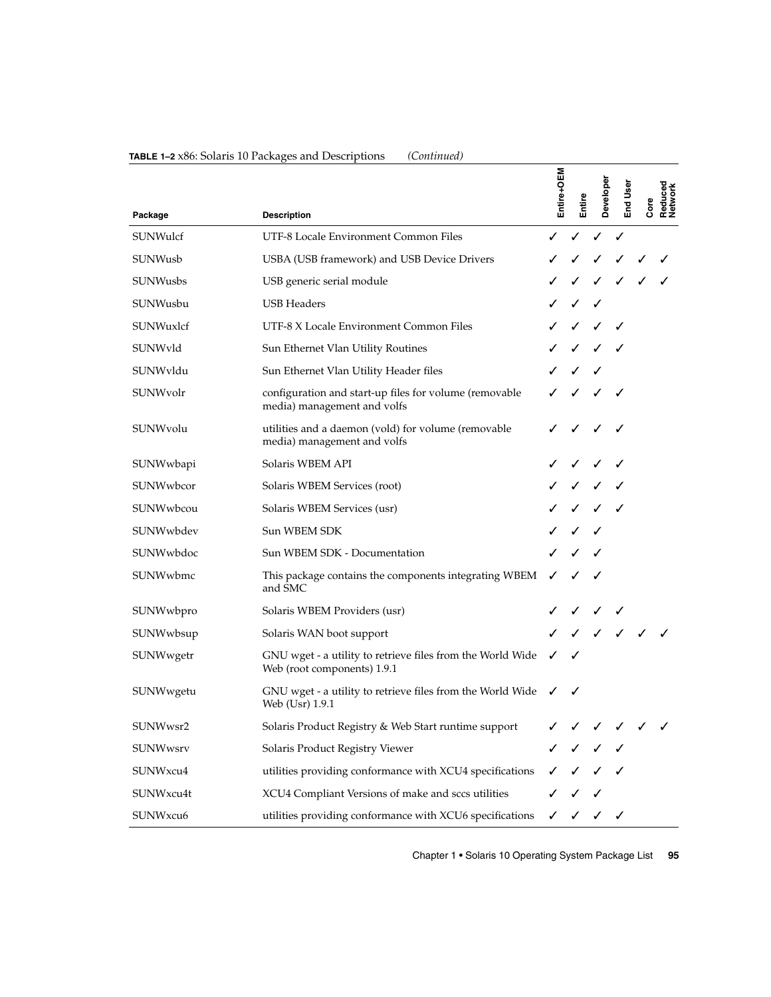| Package         | <b>Description</b>                                                                        | Entire+OEM |              | Entire | Developer    | End Use    | Core         | Reduced<br>Network |
|-----------------|-------------------------------------------------------------------------------------------|------------|--------------|--------|--------------|------------|--------------|--------------------|
| SUNWulcf        | UTF-8 Locale Environment Common Files                                                     |            |              |        | ✓            | ✓          |              |                    |
| SUNWusb         | USBA (USB framework) and USB Device Drivers                                               |            |              |        |              |            |              |                    |
| <b>SUNWusbs</b> | USB generic serial module                                                                 |            |              |        |              | ✓          |              |                    |
| SUNWusbu        | <b>USB Headers</b>                                                                        |            | ✓            |        | ✓            |            |              |                    |
| SUNWuxlcf       | UTF-8 X Locale Environment Common Files                                                   |            | ✓            |        | ✓            | ✓          |              |                    |
| SUNWyld         | Sun Ethernet Vlan Utility Routines                                                        |            |              |        | ✓            |            |              |                    |
| SUNWyldu        | Sun Ethernet Vlan Utility Header files                                                    |            |              |        |              |            |              |                    |
| SUNWvolr        | configuration and start-up files for volume (removable<br>media) management and volfs     |            |              |        |              |            |              |                    |
| SUNWvolu        | utilities and a daemon (vold) for volume (removable<br>media) management and volfs        |            |              |        |              |            |              |                    |
| SUNWwbapi       | Solaris WBEM API                                                                          |            |              |        |              |            |              |                    |
| SUNWwbcor       | Solaris WBEM Services (root)                                                              |            |              |        |              |            |              |                    |
| SUNWwbcou       | Solaris WBEM Services (usr)                                                               |            |              |        | ✓            | √          |              |                    |
| SUNWwbdev       | Sun WBEM SDK                                                                              |            |              |        | ✓            |            |              |                    |
| SUNWwbdoc       | Sun WBEM SDK - Documentation                                                              |            | ✓            |        |              |            |              |                    |
| SUNWwbmc        | This package contains the components integrating WBEM<br>and SMC                          |            |              |        |              |            |              |                    |
| SUNWwbpro       | Solaris WBEM Providers (usr)                                                              |            |              |        | ✓            | ✓          |              |                    |
| SUNWwbsup       | Solaris WAN boot support                                                                  |            |              |        | $\checkmark$ | $\sqrt{2}$ | $\checkmark$ |                    |
| SUNWwgetr       | GNU wget - a utility to retrieve files from the World Wide<br>Web (root components) 1.9.1 | ✓          | ✓            |        |              |            |              |                    |
| SUNWwgetu       | GNU wget - a utility to retrieve files from the World Wide<br>Web (Usr) 1.9.1             | ✓          | ✓            |        |              |            |              |                    |
| SUNWwsr2        | Solaris Product Registry & Web Start runtime support                                      |            |              |        |              |            |              |                    |
| <b>SUNWwsrv</b> | Solaris Product Registry Viewer                                                           |            |              |        |              |            |              |                    |
| SUNWxcu4        | utilities providing conformance with XCU4 specifications                                  |            |              |        |              |            |              |                    |
| SUNWxcu4t       | XCU4 Compliant Versions of make and sccs utilities                                        |            |              |        |              |            |              |                    |
| SUNWxcu6        | utilities providing conformance with XCU6 specifications                                  |            | $\checkmark$ |        |              |            |              |                    |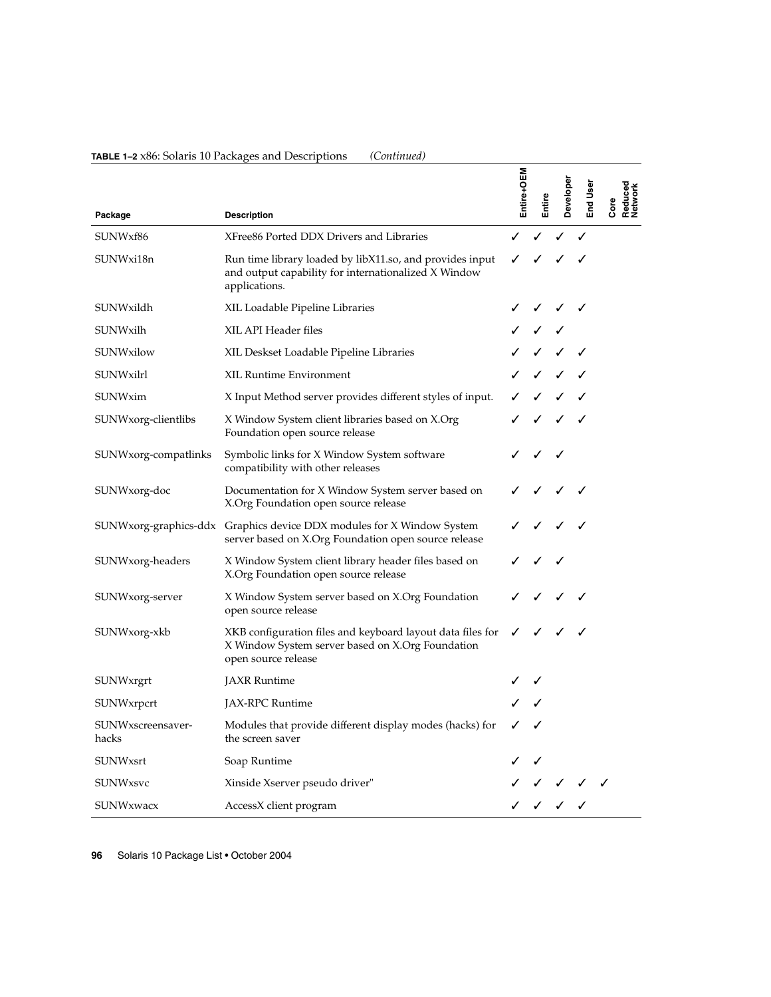|                            | $\cdots$                                                                                                                              | Entire+OEM | Entire       | Developer    | End User | Core<br>Reduced<br>Network |
|----------------------------|---------------------------------------------------------------------------------------------------------------------------------------|------------|--------------|--------------|----------|----------------------------|
| Package<br>SUNWxf86        | <b>Description</b><br>XFree86 Ported DDX Drivers and Libraries                                                                        | ✓          | $\checkmark$ | ✓            | ✓        |                            |
| SUNWxi18n                  | Run time library loaded by libX11.so, and provides input<br>and output capability for internationalized X Window<br>applications.     | ✓          | ✓            | ✓            |          |                            |
| SUNWxildh                  | XIL Loadable Pipeline Libraries                                                                                                       | ✓          | $\checkmark$ | ✓            | ✓        |                            |
| SUNWxilh                   | XIL API Header files                                                                                                                  |            | $\checkmark$ | ✓            |          |                            |
| SUNWxilow                  | XIL Deskset Loadable Pipeline Libraries                                                                                               |            | $\checkmark$ | ✓            |          |                            |
| SUNWxilrl                  | <b>XIL Runtime Environment</b>                                                                                                        |            | $\checkmark$ | $\checkmark$ |          |                            |
| SUNWxim                    | X Input Method server provides different styles of input.                                                                             |            |              |              |          |                            |
| SUNWxorg-clientlibs        | X Window System client libraries based on X.Org<br>Foundation open source release                                                     |            | $\checkmark$ | ✓            |          |                            |
| SUNWxorg-compatlinks       | Symbolic links for X Window System software<br>compatibility with other releases                                                      |            | $\checkmark$ |              |          |                            |
| SUNWxorg-doc               | Documentation for X Window System server based on<br>X.Org Foundation open source release                                             |            |              |              |          |                            |
|                            | SUNWxorg-graphics-ddx Graphics device DDX modules for X Window System<br>server based on X.Org Foundation open source release         |            |              |              |          |                            |
| SUNWxorg-headers           | X Window System client library header files based on<br>X.Org Foundation open source release                                          |            |              |              |          |                            |
| SUNWxorg-server            | X Window System server based on X.Org Foundation<br>open source release                                                               |            | ✓            |              |          |                            |
| SUNWxorg-xkb               | XKB configuration files and keyboard layout data files for<br>X Window System server based on X.Org Foundation<br>open source release | ✓          | ✓            |              |          |                            |
| SUNWxrgrt                  | <b>JAXR</b> Runtime                                                                                                                   | ✓          |              |              |          |                            |
| SUNWxrpcrt                 | JAX-RPC Runtime                                                                                                                       |            |              |              |          |                            |
| SUNWxscreensaver-<br>hacks | Modules that provide different display modes (hacks) for<br>the screen saver                                                          |            | ✓            |              |          |                            |
| <b>SUNW</b> xsrt           | Soap Runtime                                                                                                                          |            |              |              |          |                            |
| <b>SUNWxsvc</b>            | Xinside Xserver pseudo driver"                                                                                                        |            |              |              |          | ✓                          |
| <b>SUNWxwacx</b>           | AccessX client program                                                                                                                | ✓          | $\checkmark$ | $\checkmark$ |          |                            |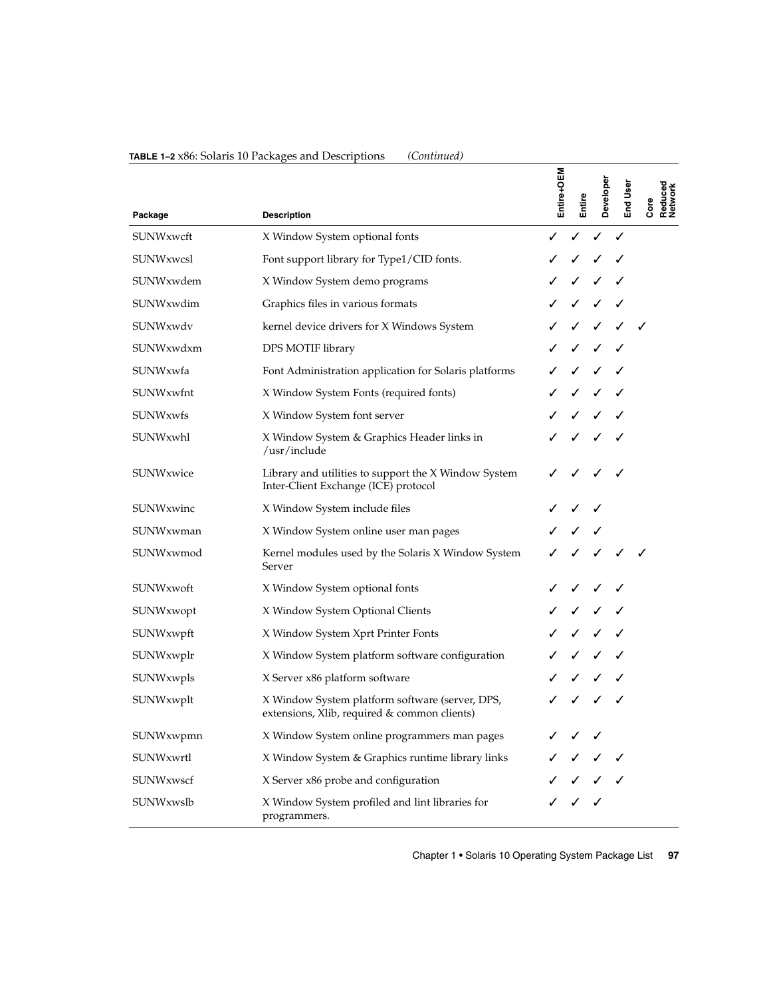| TABLE 1-2 x86: Solaris 10 Packages and Descriptions | (Continued) |
|-----------------------------------------------------|-------------|

| Package          | <b>Description</b>                                                                              |   | Entire+OEM | Entire | Developer | End User | Reduced<br>Network<br>Core |
|------------------|-------------------------------------------------------------------------------------------------|---|------------|--------|-----------|----------|----------------------------|
| SUNWxwcft        | X Window System optional fonts                                                                  | ✓ |            | ✓      | ✓         | ✓        |                            |
| <b>SUNWxwcsl</b> | Font support library for Type1/CID fonts.                                                       |   |            |        |           |          |                            |
| SUNWxwdem        | X Window System demo programs                                                                   |   |            |        |           |          |                            |
| SUNWxwdim        | Graphics files in various formats                                                               |   |            |        | ✓         |          |                            |
| SUNWxwdv         | kernel device drivers for X Windows System                                                      |   |            |        | ✓         |          |                            |
| SUNWxwdxm        | DPS MOTIF library                                                                               |   |            |        | ✓         |          |                            |
| SUNWxwfa         | Font Administration application for Solaris platforms                                           |   |            |        |           |          |                            |
| SUNWxwfnt        | X Window System Fonts (required fonts)                                                          |   |            |        |           |          |                            |
| <b>SUNWxwfs</b>  | X Window System font server                                                                     |   |            |        |           |          |                            |
| SUNWxwhl         | X Window System & Graphics Header links in<br>/usr/include                                      |   |            |        |           |          |                            |
| SUNWxwice        | Library and utilities to support the X Window System<br>Inter-Client Exchange (ICE) protocol    |   |            |        |           |          |                            |
| SUNWxwinc        | X Window System include files                                                                   |   |            |        |           |          |                            |
| SUNWxwman        | X Window System online user man pages                                                           |   |            |        |           |          |                            |
| SUNWxwmod        | Kernel modules used by the Solaris X Window System<br>Server                                    |   |            |        | ✓         |          |                            |
| SUNWxwoft        | X Window System optional fonts                                                                  |   |            |        |           |          |                            |
| SUNWxwopt        | X Window System Optional Clients                                                                |   |            |        |           |          |                            |
| SUNWxwpft        | X Window System Xprt Printer Fonts                                                              |   |            |        |           |          |                            |
| SUNWxwplr        | X Window System platform software configuration                                                 |   |            |        |           |          |                            |
| SUNWxwpls        | X Server x86 platform software                                                                  |   |            |        |           |          |                            |
| SUNWxwplt        | X Window System platform software (server, DPS,<br>extensions, Xlib, required & common clients) |   |            |        |           |          |                            |
| SUNWxwpmn        | X Window System online programmers man pages                                                    |   |            |        | ✓         |          |                            |
| SUNWxwrtl        | X Window System & Graphics runtime library links                                                |   |            |        |           |          |                            |
| SUNWxwscf        | X Server x86 probe and configuration                                                            |   |            |        |           |          |                            |
| SUNWxwslb        | X Window System profiled and lint libraries for<br>programmers.                                 |   |            |        |           |          |                            |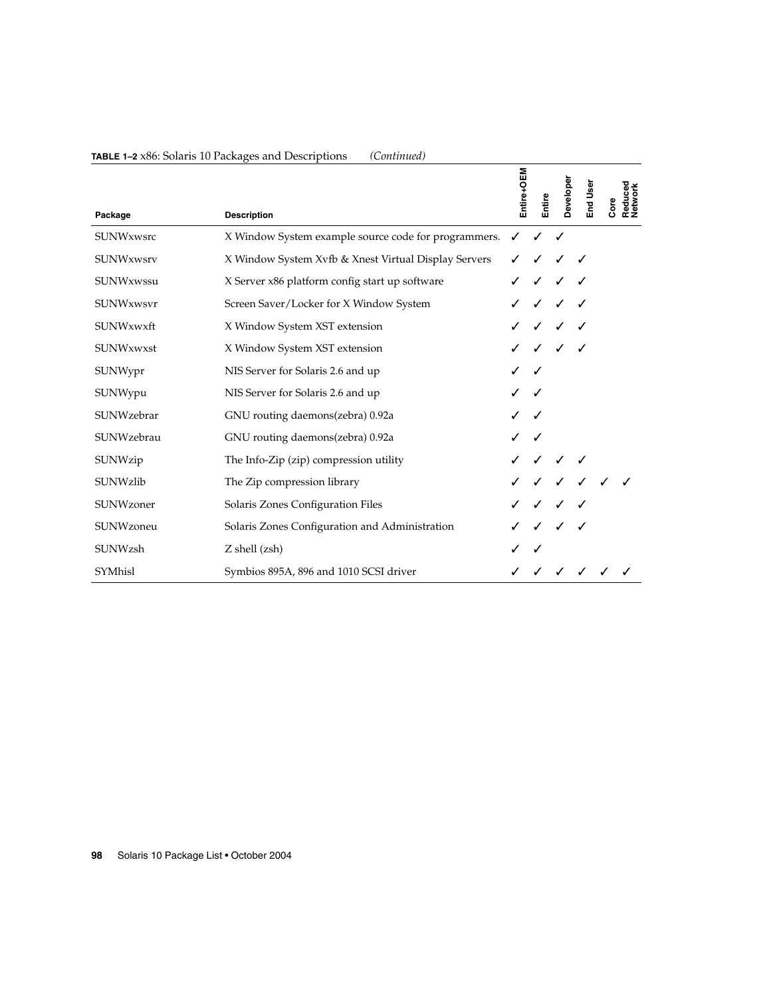| Package          | <b>Description</b>                                   | Entire+OEM | Entire | Developer | End User | Core | Reduced<br>Network |
|------------------|------------------------------------------------------|------------|--------|-----------|----------|------|--------------------|
| <b>SUNWxwsrc</b> | X Window System example source code for programmers. |            |        |           |          |      |                    |
| <b>SUNWxwsrv</b> | X Window System Xvfb & Xnest Virtual Display Servers |            |        |           |          |      |                    |
| <b>SUNWxwssu</b> | X Server x86 platform config start up software       |            |        |           |          |      |                    |
| <b>SUNWxwsvr</b> | Screen Saver/Locker for X Window System              |            |        |           |          |      |                    |
| SUNWxwxft        | X Window System XST extension                        |            |        |           |          |      |                    |
| <b>SUNWxwxst</b> | X Window System XST extension                        |            |        |           |          |      |                    |
| SUNWypr          | NIS Server for Solaris 2.6 and up                    |            |        |           |          |      |                    |
| SUNWypu          | NIS Server for Solaris 2.6 and up                    |            |        |           |          |      |                    |
| SUNWzebrar       | GNU routing daemons(zebra) 0.92a                     |            |        |           |          |      |                    |
| SUNWzebrau       | GNU routing daemons(zebra) 0.92a                     |            |        |           |          |      |                    |
| SUNWzip          | The Info-Zip (zip) compression utility               |            |        |           |          |      |                    |
| SUNWzlib         | The Zip compression library                          |            |        |           |          |      |                    |
| <b>SUNWzoner</b> | Solaris Zones Configuration Files                    |            |        |           |          |      |                    |
| SUNWzoneu        | Solaris Zones Configuration and Administration       |            |        |           |          |      |                    |
| <b>SUNWzsh</b>   | Z shell (zsh)                                        |            |        |           |          |      |                    |
| SYMhisl          | Symbios 895A, 896 and 1010 SCSI driver               |            |        |           |          |      |                    |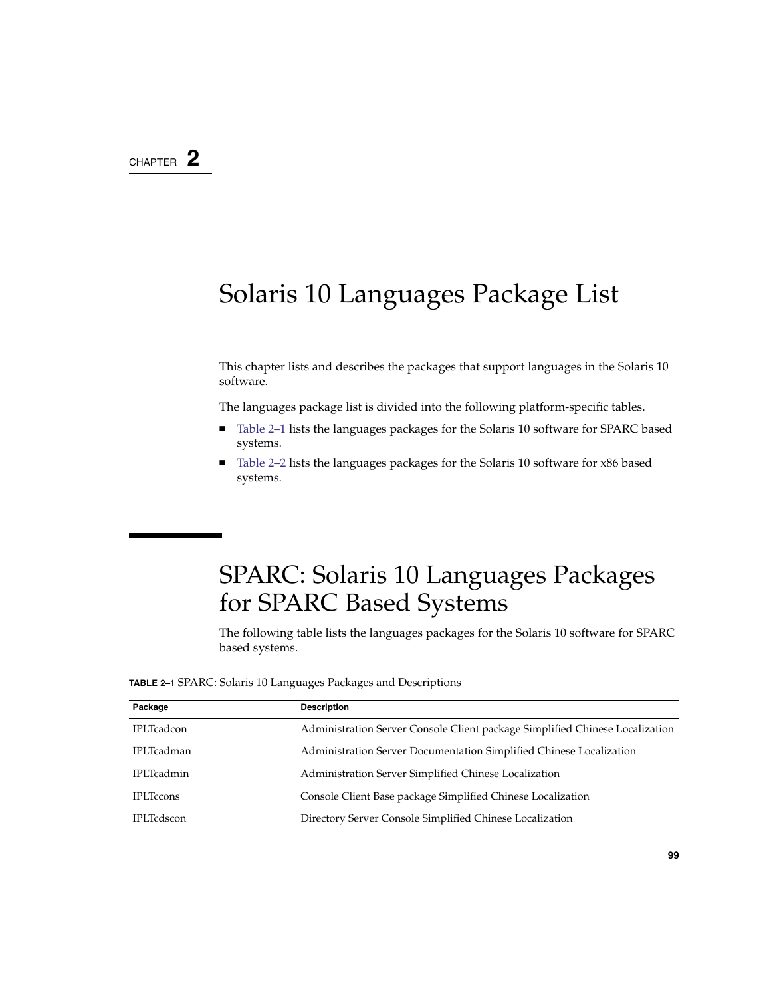## CHAPTER **2**

# Solaris 10 Languages Package List

This chapter lists and describes the packages that support languages in the Solaris 10 software.

The languages package list is divided into the following platform-specific tables.

- Table 2–1 lists the languages packages for the Solaris 10 software for SPARC based systems.
- [Table 2–2](#page-123-0) lists the languages packages for the Solaris 10 software for x86 based systems.

# SPARC: Solaris 10 Languages Packages for SPARC Based Systems

The following table lists the languages packages for the Solaris 10 software for SPARC based systems.

| <b>TABLE 2–1</b> SPARC: Solaris 10 Languages Packages and Descriptions |  |  |  |
|------------------------------------------------------------------------|--|--|--|
|------------------------------------------------------------------------|--|--|--|

| Package            | <b>Description</b>                                                           |
|--------------------|------------------------------------------------------------------------------|
| <b>IPLTcadcon</b>  | Administration Server Console Client package Simplified Chinese Localization |
| <b>IPLTcadman</b>  | Administration Server Documentation Simplified Chinese Localization          |
| <b>IPLT</b> cadmin | Administration Server Simplified Chinese Localization                        |
| <b>IPLT</b> ccons  | Console Client Base package Simplified Chinese Localization                  |
| <b>IPLTcdscon</b>  | Directory Server Console Simplified Chinese Localization                     |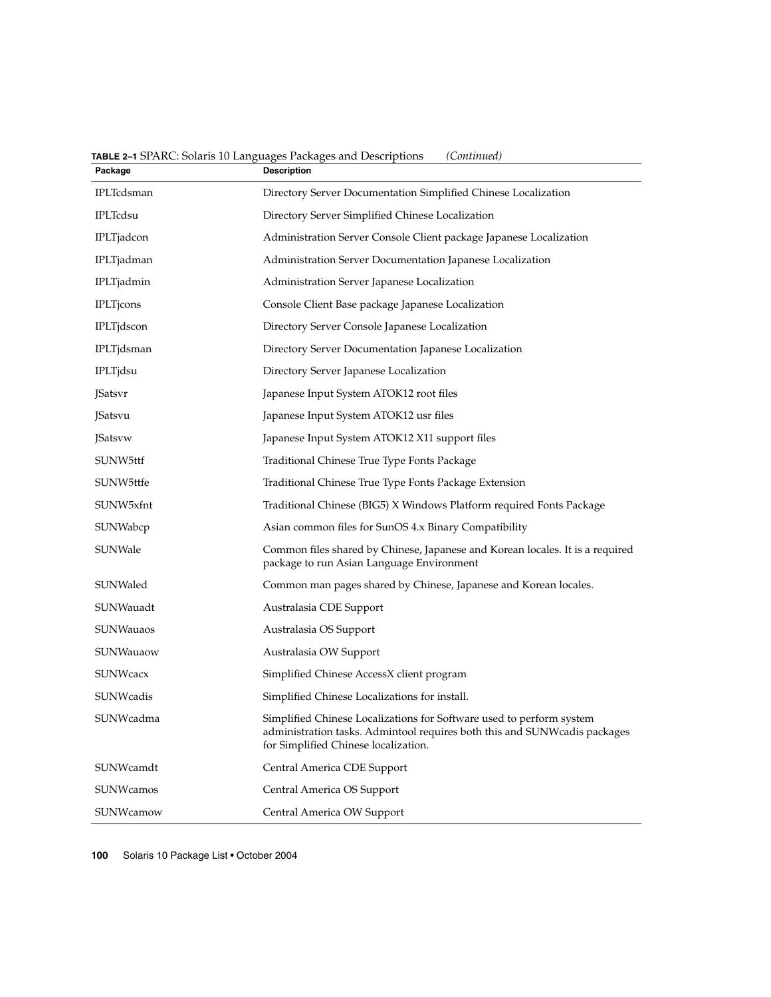**TABLE 2–1** SPARC: Solaris 10 Languages Packages and Descriptions *(Continued)*

| Package            | <b>Description</b>                                                                                                                                                                        |
|--------------------|-------------------------------------------------------------------------------------------------------------------------------------------------------------------------------------------|
| <b>IPLTcdsman</b>  | Directory Server Documentation Simplified Chinese Localization                                                                                                                            |
| <b>IPLTcdsu</b>    | Directory Server Simplified Chinese Localization                                                                                                                                          |
| <b>IPLT</b> jadcon | Administration Server Console Client package Japanese Localization                                                                                                                        |
| IPLTjadman         | Administration Server Documentation Japanese Localization                                                                                                                                 |
| IPLTjadmin         | Administration Server Japanese Localization                                                                                                                                               |
| <b>IPLT</b> jcons  | Console Client Base package Japanese Localization                                                                                                                                         |
| <b>IPLT</b> jdscon | Directory Server Console Japanese Localization                                                                                                                                            |
| IPLTjdsman         | Directory Server Documentation Japanese Localization                                                                                                                                      |
| <b>IPLT</b> jdsu   | Directory Server Japanese Localization                                                                                                                                                    |
| JSatsvr            | Japanese Input System ATOK12 root files                                                                                                                                                   |
| JSatsvu            | Japanese Input System ATOK12 usr files                                                                                                                                                    |
| JSatsvw            | Japanese Input System ATOK12 X11 support files                                                                                                                                            |
| SUNW5ttf           | Traditional Chinese True Type Fonts Package                                                                                                                                               |
| SUNW5ttfe          | Traditional Chinese True Type Fonts Package Extension                                                                                                                                     |
| SUNW5xfnt          | Traditional Chinese (BIG5) X Windows Platform required Fonts Package                                                                                                                      |
| SUNWabcp           | Asian common files for SunOS 4.x Binary Compatibility                                                                                                                                     |
| <b>SUNWale</b>     | Common files shared by Chinese, Japanese and Korean locales. It is a required<br>package to run Asian Language Environment                                                                |
| SUNWaled           | Common man pages shared by Chinese, Japanese and Korean locales.                                                                                                                          |
| SUNWauadt          | Australasia CDE Support                                                                                                                                                                   |
| <b>SUNWauaos</b>   | Australasia OS Support                                                                                                                                                                    |
| SUNWauaow          | Australasia OW Support                                                                                                                                                                    |
| <b>SUNWcacx</b>    | Simplified Chinese AccessX client program                                                                                                                                                 |
| SUNWcadis          | Simplified Chinese Localizations for install.                                                                                                                                             |
| SUNWcadma          | Simplified Chinese Localizations for Software used to perform system<br>administration tasks. Admintool requires both this and SUNWcadis packages<br>for Simplified Chinese localization. |
| SUNWcamdt          | Central America CDE Support                                                                                                                                                               |
| <b>SUNW</b> camos  | Central America OS Support                                                                                                                                                                |
| <b>SUNWcamow</b>   | Central America OW Support                                                                                                                                                                |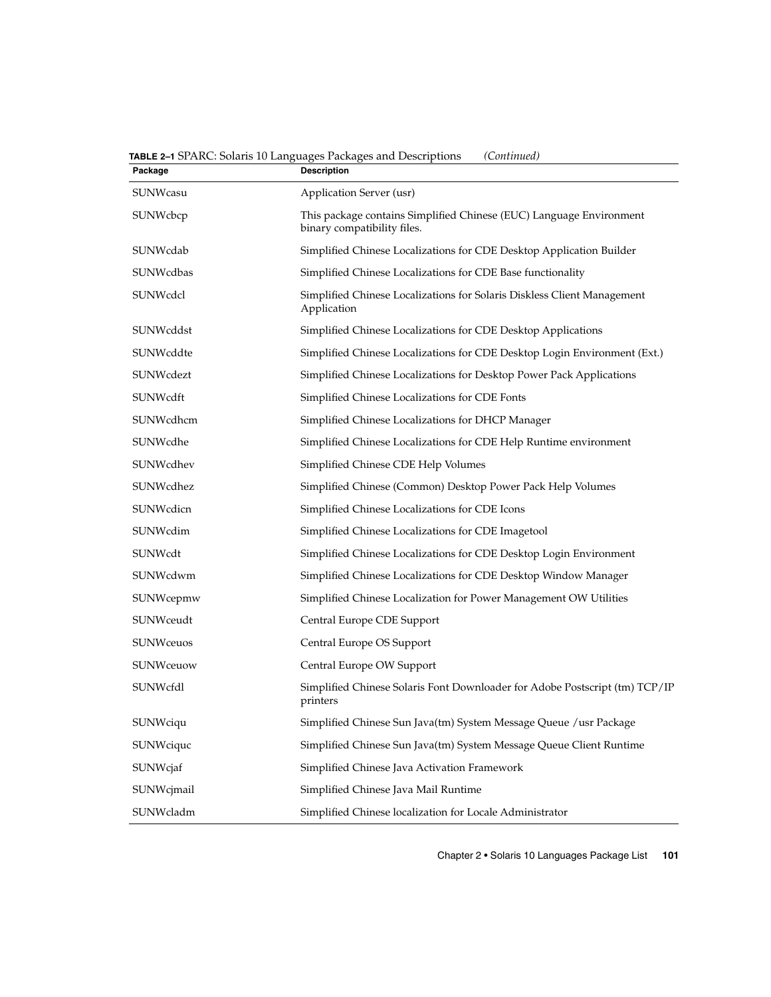| Package           | $\sqrt{2}$<br><b>Description</b>                                                                   |
|-------------------|----------------------------------------------------------------------------------------------------|
| <b>SUNW</b> casu  | Application Server (usr)                                                                           |
| SUNWcbcp          | This package contains Simplified Chinese (EUC) Language Environment<br>binary compatibility files. |
| SUNWcdab          | Simplified Chinese Localizations for CDE Desktop Application Builder                               |
| SUNWcdbas         | Simplified Chinese Localizations for CDE Base functionality                                        |
| SUNWcdcl          | Simplified Chinese Localizations for Solaris Diskless Client Management<br>Application             |
| SUNWcddst         | Simplified Chinese Localizations for CDE Desktop Applications                                      |
| SUNWcddte         | Simplified Chinese Localizations for CDE Desktop Login Environment (Ext.)                          |
| SUNWcdezt         | Simplified Chinese Localizations for Desktop Power Pack Applications                               |
| SUNWcdft          | Simplified Chinese Localizations for CDE Fonts                                                     |
| SUNWcdhcm         | Simplified Chinese Localizations for DHCP Manager                                                  |
| SUNWcdhe          | Simplified Chinese Localizations for CDE Help Runtime environment                                  |
| SUNWcdhev         | Simplified Chinese CDE Help Volumes                                                                |
| SUNWcdhez         | Simplified Chinese (Common) Desktop Power Pack Help Volumes                                        |
| SUNWcdicn         | Simplified Chinese Localizations for CDE Icons                                                     |
| SUNWcdim          | Simplified Chinese Localizations for CDE Imagetool                                                 |
| SUNWcdt           | Simplified Chinese Localizations for CDE Desktop Login Environment                                 |
| SUNWcdwm          | Simplified Chinese Localizations for CDE Desktop Window Manager                                    |
| SUNWcepmw         | Simplified Chinese Localization for Power Management OW Utilities                                  |
| SUNWceudt         | Central Europe CDE Support                                                                         |
| SUNWceuos         | Central Europe OS Support                                                                          |
| <b>SUNW</b> ceuow | Central Europe OW Support                                                                          |
| SUNWcfdl          | Simplified Chinese Solaris Font Downloader for Adobe Postscript (tm) TCP/IP<br>printers            |
| SUNWciqu          | Simplified Chinese Sun Java(tm) System Message Queue /usr Package                                  |
| SUNWcique         | Simplified Chinese Sun Java(tm) System Message Queue Client Runtime                                |
| SUNWcjaf          | Simplified Chinese Java Activation Framework                                                       |
| SUNWcjmail        | Simplified Chinese Java Mail Runtime                                                               |
| SUNWcladm         | Simplified Chinese localization for Locale Administrator                                           |

**TABLE 2–1** SPARC: Solaris 10 Languages Packages and Descriptions *(Continued)*

Chapter 2 • Solaris 10 Languages Package List **101**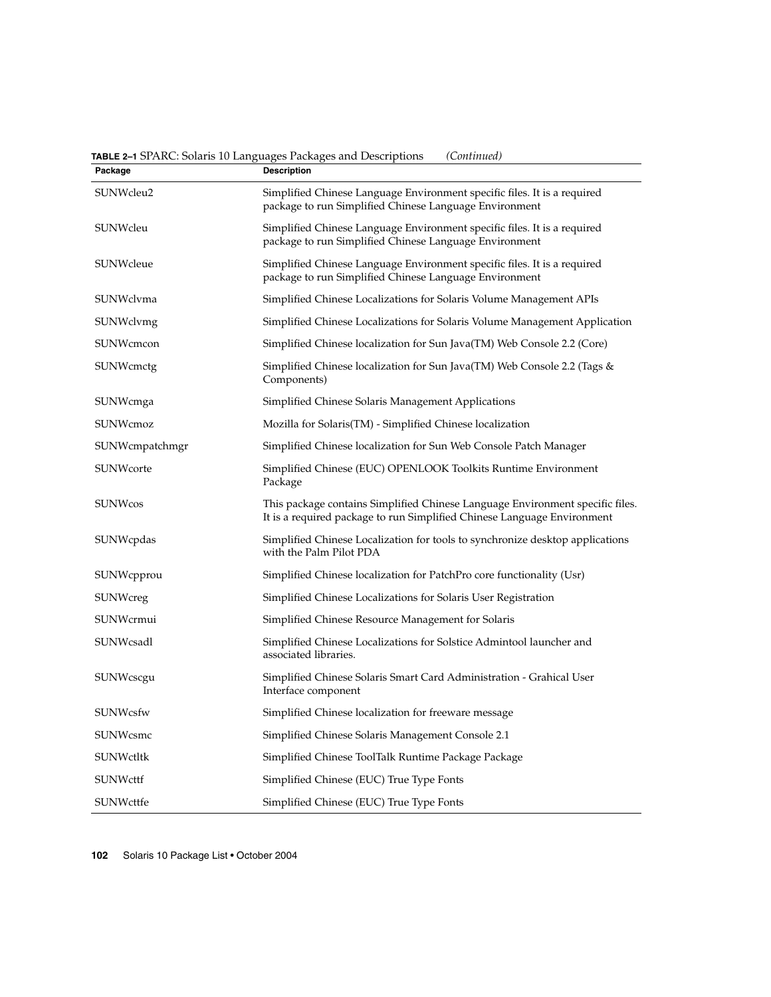**TABLE 2–1** SPARC: Solaris 10 Languages Packages and Descriptions *(Continued)*

| Package           | <b>Description</b>                                                                                                                                       |
|-------------------|----------------------------------------------------------------------------------------------------------------------------------------------------------|
| SUNWcleu2         | Simplified Chinese Language Environment specific files. It is a required<br>package to run Simplified Chinese Language Environment                       |
| SUNWcleu          | Simplified Chinese Language Environment specific files. It is a required<br>package to run Simplified Chinese Language Environment                       |
| SUNWcleue         | Simplified Chinese Language Environment specific files. It is a required<br>package to run Simplified Chinese Language Environment                       |
| SUNWclyma         | Simplified Chinese Localizations for Solaris Volume Management APIs                                                                                      |
| SUNWclymg         | Simplified Chinese Localizations for Solaris Volume Management Application                                                                               |
| <b>SUNW</b> cmcon | Simplified Chinese localization for Sun Java(TM) Web Console 2.2 (Core)                                                                                  |
| SUNWcmctg         | Simplified Chinese localization for Sun Java(TM) Web Console 2.2 (Tags &<br>Components)                                                                  |
| SUNWcmga          | Simplified Chinese Solaris Management Applications                                                                                                       |
| <b>SUNWcmoz</b>   | Mozilla for Solaris(TM) - Simplified Chinese localization                                                                                                |
| SUNWcmpatchmgr    | Simplified Chinese localization for Sun Web Console Patch Manager                                                                                        |
| <b>SUNWcorte</b>  | Simplified Chinese (EUC) OPENLOOK Toolkits Runtime Environment<br>Package                                                                                |
| <b>SUNWcos</b>    | This package contains Simplified Chinese Language Environment specific files.<br>It is a required package to run Simplified Chinese Language Environment |
| SUNWcpdas         | Simplified Chinese Localization for tools to synchronize desktop applications<br>with the Palm Pilot PDA                                                 |
| SUNWcpprou        | Simplified Chinese localization for PatchPro core functionality (Usr)                                                                                    |
| SUNWcreg          | Simplified Chinese Localizations for Solaris User Registration                                                                                           |
| SUNWcrmui         | Simplified Chinese Resource Management for Solaris                                                                                                       |
| SUNWcsadl         | Simplified Chinese Localizations for Solstice Admintool launcher and<br>associated libraries.                                                            |
| SUNWcscgu         | Simplified Chinese Solaris Smart Card Administration - Grahical User<br>Interface component                                                              |
| <b>SUNWcsfw</b>   | Simplified Chinese localization for freeware message                                                                                                     |
| SUNWcsmc          | Simplified Chinese Solaris Management Console 2.1                                                                                                        |
| SUNWctltk         | Simplified Chinese ToolTalk Runtime Package Package                                                                                                      |
| <b>SUNWcttf</b>   | Simplified Chinese (EUC) True Type Fonts                                                                                                                 |
| SUNWcttfe         | Simplified Chinese (EUC) True Type Fonts                                                                                                                 |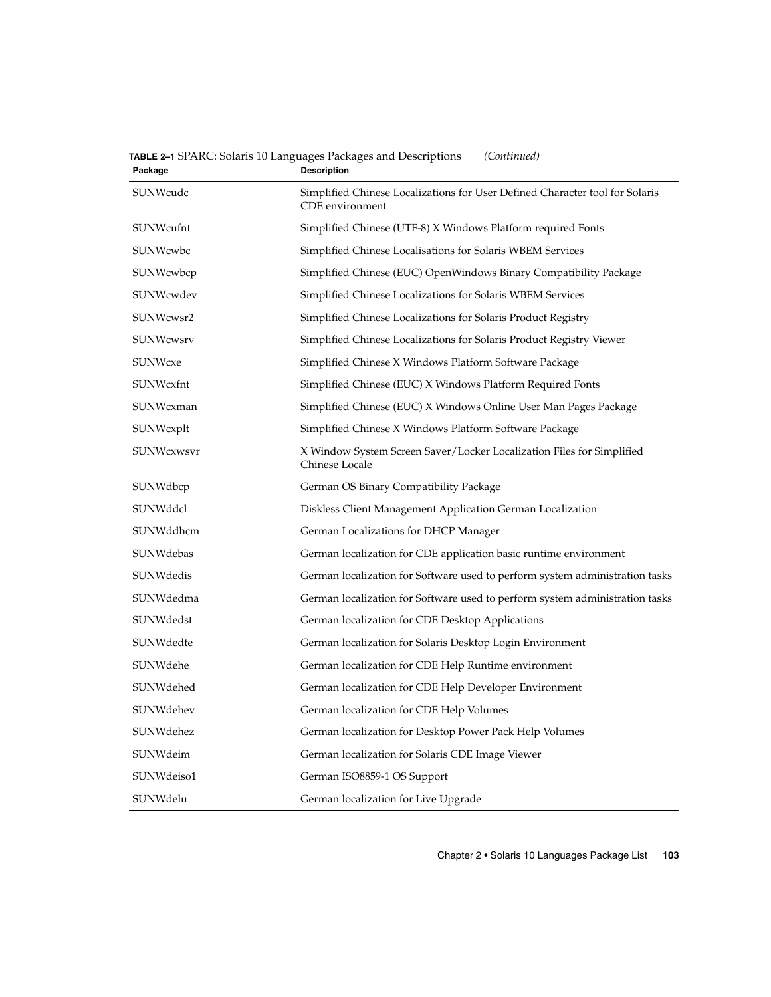**TABLE 2–1** SPARC: Solaris 10 Languages Packages and Descriptions *(Continued)*

| Package            | <b>Description</b>                                                                              |
|--------------------|-------------------------------------------------------------------------------------------------|
| SUNWcudc           | Simplified Chinese Localizations for User Defined Character tool for Solaris<br>CDE environment |
| SUNWcufnt          | Simplified Chinese (UTF-8) X Windows Platform required Fonts                                    |
| SUNWcwbc           | Simplified Chinese Localisations for Solaris WBEM Services                                      |
| SUNWcwbcp          | Simplified Chinese (EUC) OpenWindows Binary Compatibility Package                               |
| SUNWcwdev          | Simplified Chinese Localizations for Solaris WBEM Services                                      |
| SUNWcwsr2          | Simplified Chinese Localizations for Solaris Product Registry                                   |
| <b>SUNWcwsrv</b>   | Simplified Chinese Localizations for Solaris Product Registry Viewer                            |
| SUNWcxe            | Simplified Chinese X Windows Platform Software Package                                          |
| SUNWcxfnt          | Simplified Chinese (EUC) X Windows Platform Required Fonts                                      |
| <b>SUNW</b> cxman  | Simplified Chinese (EUC) X Windows Online User Man Pages Package                                |
| SUNWcxplt          | Simplified Chinese X Windows Platform Software Package                                          |
| <b>SUNW</b> cxwsvr | X Window System Screen Saver/Locker Localization Files for Simplified<br>Chinese Locale         |
| SUNWdbcp           | German OS Binary Compatibility Package                                                          |
| SUNWddcl           | Diskless Client Management Application German Localization                                      |
| SUNWddhcm          | German Localizations for DHCP Manager                                                           |
| SUNWdebas          | German localization for CDE application basic runtime environment                               |
| SUNWdedis          | German localization for Software used to perform system administration tasks                    |
| SUNWdedma          | German localization for Software used to perform system administration tasks                    |
| SUNWdedst          | German localization for CDE Desktop Applications                                                |
| SUNWdedte          | German localization for Solaris Desktop Login Environment                                       |
| SUNWdehe           | German localization for CDE Help Runtime environment                                            |
| SUNWdehed          | German localization for CDE Help Developer Environment                                          |
| SUNWdehev          | German localization for CDE Help Volumes                                                        |
| SUNWdehez          | German localization for Desktop Power Pack Help Volumes                                         |
| SUNWdeim           | German localization for Solaris CDE Image Viewer                                                |
| SUNWdeiso1         | German ISO8859-1 OS Support                                                                     |
| SUNWdelu           | German localization for Live Upgrade                                                            |

Chapter 2 • Solaris 10 Languages Package List **103**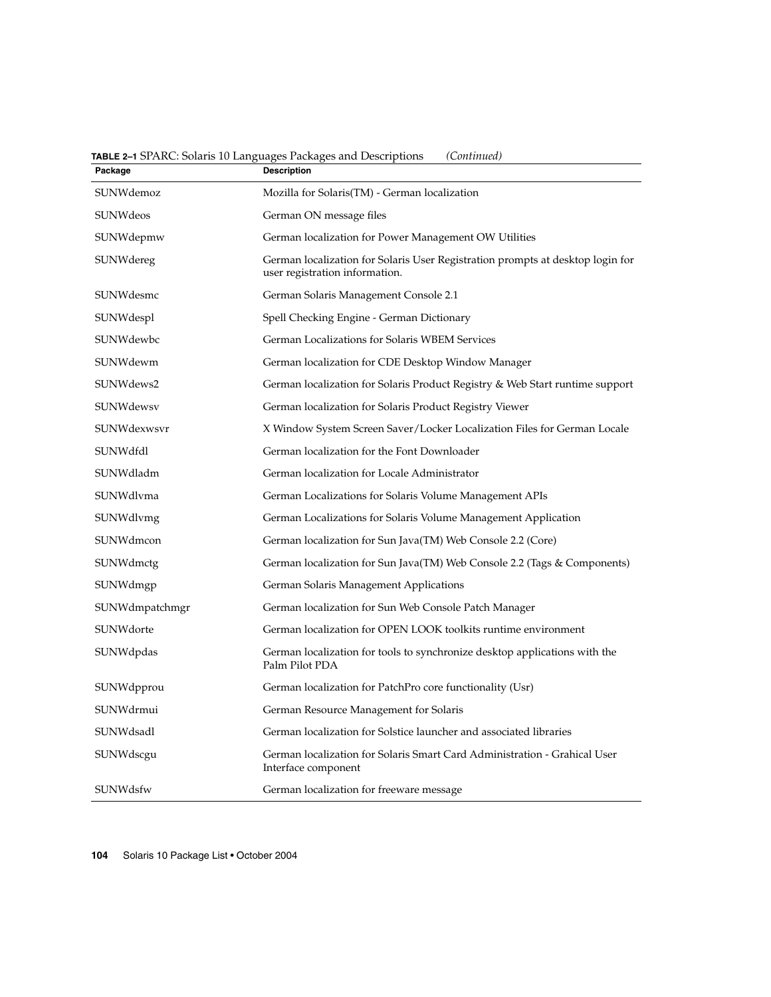**TABLE 2–1** SPARC: Solaris 10 Languages Packages and Descriptions *(Continued)*

| Package         | <b>Description</b>                                                                                               |
|-----------------|------------------------------------------------------------------------------------------------------------------|
| SUNWdemoz       | Mozilla for Solaris(TM) - German localization                                                                    |
| <b>SUNWdeos</b> | German ON message files                                                                                          |
| SUNWdepmw       | German localization for Power Management OW Utilities                                                            |
| SUNWdereg       | German localization for Solaris User Registration prompts at desktop login for<br>user registration information. |
| SUNWdesmc       | German Solaris Management Console 2.1                                                                            |
| SUNWdespl       | Spell Checking Engine - German Dictionary                                                                        |
| SUNWdewbc       | German Localizations for Solaris WBEM Services                                                                   |
| SUNWdewm        | German localization for CDE Desktop Window Manager                                                               |
| SUNWdews2       | German localization for Solaris Product Registry & Web Start runtime support                                     |
| SUNWdewsy       | German localization for Solaris Product Registry Viewer                                                          |
| SUNWdexwsvr     | X Window System Screen Saver/Locker Localization Files for German Locale                                         |
| SUNWdfdl        | German localization for the Font Downloader                                                                      |
| SUNWdladm       | German localization for Locale Administrator                                                                     |
| SUNWdlyma       | German Localizations for Solaris Volume Management APIs                                                          |
| SUNWdlymg       | German Localizations for Solaris Volume Management Application                                                   |
| SUNWdmcon       | German localization for Sun Java(TM) Web Console 2.2 (Core)                                                      |
| SUNWdmctg       | German localization for Sun Java(TM) Web Console 2.2 (Tags & Components)                                         |
| SUNWdmgp        | German Solaris Management Applications                                                                           |
| SUNWdmpatchmgr  | German localization for Sun Web Console Patch Manager                                                            |
| SUNWdorte       | German localization for OPEN LOOK toolkits runtime environment                                                   |
| SUNWdpdas       | German localization for tools to synchronize desktop applications with the<br>Palm Pilot PDA                     |
| SUNWdpprou      | German localization for PatchPro core functionality (Usr)                                                        |
| SUNWdrmui       | German Resource Management for Solaris                                                                           |
| SUNWdsadl       | German localization for Solstice launcher and associated libraries                                               |
| SUNWdscgu       | German localization for Solaris Smart Card Administration - Grahical User<br>Interface component                 |
| SUNWdsfw        | German localization for freeware message                                                                         |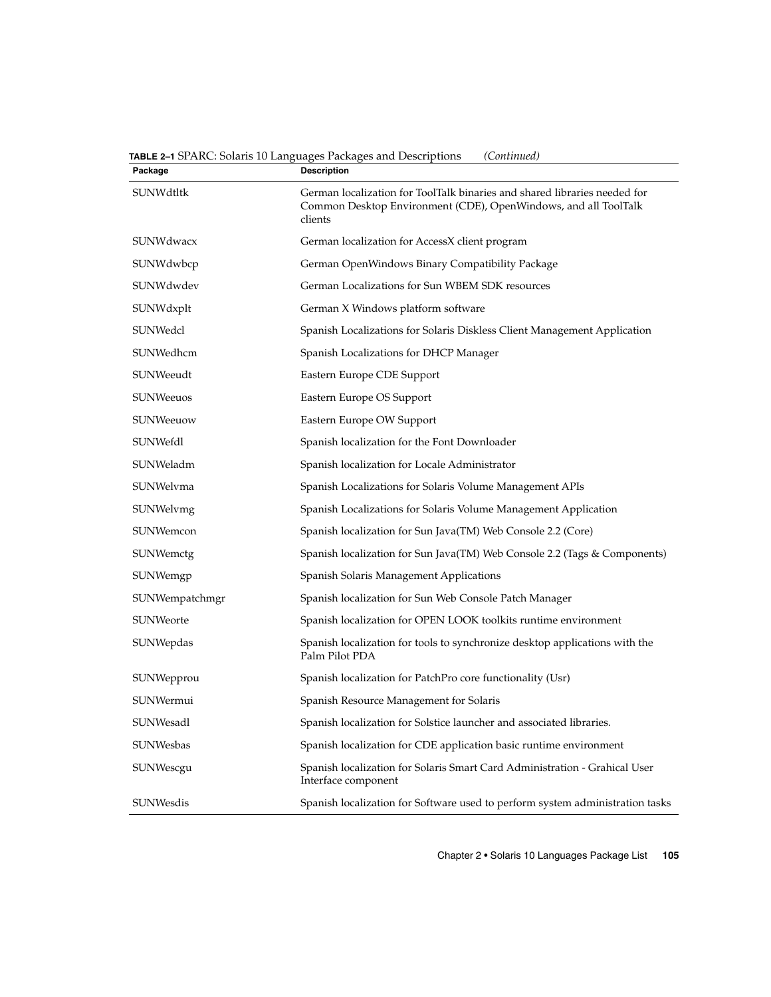| Package          | <b>Description</b>                                                                                                                                      |
|------------------|---------------------------------------------------------------------------------------------------------------------------------------------------------|
| SUNWdtltk        | German localization for ToolTalk binaries and shared libraries needed for<br>Common Desktop Environment (CDE), OpenWindows, and all ToolTalk<br>clients |
| SUNWdwacx        | German localization for AccessX client program                                                                                                          |
| SUNWdwbcp        | German OpenWindows Binary Compatibility Package                                                                                                         |
| SUNWdwdev        | German Localizations for Sun WBEM SDK resources                                                                                                         |
| SUNWdxplt        | German X Windows platform software                                                                                                                      |
| SUNWedcl         | Spanish Localizations for Solaris Diskless Client Management Application                                                                                |
| SUNWedhcm        | Spanish Localizations for DHCP Manager                                                                                                                  |
| SUNWeeudt        | Eastern Europe CDE Support                                                                                                                              |
| <b>SUNWeeuos</b> | Eastern Europe OS Support                                                                                                                               |
| <b>SUNWeeuow</b> | Eastern Europe OW Support                                                                                                                               |
| SUNWefdl         | Spanish localization for the Font Downloader                                                                                                            |
| SUNWeladm        | Spanish localization for Locale Administrator                                                                                                           |
| SUNWelvma        | Spanish Localizations for Solaris Volume Management APIs                                                                                                |
| SUNWelvmg        | Spanish Localizations for Solaris Volume Management Application                                                                                         |
| <b>SUNWemcon</b> | Spanish localization for Sun Java(TM) Web Console 2.2 (Core)                                                                                            |
| SUNWemctg        | Spanish localization for Sun Java(TM) Web Console 2.2 (Tags & Components)                                                                               |
| SUNWemgp         | Spanish Solaris Management Applications                                                                                                                 |
| SUNWempatchmgr   | Spanish localization for Sun Web Console Patch Manager                                                                                                  |
| <b>SUNWeorte</b> | Spanish localization for OPEN LOOK toolkits runtime environment                                                                                         |
| SUNWepdas        | Spanish localization for tools to synchronize desktop applications with the<br>Palm Pilot PDA                                                           |
| SUNWepprou       | Spanish localization for PatchPro core functionality (Usr)                                                                                              |
| SUNWermui        | Spanish Resource Management for Solaris                                                                                                                 |
| SUNWesadl        | Spanish localization for Solstice launcher and associated libraries.                                                                                    |
| SUNWesbas        | Spanish localization for CDE application basic runtime environment                                                                                      |
| SUNWescgu        | Spanish localization for Solaris Smart Card Administration - Grahical User<br>Interface component                                                       |
| SUNWesdis        | Spanish localization for Software used to perform system administration tasks                                                                           |

**TABLE 2–1** SPARC: Solaris 10 Languages Packages and Descriptions *(Continued)*

Chapter 2 • Solaris 10 Languages Package List **105**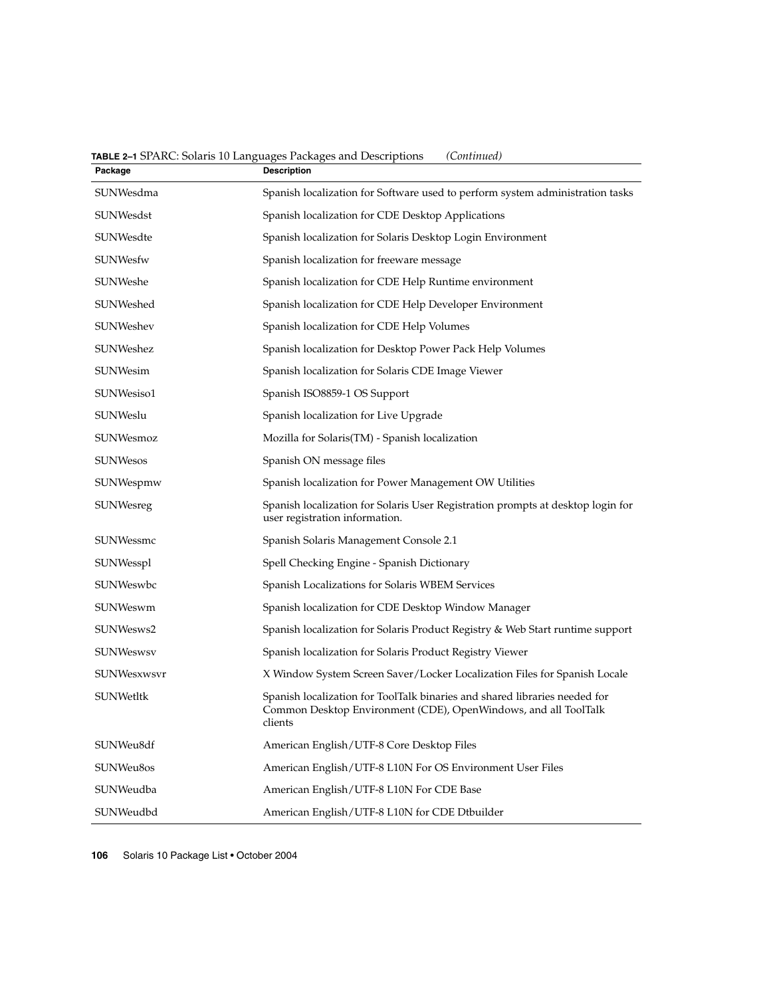**TABLE 2–1** SPARC: Solaris 10 Languages Packages and Descriptions *(Continued)*

| Package          | <b>Description</b>                                                                                                                                       |
|------------------|----------------------------------------------------------------------------------------------------------------------------------------------------------|
| SUNWesdma        | Spanish localization for Software used to perform system administration tasks                                                                            |
| SUNWesdst        | Spanish localization for CDE Desktop Applications                                                                                                        |
| SUNWesdte        | Spanish localization for Solaris Desktop Login Environment                                                                                               |
| <b>SUNWesfw</b>  | Spanish localization for freeware message                                                                                                                |
| <b>SUNWeshe</b>  | Spanish localization for CDE Help Runtime environment                                                                                                    |
| SUNWeshed        | Spanish localization for CDE Help Developer Environment                                                                                                  |
| SUNWeshev        | Spanish localization for CDE Help Volumes                                                                                                                |
| SUNWeshez        | Spanish localization for Desktop Power Pack Help Volumes                                                                                                 |
| <b>SUNWesim</b>  | Spanish localization for Solaris CDE Image Viewer                                                                                                        |
| SUNWesiso1       | Spanish ISO8859-1 OS Support                                                                                                                             |
| SUNWeslu         | Spanish localization for Live Upgrade                                                                                                                    |
| SUNWesmoz        | Mozilla for Solaris(TM) - Spanish localization                                                                                                           |
| <b>SUNWesos</b>  | Spanish ON message files                                                                                                                                 |
| SUNWespmw        | Spanish localization for Power Management OW Utilities                                                                                                   |
| SUNWesreg        | Spanish localization for Solaris User Registration prompts at desktop login for<br>user registration information.                                        |
| SUNWessmc        | Spanish Solaris Management Console 2.1                                                                                                                   |
| SUNWesspl        | Spell Checking Engine - Spanish Dictionary                                                                                                               |
| SUNWeswbc        | Spanish Localizations for Solaris WBEM Services                                                                                                          |
| SUNWeswm         | Spanish localization for CDE Desktop Window Manager                                                                                                      |
| SUNWesws2        | Spanish localization for Solaris Product Registry & Web Start runtime support                                                                            |
| <b>SUNWeswsy</b> | Spanish localization for Solaris Product Registry Viewer                                                                                                 |
| SUNWesxwsvr      | X Window System Screen Saver/Locker Localization Files for Spanish Locale                                                                                |
| SUNWetltk        | Spanish localization for ToolTalk binaries and shared libraries needed for<br>Common Desktop Environment (CDE), OpenWindows, and all ToolTalk<br>clients |
| SUNWeu8df        | American English/UTF-8 Core Desktop Files                                                                                                                |
| SUNWeu8os        | American English/UTF-8 L10N For OS Environment User Files                                                                                                |
| SUNWeudba        | American English/UTF-8 L10N For CDE Base                                                                                                                 |
| SUNWeudbd        | American English/UTF-8 L10N for CDE Dtbuilder                                                                                                            |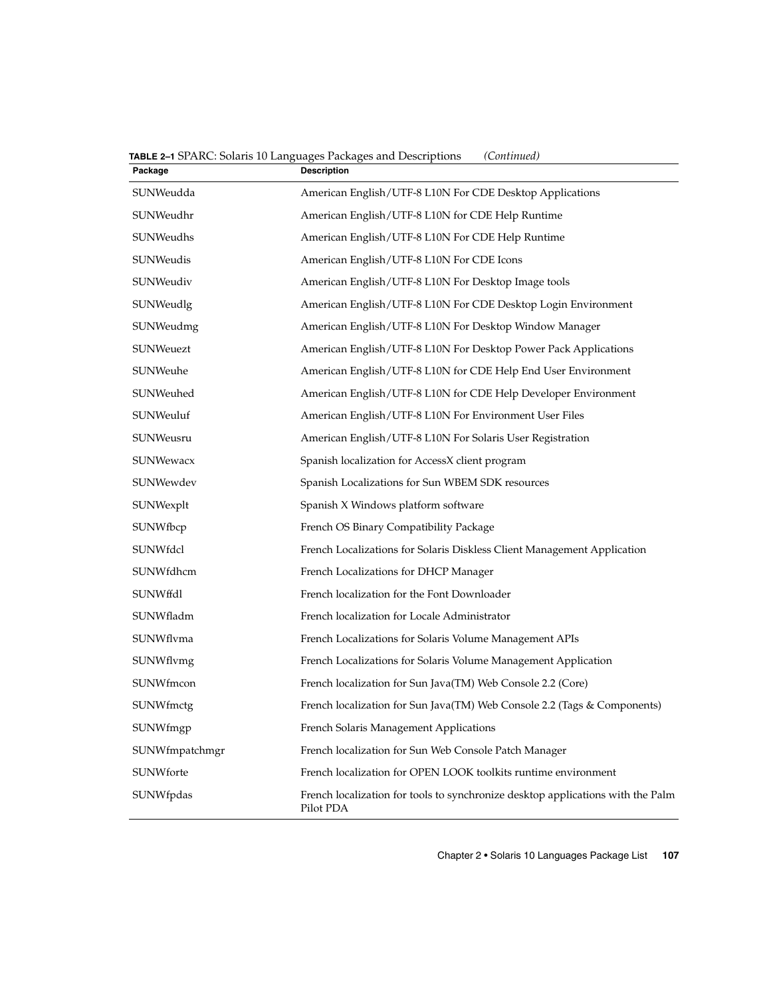**TABLE 2–1** SPARC: Solaris 10 Languages Packages and Descriptions *(Continued)*

| Package          | <b>Description</b>                                                                           |
|------------------|----------------------------------------------------------------------------------------------|
| SUNWeudda        | American English/UTF-8 L10N For CDE Desktop Applications                                     |
| SUNWeudhr        | American English/UTF-8 L10N for CDE Help Runtime                                             |
| SUNWeudhs        | American English/UTF-8 L10N For CDE Help Runtime                                             |
| SUNWeudis        | American English/UTF-8 L10N For CDE Icons                                                    |
| SUNWeudiv        | American English/UTF-8 L10N For Desktop Image tools                                          |
| SUNWeudlg        | American English/UTF-8 L10N For CDE Desktop Login Environment                                |
| SUNWeudmg        | American English/UTF-8 L10N For Desktop Window Manager                                       |
| SUNWeuezt        | American English/UTF-8 L10N For Desktop Power Pack Applications                              |
| SUNWeuhe         | American English/UTF-8 L10N for CDE Help End User Environment                                |
| SUNWeuhed        | American English/UTF-8 L10N for CDE Help Developer Environment                               |
| SUNWeuluf        | American English/UTF-8 L10N For Environment User Files                                       |
| SUNWeusru        | American English/UTF-8 L10N For Solaris User Registration                                    |
| <b>SUNWewacx</b> | Spanish localization for AccessX client program                                              |
| SUNWewdev        | Spanish Localizations for Sun WBEM SDK resources                                             |
| SUNWexplt        | Spanish X Windows platform software                                                          |
| SUNWfbcp         | French OS Binary Compatibility Package                                                       |
| SUNWfdcl         | French Localizations for Solaris Diskless Client Management Application                      |
| SUNWfdhcm        | French Localizations for DHCP Manager                                                        |
| SUNWffdl         | French localization for the Font Downloader                                                  |
| SUNWfladm        | French localization for Locale Administrator                                                 |
| SUNWflvma        | French Localizations for Solaris Volume Management APIs                                      |
| SUNWflymg        | French Localizations for Solaris Volume Management Application                               |
| SUNWfmcon        | French localization for Sun Java(TM) Web Console 2.2 (Core)                                  |
| SUNWfmctg        | French localization for Sun Java(TM) Web Console 2.2 (Tags & Components)                     |
| SUNWfmgp         | French Solaris Management Applications                                                       |
| SUNWfmpatchmgr   | French localization for Sun Web Console Patch Manager                                        |
| SUNWforte        | French localization for OPEN LOOK toolkits runtime environment                               |
| SUNWfpdas        | French localization for tools to synchronize desktop applications with the Palm<br>Pilot PDA |

Chapter 2 • Solaris 10 Languages Package List **107**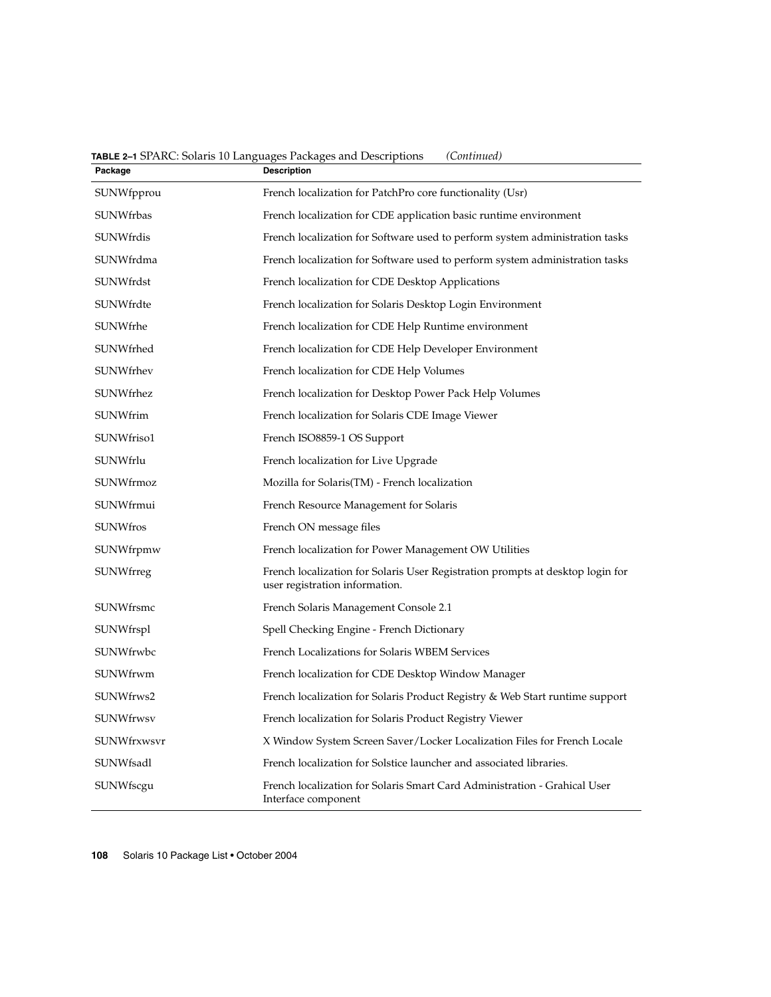**TABLE 2–1** SPARC: Solaris 10 Languages Packages and Descriptions *(Continued)*

| Package          | <b>Description</b>                                                                                               |
|------------------|------------------------------------------------------------------------------------------------------------------|
| SUNWfpprou       | French localization for PatchPro core functionality (Usr)                                                        |
| <b>SUNWfrbas</b> | French localization for CDE application basic runtime environment                                                |
| SUNWfrdis        | French localization for Software used to perform system administration tasks                                     |
| SUNWfrdma        | French localization for Software used to perform system administration tasks                                     |
| SUNWfrdst        | French localization for CDE Desktop Applications                                                                 |
| SUNWfrdte        | French localization for Solaris Desktop Login Environment                                                        |
| SUNWfrhe         | French localization for CDE Help Runtime environment                                                             |
| SUNWfrhed        | French localization for CDE Help Developer Environment                                                           |
| SUNWfrhev        | French localization for CDE Help Volumes                                                                         |
| SUNWfrhez        | French localization for Desktop Power Pack Help Volumes                                                          |
| <b>SUNWfrim</b>  | French localization for Solaris CDE Image Viewer                                                                 |
| SUNWfriso1       | French ISO8859-1 OS Support                                                                                      |
| SUNWfrlu         | French localization for Live Upgrade                                                                             |
| SUNWfrmoz        | Mozilla for Solaris(TM) - French localization                                                                    |
| SUNWfrmui        | French Resource Management for Solaris                                                                           |
| <b>SUNWfros</b>  | French ON message files                                                                                          |
| SUNWfrpmw        | French localization for Power Management OW Utilities                                                            |
| SUNWfrreg        | French localization for Solaris User Registration prompts at desktop login for<br>user registration information. |
| <b>SUNWfrsmc</b> | French Solaris Management Console 2.1                                                                            |
| SUNWfrspl        | Spell Checking Engine - French Dictionary                                                                        |
| SUNWfrwbc        | French Localizations for Solaris WBEM Services                                                                   |
| SUNWfrwm         | French localization for CDE Desktop Window Manager                                                               |
| SUNWfrws2        | French localization for Solaris Product Registry & Web Start runtime support                                     |
| <b>SUNWfrwsv</b> | French localization for Solaris Product Registry Viewer                                                          |
| SUNWfrxwsvr      | X Window System Screen Saver/Locker Localization Files for French Locale                                         |
| SUNWfsadl        | French localization for Solstice launcher and associated libraries.                                              |
| SUNWfscgu        | French localization for Solaris Smart Card Administration - Grahical User<br>Interface component                 |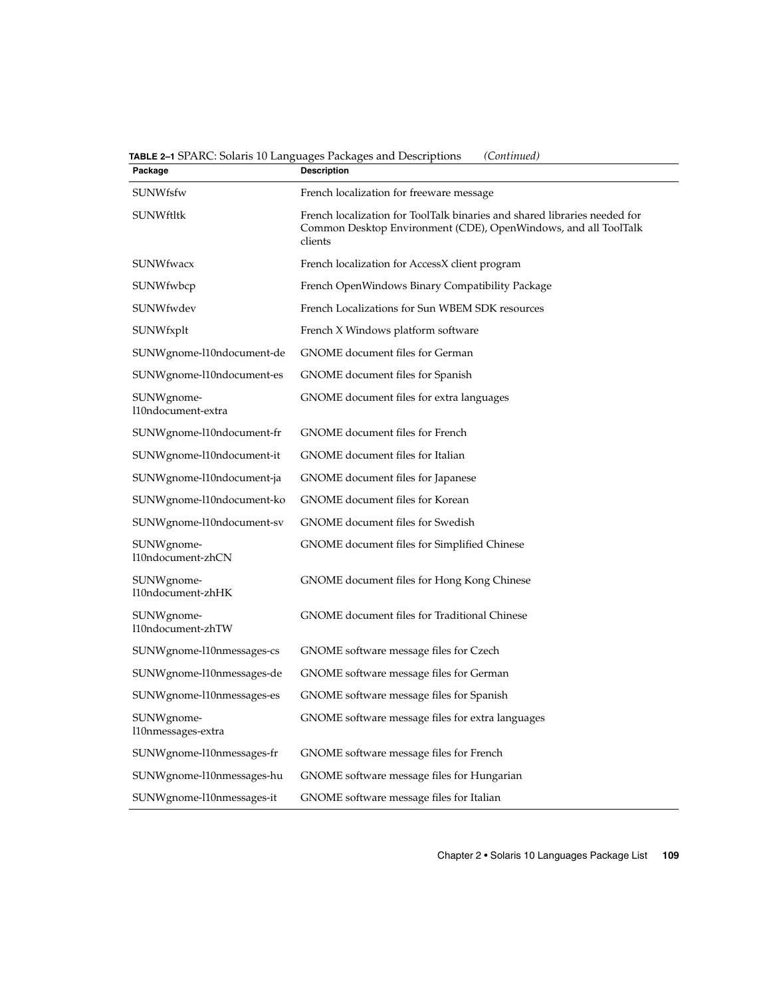| Package                          | <b>Description</b>                                                                                                                                      |
|----------------------------------|---------------------------------------------------------------------------------------------------------------------------------------------------------|
| SUNWfsfw                         | French localization for freeware message                                                                                                                |
| SUNWftltk                        | French localization for ToolTalk binaries and shared libraries needed for<br>Common Desktop Environment (CDE), OpenWindows, and all ToolTalk<br>clients |
| <b>SUNWfwacx</b>                 | French localization for AccessX client program                                                                                                          |
| SUNWfwbcp                        | French OpenWindows Binary Compatibility Package                                                                                                         |
| SUNWfwdev                        | French Localizations for Sun WBEM SDK resources                                                                                                         |
| SUNWfxplt                        | French X Windows platform software                                                                                                                      |
| SUNWgnome-110ndocument-de        | <b>GNOME</b> document files for German                                                                                                                  |
| SUNWgnome-110ndocument-es        | GNOME document files for Spanish                                                                                                                        |
| SUNWgnome-<br>110ndocument-extra | GNOME document files for extra languages                                                                                                                |
| SUNWgnome-110ndocument-fr        | <b>GNOME</b> document files for French                                                                                                                  |
| SUNWgnome-110ndocument-it        | <b>GNOME</b> document files for Italian                                                                                                                 |
| SUNWgnome-l10ndocument-ja        | GNOME document files for Japanese                                                                                                                       |
| SUNWgnome-110ndocument-ko        | <b>GNOME</b> document files for Korean                                                                                                                  |
| SUNWgnome-l10ndocument-sv        | <b>GNOME</b> document files for Swedish                                                                                                                 |
| SUNWgnome-<br>110ndocument-zhCN  | GNOME document files for Simplified Chinese                                                                                                             |
| SUNWgnome-<br>110ndocument-zhHK  | GNOME document files for Hong Kong Chinese                                                                                                              |
| SUNWgnome-<br>110ndocument-zhTW  | <b>GNOME</b> document files for Traditional Chinese                                                                                                     |
| SUNWgnome-110nmessages-cs        | GNOME software message files for Czech                                                                                                                  |
| SUNWgnome-110nmessages-de        | GNOME software message files for German                                                                                                                 |
| SUNWgnome-110nmessages-es        | GNOME software message files for Spanish                                                                                                                |
| SUNWgnome-<br>110nmessages-extra | GNOME software message files for extra languages                                                                                                        |
| SUNWgnome-110nmessages-fr        | GNOME software message files for French                                                                                                                 |
| SUNWgnome-l10nmessages-hu        | GNOME software message files for Hungarian                                                                                                              |
| SUNWgnome-110nmessages-it        | GNOME software message files for Italian                                                                                                                |

**TABLE 2–1** SPARC: Solaris 10 Languages Packages and Descriptions *(Continued)*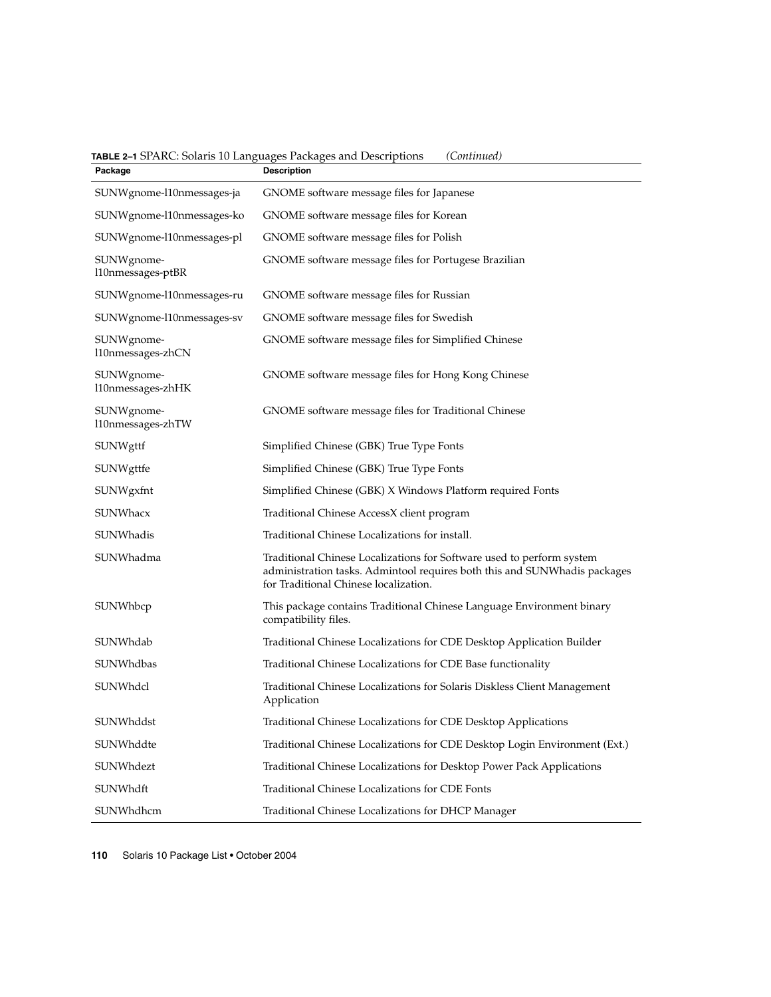**TABLE 2–1** SPARC: Solaris 10 Languages Packages and Descriptions *(Continued)*

| Package                         | <b>Description</b>                                                                                                                                                                          |
|---------------------------------|---------------------------------------------------------------------------------------------------------------------------------------------------------------------------------------------|
| SUNWgnome-110nmessages-ja       | GNOME software message files for Japanese                                                                                                                                                   |
| SUNWgnome-l10nmessages-ko       | GNOME software message files for Korean                                                                                                                                                     |
| SUNWgnome-110nmessages-pl       | GNOME software message files for Polish                                                                                                                                                     |
| SUNWgnome-<br>110nmessages-ptBR | GNOME software message files for Portugese Brazilian                                                                                                                                        |
| SUNWgnome-110nmessages-ru       | GNOME software message files for Russian                                                                                                                                                    |
| SUNWgnome-110nmessages-sv       | GNOME software message files for Swedish                                                                                                                                                    |
| SUNWgnome-<br>110nmessages-zhCN | GNOME software message files for Simplified Chinese                                                                                                                                         |
| SUNWgnome-<br>110nmessages-zhHK | GNOME software message files for Hong Kong Chinese                                                                                                                                          |
| SUNWgnome-<br>110nmessages-zhTW | GNOME software message files for Traditional Chinese                                                                                                                                        |
| SUNWgttf                        | Simplified Chinese (GBK) True Type Fonts                                                                                                                                                    |
| SUNWgttfe                       | Simplified Chinese (GBK) True Type Fonts                                                                                                                                                    |
| SUNWgxfnt                       | Simplified Chinese (GBK) X Windows Platform required Fonts                                                                                                                                  |
| SUNWhacx                        | Traditional Chinese AccessX client program                                                                                                                                                  |
| SUNWhadis                       | Traditional Chinese Localizations for install.                                                                                                                                              |
| SUNWhadma                       | Traditional Chinese Localizations for Software used to perform system<br>administration tasks. Admintool requires both this and SUNWhadis packages<br>for Traditional Chinese localization. |
| SUNWhbcp                        | This package contains Traditional Chinese Language Environment binary<br>compatibility files.                                                                                               |
| SUNWhdab                        | Traditional Chinese Localizations for CDE Desktop Application Builder                                                                                                                       |
| SUNWhdbas                       | Traditional Chinese Localizations for CDE Base functionality                                                                                                                                |
| SUNWhdcl                        | Traditional Chinese Localizations for Solaris Diskless Client Management<br>Application                                                                                                     |
| SUNWhddst                       | Traditional Chinese Localizations for CDE Desktop Applications                                                                                                                              |
| SUNWhddte                       | Traditional Chinese Localizations for CDE Desktop Login Environment (Ext.)                                                                                                                  |
| SUNWhdezt                       | Traditional Chinese Localizations for Desktop Power Pack Applications                                                                                                                       |
| SUNWhdft                        | Traditional Chinese Localizations for CDE Fonts                                                                                                                                             |
| SUNWhdhcm                       | Traditional Chinese Localizations for DHCP Manager                                                                                                                                          |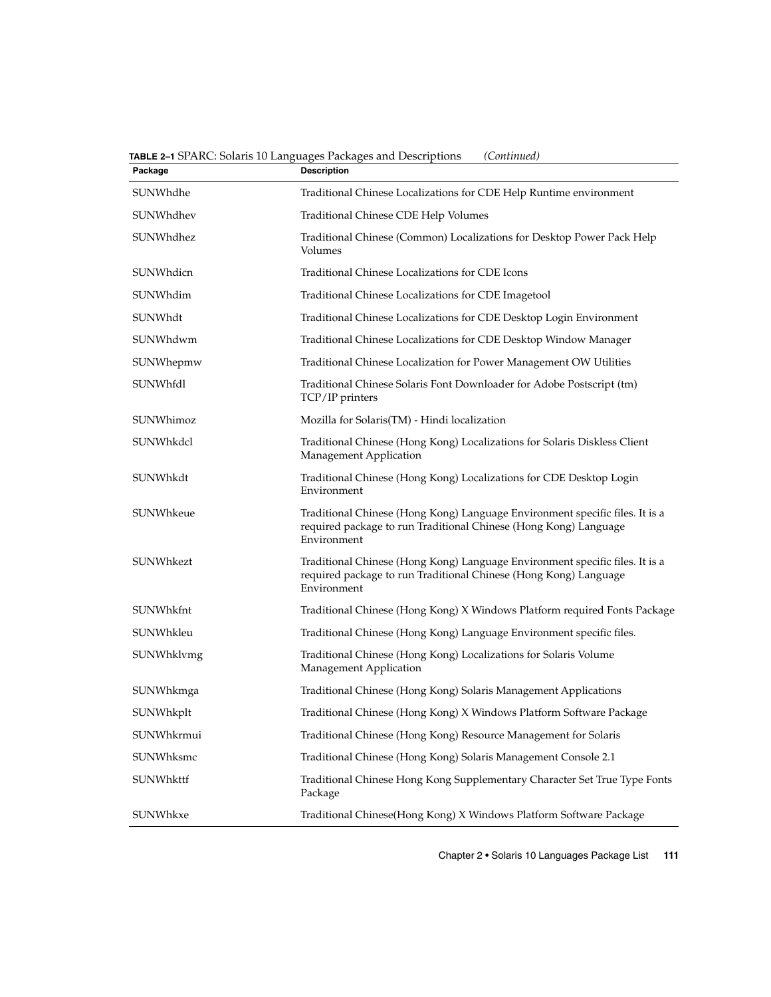**TABLE 2–1** SPARC: Solaris 10 Languages Packages and Descriptions *(Continued)*

| Package    | <b>Description</b>                                                                                                                                              |
|------------|-----------------------------------------------------------------------------------------------------------------------------------------------------------------|
| SUNWhdhe   | Traditional Chinese Localizations for CDE Help Runtime environment                                                                                              |
| SUNWhdhev  | Traditional Chinese CDE Help Volumes                                                                                                                            |
| SUNWhdhez  | Traditional Chinese (Common) Localizations for Desktop Power Pack Help<br>Volumes                                                                               |
| SUNWhdicn  | Traditional Chinese Localizations for CDE Icons                                                                                                                 |
| SUNWhdim   | Traditional Chinese Localizations for CDE Imagetool                                                                                                             |
| SUNWhdt    | Traditional Chinese Localizations for CDE Desktop Login Environment                                                                                             |
| SUNWhdwm   | Traditional Chinese Localizations for CDE Desktop Window Manager                                                                                                |
| SUNWhepmw  | Traditional Chinese Localization for Power Management OW Utilities                                                                                              |
| SUNWhfdl   | Traditional Chinese Solaris Font Downloader for Adobe Postscript (tm)<br>TCP/IP printers                                                                        |
| SUNWhimoz  | Mozilla for Solaris(TM) - Hindi localization                                                                                                                    |
| SUNWhkdcl  | Traditional Chinese (Hong Kong) Localizations for Solaris Diskless Client<br>Management Application                                                             |
| SUNWhkdt   | Traditional Chinese (Hong Kong) Localizations for CDE Desktop Login<br>Environment                                                                              |
| SUNWhkeue  | Traditional Chinese (Hong Kong) Language Environment specific files. It is a<br>required package to run Traditional Chinese (Hong Kong) Language<br>Environment |
| SUNWhkezt  | Traditional Chinese (Hong Kong) Language Environment specific files. It is a<br>required package to run Traditional Chinese (Hong Kong) Language<br>Environment |
| SUNWhkfnt  | Traditional Chinese (Hong Kong) X Windows Platform required Fonts Package                                                                                       |
| SUNWhkleu  | Traditional Chinese (Hong Kong) Language Environment specific files.                                                                                            |
| SUNWhklymg | Traditional Chinese (Hong Kong) Localizations for Solaris Volume<br>Management Application                                                                      |
| SUNWhkmga  | Traditional Chinese (Hong Kong) Solaris Management Applications                                                                                                 |
| SUNWhkplt  | Traditional Chinese (Hong Kong) X Windows Platform Software Package                                                                                             |
| SUNWhkrmui | Traditional Chinese (Hong Kong) Resource Management for Solaris                                                                                                 |
| SUNWhksmc  | Traditional Chinese (Hong Kong) Solaris Management Console 2.1                                                                                                  |
| SUNWhkttf  | Traditional Chinese Hong Kong Supplementary Character Set True Type Fonts<br>Package                                                                            |
| SUNWhkxe   | Traditional Chinese(Hong Kong) X Windows Platform Software Package                                                                                              |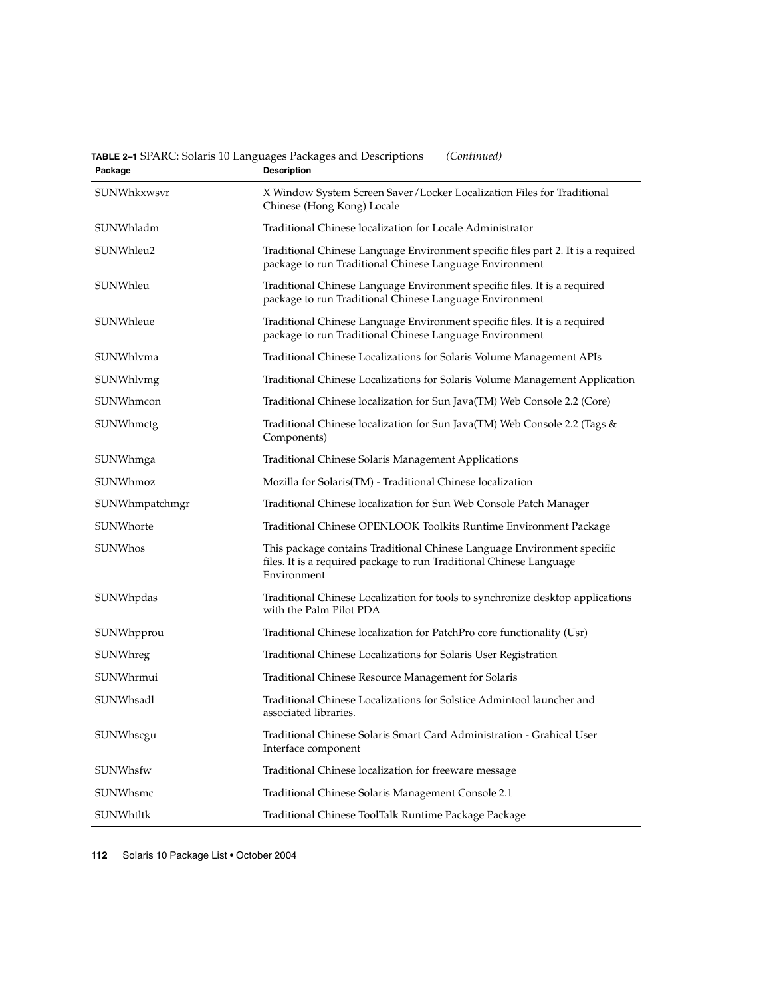**TABLE 2–1** SPARC: Solaris 10 Languages Packages and Descriptions *(Continued)*

| Package          | <b>Description</b>                                                                                                                                            |
|------------------|---------------------------------------------------------------------------------------------------------------------------------------------------------------|
| SUNWhkxwsvr      | X Window System Screen Saver/Locker Localization Files for Traditional<br>Chinese (Hong Kong) Locale                                                          |
| SUNWhladm        | Traditional Chinese localization for Locale Administrator                                                                                                     |
| SUNWhleu2        | Traditional Chinese Language Environment specific files part 2. It is a required<br>package to run Traditional Chinese Language Environment                   |
| SUNWhleu         | Traditional Chinese Language Environment specific files. It is a required<br>package to run Traditional Chinese Language Environment                          |
| SUNWhleue        | Traditional Chinese Language Environment specific files. It is a required<br>package to run Traditional Chinese Language Environment                          |
| SUNWhlyma        | Traditional Chinese Localizations for Solaris Volume Management APIs                                                                                          |
| SUNWhlymg        | Traditional Chinese Localizations for Solaris Volume Management Application                                                                                   |
| SUNWhmcon        | Traditional Chinese localization for Sun Java(TM) Web Console 2.2 (Core)                                                                                      |
| SUNWhmctg        | Traditional Chinese localization for Sun Java(TM) Web Console 2.2 (Tags &<br>Components)                                                                      |
| SUNWhmga         | Traditional Chinese Solaris Management Applications                                                                                                           |
| SUNWhmoz         | Mozilla for Solaris(TM) - Traditional Chinese localization                                                                                                    |
| SUNWhmpatchmgr   | Traditional Chinese localization for Sun Web Console Patch Manager                                                                                            |
| SUNWhorte        | Traditional Chinese OPENLOOK Toolkits Runtime Environment Package                                                                                             |
| <b>SUNWhos</b>   | This package contains Traditional Chinese Language Environment specific<br>files. It is a required package to run Traditional Chinese Language<br>Environment |
| SUNWhpdas        | Traditional Chinese Localization for tools to synchronize desktop applications<br>with the Palm Pilot PDA                                                     |
| SUNWhpprou       | Traditional Chinese localization for PatchPro core functionality (Usr)                                                                                        |
| SUNWhreg         | Traditional Chinese Localizations for Solaris User Registration                                                                                               |
| SUNWhrmui        | Traditional Chinese Resource Management for Solaris                                                                                                           |
| <b>SUNWhsadl</b> | Traditional Chinese Localizations for Solstice Admintool launcher and<br>associated libraries.                                                                |
| SUNWhscgu        | Traditional Chinese Solaris Smart Card Administration - Grahical User<br>Interface component                                                                  |
| SUNWhsfw         | Traditional Chinese localization for freeware message                                                                                                         |
| SUNWhsmc         | Traditional Chinese Solaris Management Console 2.1                                                                                                            |
| SUNWhtltk        | Traditional Chinese ToolTalk Runtime Package Package                                                                                                          |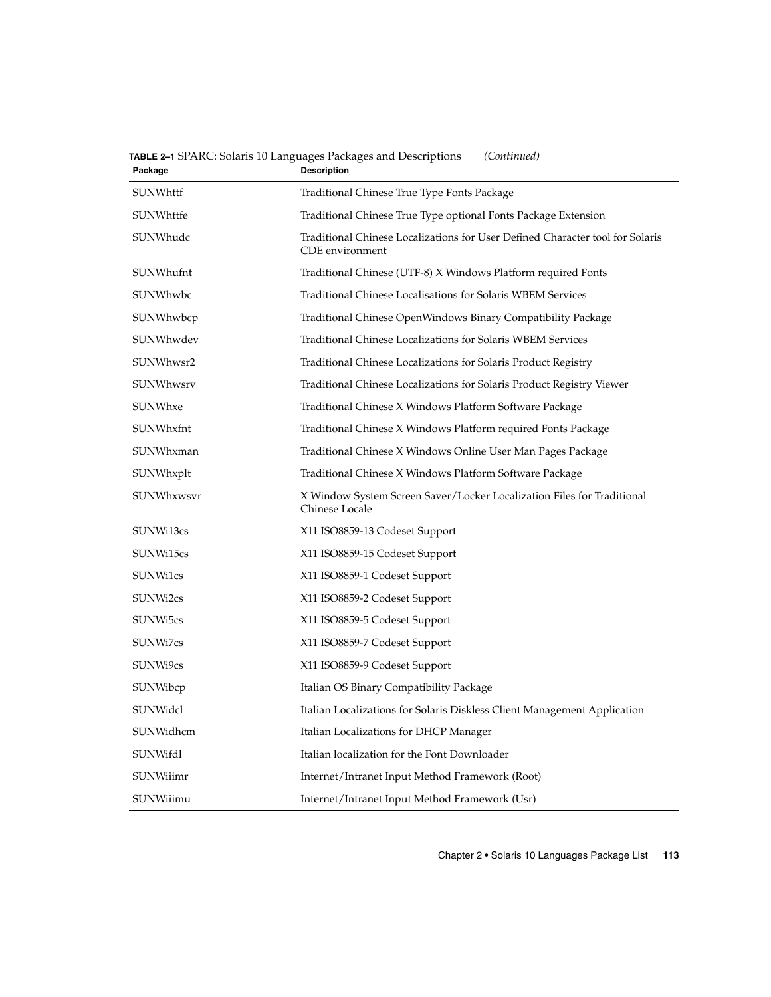**TABLE 2–1** SPARC: Solaris 10 Languages Packages and Descriptions *(Continued)*

| Package              | <b>Description</b>                                                                               |
|----------------------|--------------------------------------------------------------------------------------------------|
| SUNWhttf             | Traditional Chinese True Type Fonts Package                                                      |
| SUNWhttfe            | Traditional Chinese True Type optional Fonts Package Extension                                   |
| SUNWhudc             | Traditional Chinese Localizations for User Defined Character tool for Solaris<br>CDE environment |
| SUNWhufnt            | Traditional Chinese (UTF-8) X Windows Platform required Fonts                                    |
| SUNWhwbc             | Traditional Chinese Localisations for Solaris WBEM Services                                      |
| SUNWhwbcp            | Traditional Chinese OpenWindows Binary Compatibility Package                                     |
| SUNWhwdev            | Traditional Chinese Localizations for Solaris WBEM Services                                      |
| SUNWhwsr2            | Traditional Chinese Localizations for Solaris Product Registry                                   |
| SUNWhwsrv            | Traditional Chinese Localizations for Solaris Product Registry Viewer                            |
| SUNWhxe              | Traditional Chinese X Windows Platform Software Package                                          |
| SUNWhxfnt            | Traditional Chinese X Windows Platform required Fonts Package                                    |
| SUNWhxman            | Traditional Chinese X Windows Online User Man Pages Package                                      |
| SUNWhxplt            | Traditional Chinese X Windows Platform Software Package                                          |
| SUNWhxwsvr           | X Window System Screen Saver/Locker Localization Files for Traditional<br>Chinese Locale         |
| SUNWi13cs            | X11 ISO8859-13 Codeset Support                                                                   |
| SUNWi15cs            | X11 ISO8859-15 Codeset Support                                                                   |
| SUNWi1cs             | X11 ISO8859-1 Codeset Support                                                                    |
| SUNWi2cs             | X11 ISO8859-2 Codeset Support                                                                    |
| SUNW <sub>i5cs</sub> | X11 ISO8859-5 Codeset Support                                                                    |
| SUNWi7cs             | X11 ISO8859-7 Codeset Support                                                                    |
| SUNW <sub>i9cs</sub> | X11 ISO8859-9 Codeset Support                                                                    |
| SUNWibcp             | Italian OS Binary Compatibility Package                                                          |
| <b>SUNWidcl</b>      | Italian Localizations for Solaris Diskless Client Management Application                         |
| SUNWidhcm            | Italian Localizations for DHCP Manager                                                           |
| SUNWifdl             | Italian localization for the Font Downloader                                                     |
| SUNWiiimr            | Internet/Intranet Input Method Framework (Root)                                                  |
| SUNWiiimu            | Internet/Intranet Input Method Framework (Usr)                                                   |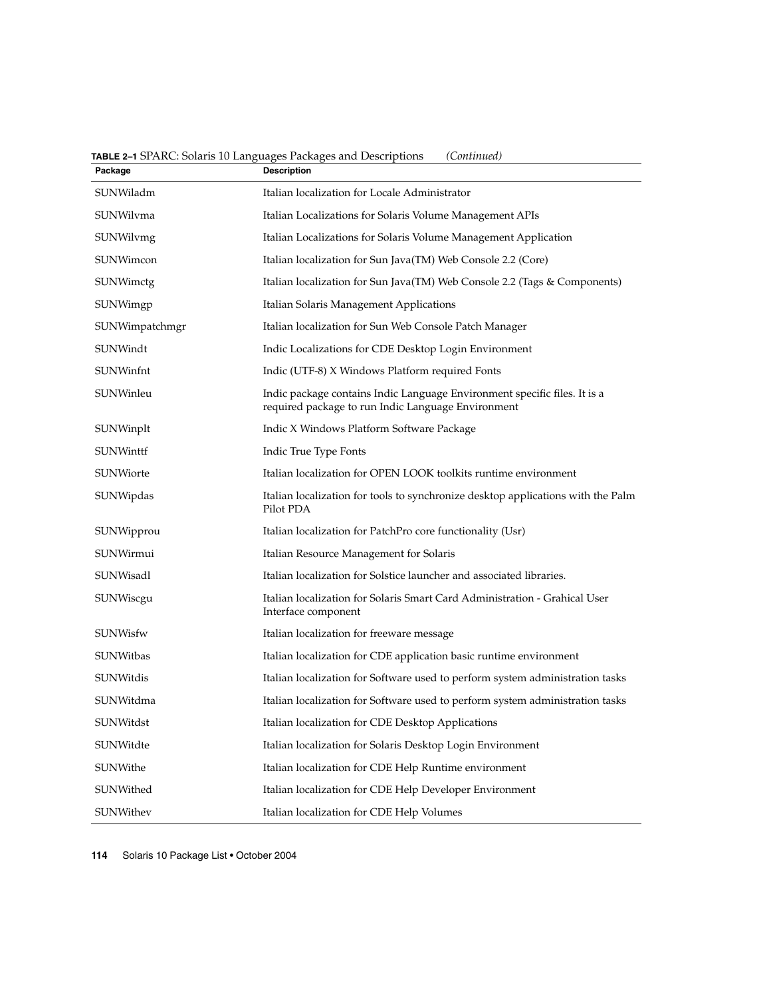**TABLE 2–1** SPARC: Solaris 10 Languages Packages and Descriptions *(Continued)*

| Package          | <b>Description</b>                                                                                                              |
|------------------|---------------------------------------------------------------------------------------------------------------------------------|
| SUNWiladm        | Italian localization for Locale Administrator                                                                                   |
| SUNWilvma        | Italian Localizations for Solaris Volume Management APIs                                                                        |
| SUNWilvmg        | Italian Localizations for Solaris Volume Management Application                                                                 |
| <b>SUNWimcon</b> | Italian localization for Sun Java(TM) Web Console 2.2 (Core)                                                                    |
| SUNWimctg        | Italian localization for Sun Java(TM) Web Console 2.2 (Tags & Components)                                                       |
| SUNWimgp         | Italian Solaris Management Applications                                                                                         |
| SUNWimpatchmgr   | Italian localization for Sun Web Console Patch Manager                                                                          |
| SUNWindt         | Indic Localizations for CDE Desktop Login Environment                                                                           |
| SUNWinfnt        | Indic (UTF-8) X Windows Platform required Fonts                                                                                 |
| SUNWinleu        | Indic package contains Indic Language Environment specific files. It is a<br>required package to run Indic Language Environment |
| SUNWinplt        | Indic X Windows Platform Software Package                                                                                       |
| SUNWinttf        | Indic True Type Fonts                                                                                                           |
| <b>SUNWiorte</b> | Italian localization for OPEN LOOK toolkits runtime environment                                                                 |
| SUNWipdas        | Italian localization for tools to synchronize desktop applications with the Palm<br>Pilot PDA                                   |
| SUNWipprou       | Italian localization for PatchPro core functionality (Usr)                                                                      |
| SUNWirmui        | Italian Resource Management for Solaris                                                                                         |
| SUNWisadl        | Italian localization for Solstice launcher and associated libraries.                                                            |
| SUNWiscgu        | Italian localization for Solaris Smart Card Administration - Grahical User<br>Interface component                               |
| <b>SUNWisfw</b>  | Italian localization for freeware message                                                                                       |
| SUNWitbas        | Italian localization for CDE application basic runtime environment                                                              |
| SUNWitdis        | Italian localization for Software used to perform system administration tasks                                                   |
| SUNWitdma        | Italian localization for Software used to perform system administration tasks                                                   |
| SUNWitdst        | Italian localization for CDE Desktop Applications                                                                               |
| SUNWitdte        | Italian localization for Solaris Desktop Login Environment                                                                      |
| SUNWithe         | Italian localization for CDE Help Runtime environment                                                                           |
| SUNWithed        | Italian localization for CDE Help Developer Environment                                                                         |
| SUNWithev        | Italian localization for CDE Help Volumes                                                                                       |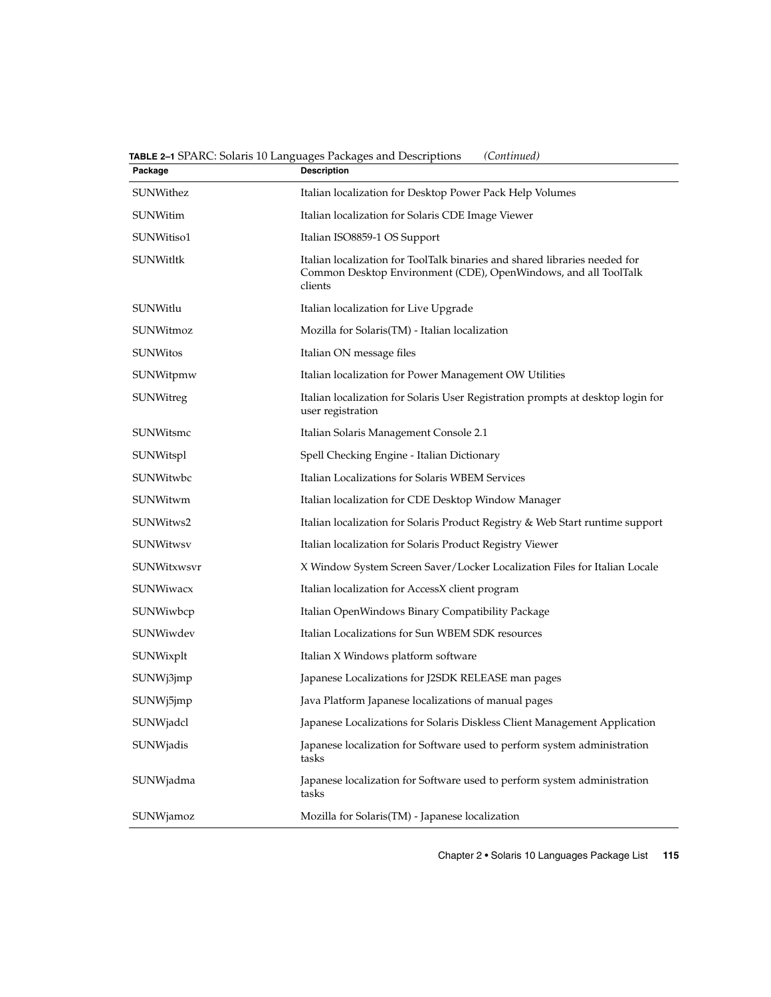**TABLE 2–1** SPARC: Solaris 10 Languages Packages and Descriptions *(Continued)* **Description** SUNWithez Italian localization for Desktop Power Pack Help Volumes SUNWitim Italian localization for Solaris CDE Image Viewer SUNWitiso1 Italian ISO8859-1 OS Support SUNWitltk Italian localization for ToolTalk binaries and shared libraries needed for Common Desktop Environment (CDE), OpenWindows, and all ToolTalk clients SUNWitlu Italian localization for Live Upgrade SUNWitmoz Mozilla for Solaris(TM) - Italian localization SUNWitos Italian ON message files SUNWitpmw Italian localization for Power Management OW Utilities SUNWitreg Italian localization for Solaris User Registration prompts at desktop login for user registration SUNWitsmc Italian Solaris Management Console 2.1 SUNWitspl Sunwitspl Spell Checking Engine - Italian Dictionary SUNWitwbc Italian Localizations for Solaris WBEM Services SUNWitwm Italian localization for CDE Desktop Window Manager SUNWitws2 Italian localization for Solaris Product Registry & Web Start runtime support SUNWitwsv Italian localization for Solaris Product Registry Viewer SUNWitxwsvr X Window System Screen Saver/Locker Localization Files for Italian Locale SUNWiwacx Italian localization for AccessX client program SUNWiwbcp Italian OpenWindows Binary Compatibility Package SUNWiwdev Italian Localizations for Sun WBEM SDK resources SUNWixplt Italian X Windows platform software SUNWj3jmp Japanese Localizations for J2SDK RELEASE man pages SUNWj5jmp Java Platform Japanese localizations of manual pages SUNWjadcl Japanese Localizations for Solaris Diskless Client Management Application SUNWjadis Japanese localization for Software used to perform system administration tasks SUNWjadma Japanese localization for Software used to perform system administration tasks SUNWjamoz Mozilla for Solaris(TM) - Japanese localization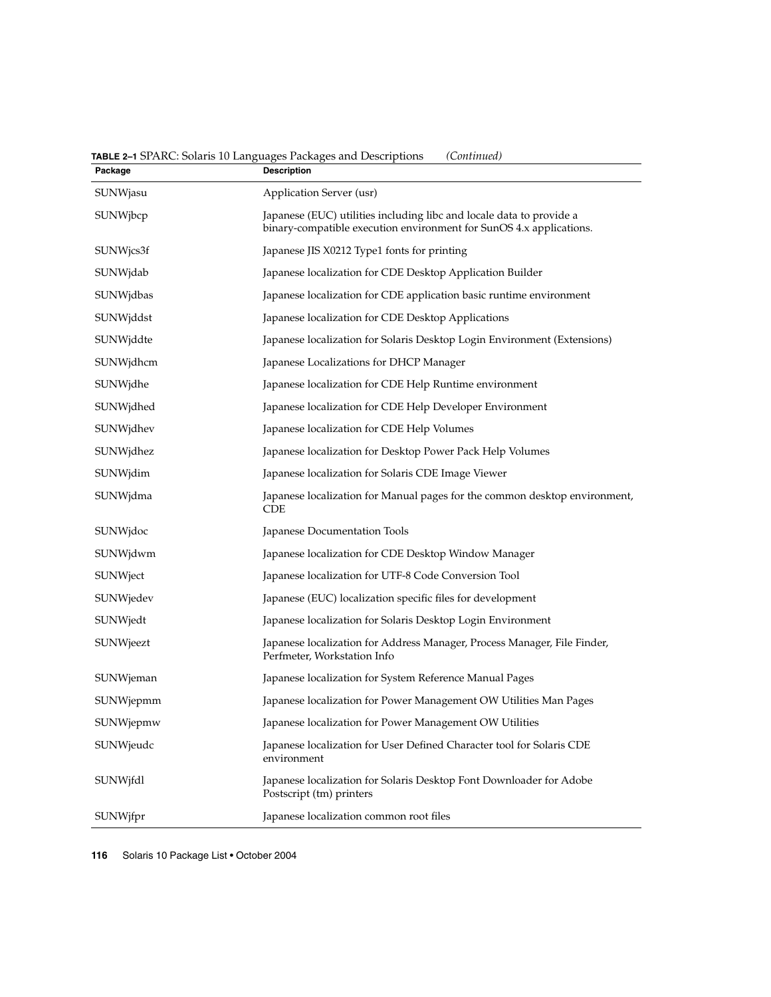**TABLE 2–1** SPARC: Solaris 10 Languages Packages and Descriptions *(Continued)*

| Package   | <b>Description</b>                                                                                                                          |
|-----------|---------------------------------------------------------------------------------------------------------------------------------------------|
| SUNWjasu  | Application Server (usr)                                                                                                                    |
| SUNWjbcp  | Japanese (EUC) utilities including libc and locale data to provide a<br>binary-compatible execution environment for SunOS 4.x applications. |
| SUNWjcs3f | Japanese JIS X0212 Type1 fonts for printing                                                                                                 |
| SUNWjdab  | Japanese localization for CDE Desktop Application Builder                                                                                   |
| SUNWjdbas | Japanese localization for CDE application basic runtime environment                                                                         |
| SUNWjddst | Japanese localization for CDE Desktop Applications                                                                                          |
| SUNWjddte | Japanese localization for Solaris Desktop Login Environment (Extensions)                                                                    |
| SUNWjdhcm | Japanese Localizations for DHCP Manager                                                                                                     |
| SUNWjdhe  | Japanese localization for CDE Help Runtime environment                                                                                      |
| SUNWjdhed | Japanese localization for CDE Help Developer Environment                                                                                    |
| SUNWjdhev | Japanese localization for CDE Help Volumes                                                                                                  |
| SUNWjdhez | Japanese localization for Desktop Power Pack Help Volumes                                                                                   |
| SUNWjdim  | Japanese localization for Solaris CDE Image Viewer                                                                                          |
| SUNWjdma  | Japanese localization for Manual pages for the common desktop environment,<br>CDE.                                                          |
| SUNWjdoc  | Japanese Documentation Tools                                                                                                                |
| SUNWjdwm  | Japanese localization for CDE Desktop Window Manager                                                                                        |
| SUNWject  | Japanese localization for UTF-8 Code Conversion Tool                                                                                        |
| SUNWjedev | Japanese (EUC) localization specific files for development                                                                                  |
| SUNWjedt  | Japanese localization for Solaris Desktop Login Environment                                                                                 |
| SUNWjeezt | Japanese localization for Address Manager, Process Manager, File Finder,<br>Perfmeter, Workstation Info                                     |
| SUNWjeman | Japanese localization for System Reference Manual Pages                                                                                     |
| SUNWjepmm | Japanese localization for Power Management OW Utilities Man Pages                                                                           |
| SUNWjepmw | Japanese localization for Power Management OW Utilities                                                                                     |
| SUNWjeudc | Japanese localization for User Defined Character tool for Solaris CDE<br>environment                                                        |
| SUNWjfdl  | Japanese localization for Solaris Desktop Font Downloader for Adobe<br>Postscript (tm) printers                                             |
| SUNWjfpr  | Japanese localization common root files                                                                                                     |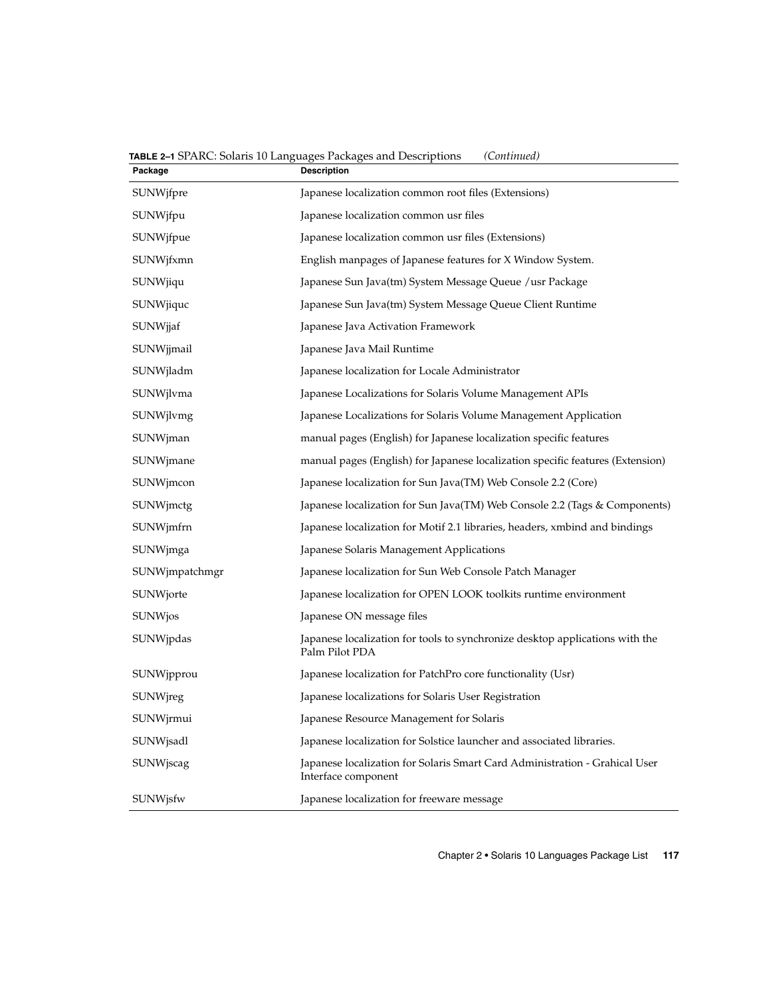SUNWjfpu Japanese localization common usr files SUNWjfpue Japanese localization common usr files (Extensions) SUNWjfxmn English manpages of Japanese features for X Window System. SUNWjiqu Japanese Sun Java(tm) System Message Queue /usr Package SUNWjiquc Japanese Sun Java(tm) System Message Queue Client Runtime SUNWjjaf Japanese Java Activation Framework SUNWjjmail Japanese Java Mail Runtime SUNWjladm Japanese localization for Locale Administrator SUNWjlvma Japanese Localizations for Solaris Volume Management APIs SUNWjlvmg Japanese Localizations for Solaris Volume Management Application SUNWjman manual pages (English) for Japanese localization specific features SUNWjmane manual pages (English) for Japanese localization specific features (Extension) SUNWjmcon Japanese localization for Sun Java(TM) Web Console 2.2 (Core) SUNWjmctg Japanese localization for Sun Java(TM) Web Console 2.2 (Tags & Components) SUNWjmfrn Japanese localization for Motif 2.1 libraries, headers, xmbind and bindings SUNWjmga Japanese Solaris Management Applications SUNWjmpatchmgr Japanese localization for Sun Web Console Patch Manager SUNWjorte Japanese localization for OPEN LOOK toolkits runtime environment SUNWjos Japanese ON message files SUNWjpdas Japanese localization for tools to synchronize desktop applications with the Palm Pilot PDA SUNWjpprou Japanese localization for PatchPro core functionality (Usr) SUNWjreg Japanese localizations for Solaris User Registration SUNWjrmui Japanese Resource Management for Solaris

SUNWjsadl Japanese localization for Solstice launcher and associated libraries.

Interface component

SUNWjsfw Japanese localization for freeware message

SUNWjscag Japanese localization for Solaris Smart Card Administration - Grahical User

**TABLE 2–1** SPARC: Solaris 10 Languages Packages and Descriptions *(Continued)*

SUNWjfpre Japanese localization common root files (Extensions)

**Description**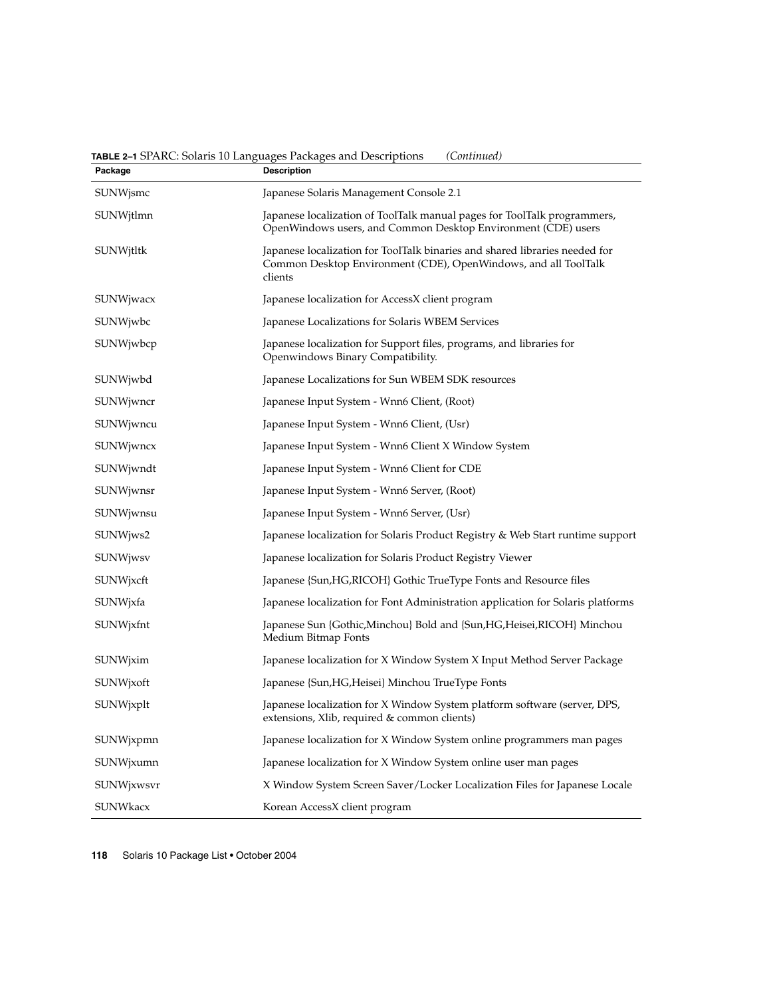**TABLE 2–1** SPARC: Solaris 10 Languages Packages and Descriptions *(Continued)*

| Package         | <b>Description</b>                                                                                                                                        |
|-----------------|-----------------------------------------------------------------------------------------------------------------------------------------------------------|
| SUNWjsmc        | Japanese Solaris Management Console 2.1                                                                                                                   |
| SUNWjtlmn       | Japanese localization of ToolTalk manual pages for ToolTalk programmers,<br>OpenWindows users, and Common Desktop Environment (CDE) users                 |
| SUNWjtltk       | Japanese localization for ToolTalk binaries and shared libraries needed for<br>Common Desktop Environment (CDE), OpenWindows, and all ToolTalk<br>clients |
| SUNWjwacx       | Japanese localization for AccessX client program                                                                                                          |
| SUNWjwbc        | Japanese Localizations for Solaris WBEM Services                                                                                                          |
| SUNWjwbcp       | Japanese localization for Support files, programs, and libraries for<br>Openwindows Binary Compatibility.                                                 |
| SUNWjwbd        | Japanese Localizations for Sun WBEM SDK resources                                                                                                         |
| SUNWjwncr       | Japanese Input System - Wnn6 Client, (Root)                                                                                                               |
| SUNWjwncu       | Japanese Input System - Wnn6 Client, (Usr)                                                                                                                |
| SUNWjwncx       | Japanese Input System - Wnn6 Client X Window System                                                                                                       |
| SUNWjwndt       | Japanese Input System - Wnn6 Client for CDE                                                                                                               |
| SUNWjwnsr       | Japanese Input System - Wnn6 Server, (Root)                                                                                                               |
| SUNWjwnsu       | Japanese Input System - Wnn6 Server, (Usr)                                                                                                                |
| SUNWjws2        | Japanese localization for Solaris Product Registry & Web Start runtime support                                                                            |
| SUNWjwsv        | Japanese localization for Solaris Product Registry Viewer                                                                                                 |
| SUNWjxcft       | Japanese {Sun,HG,RICOH} Gothic TrueType Fonts and Resource files                                                                                          |
| SUNWjxfa        | Japanese localization for Font Administration application for Solaris platforms                                                                           |
| SUNWjxfnt       | Japanese Sun {Gothic,Minchou} Bold and {Sun,HG,Heisei,RICOH} Minchou<br>Medium Bitmap Fonts                                                               |
| SUNWjxim        | Japanese localization for X Window System X Input Method Server Package                                                                                   |
| SUNWjxoft       | Japanese {Sun,HG,Heisei} Minchou TrueType Fonts                                                                                                           |
| SUNWjxplt       | Japanese localization for X Window System platform software (server, DPS,<br>extensions, Xlib, required & common clients)                                 |
| SUNWjxpmn       | Japanese localization for X Window System online programmers man pages                                                                                    |
| SUNWjxumn       | Japanese localization for X Window System online user man pages                                                                                           |
| SUNWjxwsvr      | X Window System Screen Saver/Locker Localization Files for Japanese Locale                                                                                |
| <b>SUNWkacx</b> | Korean AccessX client program                                                                                                                             |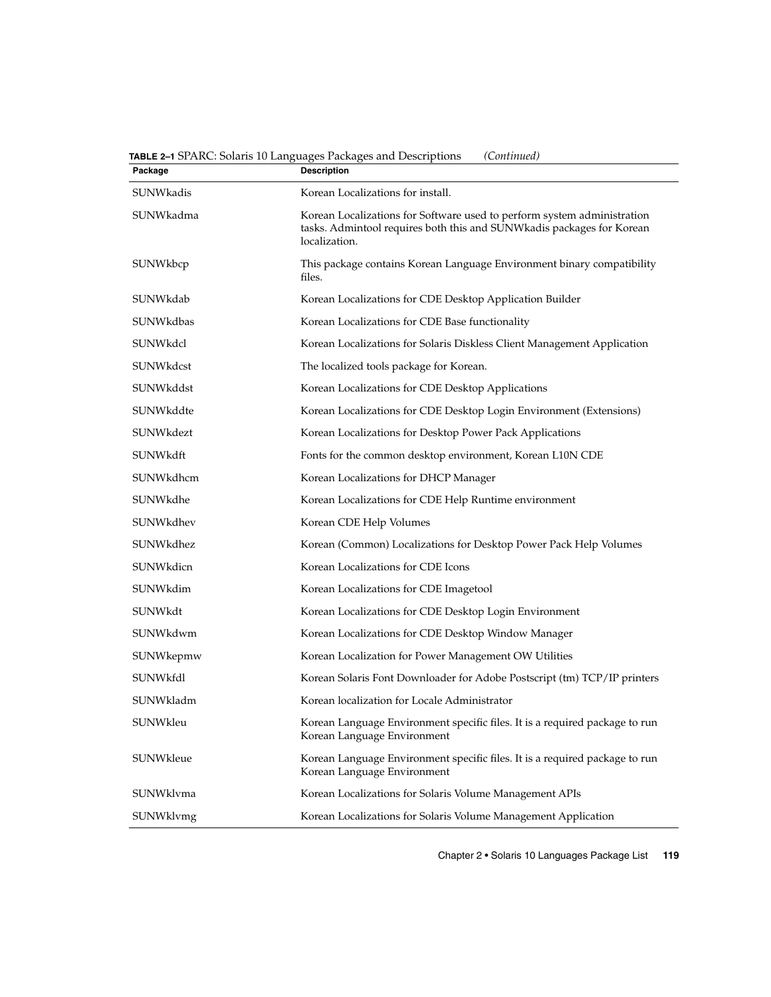| Package   | $\frac{1}{100}$ . The compact of the property and $\frac{1}{100}$ of $\frac{1}{100}$ (common)<br><b>Description</b>                                               |
|-----------|-------------------------------------------------------------------------------------------------------------------------------------------------------------------|
| SUNWkadis | Korean Localizations for install.                                                                                                                                 |
| SUNWkadma | Korean Localizations for Software used to perform system administration<br>tasks. Admintool requires both this and SUNWkadis packages for Korean<br>localization. |
| SUNWkbcp  | This package contains Korean Language Environment binary compatibility<br>files.                                                                                  |
| SUNWkdab  | Korean Localizations for CDE Desktop Application Builder                                                                                                          |
| SUNWkdbas | Korean Localizations for CDE Base functionality                                                                                                                   |
| SUNWkdcl  | Korean Localizations for Solaris Diskless Client Management Application                                                                                           |
| SUNWkdcst | The localized tools package for Korean.                                                                                                                           |
| SUNWkddst | Korean Localizations for CDE Desktop Applications                                                                                                                 |
| SUNWkddte | Korean Localizations for CDE Desktop Login Environment (Extensions)                                                                                               |
| SUNWkdezt | Korean Localizations for Desktop Power Pack Applications                                                                                                          |
| SUNWkdft  | Fonts for the common desktop environment, Korean L10N CDE                                                                                                         |
| SUNWkdhcm | Korean Localizations for DHCP Manager                                                                                                                             |
| SUNWkdhe  | Korean Localizations for CDE Help Runtime environment                                                                                                             |
| SUNWkdhev | Korean CDE Help Volumes                                                                                                                                           |
| SUNWkdhez | Korean (Common) Localizations for Desktop Power Pack Help Volumes                                                                                                 |
| SUNWkdicn | Korean Localizations for CDE Icons                                                                                                                                |
| SUNWkdim  | Korean Localizations for CDE Imagetool                                                                                                                            |
| SUNWkdt   | Korean Localizations for CDE Desktop Login Environment                                                                                                            |
| SUNWkdwm  | Korean Localizations for CDE Desktop Window Manager                                                                                                               |
| SUNWkepmw | Korean Localization for Power Management OW Utilities                                                                                                             |
| SUNWkfdl  | Korean Solaris Font Downloader for Adobe Postscript (tm) TCP/IP printers                                                                                          |
| SUNWkladm | Korean localization for Locale Administrator                                                                                                                      |
| SUNWkleu  | Korean Language Environment specific files. It is a required package to run<br>Korean Language Environment                                                        |
| SUNWkleue | Korean Language Environment specific files. It is a required package to run<br>Korean Language Environment                                                        |
| SUNWklvma | Korean Localizations for Solaris Volume Management APIs                                                                                                           |
| SUNWklymg | Korean Localizations for Solaris Volume Management Application                                                                                                    |

**TABLE 2–1** SPARC: Solaris 10 Languages Packages and Descriptions *(Continued)*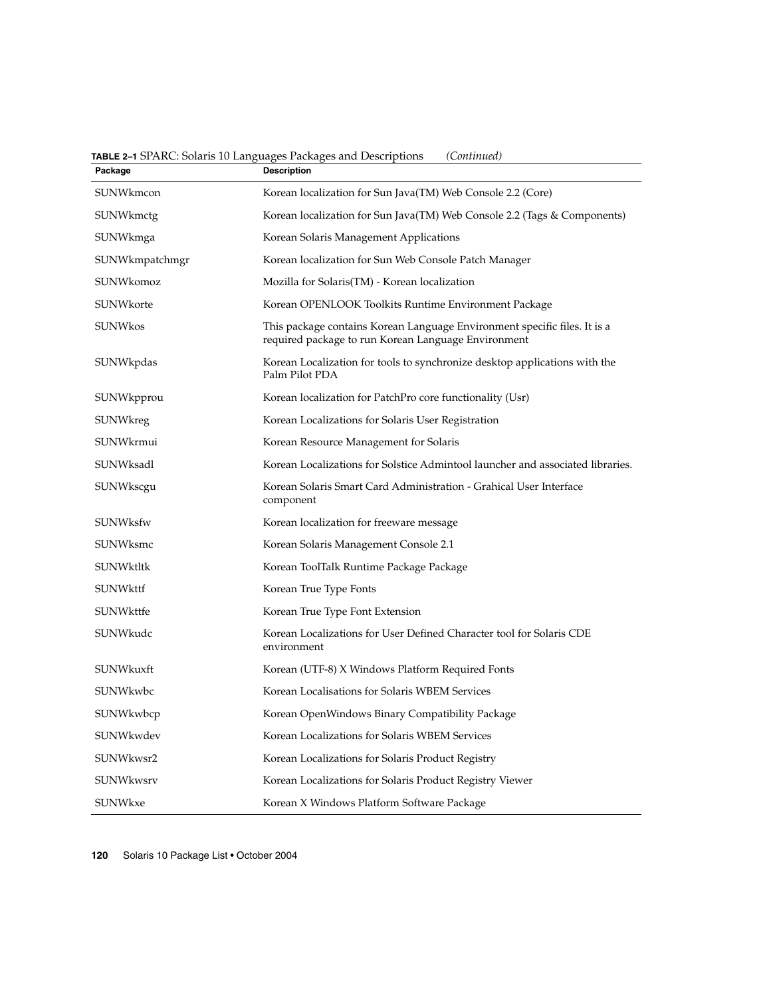**TABLE 2–1** SPARC: Solaris 10 Languages Packages and Descriptions *(Continued)*

| Package          | <b>Description</b>                                                                                                               |
|------------------|----------------------------------------------------------------------------------------------------------------------------------|
| <b>SUNWkmcon</b> | Korean localization for Sun Java(TM) Web Console 2.2 (Core)                                                                      |
| SUNWkmctg        | Korean localization for Sun Java(TM) Web Console 2.2 (Tags & Components)                                                         |
| SUNWkmga         | Korean Solaris Management Applications                                                                                           |
| SUNWkmpatchmgr   | Korean localization for Sun Web Console Patch Manager                                                                            |
| SUNWkomoz        | Mozilla for Solaris(TM) - Korean localization                                                                                    |
| SUNWkorte        | Korean OPENLOOK Toolkits Runtime Environment Package                                                                             |
| <b>SUNWkos</b>   | This package contains Korean Language Environment specific files. It is a<br>required package to run Korean Language Environment |
| SUNWkpdas        | Korean Localization for tools to synchronize desktop applications with the<br>Palm Pilot PDA                                     |
| SUNWkpprou       | Korean localization for PatchPro core functionality (Usr)                                                                        |
| SUNWkreg         | Korean Localizations for Solaris User Registration                                                                               |
| SUNWkrmui        | Korean Resource Management for Solaris                                                                                           |
| SUNWksadl        | Korean Localizations for Solstice Admintool launcher and associated libraries.                                                   |
| SUNWkscgu        | Korean Solaris Smart Card Administration - Grahical User Interface<br>component                                                  |
| SUNWksfw         | Korean localization for freeware message                                                                                         |
| SUNWksmc         | Korean Solaris Management Console 2.1                                                                                            |
| SUNWktltk        | Korean ToolTalk Runtime Package Package                                                                                          |
| SUNWkttf         | Korean True Type Fonts                                                                                                           |
| SUNWkttfe        | Korean True Type Font Extension                                                                                                  |
| SUNWkudc         | Korean Localizations for User Defined Character tool for Solaris CDE<br>environment                                              |
| SUNWkuxft        | Korean (UTF-8) X Windows Platform Required Fonts                                                                                 |
| SUNWkwbc         | Korean Localisations for Solaris WBEM Services                                                                                   |
| SUNWkwbcp        | Korean OpenWindows Binary Compatibility Package                                                                                  |
| SUNWkwdev        | Korean Localizations for Solaris WBEM Services                                                                                   |
| SUNWkwsr2        | Korean Localizations for Solaris Product Registry                                                                                |
| SUNWkwsrv        | Korean Localizations for Solaris Product Registry Viewer                                                                         |
| <b>SUNWkxe</b>   | Korean X Windows Platform Software Package                                                                                       |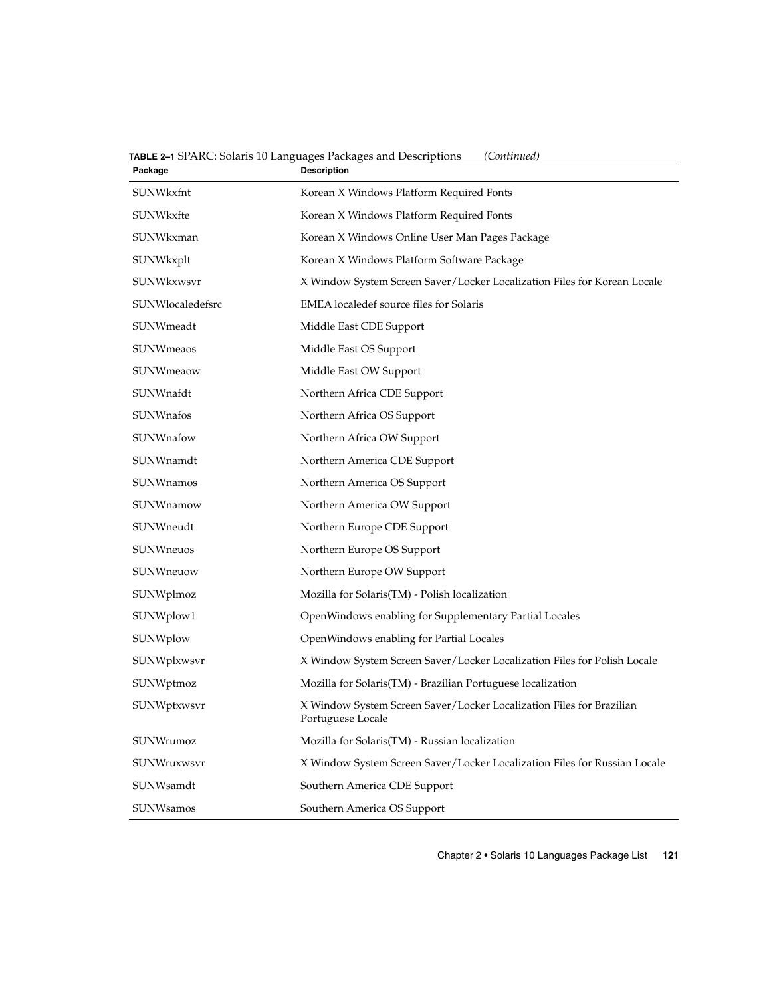**TABLE 2–1** SPARC: Solaris 10 Languages Packages and Descriptions *(Continued)*

| Package          | <b>Description</b>                                                                        |
|------------------|-------------------------------------------------------------------------------------------|
| SUNWkxfnt        | Korean X Windows Platform Required Fonts                                                  |
| SUNWkxfte        | Korean X Windows Platform Required Fonts                                                  |
| SUNWkxman        | Korean X Windows Online User Man Pages Package                                            |
| SUNWkxplt        | Korean X Windows Platform Software Package                                                |
| SUNWkxwsvr       | X Window System Screen Saver/Locker Localization Files for Korean Locale                  |
| SUNWlocaledefsrc | EMEA localedef source files for Solaris                                                   |
| SUNWmeadt        | Middle East CDE Support                                                                   |
| <b>SUNWmeaos</b> | Middle East OS Support                                                                    |
| SUNWmeaow        | Middle East OW Support                                                                    |
| SUNWnafdt        | Northern Africa CDE Support                                                               |
| <b>SUNWnafos</b> | Northern Africa OS Support                                                                |
| SUNWnafow        | Northern Africa OW Support                                                                |
| SUNWnamdt        | Northern America CDE Support                                                              |
| <b>SUNWnamos</b> | Northern America OS Support                                                               |
| SUNWnamow        | Northern America OW Support                                                               |
| SUNWneudt        | Northern Europe CDE Support                                                               |
| SUNWneuos        | Northern Europe OS Support                                                                |
| SUNWneuow        | Northern Europe OW Support                                                                |
| SUNWplmoz        | Mozilla for Solaris(TM) - Polish localization                                             |
| SUNWplow1        | OpenWindows enabling for Supplementary Partial Locales                                    |
| SUNWplow         | OpenWindows enabling for Partial Locales                                                  |
| SUNWplxwsvr      | X Window System Screen Saver/Locker Localization Files for Polish Locale                  |
| SUNWptmoz        | Mozilla for Solaris(TM) - Brazilian Portuguese localization                               |
| SUNWptxwsvr      | X Window System Screen Saver/Locker Localization Files for Brazilian<br>Portuguese Locale |
| SUNWrumoz        | Mozilla for Solaris(TM) - Russian localization                                            |
| SUNWruxwsvr      | X Window System Screen Saver/Locker Localization Files for Russian Locale                 |
| SUNWsamdt        | Southern America CDE Support                                                              |
| <b>SUNWsamos</b> | Southern America OS Support                                                               |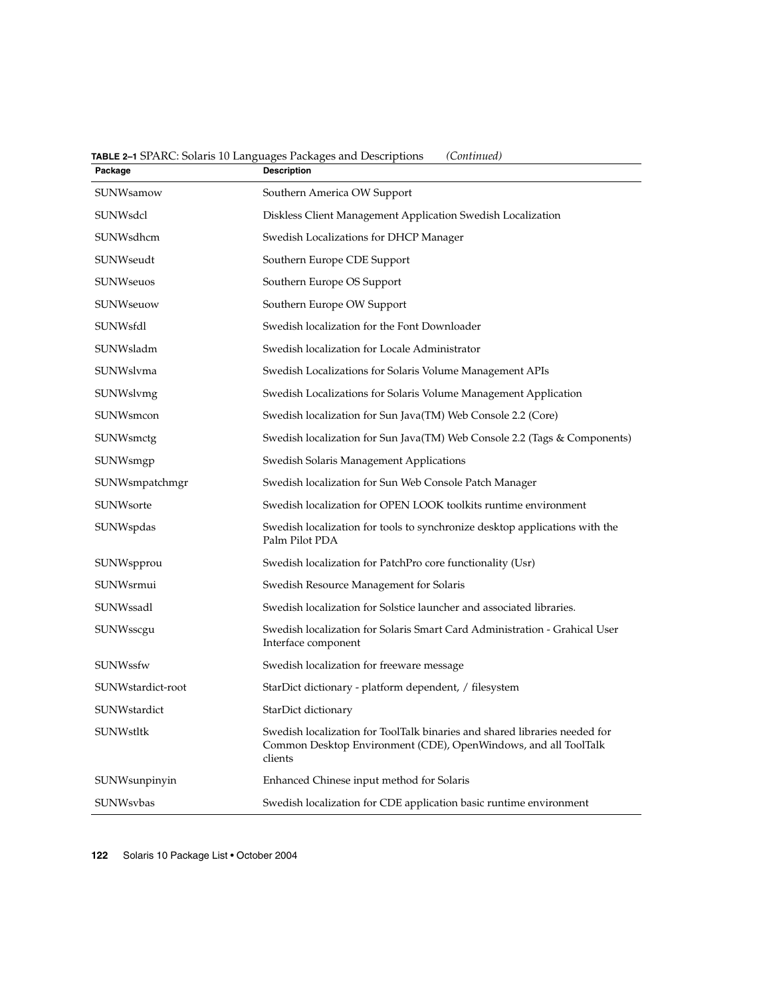**TABLE 2–1** SPARC: Solaris 10 Languages Packages and Descriptions *(Continued)*

| Package           | <b>Description</b>                                                                                                                                       |
|-------------------|----------------------------------------------------------------------------------------------------------------------------------------------------------|
| SUNWsamow         | Southern America OW Support                                                                                                                              |
| SUNWsdcl          | Diskless Client Management Application Swedish Localization                                                                                              |
| SUNWsdhcm         | Swedish Localizations for DHCP Manager                                                                                                                   |
| SUNWseudt         | Southern Europe CDE Support                                                                                                                              |
| <b>SUNWseuos</b>  | Southern Europe OS Support                                                                                                                               |
| <b>SUNWseuow</b>  | Southern Europe OW Support                                                                                                                               |
| SUNWsfdl          | Swedish localization for the Font Downloader                                                                                                             |
| SUNWsladm         | Swedish localization for Locale Administrator                                                                                                            |
| SUNWslyma         | Swedish Localizations for Solaris Volume Management APIs                                                                                                 |
| SUNWslymg         | Swedish Localizations for Solaris Volume Management Application                                                                                          |
| <b>SUNWsmcon</b>  | Swedish localization for Sun Java(TM) Web Console 2.2 (Core)                                                                                             |
| SUNWsmctg         | Swedish localization for Sun Java(TM) Web Console 2.2 (Tags & Components)                                                                                |
| SUNWsmgp          | Swedish Solaris Management Applications                                                                                                                  |
| SUNWsmpatchmgr    | Swedish localization for Sun Web Console Patch Manager                                                                                                   |
| <b>SUNWsorte</b>  | Swedish localization for OPEN LOOK toolkits runtime environment                                                                                          |
| SUNWspdas         | Swedish localization for tools to synchronize desktop applications with the<br>Palm Pilot PDA                                                            |
| SUNWspprou        | Swedish localization for PatchPro core functionality (Usr)                                                                                               |
| SUNWsrmui         | Swedish Resource Management for Solaris                                                                                                                  |
| SUNWssadl         | Swedish localization for Solstice launcher and associated libraries.                                                                                     |
| SUNWsscgu         | Swedish localization for Solaris Smart Card Administration - Grahical User<br>Interface component                                                        |
| <b>SUNWssfw</b>   | Swedish localization for freeware message                                                                                                                |
| SUNWstardict-root | StarDict dictionary - platform dependent, / filesystem                                                                                                   |
| SUNWstardict      | StarDict dictionary                                                                                                                                      |
| <b>SUNWstltk</b>  | Swedish localization for ToolTalk binaries and shared libraries needed for<br>Common Desktop Environment (CDE), OpenWindows, and all ToolTalk<br>clients |
| SUNWsunpinyin     | Enhanced Chinese input method for Solaris                                                                                                                |
| <b>SUNWsybas</b>  | Swedish localization for CDE application basic runtime environment                                                                                       |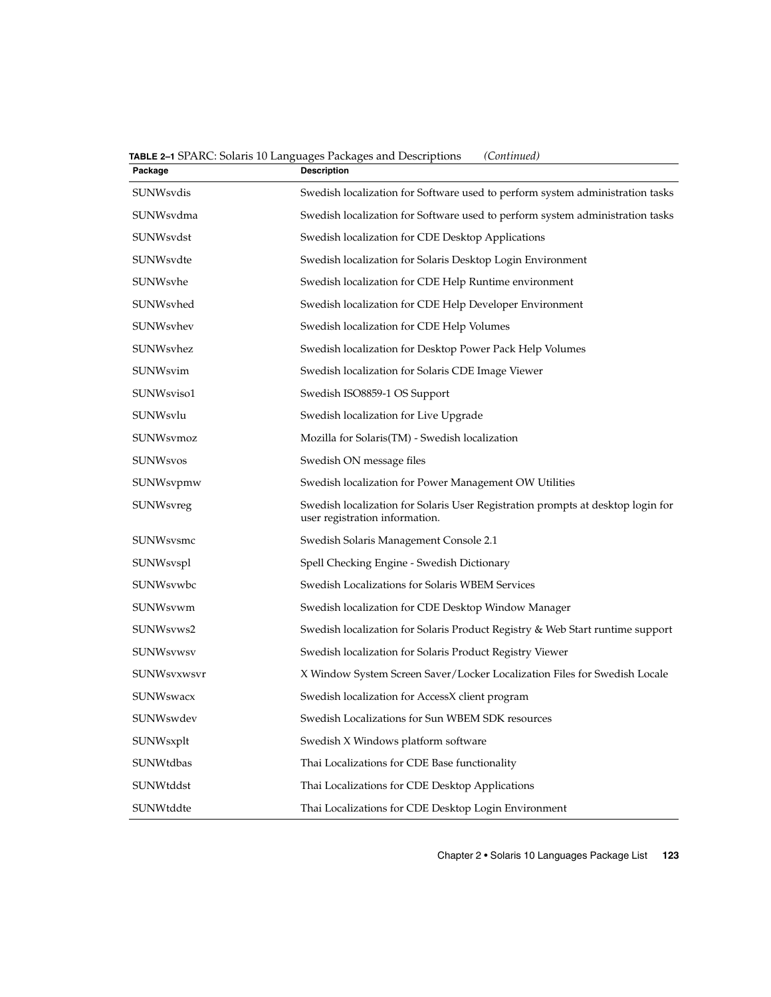**TABLE 2–1** SPARC: Solaris 10 Languages Packages and Descriptions *(Continued)*

| Package                | <b>Description</b>                                                                                                |
|------------------------|-------------------------------------------------------------------------------------------------------------------|
| SUNWsvdis              | Swedish localization for Software used to perform system administration tasks                                     |
| SUNWsvdma              | Swedish localization for Software used to perform system administration tasks                                     |
| SUNWsvdst              | Swedish localization for CDE Desktop Applications                                                                 |
| SUNWsvdte              | Swedish localization for Solaris Desktop Login Environment                                                        |
| SUNWsvhe               | Swedish localization for CDE Help Runtime environment                                                             |
| SUNWsvhed              | Swedish localization for CDE Help Developer Environment                                                           |
| SUNWsvhev              | Swedish localization for CDE Help Volumes                                                                         |
| SUNWsvhez              | Swedish localization for Desktop Power Pack Help Volumes                                                          |
| <b>SUNWsvim</b>        | Swedish localization for Solaris CDE Image Viewer                                                                 |
| SUNW <sub>sviso1</sub> | Swedish ISO8859-1 OS Support                                                                                      |
| SUNWsvlu               | Swedish localization for Live Upgrade                                                                             |
| SUNWsymoz              | Mozilla for Solaris(TM) - Swedish localization                                                                    |
| <b>SUNWsvos</b>        | Swedish ON message files                                                                                          |
| SUNWsvpmw              | Swedish localization for Power Management OW Utilities                                                            |
| SUNWsvreg              | Swedish localization for Solaris User Registration prompts at desktop login for<br>user registration information. |
| <b>SUNWsysmc</b>       | Swedish Solaris Management Console 2.1                                                                            |
| SUNWsvspl              | Spell Checking Engine - Swedish Dictionary                                                                        |
| SUNWsvwbc              | Swedish Localizations for Solaris WBEM Services                                                                   |
| <b>SUNWsvwm</b>        | Swedish localization for CDE Desktop Window Manager                                                               |
| SUNWsvws2              | Swedish localization for Solaris Product Registry & Web Start runtime support                                     |
| <b>SUNWsvwsv</b>       | Swedish localization for Solaris Product Registry Viewer                                                          |
| SUNWsvxwsvr            | X Window System Screen Saver/Locker Localization Files for Swedish Locale                                         |
| <b>SUNWswacx</b>       | Swedish localization for AccessX client program                                                                   |
| SUNWswdev              | Swedish Localizations for Sun WBEM SDK resources                                                                  |
| SUNWsxplt              | Swedish X Windows platform software                                                                               |
| SUNWtdbas              | Thai Localizations for CDE Base functionality                                                                     |
| SUNWtddst              | Thai Localizations for CDE Desktop Applications                                                                   |
| SUNWtddte              | Thai Localizations for CDE Desktop Login Environment                                                              |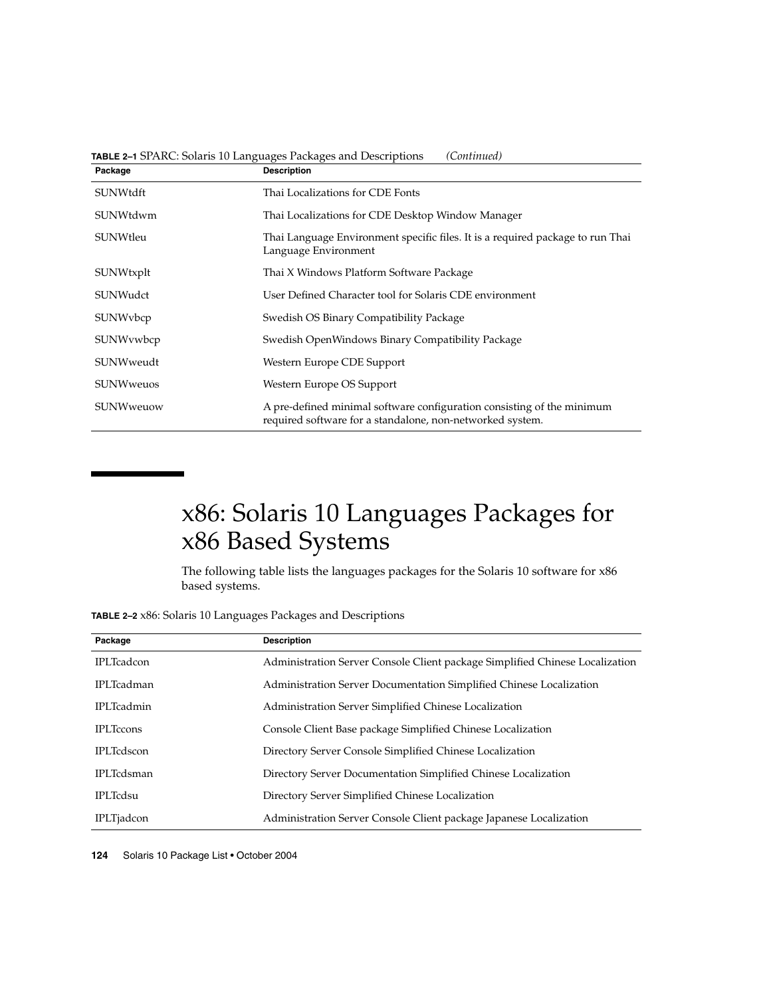**TABLE 2–1** SPARC: Solaris 10 Languages Packages and Descriptions *(Continued)*

| Package          | <b>Description</b>                                                                                                                  |
|------------------|-------------------------------------------------------------------------------------------------------------------------------------|
| SUNWtdft         | Thai Localizations for CDE Fonts                                                                                                    |
| SUNWtdwm         | Thai Localizations for CDE Desktop Window Manager                                                                                   |
| SUNWtleu         | Thai Language Environment specific files. It is a required package to run Thai<br>Language Environment                              |
| SUNWtxplt        | Thai X Windows Platform Software Package                                                                                            |
| <b>SUNWudct</b>  | User Defined Character tool for Solaris CDE environment                                                                             |
| SUNWybcp         | Swedish OS Binary Compatibility Package                                                                                             |
| SUNWywbcp        | Swedish OpenWindows Binary Compatibility Package                                                                                    |
| SUNWweudt        | Western Europe CDE Support                                                                                                          |
| <b>SUNWweuos</b> | Western Europe OS Support                                                                                                           |
| <b>SUNWweuow</b> | A pre-defined minimal software configuration consisting of the minimum<br>required software for a standalone, non-networked system. |

## x86: Solaris 10 Languages Packages for x86 Based Systems

The following table lists the languages packages for the Solaris 10 software for x86 based systems.

| Package            | <b>Description</b>                                                           |
|--------------------|------------------------------------------------------------------------------|
| <b>IPLTcadcon</b>  | Administration Server Console Client package Simplified Chinese Localization |
| <b>IPLTcadman</b>  | Administration Server Documentation Simplified Chinese Localization          |
| <b>IPLT</b> cadmin | Administration Server Simplified Chinese Localization                        |
| <b>IPLTccons</b>   | Console Client Base package Simplified Chinese Localization                  |
| <b>IPLTcdscon</b>  | Directory Server Console Simplified Chinese Localization                     |
| <b>IPLTcdsman</b>  | Directory Server Documentation Simplified Chinese Localization               |
| <b>IPLTcdsu</b>    | Directory Server Simplified Chinese Localization                             |
| <b>IPLT</b> jadcon | Administration Server Console Client package Japanese Localization           |

**TABLE 2–2** x86: Solaris 10 Languages Packages and Descriptions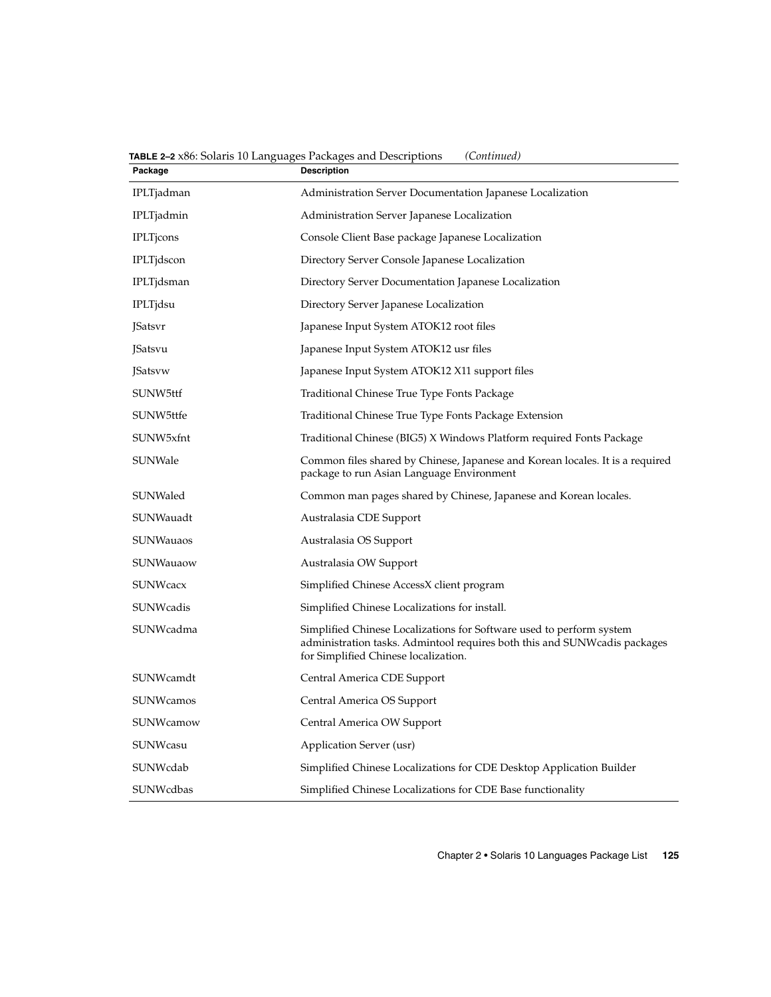**TABLE 2–2** x86: Solaris 10 Languages Packages and Descriptions *(Continued)* **Description** IPLTjadman Administration Server Documentation Japanese Localization IPLTjadmin Administration Server Japanese Localization IPLTjcons Console Client Base package Japanese Localization IPLTjdscon Directory Server Console Japanese Localization IPLTjdsman Directory Server Documentation Japanese Localization IPLTjdsu Directory Server Japanese Localization JSatsvr Japanese Input System ATOK12 root files JSatsvu Japanese Input System ATOK12 usr files JSatsvw Japanese Input System ATOK12 X11 support files SUNW5ttf Traditional Chinese True Type Fonts Package SUNW5ttfe Traditional Chinese True Type Fonts Package Extension SUNW5xfnt Traditional Chinese (BIG5) X Windows Platform required Fonts Package SUNWale Common files shared by Chinese, Japanese and Korean locales. It is a required package to run Asian Language Environment SUNWaled Common man pages shared by Chinese, Japanese and Korean locales. SUNWauadt Australasia CDE Support SUNWauaos Australasia OS Support SUNWauaow Australasia OW Support SUNWcacx Simplified Chinese AccessX client program SUNWcadis Simplified Chinese Localizations for install. SUNWcadma Simplified Chinese Localizations for Software used to perform system administration tasks. Admintool requires both this and SUNWcadis packages for Simplified Chinese localization. SUNWcamdt Central America CDE Support SUNWcamos Central America OS Support SUNWcamow Central America OW Support SUNWcasu Application Server (usr) SUNWcdab Simplified Chinese Localizations for CDE Desktop Application Builder SUNWcdbas Simplified Chinese Localizations for CDE Base functionality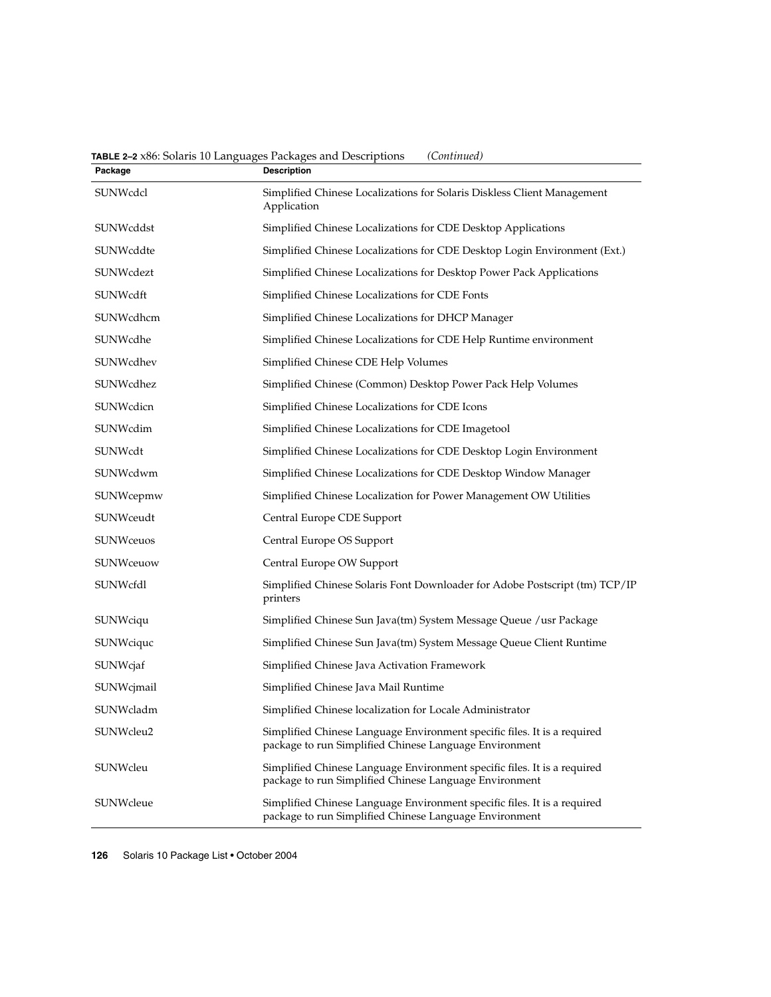**TABLE 2–2** x86: Solaris 10 Languages Packages and Descriptions *(Continued)*

| Package           | <b>Description</b>                                                                                                                 |
|-------------------|------------------------------------------------------------------------------------------------------------------------------------|
| SUNWcdcl          | Simplified Chinese Localizations for Solaris Diskless Client Management<br>Application                                             |
| SUNWcddst         | Simplified Chinese Localizations for CDE Desktop Applications                                                                      |
| SUNWcddte         | Simplified Chinese Localizations for CDE Desktop Login Environment (Ext.)                                                          |
| SUNWcdezt         | Simplified Chinese Localizations for Desktop Power Pack Applications                                                               |
| SUNWcdft          | Simplified Chinese Localizations for CDE Fonts                                                                                     |
| SUNWcdhcm         | Simplified Chinese Localizations for DHCP Manager                                                                                  |
| SUNWcdhe          | Simplified Chinese Localizations for CDE Help Runtime environment                                                                  |
| SUNWcdhev         | Simplified Chinese CDE Help Volumes                                                                                                |
| SUNWcdhez         | Simplified Chinese (Common) Desktop Power Pack Help Volumes                                                                        |
| SUNWcdicn         | Simplified Chinese Localizations for CDE Icons                                                                                     |
| <b>SUNWcdim</b>   | Simplified Chinese Localizations for CDE Imagetool                                                                                 |
| SUNWcdt           | Simplified Chinese Localizations for CDE Desktop Login Environment                                                                 |
| SUNWcdwm          | Simplified Chinese Localizations for CDE Desktop Window Manager                                                                    |
| SUNWcepmw         | Simplified Chinese Localization for Power Management OW Utilities                                                                  |
| SUNWceudt         | Central Europe CDE Support                                                                                                         |
| <b>SUNW</b> ceuos | Central Europe OS Support                                                                                                          |
| <b>SUNW</b> ceuow | Central Europe OW Support                                                                                                          |
| SUNWcfdl          | Simplified Chinese Solaris Font Downloader for Adobe Postscript (tm) TCP/IP<br>printers                                            |
| SUNWciqu          | Simplified Chinese Sun Java(tm) System Message Queue /usr Package                                                                  |
| SUNWcique         | Simplified Chinese Sun Java(tm) System Message Queue Client Runtime                                                                |
| SUNWcjaf          | Simplified Chinese Java Activation Framework                                                                                       |
| SUNWcjmail        | Simplified Chinese Java Mail Runtime                                                                                               |
| SUNWcladm         | Simplified Chinese localization for Locale Administrator                                                                           |
| SUNWcleu2         | Simplified Chinese Language Environment specific files. It is a required<br>package to run Simplified Chinese Language Environment |
| SUNWcleu          | Simplified Chinese Language Environment specific files. It is a required<br>package to run Simplified Chinese Language Environment |
| SUNWcleue         | Simplified Chinese Language Environment specific files. It is a required<br>package to run Simplified Chinese Language Environment |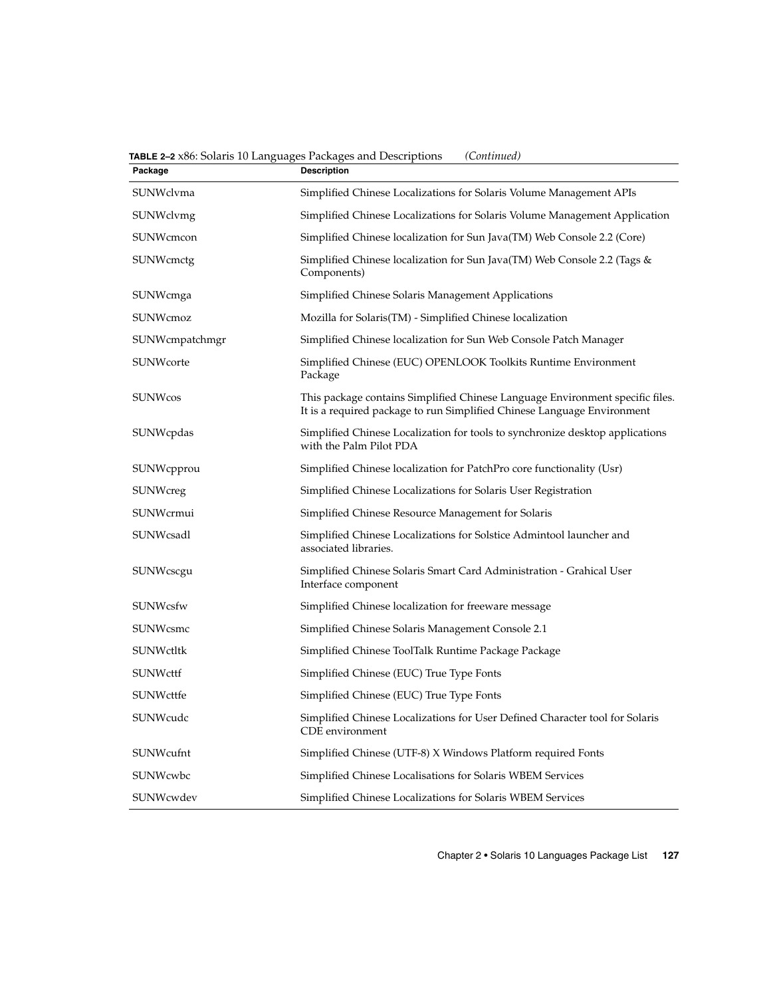**TABLE 2–2** x86: Solaris 10 Languages Packages and Descriptions *(Continued)*

| Package           | <b>Description</b>                                                                                                                                       |
|-------------------|----------------------------------------------------------------------------------------------------------------------------------------------------------|
| SUNWclyma         | Simplified Chinese Localizations for Solaris Volume Management APIs                                                                                      |
| SUNWclymg         | Simplified Chinese Localizations for Solaris Volume Management Application                                                                               |
| <b>SUNW</b> cmcon | Simplified Chinese localization for Sun Java(TM) Web Console 2.2 (Core)                                                                                  |
| SUNWcmctg         | Simplified Chinese localization for Sun Java(TM) Web Console 2.2 (Tags &<br>Components)                                                                  |
| SUNWcmga          | Simplified Chinese Solaris Management Applications                                                                                                       |
| <b>SUNWcmoz</b>   | Mozilla for Solaris(TM) - Simplified Chinese localization                                                                                                |
| SUNWcmpatchmgr    | Simplified Chinese localization for Sun Web Console Patch Manager                                                                                        |
| <b>SUNW</b> corte | Simplified Chinese (EUC) OPENLOOK Toolkits Runtime Environment<br>Package                                                                                |
| <b>SUNWcos</b>    | This package contains Simplified Chinese Language Environment specific files.<br>It is a required package to run Simplified Chinese Language Environment |
| SUNWcpdas         | Simplified Chinese Localization for tools to synchronize desktop applications<br>with the Palm Pilot PDA                                                 |
| SUNWcpprou        | Simplified Chinese localization for PatchPro core functionality (Usr)                                                                                    |
| SUNWcreg          | Simplified Chinese Localizations for Solaris User Registration                                                                                           |
| SUNWcrmui         | Simplified Chinese Resource Management for Solaris                                                                                                       |
| SUNWcsadl         | Simplified Chinese Localizations for Solstice Admintool launcher and<br>associated libraries.                                                            |
| SUNWcscgu         | Simplified Chinese Solaris Smart Card Administration - Grahical User<br>Interface component                                                              |
| <b>SUNWcsfw</b>   | Simplified Chinese localization for freeware message                                                                                                     |
| SUNWcsmc          | Simplified Chinese Solaris Management Console 2.1                                                                                                        |
| SUNWctltk         | Simplified Chinese ToolTalk Runtime Package Package                                                                                                      |
| <b>SUNWcttf</b>   | Simplified Chinese (EUC) True Type Fonts                                                                                                                 |
| SUNWcttfe         | Simplified Chinese (EUC) True Type Fonts                                                                                                                 |
| SUNWcudc          | Simplified Chinese Localizations for User Defined Character tool for Solaris<br>CDE environment                                                          |
| SUNWcufnt         | Simplified Chinese (UTF-8) X Windows Platform required Fonts                                                                                             |
| SUNWcwbc          | Simplified Chinese Localisations for Solaris WBEM Services                                                                                               |
| SUNWcwdev         | Simplified Chinese Localizations for Solaris WBEM Services                                                                                               |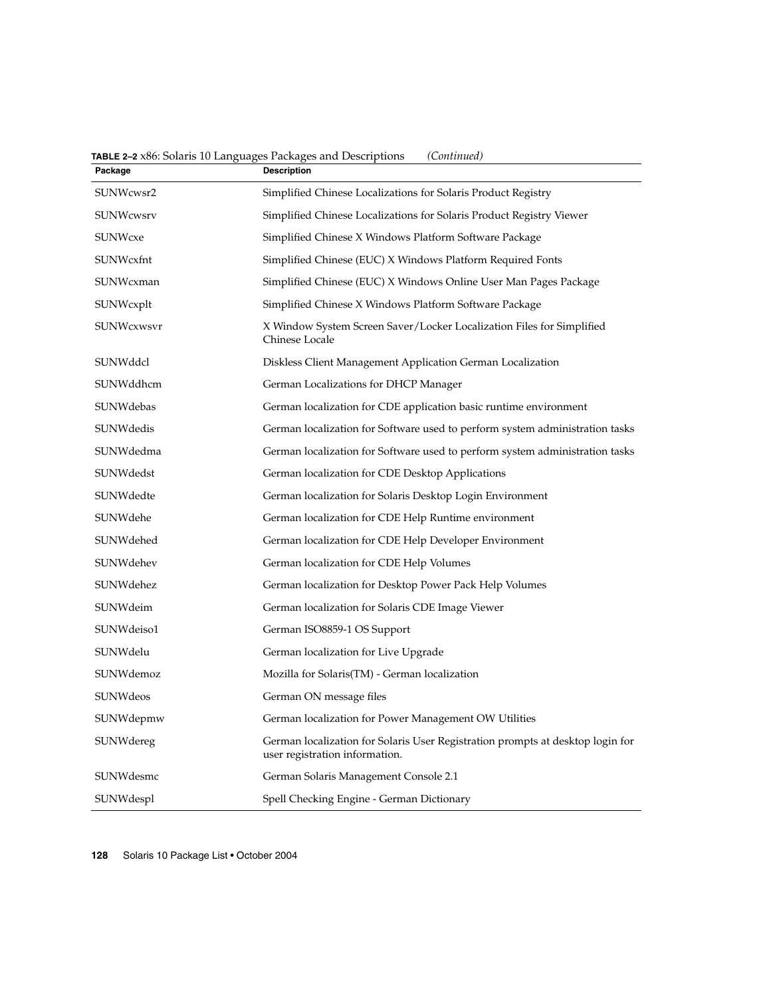**TABLE 2–2** x86: Solaris 10 Languages Packages and Descriptions *(Continued)*

| Package          | <b>Description</b>                                                                                               |
|------------------|------------------------------------------------------------------------------------------------------------------|
| SUNWcwsr2        | Simplified Chinese Localizations for Solaris Product Registry                                                    |
| <b>SUNWcwsrv</b> | Simplified Chinese Localizations for Solaris Product Registry Viewer                                             |
| <b>SUNWcxe</b>   | Simplified Chinese X Windows Platform Software Package                                                           |
| SUNWcxfnt        | Simplified Chinese (EUC) X Windows Platform Required Fonts                                                       |
| <b>SUNWcxman</b> | Simplified Chinese (EUC) X Windows Online User Man Pages Package                                                 |
| SUNWcxplt        | Simplified Chinese X Windows Platform Software Package                                                           |
| SUNWcxwsvr       | X Window System Screen Saver/Locker Localization Files for Simplified<br>Chinese Locale                          |
| SUNWddcl         | Diskless Client Management Application German Localization                                                       |
| SUNWddhcm        | German Localizations for DHCP Manager                                                                            |
| SUNWdebas        | German localization for CDE application basic runtime environment                                                |
| SUNWdedis        | German localization for Software used to perform system administration tasks                                     |
| SUNWdedma        | German localization for Software used to perform system administration tasks                                     |
| SUNWdedst        | German localization for CDE Desktop Applications                                                                 |
| SUNWdedte        | German localization for Solaris Desktop Login Environment                                                        |
| SUNWdehe         | German localization for CDE Help Runtime environment                                                             |
| SUNWdehed        | German localization for CDE Help Developer Environment                                                           |
| SUNWdehev        | German localization for CDE Help Volumes                                                                         |
| SUNWdehez        | German localization for Desktop Power Pack Help Volumes                                                          |
| SUNWdeim         | German localization for Solaris CDE Image Viewer                                                                 |
| SUNWdeiso1       | German ISO8859-1 OS Support                                                                                      |
| SUNWdelu         | German localization for Live Upgrade                                                                             |
| SUNWdemoz        | Mozilla for Solaris(TM) - German localization                                                                    |
| SUNWdeos         | German ON message files                                                                                          |
| SUNWdepmw        | German localization for Power Management OW Utilities                                                            |
| SUNWdereg        | German localization for Solaris User Registration prompts at desktop login for<br>user registration information. |
| SUNWdesmc        | German Solaris Management Console 2.1                                                                            |
| SUNWdespl        | Spell Checking Engine - German Dictionary                                                                        |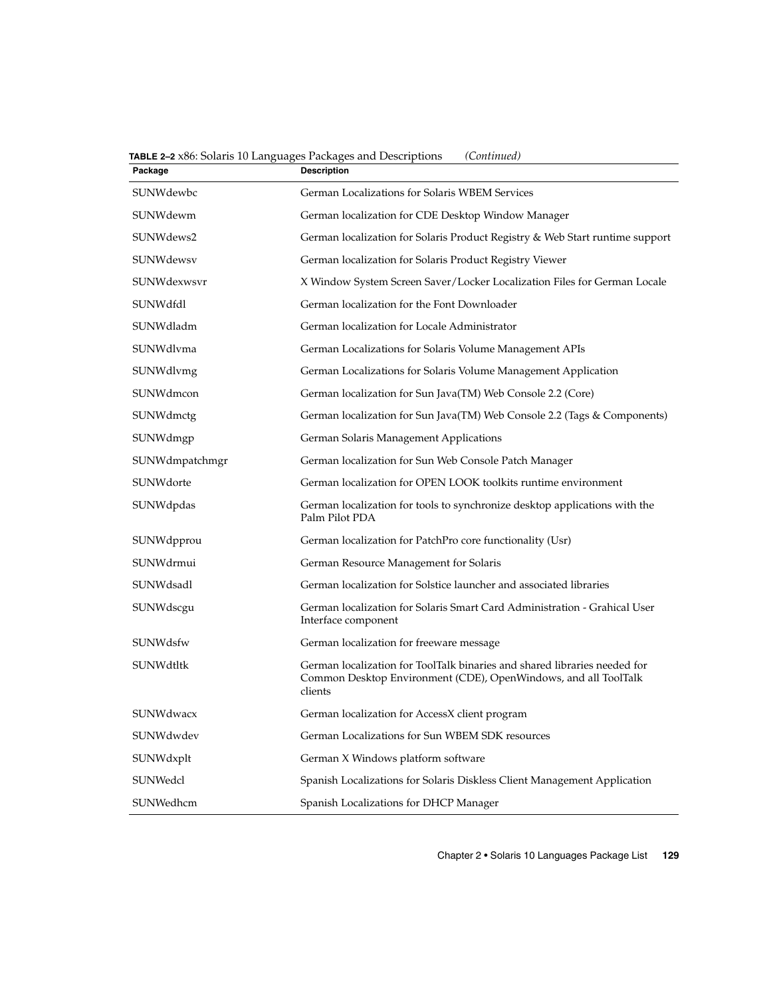**TABLE 2–2** x86: Solaris 10 Languages Packages and Descriptions *(Continued)*

| Package        | <b>Description</b>                                                                                                                                      |
|----------------|---------------------------------------------------------------------------------------------------------------------------------------------------------|
| SUNWdewbc      | German Localizations for Solaris WBEM Services                                                                                                          |
| SUNWdewm       | German localization for CDE Desktop Window Manager                                                                                                      |
| SUNWdews2      | German localization for Solaris Product Registry & Web Start runtime support                                                                            |
| SUNWdewsy      | German localization for Solaris Product Registry Viewer                                                                                                 |
| SUNWdexwsvr    | X Window System Screen Saver/Locker Localization Files for German Locale                                                                                |
| SUNWdfdl       | German localization for the Font Downloader                                                                                                             |
| SUNWdladm      | German localization for Locale Administrator                                                                                                            |
| SUNWdlyma      | German Localizations for Solaris Volume Management APIs                                                                                                 |
| SUNWdlvmg      | German Localizations for Solaris Volume Management Application                                                                                          |
| SUNWdmcon      | German localization for Sun Java(TM) Web Console 2.2 (Core)                                                                                             |
| SUNWdmctg      | German localization for Sun Java(TM) Web Console 2.2 (Tags & Components)                                                                                |
| SUNWdmgp       | German Solaris Management Applications                                                                                                                  |
| SUNWdmpatchmgr | German localization for Sun Web Console Patch Manager                                                                                                   |
| SUNWdorte      | German localization for OPEN LOOK toolkits runtime environment                                                                                          |
| SUNWdpdas      | German localization for tools to synchronize desktop applications with the<br>Palm Pilot PDA                                                            |
| SUNWdpprou     | German localization for PatchPro core functionality (Usr)                                                                                               |
| SUNWdrmui      | German Resource Management for Solaris                                                                                                                  |
| SUNWdsadl      | German localization for Solstice launcher and associated libraries                                                                                      |
| SUNWdscgu      | German localization for Solaris Smart Card Administration - Grahical User<br>Interface component                                                        |
| SUNWdsfw       | German localization for freeware message                                                                                                                |
| SUNWdtltk      | German localization for ToolTalk binaries and shared libraries needed for<br>Common Desktop Environment (CDE), OpenWindows, and all ToolTalk<br>clients |
| SUNWdwacx      | German localization for AccessX client program                                                                                                          |
| SUNWdwdev      | German Localizations for Sun WBEM SDK resources                                                                                                         |
| SUNWdxplt      | German X Windows platform software                                                                                                                      |
| SUNWedcl       | Spanish Localizations for Solaris Diskless Client Management Application                                                                                |
| SUNWedhcm      | Spanish Localizations for DHCP Manager                                                                                                                  |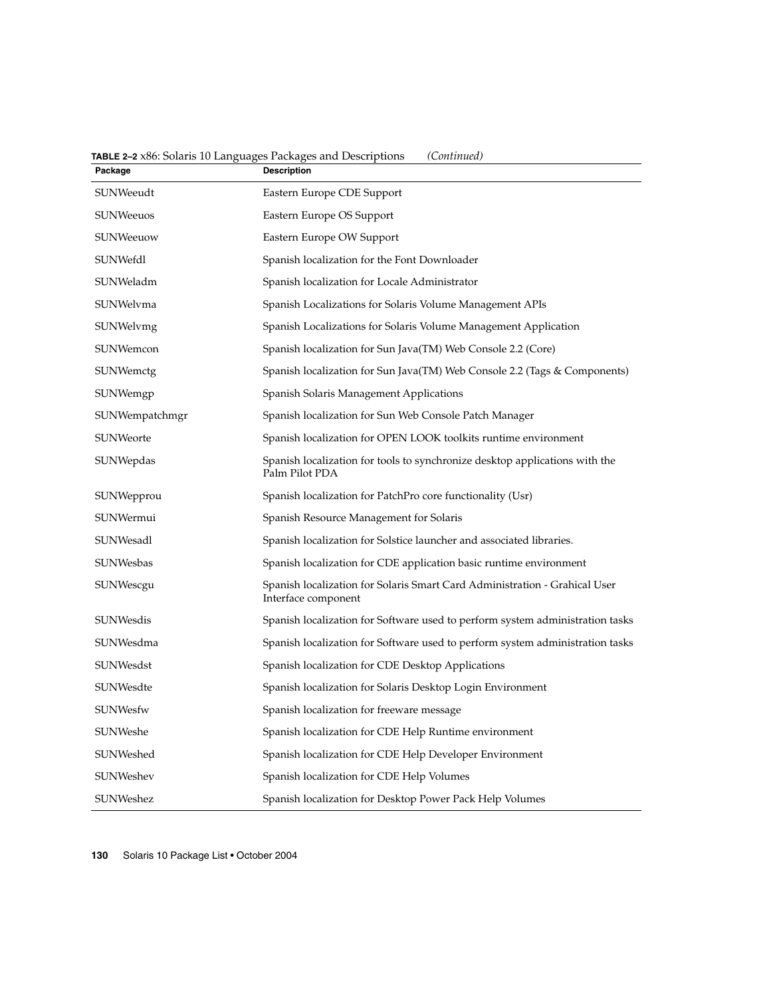**TABLE 2–2** x86: Solaris 10 Languages Packages and Descriptions *(Continued)*

| Package          | <b>Description</b>                                                                                |
|------------------|---------------------------------------------------------------------------------------------------|
| SUNWeeudt        | Eastern Europe CDE Support                                                                        |
| <b>SUNWeeuos</b> | Eastern Europe OS Support                                                                         |
| SUNWeeuow        | Eastern Europe OW Support                                                                         |
| SUNWefdl         | Spanish localization for the Font Downloader                                                      |
| SUNWeladm        | Spanish localization for Locale Administrator                                                     |
| SUNWelvma        | Spanish Localizations for Solaris Volume Management APIs                                          |
| SUNWelvmg        | Spanish Localizations for Solaris Volume Management Application                                   |
| <b>SUNWemcon</b> | Spanish localization for Sun Java(TM) Web Console 2.2 (Core)                                      |
| SUNWemctg        | Spanish localization for Sun Java(TM) Web Console 2.2 (Tags & Components)                         |
| SUNWemgp         | Spanish Solaris Management Applications                                                           |
| SUNWempatchmgr   | Spanish localization for Sun Web Console Patch Manager                                            |
| <b>SUNWeorte</b> | Spanish localization for OPEN LOOK toolkits runtime environment                                   |
| SUNWepdas        | Spanish localization for tools to synchronize desktop applications with the<br>Palm Pilot PDA     |
| SUNWepprou       | Spanish localization for PatchPro core functionality (Usr)                                        |
| SUNWermui        | Spanish Resource Management for Solaris                                                           |
| SUNWesadl        | Spanish localization for Solstice launcher and associated libraries.                              |
| <b>SUNWesbas</b> | Spanish localization for CDE application basic runtime environment                                |
| SUNWescgu        | Spanish localization for Solaris Smart Card Administration - Grahical User<br>Interface component |
| SUNWesdis        | Spanish localization for Software used to perform system administration tasks                     |
| SUNWesdma        | Spanish localization for Software used to perform system administration tasks                     |
| SUNWesdst        | Spanish localization for CDE Desktop Applications                                                 |
| SUNWesdte        | Spanish localization for Solaris Desktop Login Environment                                        |
| <b>SUNWesfw</b>  | Spanish localization for freeware message                                                         |
| SUNWeshe         | Spanish localization for CDE Help Runtime environment                                             |
| SUNWeshed        | Spanish localization for CDE Help Developer Environment                                           |
| SUNWeshev        | Spanish localization for CDE Help Volumes                                                         |
| SUNWeshez        | Spanish localization for Desktop Power Pack Help Volumes                                          |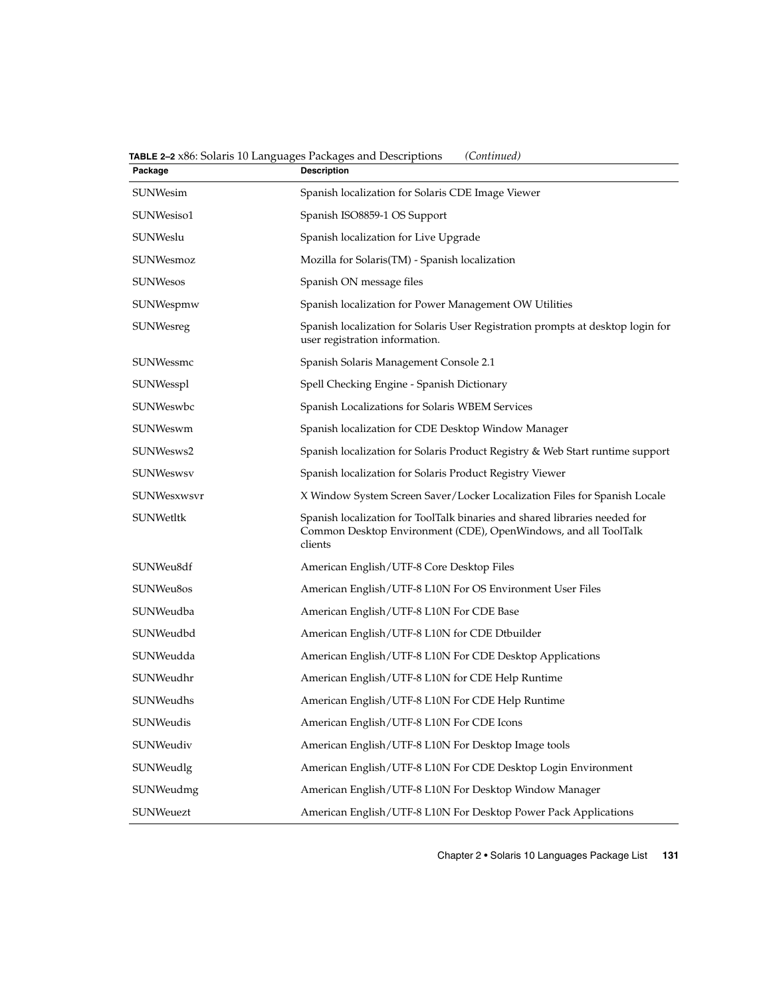**TABLE 2–2** x86: Solaris 10 Languages Packages and Descriptions *(Continued)* **Description** SUNWesim Spanish localization for Solaris CDE Image Viewer SUNWesiso1 Spanish ISO8859-1 OS Support SUNWeslu Spanish localization for Live Upgrade SUNWesmoz Mozilla for Solaris(TM) - Spanish localization SUNWesos Spanish ON message files SUNWespmw Spanish localization for Power Management OW Utilities SUNWesreg Spanish localization for Solaris User Registration prompts at desktop login for user registration information. SUNWessmc Spanish Solaris Management Console 2.1 SUNWesspl Sunnesspl Spell Checking Engine - Spanish Dictionary SUNWeswbc Spanish Localizations for Solaris WBEM Services SUNWeswm Spanish localization for CDE Desktop Window Manager SUNWesws2 Spanish localization for Solaris Product Registry & Web Start runtime support SUNWeswsv Spanish localization for Solaris Product Registry Viewer SUNWesxwsvr X Window System Screen Saver/Locker Localization Files for Spanish Locale SUNWetltk Spanish localization for ToolTalk binaries and shared libraries needed for Common Desktop Environment (CDE), OpenWindows, and all ToolTalk clients SUNWeu8df American English/UTF-8 Core Desktop Files SUNWeu8os American English/UTF-8 L10N For OS Environment User Files SUNWeudba American English/UTF-8 L10N For CDE Base SUNWeudbd American English/UTF-8 L10N for CDE Dtbuilder SUNWeudda American English/UTF-8 L10N For CDE Desktop Applications SUNWeudhr American English/UTF-8 L10N for CDE Help Runtime SUNWeudhs American English/UTF-8 L10N For CDE Help Runtime SUNWeudis American English/UTF-8 L10N For CDE Icons SUNWeudiv American English/UTF-8 L10N For Desktop Image tools SUNWeudlg American English/UTF-8 L10N For CDE Desktop Login Environment SUNWeudmg American English/UTF-8 L10N For Desktop Window Manager SUNWeuezt American English/UTF-8 L10N For Desktop Power Pack Applications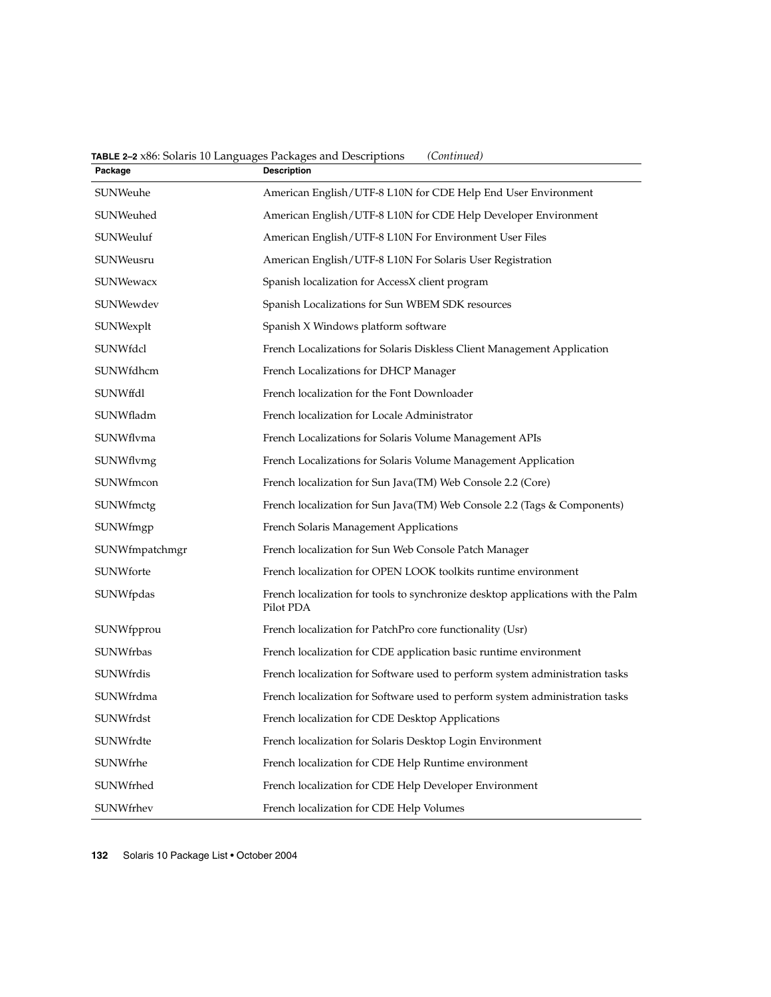**TABLE 2–2** x86: Solaris 10 Languages Packages and Descriptions *(Continued)*

| Package          | <b>Description</b>                                                                           |
|------------------|----------------------------------------------------------------------------------------------|
| SUNWeuhe         | American English/UTF-8 L10N for CDE Help End User Environment                                |
| SUNWeuhed        | American English/UTF-8 L10N for CDE Help Developer Environment                               |
| SUNWeuluf        | American English/UTF-8 L10N For Environment User Files                                       |
| <b>SUNWeusru</b> | American English/UTF-8 L10N For Solaris User Registration                                    |
| <b>SUNWewacx</b> | Spanish localization for AccessX client program                                              |
| SUNWewdev        | Spanish Localizations for Sun WBEM SDK resources                                             |
| SUNWexplt        | Spanish X Windows platform software                                                          |
| SUNWfdcl         | French Localizations for Solaris Diskless Client Management Application                      |
| <b>SUNWfdhcm</b> | French Localizations for DHCP Manager                                                        |
| SUNWffdl         | French localization for the Font Downloader                                                  |
| SUNWfladm        | French localization for Locale Administrator                                                 |
| SUNWflyma        | French Localizations for Solaris Volume Management APIs                                      |
| SUNWflvmg        | French Localizations for Solaris Volume Management Application                               |
| SUNWfmcon        | French localization for Sun Java(TM) Web Console 2.2 (Core)                                  |
| SUNWfmctg        | French localization for Sun Java(TM) Web Console 2.2 (Tags & Components)                     |
| SUNWfmgp         | French Solaris Management Applications                                                       |
| SUNWfmpatchmgr   | French localization for Sun Web Console Patch Manager                                        |
| SUNWforte        | French localization for OPEN LOOK toolkits runtime environment                               |
| SUNWfpdas        | French localization for tools to synchronize desktop applications with the Palm<br>Pilot PDA |
| SUNWfpprou       | French localization for PatchPro core functionality (Usr)                                    |
| <b>SUNWfrbas</b> | French localization for CDE application basic runtime environment                            |
| SUNWfrdis        | French localization for Software used to perform system administration tasks                 |
| SUNWfrdma        | French localization for Software used to perform system administration tasks                 |
| SUNWfrdst        | French localization for CDE Desktop Applications                                             |
| SUNWfrdte        | French localization for Solaris Desktop Login Environment                                    |
| SUNWfrhe         | French localization for CDE Help Runtime environment                                         |
| SUNWfrhed        | French localization for CDE Help Developer Environment                                       |
| SUNWfrhev        | French localization for CDE Help Volumes                                                     |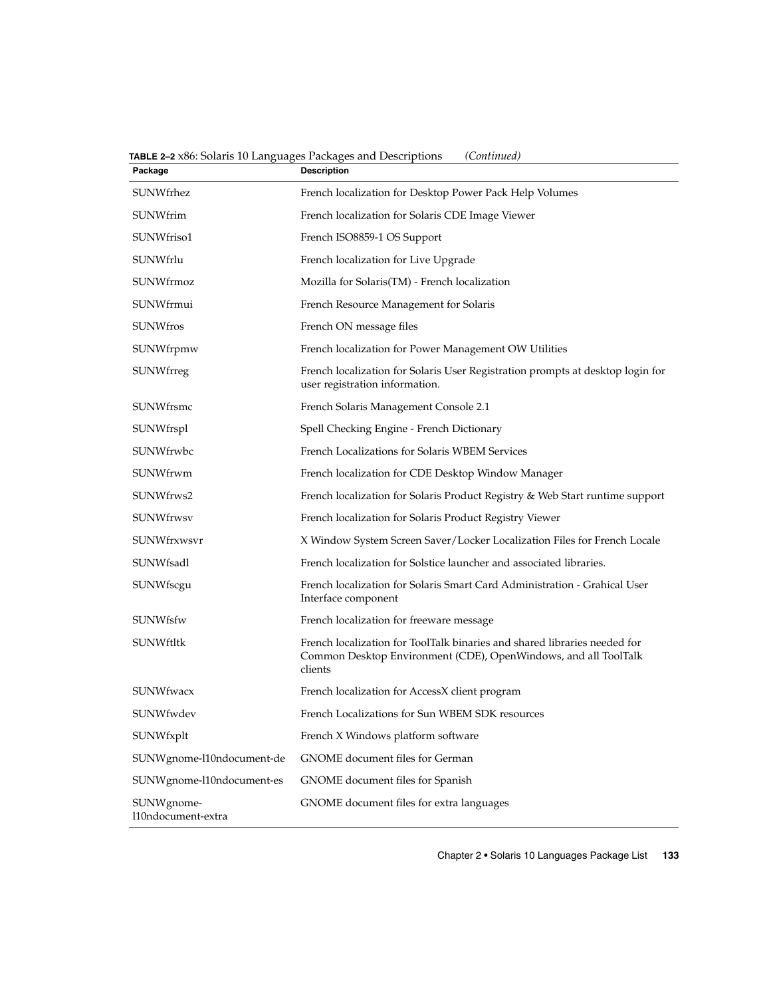| <b>ABLE 2-2</b> A00. JOINITS TO Languages I ackages and Descriptions<br>Package | $\sqrt{2}$<br><b>Description</b>                                                                                                                        |
|---------------------------------------------------------------------------------|---------------------------------------------------------------------------------------------------------------------------------------------------------|
| SUNWfrhez                                                                       | French localization for Desktop Power Pack Help Volumes                                                                                                 |
| SUNWfrim                                                                        | French localization for Solaris CDE Image Viewer                                                                                                        |
| SUNWfriso1                                                                      | French ISO8859-1 OS Support                                                                                                                             |
| SUNWfrlu                                                                        | French localization for Live Upgrade                                                                                                                    |
| SUNWfrmoz                                                                       | Mozilla for Solaris(TM) - French localization                                                                                                           |
| SUNWfrmui                                                                       | French Resource Management for Solaris                                                                                                                  |
| <b>SUNWfros</b>                                                                 | French ON message files                                                                                                                                 |
| SUNWfrpmw                                                                       | French localization for Power Management OW Utilities                                                                                                   |
| SUNWfrreg                                                                       | French localization for Solaris User Registration prompts at desktop login for<br>user registration information.                                        |
| SUNWfrsmc                                                                       | French Solaris Management Console 2.1                                                                                                                   |
| SUNWfrspl                                                                       | Spell Checking Engine - French Dictionary                                                                                                               |
| SUNWfrwbc                                                                       | French Localizations for Solaris WBEM Services                                                                                                          |
| SUNWfrwm                                                                        | French localization for CDE Desktop Window Manager                                                                                                      |
| SUNWfrws2                                                                       | French localization for Solaris Product Registry & Web Start runtime support                                                                            |
| <b>SUNWfrwsv</b>                                                                | French localization for Solaris Product Registry Viewer                                                                                                 |
| SUNWfrxwsvr                                                                     | X Window System Screen Saver/Locker Localization Files for French Locale                                                                                |
| SUNWfsadl                                                                       | French localization for Solstice launcher and associated libraries.                                                                                     |
| SUNWfscgu                                                                       | French localization for Solaris Smart Card Administration - Grahical User<br>Interface component                                                        |
| <b>SUNWfsfw</b>                                                                 | French localization for freeware message                                                                                                                |
| SUNWftltk                                                                       | French localization for ToolTalk binaries and shared libraries needed for<br>Common Desktop Environment (CDE), OpenWindows, and all ToolTalk<br>clients |
| <b>SUNWfwacx</b>                                                                | French localization for AccessX client program                                                                                                          |
| SUNWfwdev                                                                       | French Localizations for Sun WBEM SDK resources                                                                                                         |
| SUNWfxplt                                                                       | French X Windows platform software                                                                                                                      |
| SUNWgnome-l10ndocument-de                                                       | <b>GNOME</b> document files for German                                                                                                                  |
| SUNWgnome-110ndocument-es                                                       | GNOME document files for Spanish                                                                                                                        |
| SUNWgnome-<br>110ndocument-extra                                                | GNOME document files for extra languages                                                                                                                |

**TABLE 2–2** x86: Solaris 10 Languages Packages and Descriptions *(Continued)*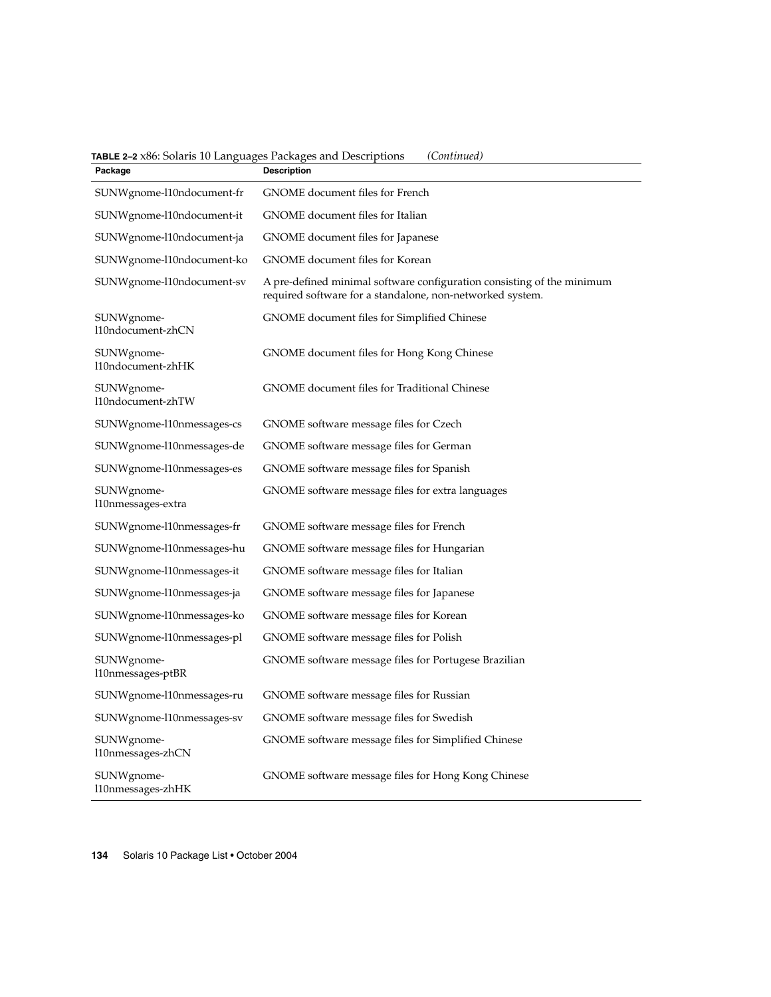## **TABLE 2–2** x86: Solaris 10 Languages Packages and Descriptions *(Continued)*

| Package                          | <b>Description</b>                                                                                                                  |
|----------------------------------|-------------------------------------------------------------------------------------------------------------------------------------|
| SUNWgnome-l10ndocument-fr        | <b>GNOME</b> document files for French                                                                                              |
| SUNWgnome-110ndocument-it        | GNOME document files for Italian                                                                                                    |
| SUNWgnome-l10ndocument-ja        | GNOME document files for Japanese                                                                                                   |
| SUNWgnome-110ndocument-ko        | GNOME document files for Korean                                                                                                     |
| SUNWgnome-110ndocument-sv        | A pre-defined minimal software configuration consisting of the minimum<br>required software for a standalone, non-networked system. |
| SUNWgnome-<br>110ndocument-zhCN  | GNOME document files for Simplified Chinese                                                                                         |
| SUNWgnome-<br>110ndocument-zhHK  | GNOME document files for Hong Kong Chinese                                                                                          |
| SUNWgnome-<br>110ndocument-zhTW  | <b>GNOME</b> document files for Traditional Chinese                                                                                 |
| SUNWgnome-110nmessages-cs        | GNOME software message files for Czech                                                                                              |
| SUNWgnome-l10nmessages-de        | GNOME software message files for German                                                                                             |
| SUNWgnome-110nmessages-es        | GNOME software message files for Spanish                                                                                            |
| SUNWgnome-<br>l10nmessages-extra | GNOME software message files for extra languages                                                                                    |
| SUNWgnome-110nmessages-fr        | GNOME software message files for French                                                                                             |
| SUNWgnome-110nmessages-hu        | GNOME software message files for Hungarian                                                                                          |
| SUNWgnome-110nmessages-it        | GNOME software message files for Italian                                                                                            |
| SUNWgnome-110nmessages-ja        | GNOME software message files for Japanese                                                                                           |
| SUNWgnome-l10nmessages-ko        | GNOME software message files for Korean                                                                                             |
| SUNWgnome-110nmessages-pl        | GNOME software message files for Polish                                                                                             |
| SUNWgnome-<br>110nmessages-ptBR  | GNOME software message files for Portugese Brazilian                                                                                |
| SUNWgnome-110nmessages-ru        | GNOME software message files for Russian                                                                                            |
| SUNWgnome-110nmessages-sv        | GNOME software message files for Swedish                                                                                            |
| SUNWgnome-<br>110nmessages-zhCN  | GNOME software message files for Simplified Chinese                                                                                 |
| SUNWgnome-<br>110nmessages-zhHK  | GNOME software message files for Hong Kong Chinese                                                                                  |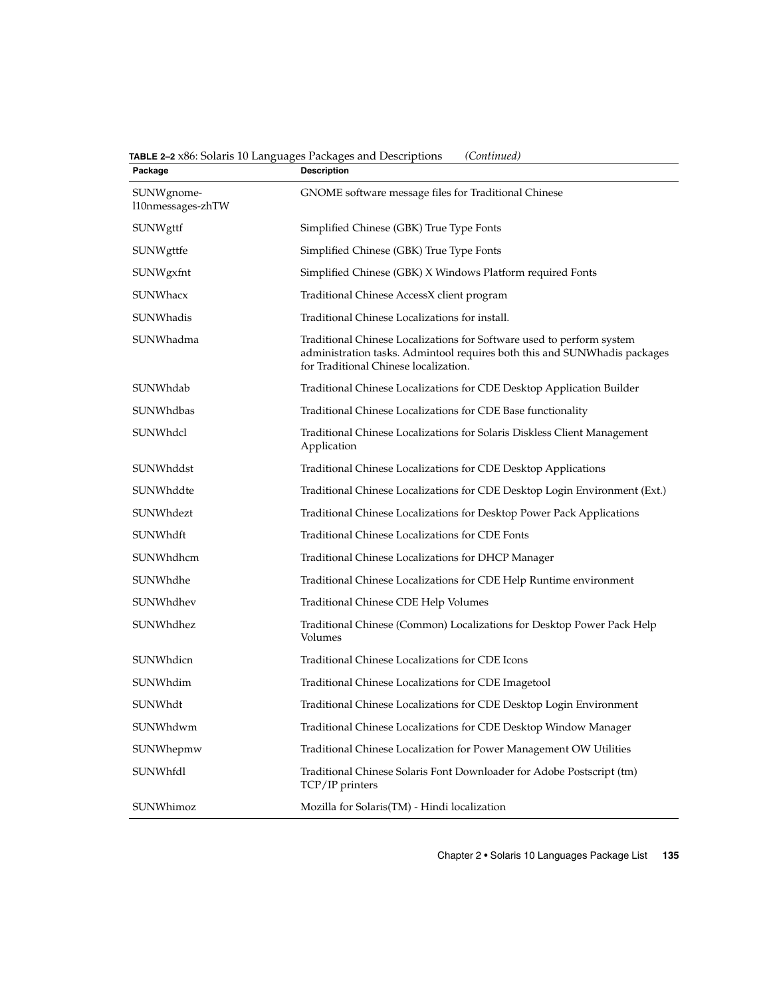**TABLE 2–2** x86: Solaris 10 Languages Packages and Descriptions *(Continued)* **Description** SUNWgnomel10nmessages-zhTW GNOME software message files for Traditional Chinese SUNWgttf Simplified Chinese (GBK) True Type Fonts SUNWgttfe Simplified Chinese (GBK) True Type Fonts SUNWgxfnt Simplified Chinese (GBK) X Windows Platform required Fonts SUNWhacx Traditional Chinese AccessX client program SUNWhadis Traditional Chinese Localizations for install. SUNWhadma Traditional Chinese Localizations for Software used to perform system administration tasks. Admintool requires both this and SUNWhadis packages for Traditional Chinese localization. SUNWhdab Traditional Chinese Localizations for CDE Desktop Application Builder SUNWhdbas Traditional Chinese Localizations for CDE Base functionality SUNWhdcl Traditional Chinese Localizations for Solaris Diskless Client Management Application SUNWhddst Traditional Chinese Localizations for CDE Desktop Applications SUNWhddte Traditional Chinese Localizations for CDE Desktop Login Environment (Ext.) SUNWhdezt Traditional Chinese Localizations for Desktop Power Pack Applications SUNWhdft Traditional Chinese Localizations for CDE Fonts SUNWhdhcm Traditional Chinese Localizations for DHCP Manager SUNWhdhe Traditional Chinese Localizations for CDE Help Runtime environment SUNWhdhev Traditional Chinese CDE Help Volumes SUNWhdhez Traditional Chinese (Common) Localizations for Desktop Power Pack Help Volumes SUNWhdicn Traditional Chinese Localizations for CDE Icons SUNWhdim Traditional Chinese Localizations for CDE Imagetool SUNWhdt Traditional Chinese Localizations for CDE Desktop Login Environment SUNWhdwm Traditional Chinese Localizations for CDE Desktop Window Manager SUNWhepmw Traditional Chinese Localization for Power Management OW Utilities SUNWhfdl Traditional Chinese Solaris Font Downloader for Adobe Postscript (tm) TCP/IP printers SUNWhimoz Mozilla for Solaris(TM) - Hindi localization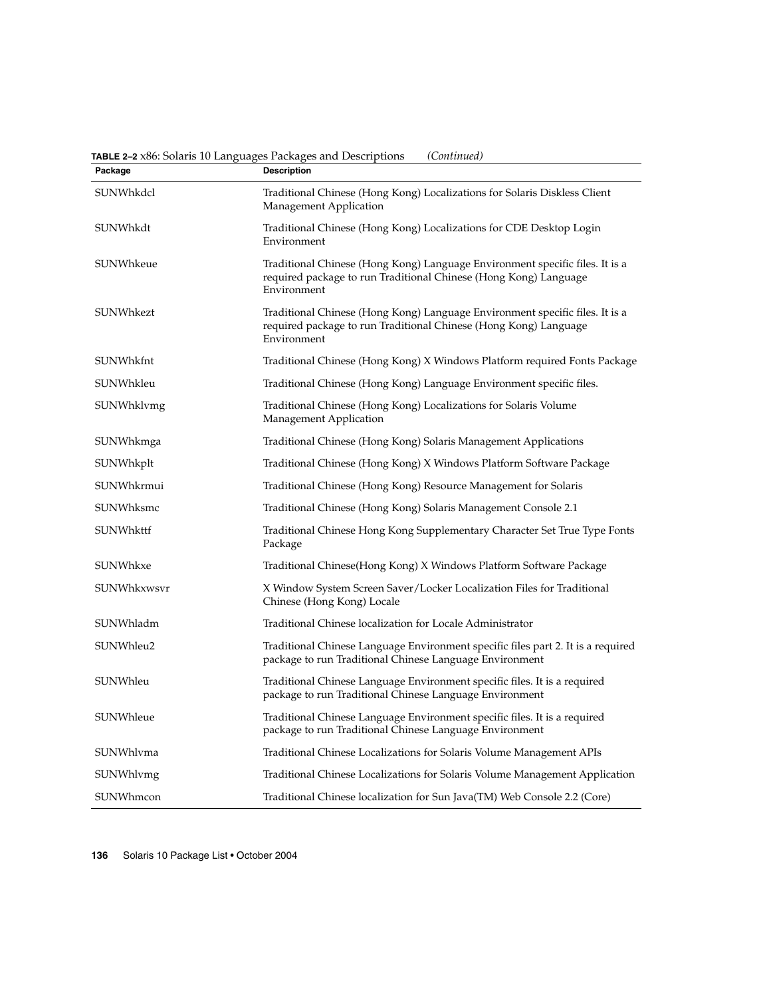| Package     | <b>Description</b>                                                                                                                                              |
|-------------|-----------------------------------------------------------------------------------------------------------------------------------------------------------------|
| SUNWhkdcl   | Traditional Chinese (Hong Kong) Localizations for Solaris Diskless Client<br>Management Application                                                             |
| SUNWhkdt    | Traditional Chinese (Hong Kong) Localizations for CDE Desktop Login<br>Environment                                                                              |
| SUNWhkeue   | Traditional Chinese (Hong Kong) Language Environment specific files. It is a<br>required package to run Traditional Chinese (Hong Kong) Language<br>Environment |
| SUNWhkezt   | Traditional Chinese (Hong Kong) Language Environment specific files. It is a<br>required package to run Traditional Chinese (Hong Kong) Language<br>Environment |
| SUNWhkfnt   | Traditional Chinese (Hong Kong) X Windows Platform required Fonts Package                                                                                       |
| SUNWhkleu   | Traditional Chinese (Hong Kong) Language Environment specific files.                                                                                            |
| SUNWhklymg  | Traditional Chinese (Hong Kong) Localizations for Solaris Volume<br>Management Application                                                                      |
| SUNWhkmga   | Traditional Chinese (Hong Kong) Solaris Management Applications                                                                                                 |
| SUNWhkplt   | Traditional Chinese (Hong Kong) X Windows Platform Software Package                                                                                             |
| SUNWhkrmui  | Traditional Chinese (Hong Kong) Resource Management for Solaris                                                                                                 |
| SUNWhksmc   | Traditional Chinese (Hong Kong) Solaris Management Console 2.1                                                                                                  |
| SUNWhkttf   | Traditional Chinese Hong Kong Supplementary Character Set True Type Fonts<br>Package                                                                            |
| SUNWhkxe    | Traditional Chinese(Hong Kong) X Windows Platform Software Package                                                                                              |
| SUNWhkxwsvr | X Window System Screen Saver/Locker Localization Files for Traditional<br>Chinese (Hong Kong) Locale                                                            |
| SUNWhladm   | Traditional Chinese localization for Locale Administrator                                                                                                       |
| SUNWhleu2   | Traditional Chinese Language Environment specific files part 2. It is a required<br>package to run Traditional Chinese Language Environment                     |
| SUNWhleu    | Traditional Chinese Language Environment specific files. It is a required<br>package to run Traditional Chinese Language Environment                            |
| SUNWhleue   | Traditional Chinese Language Environment specific files. It is a required<br>package to run Traditional Chinese Language Environment                            |
| SUNWhlvma   | Traditional Chinese Localizations for Solaris Volume Management APIs                                                                                            |
| SUNWhlymg   | Traditional Chinese Localizations for Solaris Volume Management Application                                                                                     |
| SUNWhmcon   | Traditional Chinese localization for Sun Java(TM) Web Console 2.2 (Core)                                                                                        |

**TABLE 2–2** x86: Solaris 10 Languages Packages and Descriptions *(Continued)*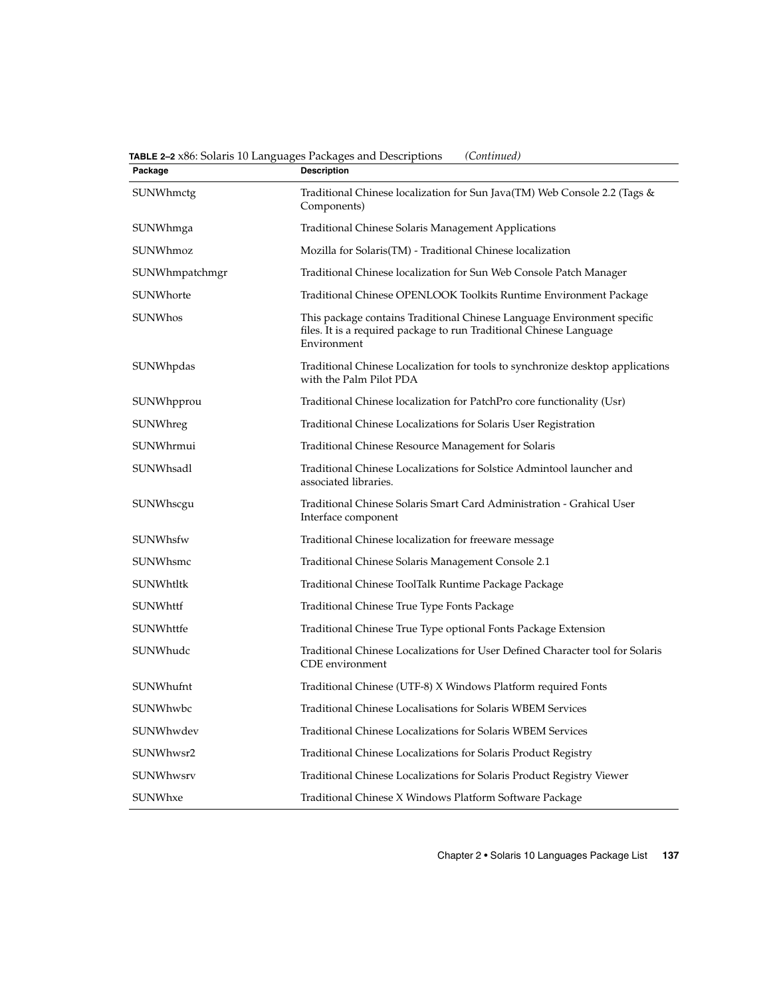**TABLE 2–2** x86: Solaris 10 Languages Packages and Descriptions *(Continued)* **Description** SUNWhmctg Traditional Chinese localization for Sun Java(TM) Web Console 2.2 (Tags & Components) SUNWhmga Traditional Chinese Solaris Management Applications SUNWhmoz Mozilla for Solaris(TM) - Traditional Chinese localization SUNWhmpatchmgr Traditional Chinese localization for Sun Web Console Patch Manager SUNWhorte Traditional Chinese OPENLOOK Toolkits Runtime Environment Package SUNWhos This package contains Traditional Chinese Language Environment specific files. It is a required package to run Traditional Chinese Language Environment SUNWhpdas Traditional Chinese Localization for tools to synchronize desktop applications with the Palm Pilot PDA SUNWhpprou Traditional Chinese localization for PatchPro core functionality (Usr) SUNWhreg Traditional Chinese Localizations for Solaris User Registration SUNWhrmui Traditional Chinese Resource Management for Solaris SUNWhsadl Traditional Chinese Localizations for Solstice Admintool launcher and associated libraries. SUNWhscgu Traditional Chinese Solaris Smart Card Administration - Grahical User Interface component SUNWhsfw Traditional Chinese localization for freeware message SUNWhsmc Traditional Chinese Solaris Management Console 2.1 SUNWhtltk Traditional Chinese ToolTalk Runtime Package Package SUNWhttf Traditional Chinese True Type Fonts Package SUNWhttfe Traditional Chinese True Type optional Fonts Package Extension SUNWhudc Traditional Chinese Localizations for User Defined Character tool for Solaris CDE environment SUNWhufnt Traditional Chinese (UTF-8) X Windows Platform required Fonts SUNWhwbc Traditional Chinese Localisations for Solaris WBEM Services SUNWhwdev Traditional Chinese Localizations for Solaris WBEM Services SUNWhwsr2 Traditional Chinese Localizations for Solaris Product Registry SUNWhwsrv Traditional Chinese Localizations for Solaris Product Registry Viewer SUNWhxe Traditional Chinese X Windows Platform Software Package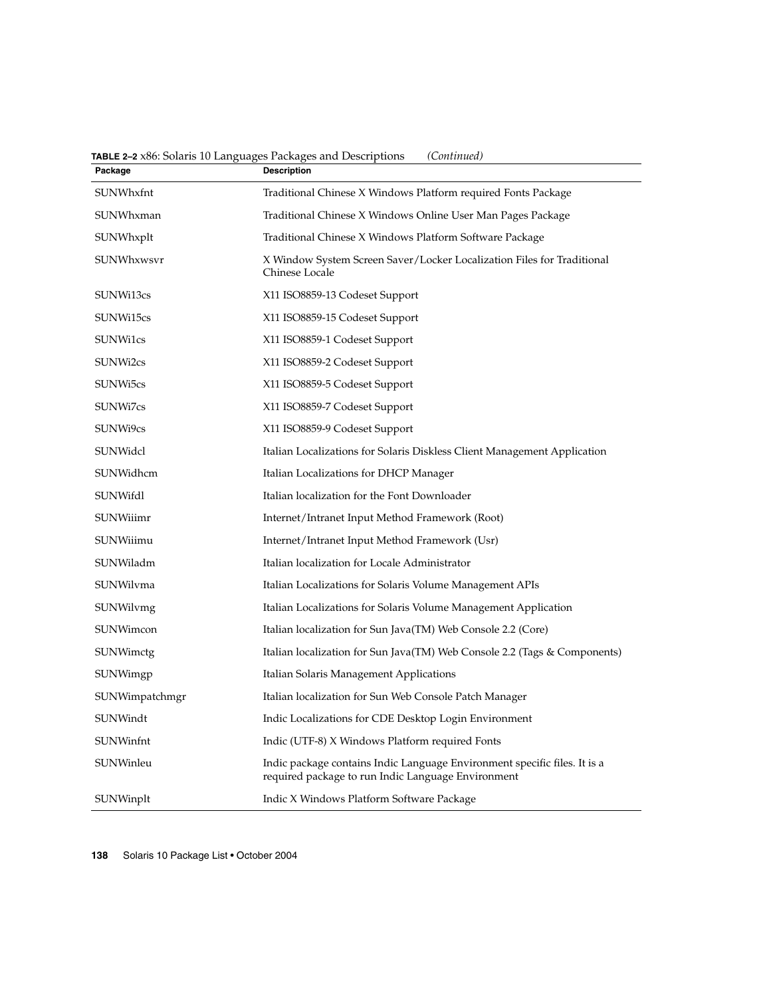**TABLE 2–2** x86: Solaris 10 Languages Packages and Descriptions *(Continued)*

| Package              | <b>Description</b>                                                                                                              |
|----------------------|---------------------------------------------------------------------------------------------------------------------------------|
| SUNWhxfnt            | Traditional Chinese X Windows Platform required Fonts Package                                                                   |
| <b>SUNWhxman</b>     | Traditional Chinese X Windows Online User Man Pages Package                                                                     |
| SUNWhxplt            | Traditional Chinese X Windows Platform Software Package                                                                         |
| SUNWhxwsvr           | X Window System Screen Saver/Locker Localization Files for Traditional<br>Chinese Locale                                        |
| SUNWi13cs            | X11 ISO8859-13 Codeset Support                                                                                                  |
| SUNWi15cs            | X11 ISO8859-15 Codeset Support                                                                                                  |
| SUNWi1cs             | X11 ISO8859-1 Codeset Support                                                                                                   |
| SUNWi2cs             | X11 ISO8859-2 Codeset Support                                                                                                   |
| SUNW <sub>i5cs</sub> | X11 ISO8859-5 Codeset Support                                                                                                   |
| SUNWi7cs             | X11 ISO8859-7 Codeset Support                                                                                                   |
| SUNWi9cs             | X11 ISO8859-9 Codeset Support                                                                                                   |
| SUNWidcl             | Italian Localizations for Solaris Diskless Client Management Application                                                        |
| SUNWidhcm            | Italian Localizations for DHCP Manager                                                                                          |
| SUNWifdl             | Italian localization for the Font Downloader                                                                                    |
| SUNWiiimr            | Internet/Intranet Input Method Framework (Root)                                                                                 |
| SUNWiiimu            | Internet/Intranet Input Method Framework (Usr)                                                                                  |
| SUNWiladm            | Italian localization for Locale Administrator                                                                                   |
| SUNWilvma            | Italian Localizations for Solaris Volume Management APIs                                                                        |
| SUNWilvmg            | Italian Localizations for Solaris Volume Management Application                                                                 |
| <b>SUNWimcon</b>     | Italian localization for Sun Java(TM) Web Console 2.2 (Core)                                                                    |
| SUNWimctg            | Italian localization for Sun Java(TM) Web Console 2.2 (Tags & Components)                                                       |
| SUNWimgp             | Italian Solaris Management Applications                                                                                         |
| SUNWimpatchmgr       | Italian localization for Sun Web Console Patch Manager                                                                          |
| SUNWindt             | Indic Localizations for CDE Desktop Login Environment                                                                           |
| SUNWinfnt            | Indic (UTF-8) X Windows Platform required Fonts                                                                                 |
| SUNWinleu            | Indic package contains Indic Language Environment specific files. It is a<br>required package to run Indic Language Environment |
| SUNWinplt            | Indic X Windows Platform Software Package                                                                                       |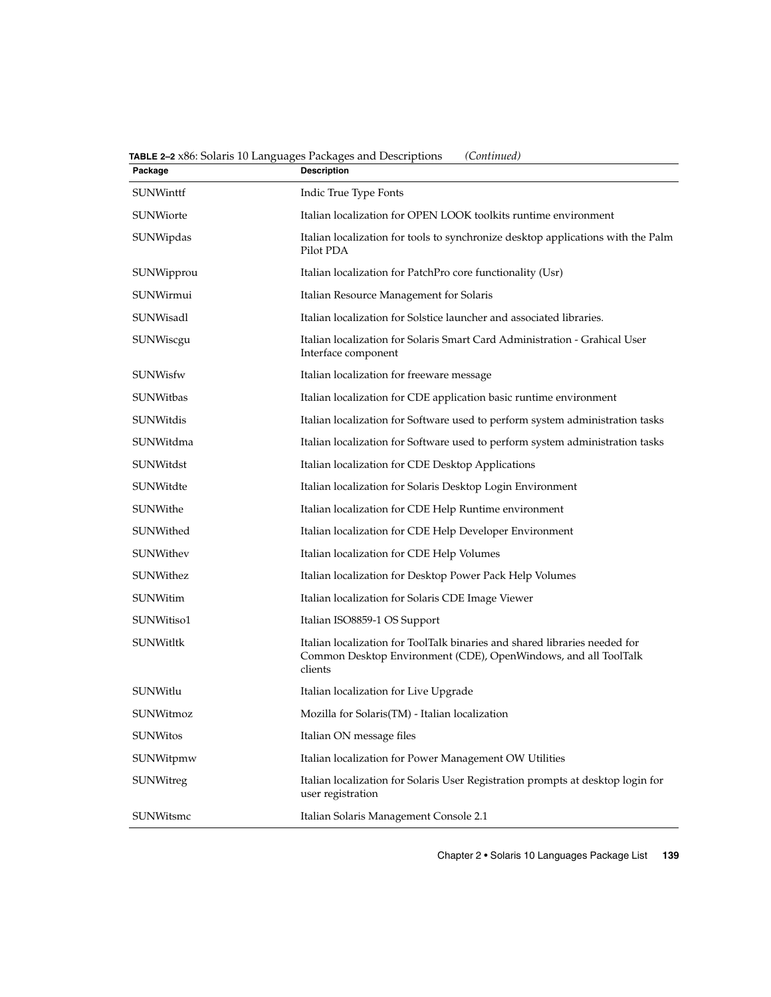**TABLE 2–2** x86: Solaris 10 Languages Packages and Descriptions *(Continued)* **Description** SUNWinttf Indic True Type Fonts SUNWiorte Italian localization for OPEN LOOK toolkits runtime environment SUNWipdas Italian localization for tools to synchronize desktop applications with the Palm Pilot PDA SUNWipprou Italian localization for PatchPro core functionality (Usr) SUNWirmui Italian Resource Management for Solaris SUNWisadl Italian localization for Solstice launcher and associated libraries. SUNWiscgu **Italian localization for Solaris Smart Card Administration - Grahical User** Interface component SUNWisfw Italian localization for freeware message SUNWitbas Italian localization for CDE application basic runtime environment SUNWitdis Italian localization for Software used to perform system administration tasks SUNWitdma Italian localization for Software used to perform system administration tasks SUNWitdst Italian localization for CDE Desktop Applications SUNWitdte Italian localization for Solaris Desktop Login Environment SUNWithe Italian localization for CDE Help Runtime environment SUNWithed Italian localization for CDE Help Developer Environment SUNWithev Italian localization for CDE Help Volumes SUNWithez Italian localization for Desktop Power Pack Help Volumes SUNWitim Italian localization for Solaris CDE Image Viewer SUNWitiso1 Italian ISO8859-1 OS Support SUNWitltk Italian localization for ToolTalk binaries and shared libraries needed for Common Desktop Environment (CDE), OpenWindows, and all ToolTalk clients SUNWitlu Italian localization for Live Upgrade SUNWitmoz Mozilla for Solaris(TM) - Italian localization SUNWitos Italian ON message files SUNWitpmw Italian localization for Power Management OW Utilities SUNWitreg Italian localization for Solaris User Registration prompts at desktop login for user registration SUNWitsmc Italian Solaris Management Console 2.1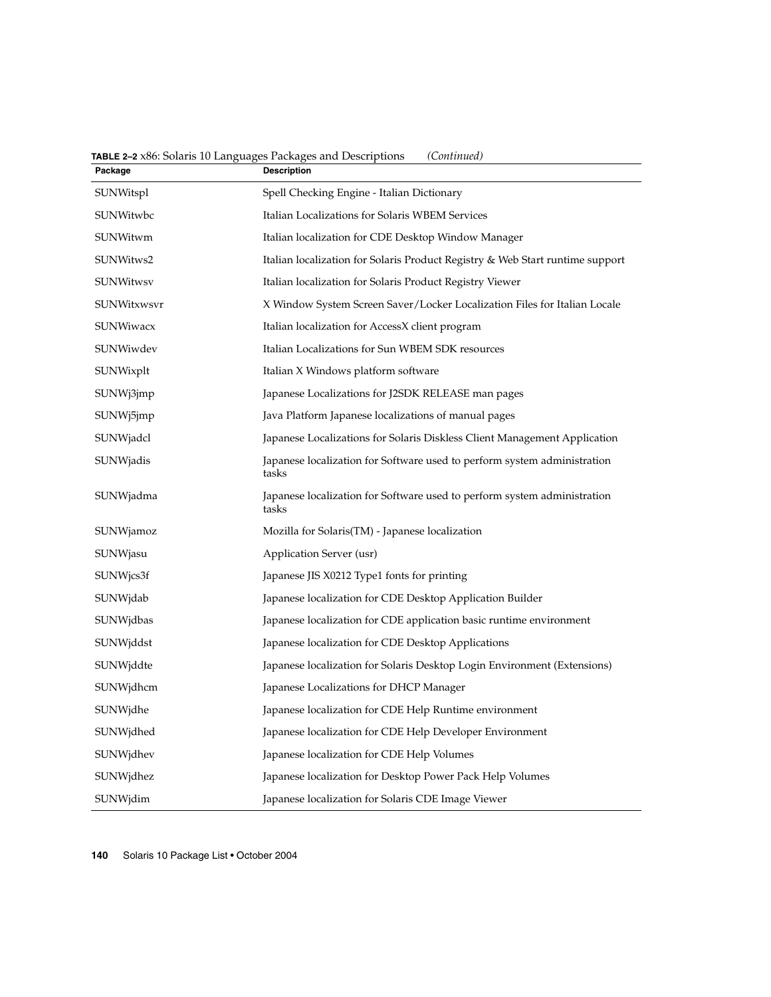**TABLE 2–2** x86: Solaris 10 Languages Packages and Descriptions *(Continued)*

| Package          | <b>Description</b>                                                                |
|------------------|-----------------------------------------------------------------------------------|
| SUNWitspl        | Spell Checking Engine - Italian Dictionary                                        |
| SUNWitwbc        | Italian Localizations for Solaris WBEM Services                                   |
| SUNWitwm         | Italian localization for CDE Desktop Window Manager                               |
| SUNWitws2        | Italian localization for Solaris Product Registry & Web Start runtime support     |
| <b>SUNWitwsy</b> | Italian localization for Solaris Product Registry Viewer                          |
| SUNWitxwsvr      | X Window System Screen Saver/Locker Localization Files for Italian Locale         |
| <b>SUNWiwacx</b> | Italian localization for AccessX client program                                   |
| SUNWiwdev        | Italian Localizations for Sun WBEM SDK resources                                  |
| SUNWixplt        | Italian X Windows platform software                                               |
| SUNWj3jmp        | Japanese Localizations for J2SDK RELEASE man pages                                |
| SUNWj5jmp        | Java Platform Japanese localizations of manual pages                              |
| SUNWjadcl        | Japanese Localizations for Solaris Diskless Client Management Application         |
| SUNWjadis        | Japanese localization for Software used to perform system administration<br>tasks |
| SUNWjadma        | Japanese localization for Software used to perform system administration<br>tasks |
| SUNWjamoz        | Mozilla for Solaris(TM) - Japanese localization                                   |
| SUNWjasu         | Application Server (usr)                                                          |
| SUNWjcs3f        | Japanese JIS X0212 Type1 fonts for printing                                       |
| SUNWjdab         | Japanese localization for CDE Desktop Application Builder                         |
| SUNWjdbas        | Japanese localization for CDE application basic runtime environment               |
| SUNWjddst        | Japanese localization for CDE Desktop Applications                                |
| SUNWjddte        | Japanese localization for Solaris Desktop Login Environment (Extensions)          |
| SUNWjdhcm        | Japanese Localizations for DHCP Manager                                           |
| SUNWjdhe         | Japanese localization for CDE Help Runtime environment                            |
| SUNWjdhed        | Japanese localization for CDE Help Developer Environment                          |
| SUNWjdhev        | Japanese localization for CDE Help Volumes                                        |
| SUNWjdhez        | Japanese localization for Desktop Power Pack Help Volumes                         |
| SUNWjdim         | Japanese localization for Solaris CDE Image Viewer                                |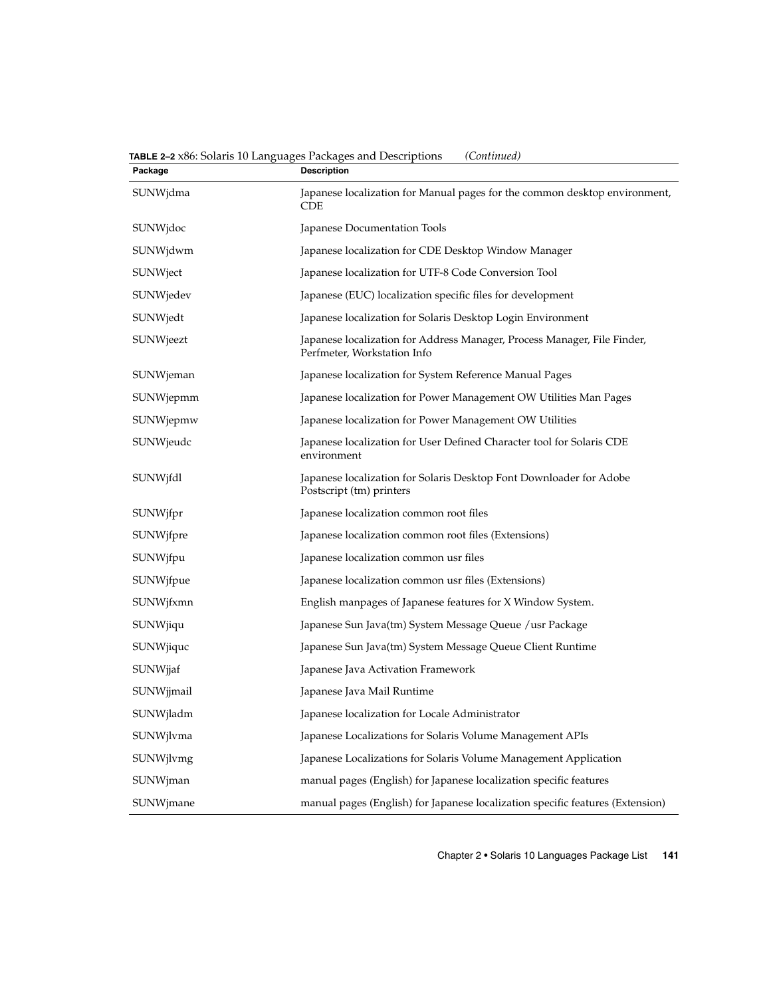| Package    | <b>Description</b>                                                                                      |
|------------|---------------------------------------------------------------------------------------------------------|
| SUNWjdma   | Japanese localization for Manual pages for the common desktop environment,<br><b>CDE</b>                |
| SUNWjdoc   | Japanese Documentation Tools                                                                            |
| SUNWjdwm   | Japanese localization for CDE Desktop Window Manager                                                    |
| SUNWject   | Japanese localization for UTF-8 Code Conversion Tool                                                    |
| SUNWjedev  | Japanese (EUC) localization specific files for development                                              |
| SUNWjedt   | Japanese localization for Solaris Desktop Login Environment                                             |
| SUNWjeezt  | Japanese localization for Address Manager, Process Manager, File Finder,<br>Perfmeter, Workstation Info |
| SUNWjeman  | Japanese localization for System Reference Manual Pages                                                 |
| SUNWjepmm  | Japanese localization for Power Management OW Utilities Man Pages                                       |
| SUNWjepmw  | Japanese localization for Power Management OW Utilities                                                 |
| SUNWjeudc  | Japanese localization for User Defined Character tool for Solaris CDE<br>environment                    |
| SUNWjfdl   | Japanese localization for Solaris Desktop Font Downloader for Adobe<br>Postscript (tm) printers         |
| SUNWjfpr   | Japanese localization common root files                                                                 |
| SUNWjfpre  | Japanese localization common root files (Extensions)                                                    |
| SUNWjfpu   | Japanese localization common usr files                                                                  |
| SUNWjfpue  | Japanese localization common usr files (Extensions)                                                     |
| SUNWjfxmn  | English manpages of Japanese features for X Window System.                                              |
| SUNWjiqu   | Japanese Sun Java(tm) System Message Queue /usr Package                                                 |
| SUNWjique  | Japanese Sun Java(tm) System Message Queue Client Runtime                                               |
| SUNWjjaf   | Japanese Java Activation Framework                                                                      |
| SUNWjjmail | Japanese Java Mail Runtime                                                                              |
| SUNWjladm  | Japanese localization for Locale Administrator                                                          |
| SUNWjlvma  | Japanese Localizations for Solaris Volume Management APIs                                               |
| SUNWjlvmg  | Japanese Localizations for Solaris Volume Management Application                                        |
| SUNWjman   | manual pages (English) for Japanese localization specific features                                      |
| SUNWjmane  | manual pages (English) for Japanese localization specific features (Extension)                          |

**TABLE 2–2** x86: Solaris 10 Languages Packages and Descriptions *(Continued)*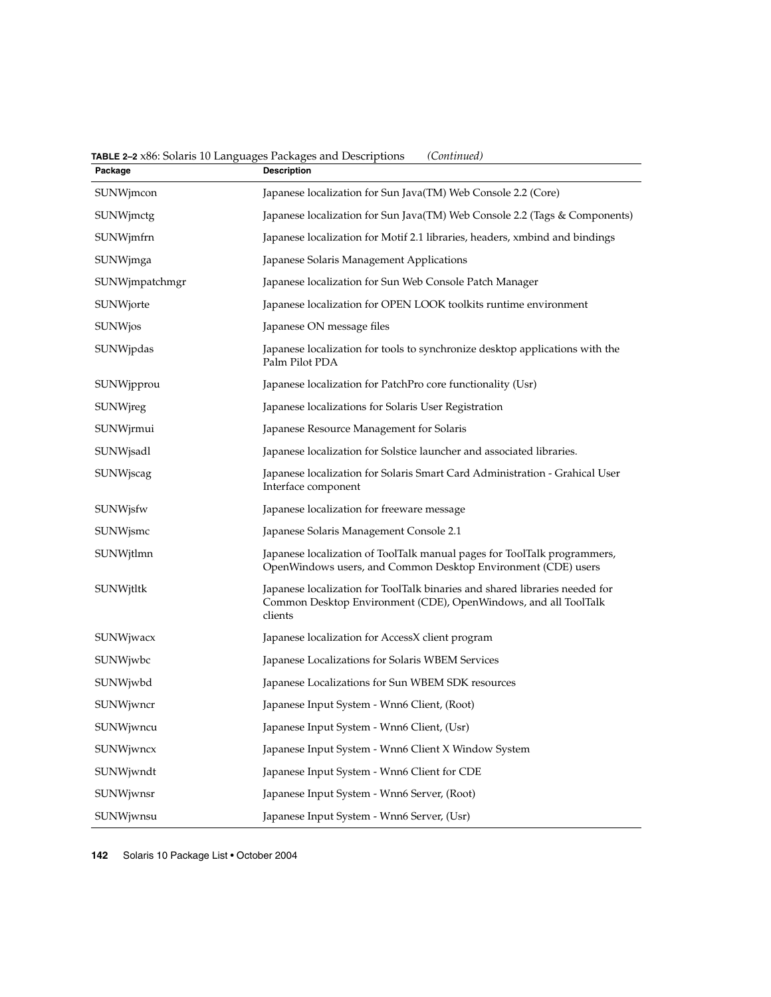**TABLE 2–2** x86: Solaris 10 Languages Packages and Descriptions *(Continued)*

| Package        | <b>Description</b>                                                                                                                                        |
|----------------|-----------------------------------------------------------------------------------------------------------------------------------------------------------|
| SUNWjmcon      | Japanese localization for Sun Java(TM) Web Console 2.2 (Core)                                                                                             |
| SUNWjmctg      | Japanese localization for Sun Java(TM) Web Console 2.2 (Tags & Components)                                                                                |
| SUNWjmfrn      | Japanese localization for Motif 2.1 libraries, headers, xmbind and bindings                                                                               |
| SUNWjmga       | Japanese Solaris Management Applications                                                                                                                  |
| SUNWjmpatchmgr | Japanese localization for Sun Web Console Patch Manager                                                                                                   |
| SUNWjorte      | Japanese localization for OPEN LOOK toolkits runtime environment                                                                                          |
| <b>SUNWjos</b> | Japanese ON message files                                                                                                                                 |
| SUNWjpdas      | Japanese localization for tools to synchronize desktop applications with the<br>Palm Pilot PDA                                                            |
| SUNWjpprou     | Japanese localization for PatchPro core functionality (Usr)                                                                                               |
| SUNWjreg       | Japanese localizations for Solaris User Registration                                                                                                      |
| SUNWjrmui      | Japanese Resource Management for Solaris                                                                                                                  |
| SUNWjsadl      | Japanese localization for Solstice launcher and associated libraries.                                                                                     |
| SUNWjscag      | Japanese localization for Solaris Smart Card Administration - Grahical User<br>Interface component                                                        |
| SUNWjsfw       | Japanese localization for freeware message                                                                                                                |
| SUNWjsmc       | Japanese Solaris Management Console 2.1                                                                                                                   |
| SUNWjtlmn      | Japanese localization of ToolTalk manual pages for ToolTalk programmers,<br>OpenWindows users, and Common Desktop Environment (CDE) users                 |
| SUNWjtltk      | Japanese localization for ToolTalk binaries and shared libraries needed for<br>Common Desktop Environment (CDE), OpenWindows, and all ToolTalk<br>clients |
| SUNWjwacx      | Japanese localization for AccessX client program                                                                                                          |
| SUNWjwbc       | Japanese Localizations for Solaris WBEM Services                                                                                                          |
| SUNWjwbd       | Japanese Localizations for Sun WBEM SDK resources                                                                                                         |
| SUNWjwncr      | Japanese Input System - Wnn6 Client, (Root)                                                                                                               |
| SUNWjwncu      | Japanese Input System - Wnn6 Client, (Usr)                                                                                                                |
| SUNWjwncx      | Japanese Input System - Wnn6 Client X Window System                                                                                                       |
| SUNWjwndt      | Japanese Input System - Wnn6 Client for CDE                                                                                                               |
| SUNWjwnsr      | Japanese Input System - Wnn6 Server, (Root)                                                                                                               |
| SUNWjwnsu      | Japanese Input System - Wnn6 Server, (Usr)                                                                                                                |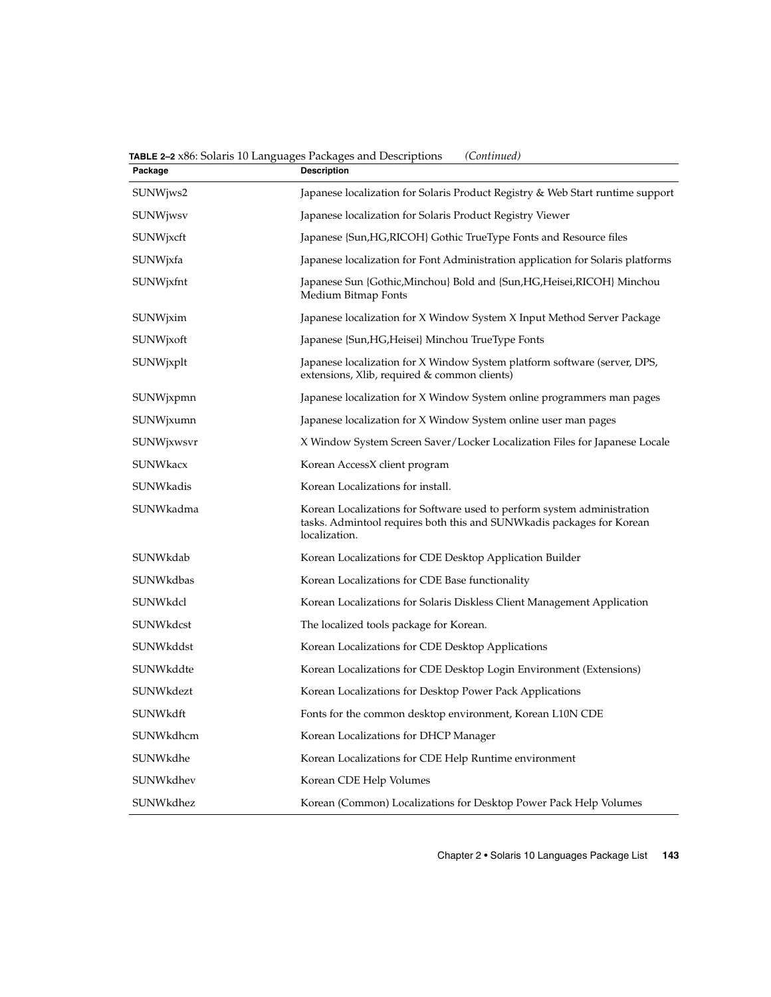**TABLE 2–2** x86: Solaris 10 Languages Packages and Descriptions *(Continued)* **Description** SUNWjws2 Japanese localization for Solaris Product Registry & Web Start runtime support SUNWjwsv Japanese localization for Solaris Product Registry Viewer SUNWjxcft Japanese {Sun,HG,RICOH} Gothic TrueType Fonts and Resource files SUNWjxfa Japanese localization for Font Administration application for Solaris platforms SUNWjxfnt Japanese Sun {Gothic,Minchou} Bold and {Sun,HG,Heisei,RICOH} Minchou Medium Bitmap Fonts SUNWjxim Japanese localization for X Window System X Input Method Server Package SUNWjxoft Japanese {Sun,HG,Heisei} Minchou TrueType Fonts SUNWjxplt Japanese localization for X Window System platform software (server, DPS, extensions, Xlib, required & common clients) SUNWjxpmn Japanese localization for X Window System online programmers man pages SUNWjxumn Japanese localization for X Window System online user man pages SUNWjxwsvr X Window System Screen Saver/Locker Localization Files for Japanese Locale SUNWkacx Korean AccessX client program SUNWkadis Korean Localizations for install. SUNWkadma Korean Localizations for Software used to perform system administration tasks. Admintool requires both this and SUNWkadis packages for Korean localization. SUNWkdab Korean Localizations for CDE Desktop Application Builder SUNWkdbas Korean Localizations for CDE Base functionality SUNWkdcl Korean Localizations for Solaris Diskless Client Management Application SUNWkdcst The localized tools package for Korean. SUNWkddst Korean Localizations for CDE Desktop Applications SUNWkddte Korean Localizations for CDE Desktop Login Environment (Extensions) SUNWkdezt Korean Localizations for Desktop Power Pack Applications SUNWkdft Fonts for the common desktop environment, Korean L10N CDE SUNWkdhcm Korean Localizations for DHCP Manager SUNWkdhe Korean Localizations for CDE Help Runtime environment SUNWkdhev Korean CDE Help Volumes SUNWkdhez Korean (Common) Localizations for Desktop Power Pack Help Volumes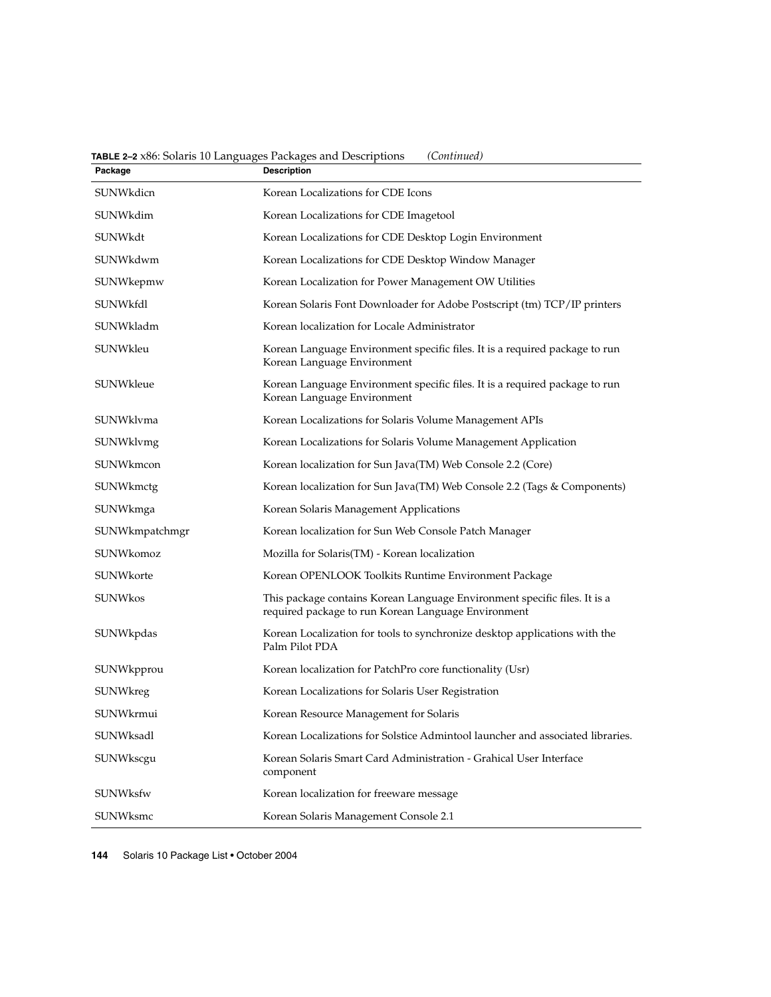**TABLE 2–2** x86: Solaris 10 Languages Packages and Descriptions *(Continued)*

| Package          | <b>Description</b>                                                                                                               |
|------------------|----------------------------------------------------------------------------------------------------------------------------------|
| <b>SUNWkdicn</b> | Korean Localizations for CDE Icons                                                                                               |
| SUNWkdim         | Korean Localizations for CDE Imagetool                                                                                           |
| SUNWkdt          | Korean Localizations for CDE Desktop Login Environment                                                                           |
| SUNWkdwm         | Korean Localizations for CDE Desktop Window Manager                                                                              |
| SUNWkepmw        | Korean Localization for Power Management OW Utilities                                                                            |
| SUNWkfdl         | Korean Solaris Font Downloader for Adobe Postscript (tm) TCP/IP printers                                                         |
| SUNWkladm        | Korean localization for Locale Administrator                                                                                     |
| SUNWkleu         | Korean Language Environment specific files. It is a required package to run<br>Korean Language Environment                       |
| SUNWkleue        | Korean Language Environment specific files. It is a required package to run<br>Korean Language Environment                       |
| SUNWklvma        | Korean Localizations for Solaris Volume Management APIs                                                                          |
| SUNWklymg        | Korean Localizations for Solaris Volume Management Application                                                                   |
| <b>SUNWkmcon</b> | Korean localization for Sun Java(TM) Web Console 2.2 (Core)                                                                      |
| SUNWkmctg        | Korean localization for Sun Java(TM) Web Console 2.2 (Tags & Components)                                                         |
| SUNWkmga         | Korean Solaris Management Applications                                                                                           |
| SUNWkmpatchmgr   | Korean localization for Sun Web Console Patch Manager                                                                            |
| SUNWkomoz        | Mozilla for Solaris(TM) - Korean localization                                                                                    |
| SUNWkorte        | Korean OPENLOOK Toolkits Runtime Environment Package                                                                             |
| <b>SUNWkos</b>   | This package contains Korean Language Environment specific files. It is a<br>required package to run Korean Language Environment |
| SUNWkpdas        | Korean Localization for tools to synchronize desktop applications with the<br>Palm Pilot PDA                                     |
| SUNWkpprou       | Korean localization for PatchPro core functionality (Usr)                                                                        |
| SUNWkreg         | Korean Localizations for Solaris User Registration                                                                               |
| SUNWkrmui        | Korean Resource Management for Solaris                                                                                           |
| SUNWksadl        | Korean Localizations for Solstice Admintool launcher and associated libraries.                                                   |
| SUNWkscgu        | Korean Solaris Smart Card Administration - Grahical User Interface<br>component                                                  |
| <b>SUNWksfw</b>  | Korean localization for freeware message                                                                                         |
| <b>SUNWksmc</b>  | Korean Solaris Management Console 2.1                                                                                            |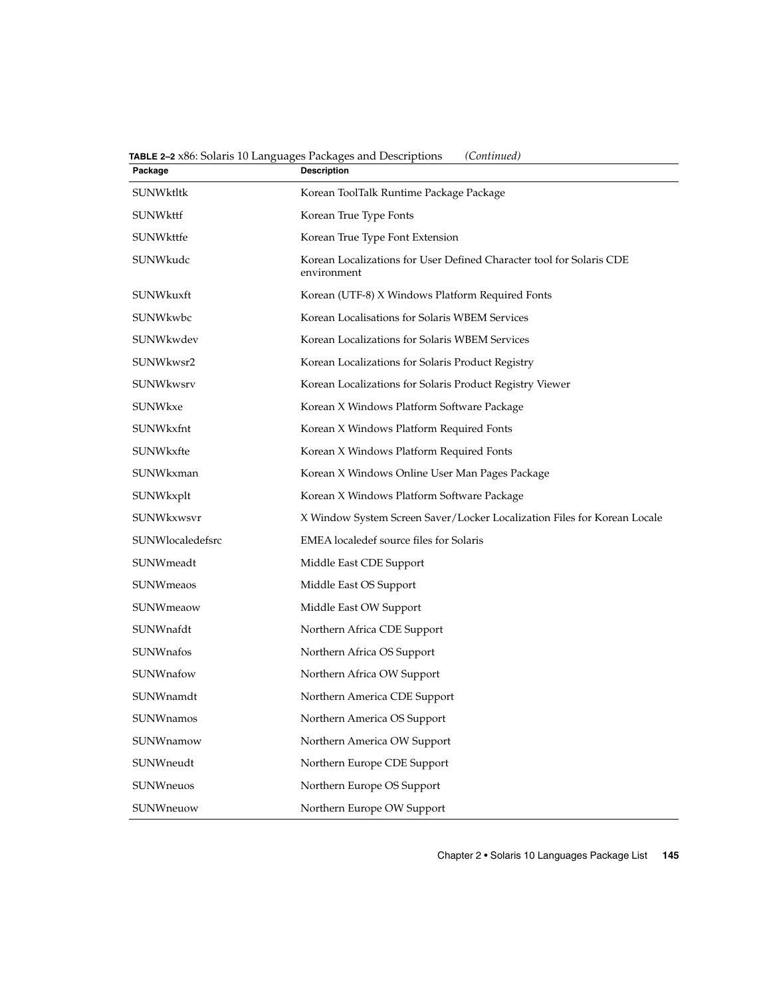Package Description SUNWktltk Korean ToolTalk Runtime Package Package SUNWkttf Korean True Type Fonts SUNWkttfe Korean True Type Font Extension SUNWkudc Korean Localizations for User Defined Character tool for Solaris CDE environment SUNWkuxft Korean (UTF-8) X Windows Platform Required Fonts SUNWkwbc Korean Localisations for Solaris WBEM Services SUNWkwdev Korean Localizations for Solaris WBEM Services SUNWkwsr2 Korean Localizations for Solaris Product Registry SUNWkwsrv Korean Localizations for Solaris Product Registry Viewer SUNWkxe Korean X Windows Platform Software Package SUNWkxfnt Korean X Windows Platform Required Fonts SUNWkxfte Korean X Windows Platform Required Fonts SUNWkxman Korean X Windows Online User Man Pages Package SUNWkxplt Korean X Windows Platform Software Package SUNWkxwsvr X Window System Screen Saver/Locker Localization Files for Korean Locale SUNWlocaledefsrc EMEA localedef source files for Solaris SUNWmeadt Middle East CDE Support SUNWmeaos Middle East OS Support SUNWmeaow Middle East OW Support SUNWnafdt Northern Africa CDE Support SUNWnafos Northern Africa OS Support SUNWnafow Northern Africa OW Support SUNWnamdt Northern America CDE Support SUNWnamos Northern America OS Support SUNWnamow Northern America OW Support SUNWneudt Northern Europe CDE Support SUNWneuos Northern Europe OS Support SUNWneuow Northern Europe OW Support

**TABLE 2–2** x86: Solaris 10 Languages Packages and Descriptions *(Continued)*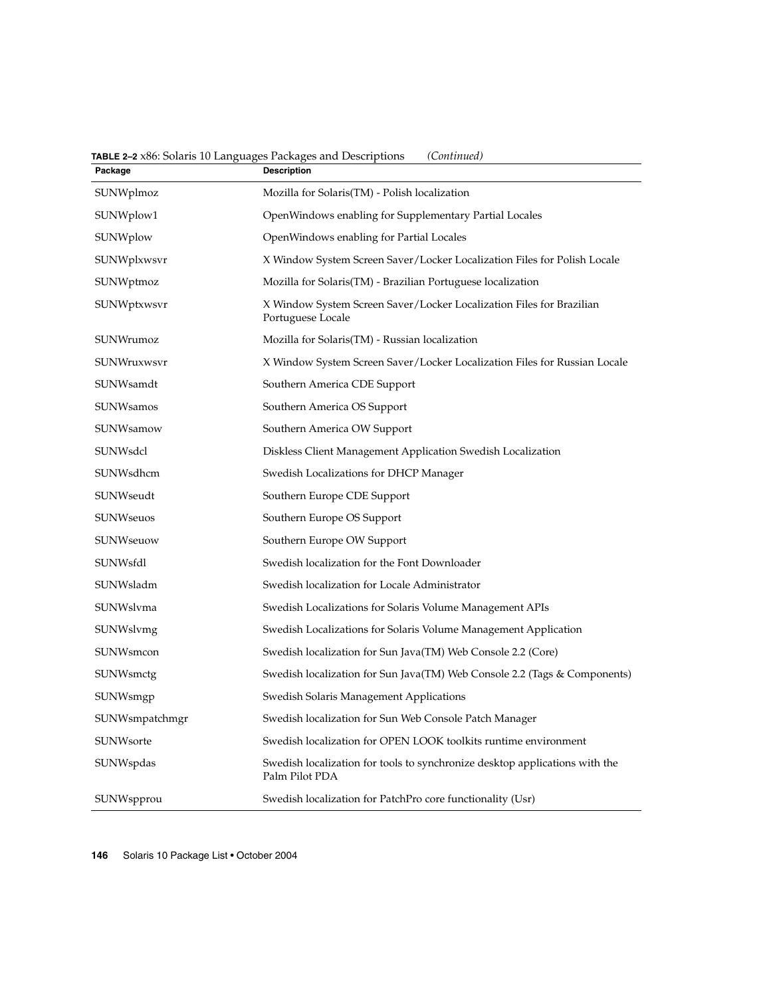**TABLE 2–2** x86: Solaris 10 Languages Packages and Descriptions *(Continued)*

| Package          | <b>Description</b>                                                                            |
|------------------|-----------------------------------------------------------------------------------------------|
| SUNWplmoz        | Mozilla for Solaris(TM) - Polish localization                                                 |
| SUNWplow1        | OpenWindows enabling for Supplementary Partial Locales                                        |
| SUNWplow         | OpenWindows enabling for Partial Locales                                                      |
| SUNWplxwsvr      | X Window System Screen Saver/Locker Localization Files for Polish Locale                      |
| SUNWptmoz        | Mozilla for Solaris(TM) - Brazilian Portuguese localization                                   |
| SUNWptxwsvr      | X Window System Screen Saver/Locker Localization Files for Brazilian<br>Portuguese Locale     |
| SUNWrumoz        | Mozilla for Solaris(TM) - Russian localization                                                |
| SUNWruxwsvr      | X Window System Screen Saver/Locker Localization Files for Russian Locale                     |
| SUNWsamdt        | Southern America CDE Support                                                                  |
| <b>SUNWsamos</b> | Southern America OS Support                                                                   |
| <b>SUNWsamow</b> | Southern America OW Support                                                                   |
| <b>SUNWsdcl</b>  | Diskless Client Management Application Swedish Localization                                   |
| SUNWsdhcm        | Swedish Localizations for DHCP Manager                                                        |
| SUNWseudt        | Southern Europe CDE Support                                                                   |
| <b>SUNWseuos</b> | Southern Europe OS Support                                                                    |
| <b>SUNWseuow</b> | Southern Europe OW Support                                                                    |
| SUNWsfdl         | Swedish localization for the Font Downloader                                                  |
| SUNWsladm        | Swedish localization for Locale Administrator                                                 |
| SUNWslyma        | Swedish Localizations for Solaris Volume Management APIs                                      |
| SUNWslymg        | Swedish Localizations for Solaris Volume Management Application                               |
| <b>SUNWsmcon</b> | Swedish localization for Sun Java(TM) Web Console 2.2 (Core)                                  |
| SUNWsmctg        | Swedish localization for Sun Java(TM) Web Console 2.2 (Tags & Components)                     |
| SUNWsmgp         | Swedish Solaris Management Applications                                                       |
| SUNWsmpatchmgr   | Swedish localization for Sun Web Console Patch Manager                                        |
| <b>SUNWsorte</b> | Swedish localization for OPEN LOOK toolkits runtime environment                               |
| SUNWspdas        | Swedish localization for tools to synchronize desktop applications with the<br>Palm Pilot PDA |
| SUNWspprou       | Swedish localization for PatchPro core functionality (Usr)                                    |

**146** Solaris 10 Package List • October 2004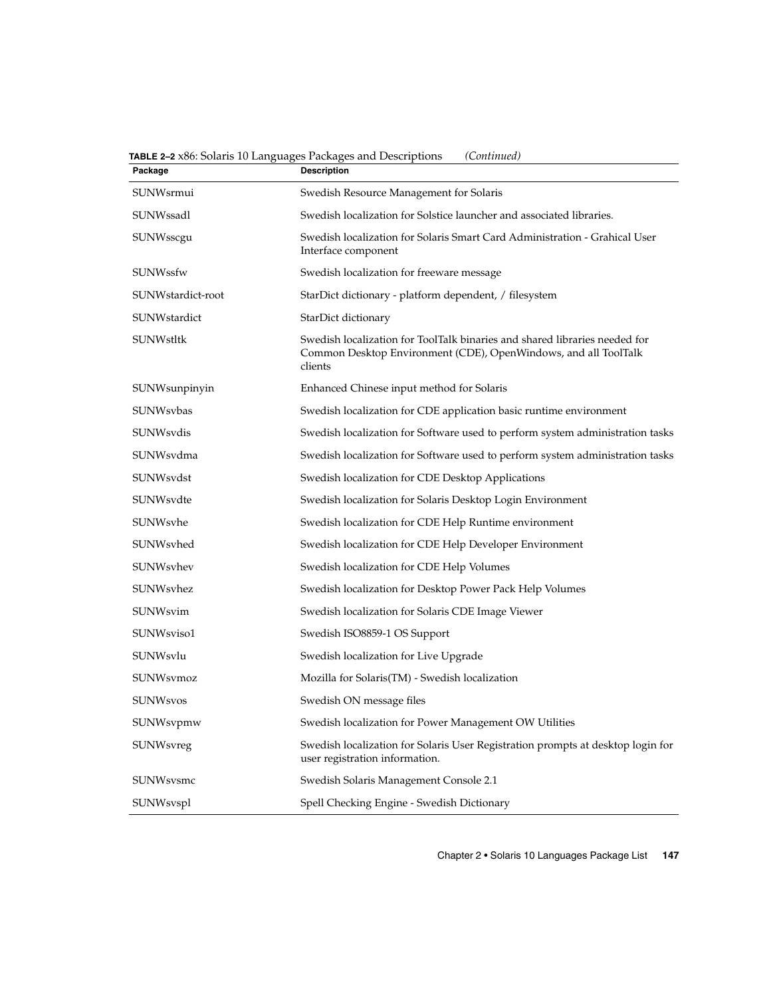**TABLE 2–2** x86: Solaris 10 Languages Packages and Descriptions *(Continued)*

| Package           | <b>Description</b>                                                                                                                                       |
|-------------------|----------------------------------------------------------------------------------------------------------------------------------------------------------|
| SUNWsrmui         | Swedish Resource Management for Solaris                                                                                                                  |
| <b>SUNWssadl</b>  | Swedish localization for Solstice launcher and associated libraries.                                                                                     |
| SUNWsscgu         | Swedish localization for Solaris Smart Card Administration - Grahical User<br>Interface component                                                        |
| <b>SUNWssfw</b>   | Swedish localization for freeware message                                                                                                                |
| SUNWstardict-root | StarDict dictionary - platform dependent, / filesystem                                                                                                   |
| SUNWstardict      | StarDict dictionary                                                                                                                                      |
| SUNWstltk         | Swedish localization for ToolTalk binaries and shared libraries needed for<br>Common Desktop Environment (CDE), OpenWindows, and all ToolTalk<br>clients |
| SUNWsunpinyin     | Enhanced Chinese input method for Solaris                                                                                                                |
| <b>SUNWsybas</b>  | Swedish localization for CDE application basic runtime environment                                                                                       |
| SUNWsvdis         | Swedish localization for Software used to perform system administration tasks                                                                            |
| SUNWsvdma         | Swedish localization for Software used to perform system administration tasks                                                                            |
| SUNWsvdst         | Swedish localization for CDE Desktop Applications                                                                                                        |
| SUNWsvdte         | Swedish localization for Solaris Desktop Login Environment                                                                                               |
| SUNWsvhe          | Swedish localization for CDE Help Runtime environment                                                                                                    |
| SUNWsvhed         | Swedish localization for CDE Help Developer Environment                                                                                                  |
| SUNWsvhev         | Swedish localization for CDE Help Volumes                                                                                                                |
| SUNWsvhez         | Swedish localization for Desktop Power Pack Help Volumes                                                                                                 |
| SUNWsvim          | Swedish localization for Solaris CDE Image Viewer                                                                                                        |
| SUNWsviso1        | Swedish ISO8859-1 OS Support                                                                                                                             |
| SUNWsvlu          | Swedish localization for Live Upgrade                                                                                                                    |
| SUNWsvmoz         | Mozilla for Solaris(TM) - Swedish localization                                                                                                           |
| <b>SUNWsvos</b>   | Swedish ON message files                                                                                                                                 |
| SUNWsvpmw         | Swedish localization for Power Management OW Utilities                                                                                                   |
| SUNWsvreg         | Swedish localization for Solaris User Registration prompts at desktop login for<br>user registration information.                                        |
| <b>SUNWsysmc</b>  | Swedish Solaris Management Console 2.1                                                                                                                   |
| SUNWsvspl         | Spell Checking Engine - Swedish Dictionary                                                                                                               |

Chapter 2 • Solaris 10 Languages Package List **147**